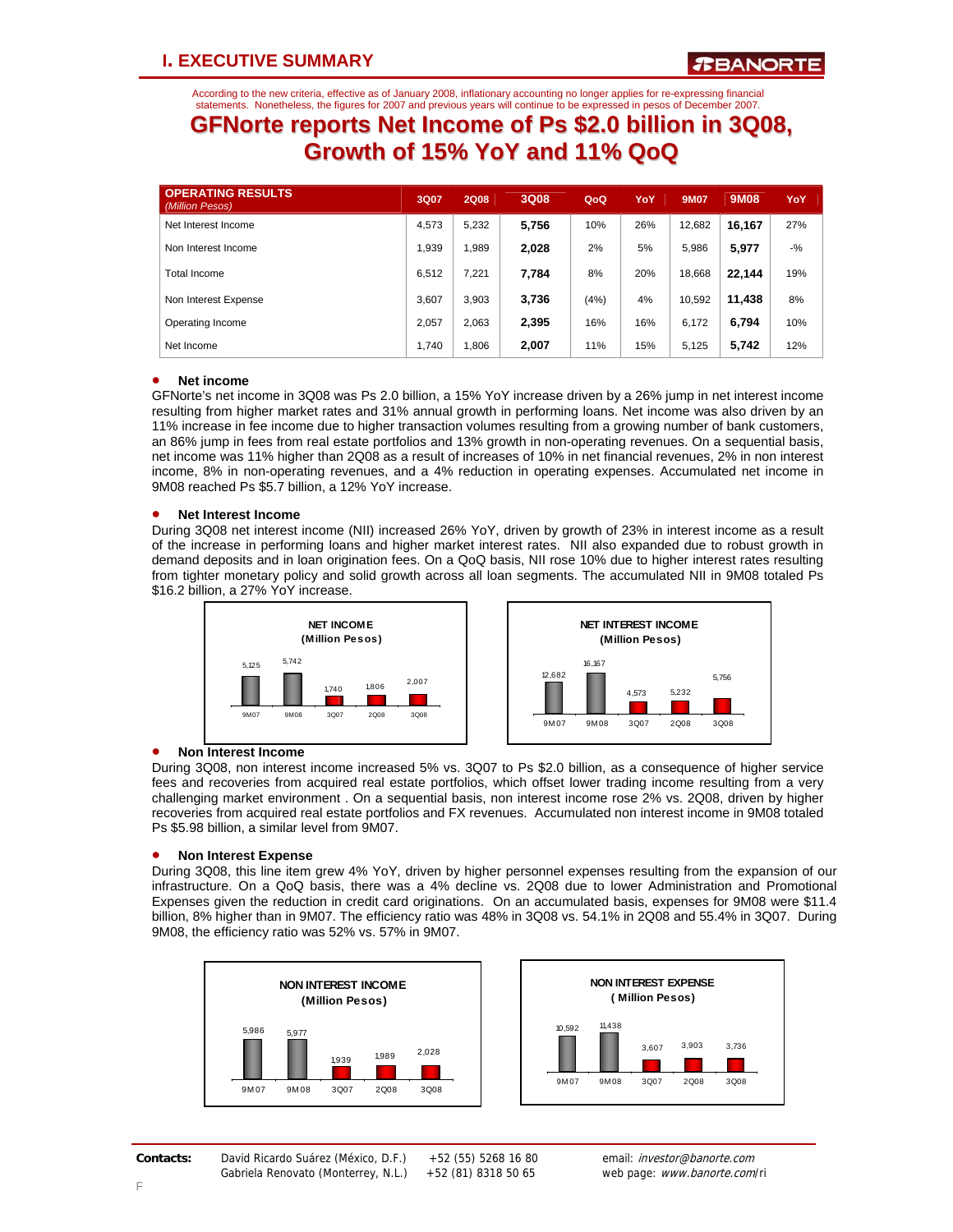According to the new criteria, effective as of January 2008, inflationary accounting no longer applies for re-expressing financial statements. Nonetheless, the figures for 2007 and previous years will continue to be expressed in pesos of December 2007.

## **GFNorte reports Net Income of Ps \$2.0 billion in 3Q08, Growth of 15% YoY and 11% QoQ**

| <b>OPERATING RESULTS</b><br>(Million Pesos) | 3Q07  | <b>2Q08</b> | 3Q08  | QoQ   | YoY | <b>9M07</b> | <b>9M08</b> | YoY    |
|---------------------------------------------|-------|-------------|-------|-------|-----|-------------|-------------|--------|
| Net Interest Income                         | 4.573 | 5.232       | 5,756 | 10%   | 26% | 12.682      | 16.167      | 27%    |
| Non Interest Income                         | 1.939 | <b>989.</b> | 2,028 | 2%    | 5%  | 5.986       | 5,977       | $-9/6$ |
| Total Income                                | 6.512 | 7.221       | 7.784 | 8%    | 20% | 18,668      | 22.144      | 19%    |
| Non Interest Expense                        | 3.607 | 3.903       | 3,736 | (4% ) | 4%  | 10.592      | 11.438      | 8%     |
| Operating Income                            | 2.057 | 2.063       | 2,395 | 16%   | 16% | 6.172       | 6.794       | 10%    |
| Net Income                                  | 1.740 | .806        | 2,007 | 11%   | 15% | 5,125       | 5,742       | 12%    |

## • **Net income**

GFNorte's net income in 3Q08 was Ps 2.0 billion, a 15% YoY increase driven by a 26% jump in net interest income resulting from higher market rates and 31% annual growth in performing loans. Net income was also driven by an 11% increase in fee income due to higher transaction volumes resulting from a growing number of bank customers, an 86% jump in fees from real estate portfolios and 13% growth in non-operating revenues. On a sequential basis, net income was 11% higher than 2Q08 as a result of increases of 10% in net financial revenues, 2% in non interest income, 8% in non-operating revenues, and a 4% reduction in operating expenses. Accumulated net income in 9M08 reached Ps \$5.7 billion, a 12% YoY increase.

### • **Net Interest Income**

During 3Q08 net interest income (NII) increased 26% YoY, driven by growth of 23% in interest income as a result of the increase in performing loans and higher market interest rates. NII also expanded due to robust growth in demand deposits and in loan origination fees. On a QoQ basis, NII rose 10% due to higher interest rates resulting from tighter monetary policy and solid growth across all loan segments. The accumulated NII in 9M08 totaled Ps \$16.2 billion, a 27% YoY increase.





## • **Non Interest Income**

During 3Q08, non interest income increased 5% vs. 3Q07 to Ps \$2.0 billion, as a consequence of higher service fees and recoveries from acquired real estate portfolios, which offset lower trading income resulting from a very challenging market environment . On a sequential basis, non interest income rose 2% vs. 2Q08, driven by higher recoveries from acquired real estate portfolios and FX revenues. Accumulated non interest income in 9M08 totaled Ps \$5.98 billion, a similar level from 9M07.

### • **Non Interest Expense**

During 3Q08, this line item grew 4% YoY, driven by higher personnel expenses resulting from the expansion of our infrastructure. On a QoQ basis, there was a 4% decline vs. 2Q08 due to lower Administration and Promotional Expenses given the reduction in credit card originations. On an accumulated basis, expenses for 9M08 were \$11.4 billion, 8% higher than in 9M07. The efficiency ratio was 48% in 3Q08 vs. 54.1% in 2Q08 and 55.4% in 3Q07. During 9M08, the efficiency ratio was 52% vs. 57% in 9M07.





*Third Quarter 2008.* 1 **Contacts:** David Ricardo Suárez (México, D.F.) +52 (55) 5268 16 80 email: investor@banorte.com

Gabriela Renovato (Monterrey, N.L.) +52 (81) 8318 50 65 web page: www.banorte.com/ri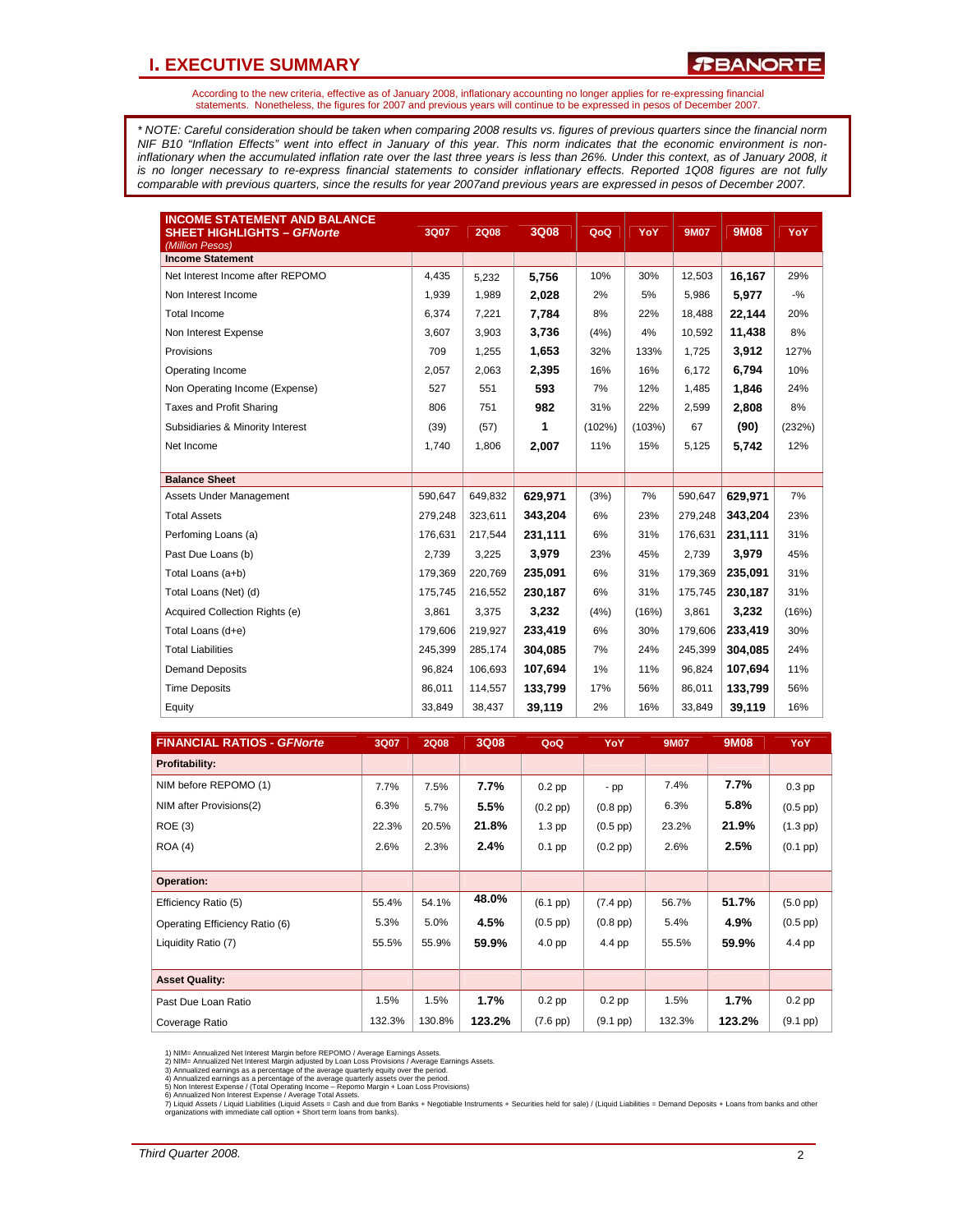## **I. EXECUTIVE SUMMARY**

*R***BANORTE** 

According to the new criteria, effective as of January 2008, inflationary accounting no longer applies for re-expressing financial statements. Nonetheless, the figures for 2007 and previous years will continue to be expressed in pesos of December 2007.

*\* NOTE: Careful consideration should be taken when comparing 2008 results vs. figures of previous quarters since the financial norm NIF B10 "Inflation Effects" went into effect in January of this year. This norm indicates that the economic environment is non*inflationary when the accumulated inflation rate over the last three years is less than 26%. Under this context, as of January 2008, it *is no longer necessary to re-express financial statements to consider inflationary effects. Reported 1Q08 figures are not fully comparable with previous quarters, since the results for year 2007and previous years are expressed in pesos of December 2007.* 

| <b>INCOME STATEMENT AND BALANCE</b><br><b>SHEET HIGHLIGHTS - GFNorte</b><br>(Million Pesos) | 3Q07    | <b>2Q08</b> | 3Q08    | QoQ    | YoY    | <b>9M07</b> | <b>9M08</b> | YoY    |
|---------------------------------------------------------------------------------------------|---------|-------------|---------|--------|--------|-------------|-------------|--------|
| <b>Income Statement</b>                                                                     |         |             |         |        |        |             |             |        |
| Net Interest Income after REPOMO                                                            | 4,435   | 5,232       | 5,756   | 10%    | 30%    | 12,503      | 16,167      | 29%    |
| Non Interest Income                                                                         | 1,939   | 1,989       | 2,028   | 2%     | 5%     | 5,986       | 5,977       | $-9/6$ |
| <b>Total Income</b>                                                                         | 6,374   | 7,221       | 7,784   | 8%     | 22%    | 18,488      | 22,144      | 20%    |
| Non Interest Expense                                                                        | 3,607   | 3,903       | 3,736   | (4%)   | 4%     | 10,592      | 11,438      | 8%     |
| Provisions                                                                                  | 709     | 1,255       | 1,653   | 32%    | 133%   | 1,725       | 3,912       | 127%   |
| Operating Income                                                                            | 2,057   | 2,063       | 2,395   | 16%    | 16%    | 6,172       | 6,794       | 10%    |
| Non Operating Income (Expense)                                                              | 527     | 551         | 593     | 7%     | 12%    | 1,485       | 1,846       | 24%    |
| Taxes and Profit Sharing                                                                    | 806     | 751         | 982     | 31%    | 22%    | 2,599       | 2,808       | 8%     |
| Subsidiaries & Minority Interest                                                            | (39)    | (57)        | 1       | (102%) | (103%) | 67          | (90)        | (232%) |
| Net Income                                                                                  | 1,740   | 1,806       | 2,007   | 11%    | 15%    | 5,125       | 5,742       | 12%    |
|                                                                                             |         |             |         |        |        |             |             |        |
| <b>Balance Sheet</b>                                                                        |         |             |         |        |        |             |             |        |
| Assets Under Management                                                                     | 590,647 | 649,832     | 629.971 | (3%)   | 7%     | 590,647     | 629.971     | 7%     |
| <b>Total Assets</b>                                                                         | 279.248 | 323,611     | 343,204 | 6%     | 23%    | 279,248     | 343,204     | 23%    |
| Perfoming Loans (a)                                                                         | 176,631 | 217,544     | 231,111 | 6%     | 31%    | 176.631     | 231,111     | 31%    |
| Past Due Loans (b)                                                                          | 2,739   | 3,225       | 3,979   | 23%    | 45%    | 2,739       | 3.979       | 45%    |
| Total Loans (a+b)                                                                           | 179.369 | 220,769     | 235,091 | 6%     | 31%    | 179,369     | 235,091     | 31%    |
| Total Loans (Net) (d)                                                                       | 175.745 | 216,552     | 230,187 | 6%     | 31%    | 175,745     | 230,187     | 31%    |
| Acquired Collection Rights (e)                                                              | 3,861   | 3,375       | 3.232   | (4% )  | (16%)  | 3,861       | 3.232       | (16%)  |
| Total Loans (d+e)                                                                           | 179.606 | 219,927     | 233,419 | 6%     | 30%    | 179,606     | 233,419     | 30%    |
| <b>Total Liabilities</b>                                                                    | 245,399 | 285,174     | 304,085 | 7%     | 24%    | 245,399     | 304,085     | 24%    |
| <b>Demand Deposits</b>                                                                      | 96,824  | 106,693     | 107,694 | 1%     | 11%    | 96,824      | 107,694     | 11%    |
| <b>Time Deposits</b>                                                                        | 86,011  | 114,557     | 133.799 | 17%    | 56%    | 86,011      | 133.799     | 56%    |
| Equity                                                                                      | 33,849  | 38,437      | 39,119  | 2%     | 16%    | 33,849      | 39,119      | 16%    |

| <b>FINANCIAL RATIOS - GFNorte</b> | 3Q07   | <b>2Q08</b> | 3Q08   | QoQ               | YoY                | <b>9M07</b> | 9M08   | YoY               |
|-----------------------------------|--------|-------------|--------|-------------------|--------------------|-------------|--------|-------------------|
| Profitability:                    |        |             |        |                   |                    |             |        |                   |
| NIM before REPOMO (1)             | 7.7%   | 7.5%        | 7.7%   | $0.2$ pp          | - pp               | 7.4%        | 7.7%   | $0.3$ pp          |
| NIM after Provisions(2)           | 6.3%   | 5.7%        | 5.5%   | $(0.2$ pp $)$     | $(0.8$ pp $)$      | 6.3%        | 5.8%   | $(0.5$ pp $)$     |
| <b>ROE (3)</b>                    | 22.3%  | 20.5%       | 21.8%  | $1.3$ pp          | $(0.5$ pp $)$      | 23.2%       | 21.9%  | $(1.3$ pp)        |
| <b>ROA (4)</b>                    | 2.6%   | 2.3%        | 2.4%   | $0.1$ pp          | $(0.2$ pp $)$      | 2.6%        | 2.5%   | $(0.1$ pp $)$     |
|                                   |        |             |        |                   |                    |             |        |                   |
| Operation:                        |        |             |        |                   |                    |             |        |                   |
| Efficiency Ratio (5)              | 55.4%  | 54.1%       | 48.0%  | $(6.1~\text{pp})$ | $(7.4 \text{ pp})$ | 56.7%       | 51.7%  | $(5.0$ pp $)$     |
| Operating Efficiency Ratio (6)    | 5.3%   | 5.0%        | 4.5%   | $(0.5$ pp $)$     | $(0.8$ pp $)$      | 5.4%        | 4.9%   | $(0.5$ pp $)$     |
| Liquidity Ratio (7)               | 55.5%  | 55.9%       | 59.9%  | $4.0$ pp          | 4.4 pp             | 55.5%       | 59.9%  | 4.4 pp            |
|                                   |        |             |        |                   |                    |             |        |                   |
| <b>Asset Quality:</b>             |        |             |        |                   |                    |             |        |                   |
| Past Due Loan Ratio               | 1.5%   | 1.5%        | 1.7%   | $0.2$ pp          | $0.2$ pp           | 1.5%        | 1.7%   | $0.2$ pp          |
| Coverage Ratio                    | 132.3% | 130.8%      | 123.2% | $(7.6~\text{pp})$ | $(9.1$ pp $)$      | 132.3%      | 123.2% | $(9.1~\text{pp})$ |

1) NIM= Annualized Net Interest Margin before REPOMO / Average Earnings Assets.<br>2) NIM= Annualized Net Interest Margin adjusted by Loan Loss Provisions / Average Earnings Assets.<br>3) Annualized earnings as a percentage of t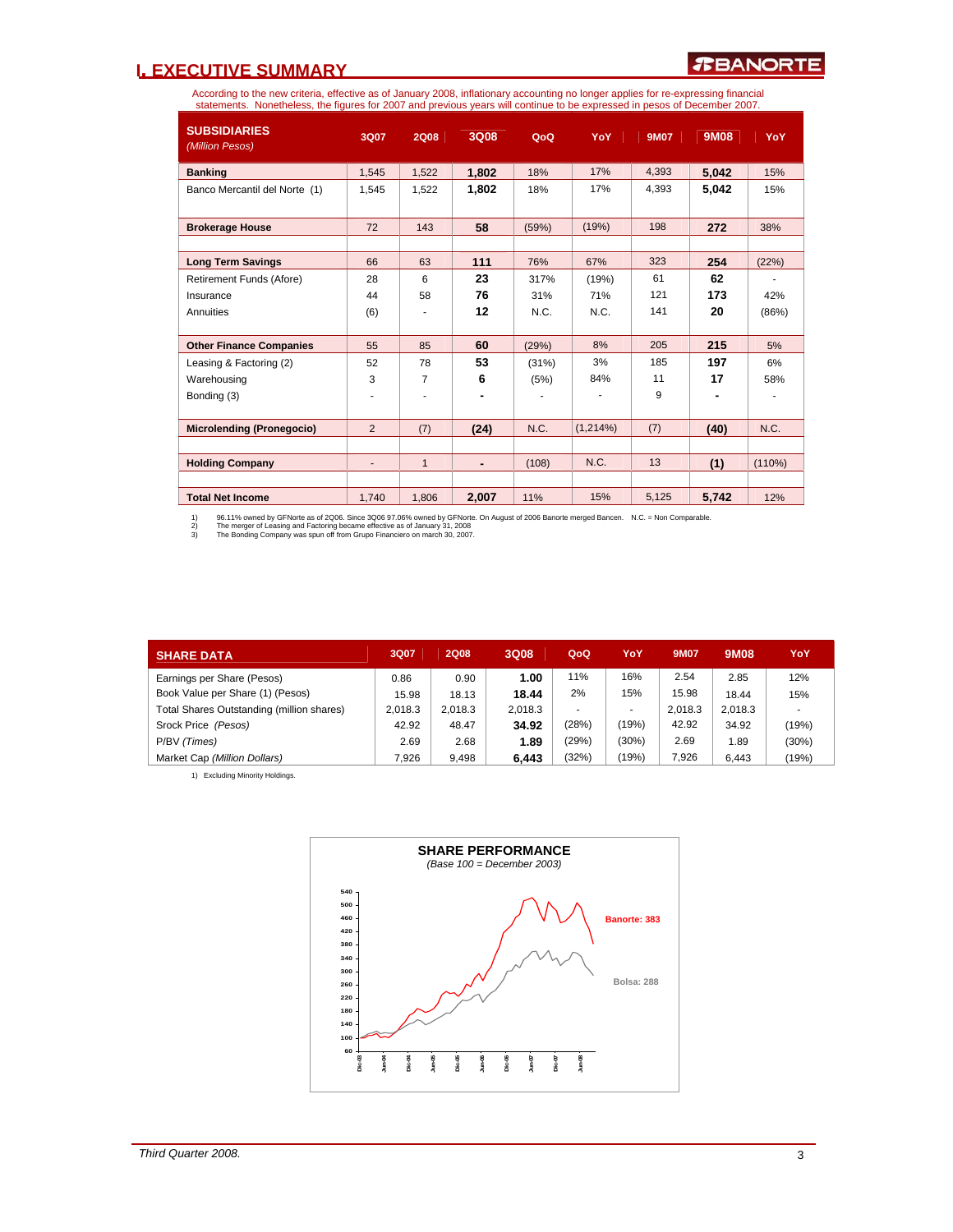## **I. EXECUTIVE SUMMARY**

According to the new criteria, effective as of January 2008, inflationary accounting no longer applies for re-expressing financial<br>statements. Nonetheless, the figures for 2007 and previous years will continue to be expres

| <b>SUBSIDIARIES</b><br>(Million Pesos) | 3Q07           | <b>2Q08</b>  | 3Q08  | QoQ   | <b>YoY</b> | <b>9M07</b> | 9M08  | YoY    |
|----------------------------------------|----------------|--------------|-------|-------|------------|-------------|-------|--------|
| <b>Banking</b>                         | 1.545          | 1,522        | 1,802 | 18%   | 17%        | 4.393       | 5,042 | 15%    |
| Banco Mercantil del Norte (1)          | 1,545          | 1.522        | 1,802 | 18%   | 17%        | 4.393       | 5,042 | 15%    |
| <b>Brokerage House</b>                 | 72             | 143          | 58    | (59%) | (19%)      | 198         | 272   | 38%    |
| <b>Long Term Savings</b>               | 66             | 63           | 111   | 76%   | 67%        | 323         | 254   | (22%)  |
| Retirement Funds (Afore)               | 28             | 6            | 23    | 317%  | (19%)      | 61          | 62    |        |
| Insurance                              | 44             | 58           | 76    | 31%   | 71%        | 121         | 173   | 42%    |
| Annuities                              | (6)            |              | 12    | N.C.  | N.C.       | 141         | 20    | (86%)  |
| <b>Other Finance Companies</b>         | 55             | 85           | 60    | (29%) | 8%         | 205         | 215   | 5%     |
| Leasing & Factoring (2)                | 52             | 78           | 53    | (31%) | 3%         | 185         | 197   | 6%     |
| Warehousing                            | 3              | 7            | 6     | (5%)  | 84%        | 11          | 17    | 58%    |
| Bonding (3)                            | ٠              | ٠            |       | ٠     |            | 9           |       |        |
| <b>Microlending (Pronegocio)</b>       | $\overline{2}$ | (7)          | (24)  | N.C.  | (1,214%)   | (7)         | (40)  | N.C.   |
|                                        |                |              |       |       |            |             |       |        |
| <b>Holding Company</b>                 | $\blacksquare$ | $\mathbf{1}$ | ٠     | (108) | N.C.       | 13          | (1)   | (110%) |
|                                        |                |              |       |       |            |             |       |        |
| <b>Total Net Income</b>                | 1,740          | 1,806        | 2,007 | 11%   | 15%        | 5,125       | 5,742 | 12%    |

1) 96.11% owned by GFNorte as of 2006. Since 3006 97.06% owned by GFNorte. On August of 2006 Banorte merged Bancen. N.C. = Non Comparable.<br>2) The merger of Leasing and Factoring became effective as of January 31, 200

| <b>SHARE DATA</b>                         | 3Q07    | <b>2Q08</b> | 3Q08    | QoQ   | YoY   | <b>9M07</b> | 9M08    | YoY   |
|-------------------------------------------|---------|-------------|---------|-------|-------|-------------|---------|-------|
| Earnings per Share (Pesos)                | 0.86    | 0.90        | 1.00    | 11%   | 16%   | 2.54        | 2.85    | 12%   |
| Book Value per Share (1) (Pesos)          | 15.98   | 18.13       | 18.44   | 2%    | 15%   | 15.98       | 18.44   | 15%   |
| Total Shares Outstanding (million shares) | 2.018.3 | 2.018.3     | 2.018.3 |       |       | 2.018.3     | 2.018.3 |       |
| Srock Price (Pesos)                       | 42.92   | 48.47       | 34.92   | (28%) | (19%) | 42.92       | 34.92   | (19%) |
| P/BV (Times)                              | 2.69    | 2.68        | 1.89    | (29%) | (30%) | 2.69        | 1.89    | (30%) |
| Market Cap (Million Dollars)              | 7.926   | 9.498       | 6.443   | (32%) | (19%) | 7.926       | 6.443   | (19%) |

1) Excluding Minority Holdings.

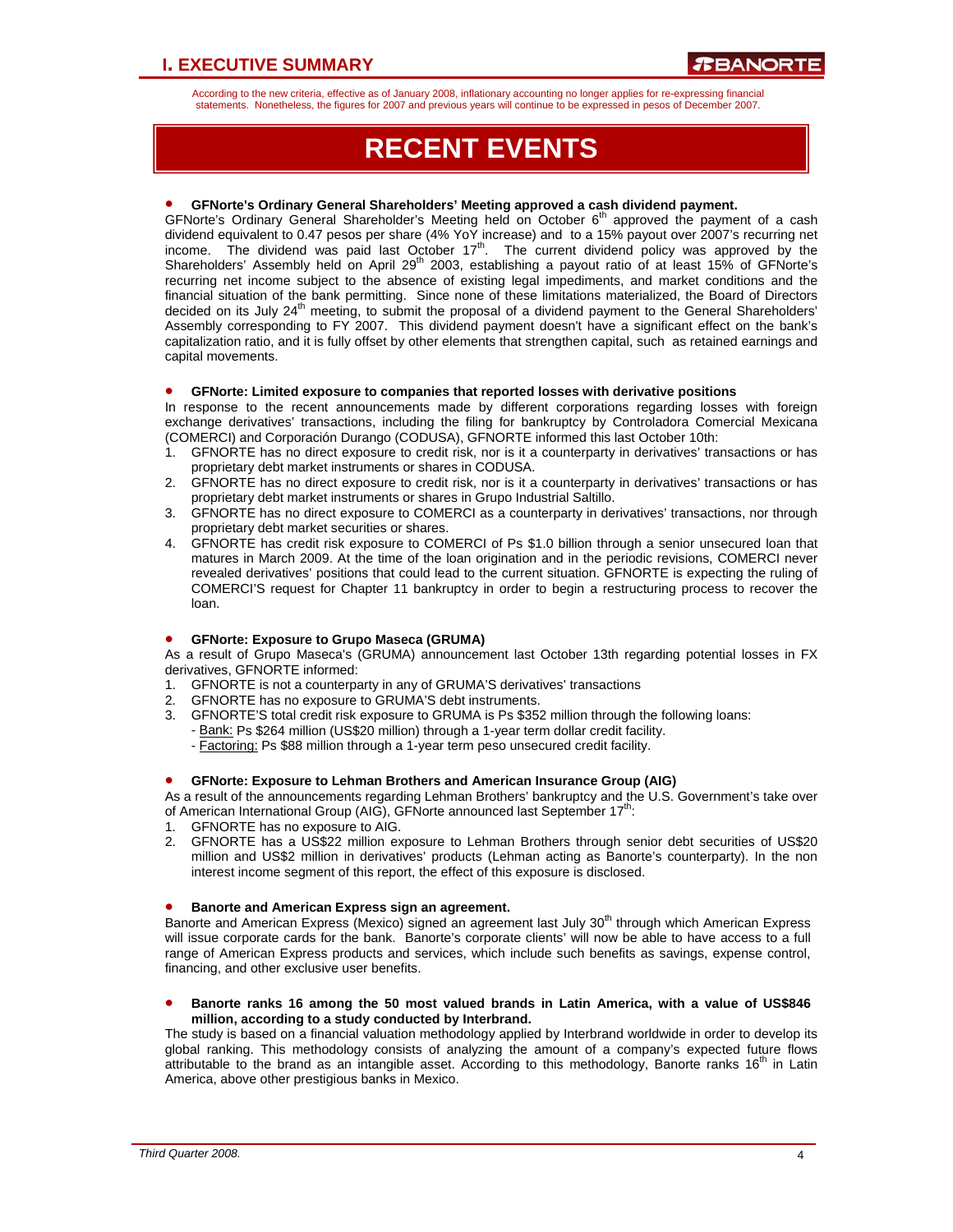According to the new criteria, effective as of January 2008, inflationary accounting no longer applies for re-expressing financial statements. Nonetheless, the figures for 2007 and previous years will continue to be expressed in pesos of December 2007.

# **RECENT EVENTS**

## • **GFNorte's Ordinary General Shareholders' Meeting approved a cash dividend payment.**

GFNorte's Ordinary General Shareholder's Meeting held on October 6<sup>th</sup> approved the payment of a cash dividend equivalent to 0.47 pesos per share (4% YoY increase) and to a 15% payout over 2007's recurring net income. The dividend was paid last October  $17<sup>th</sup>$ . The current dividend policy was approved by the Shareholders' Assembly held on April 29<sup>th</sup> 2003, establishing a payout ratio of at least 15% of GFNorte's recurring net income subject to the absence of existing legal impediments, and market conditions and the financial situation of the bank permitting. Since none of these limitations materialized, the Board of Directors decided on its July 24<sup>th</sup> meeting, to submit the proposal of a dividend payment to the General Shareholders' Assembly corresponding to FY 2007. This dividend payment doesn't have a significant effect on the bank's capitalization ratio, and it is fully offset by other elements that strengthen capital, such as retained earnings and capital movements.

## • **GFNorte: Limited exposure to companies that reported losses with derivative positions**

In response to the recent announcements made by different corporations regarding losses with foreign exchange derivatives' transactions, including the filing for bankruptcy by Controladora Comercial Mexicana (COMERCI) and Corporación Durango (CODUSA), GFNORTE informed this last October 10th:

- 1. GFNORTE has no direct exposure to credit risk, nor is it a counterparty in derivatives' transactions or has proprietary debt market instruments or shares in CODUSA.
- 2. GFNORTE has no direct exposure to credit risk, nor is it a counterparty in derivatives' transactions or has proprietary debt market instruments or shares in Grupo Industrial Saltillo.
- 3. GFNORTE has no direct exposure to COMERCI as a counterparty in derivatives' transactions, nor through proprietary debt market securities or shares.
- 4. GFNORTE has credit risk exposure to COMERCI of Ps \$1.0 billion through a senior unsecured loan that matures in March 2009. At the time of the loan origination and in the periodic revisions, COMERCI never revealed derivatives' positions that could lead to the current situation. GFNORTE is expecting the ruling of COMERCI'S request for Chapter 11 bankruptcy in order to begin a restructuring process to recover the loan.

## • **GFNorte: Exposure to Grupo Maseca (GRUMA)**

As a result of Grupo Maseca's (GRUMA) announcement last October 13th regarding potential losses in FX derivatives, GFNORTE informed:

- 1. GFNORTE is not a counterparty in any of GRUMA'S derivatives' transactions
- 2. GFNORTE has no exposure to GRUMA'S debt instruments.
- 3. GFNORTE'S total credit risk exposure to GRUMA is Ps \$352 million through the following loans: - Bank: Ps \$264 million (US\$20 million) through a 1-year term dollar credit facility.
	- Factoring: Ps \$88 million through a 1-year term peso unsecured credit facility.

## • **GFNorte: Exposure to Lehman Brothers and American Insurance Group (AIG)**

As a result of the announcements regarding Lehman Brothers' bankruptcy and the U.S. Government's take over of American International Group (AIG), GFNorte announced last September 17<sup>th</sup>:

- 1. GFNORTE has no exposure to AIG.
- 2. GFNORTE has a US\$22 million exposure to Lehman Brothers through senior debt securities of US\$20 million and US\$2 million in derivatives' products (Lehman acting as Banorte's counterparty). In the non interest income segment of this report, the effect of this exposure is disclosed.

## • **Banorte and American Express sign an agreement.**

Banorte and American Express (Mexico) signed an agreement last July 30<sup>th</sup> through which American Express will issue corporate cards for the bank. Banorte's corporate clients' will now be able to have access to a full range of American Express products and services, which include such benefits as savings, expense control, financing, and other exclusive user benefits.

• **Banorte ranks 16 among the 50 most valued brands in Latin America, with a value of US\$846 million, according to a study conducted by Interbrand.** 

The study is based on a financial valuation methodology applied by Interbrand worldwide in order to develop its global ranking. This methodology consists of analyzing the amount of a company's expected future flows attributable to the brand as an intangible asset. According to this methodology, Banorte ranks 16<sup>th</sup> in Latin America, above other prestigious banks in Mexico.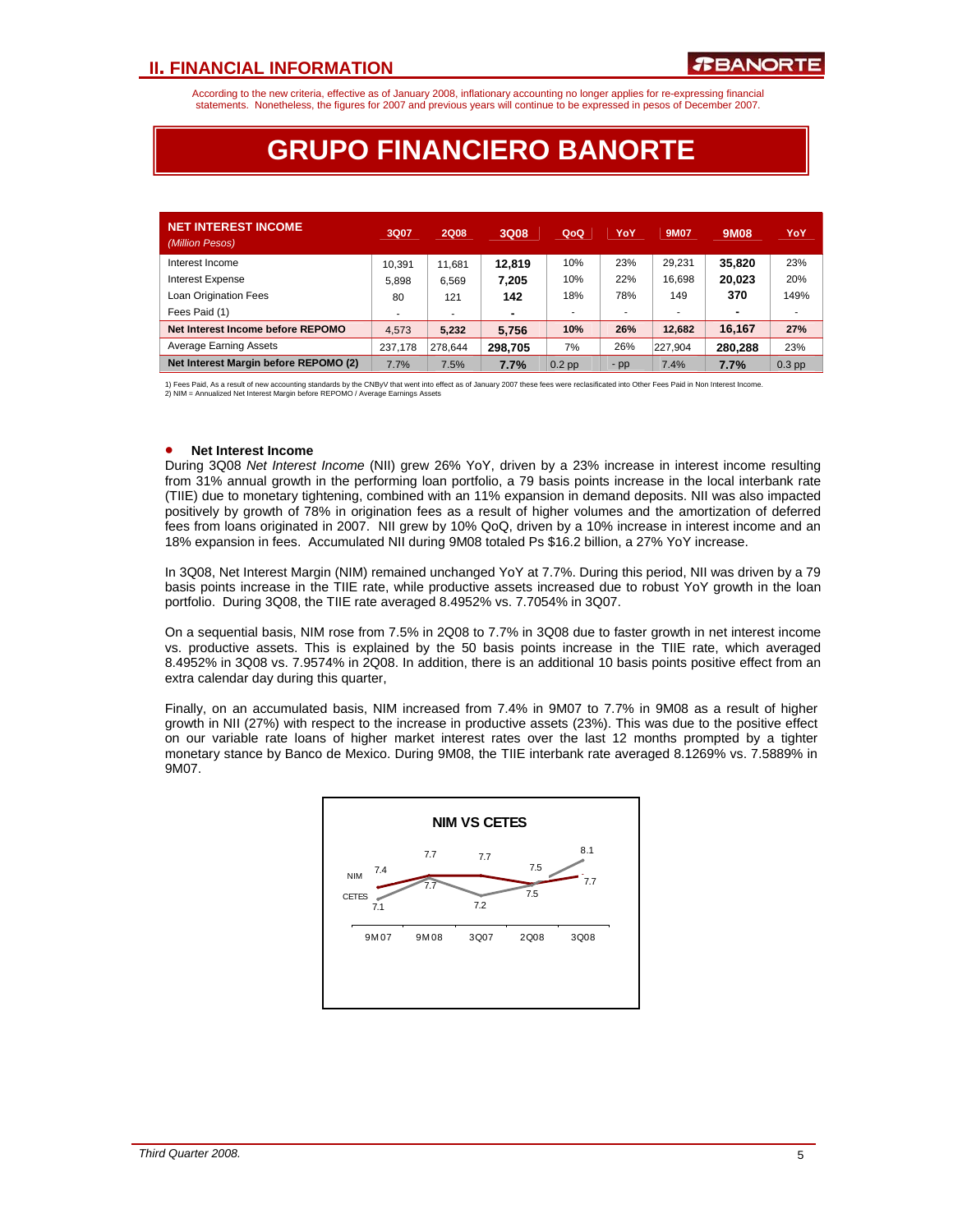According to the new criteria, effective as of January 2008, inflationary accounting no longer applies for re-expressing financial statements. Nonetheless, the figures for 2007 and previous years will continue to be expressed in pesos of December 2007.

# **GRUPO FINANCIERO BANORTE**

| <b>NET INTEREST INCOME</b><br>(Million Pesos) | 3Q07    | <b>2Q08</b> | 3Q08    | QoQ      | YoY                      | 9M07    | 9M08    | YoY                      |
|-----------------------------------------------|---------|-------------|---------|----------|--------------------------|---------|---------|--------------------------|
| Interest Income                               | 10.391  | 11,681      | 12.819  | 10%      | 23%                      | 29.231  | 35.820  | 23%                      |
| <b>Interest Expense</b>                       | 5.898   | 6.569       | 7.205   | 10%      | 22%                      | 16.698  | 20.023  | 20%                      |
| Loan Origination Fees                         | 80      | 121         | 142     | 18%      | 78%                      | 149     | 370     | 149%                     |
| Fees Paid (1)                                 |         | ۰           |         | ٠        | $\overline{\phantom{a}}$ |         |         | $\overline{\phantom{a}}$ |
| Net Interest Income before REPOMO             | 4.573   | 5.232       | 5.756   | 10%      | 26%                      | 12.682  | 16.167  | 27%                      |
| <b>Average Earning Assets</b>                 | 237.178 | 278.644     | 298.705 | 7%       | 26%                      | 227.904 | 280.288 | 23%                      |
| Net Interest Margin before REPOMO (2)         | 7.7%    | 7.5%        | 7.7%    | $0.2$ pp | $-pp$                    | 7.4%    | 7.7%    | $0.3$ pp                 |

1) Fees Paid, As a result of new accounting standards by the CNBy∨ that went into effect as of January 2007 these fees were reclasificated into Other Fees Paid in Non Interest Income.<br>2) NIM = Annualized Net Interest Marg

#### • **Net Interest Income**

During 3Q08 *Net Interest Income* (NII) grew 26% YoY, driven by a 23% increase in interest income resulting from 31% annual growth in the performing loan portfolio, a 79 basis points increase in the local interbank rate (TIIE) due to monetary tightening, combined with an 11% expansion in demand deposits. NII was also impacted positively by growth of 78% in origination fees as a result of higher volumes and the amortization of deferred fees from loans originated in 2007. NII grew by 10% QoQ, driven by a 10% increase in interest income and an 18% expansion in fees. Accumulated NII during 9M08 totaled Ps \$16.2 billion, a 27% YoY increase.

In 3Q08, Net Interest Margin (NIM) remained unchanged YoY at 7.7%. During this period, NII was driven by a 79 basis points increase in the TIIE rate, while productive assets increased due to robust YoY growth in the loan portfolio. During 3Q08, the TIIE rate averaged 8.4952% vs. 7.7054% in 3Q07.

On a sequential basis, NIM rose from 7.5% in 2Q08 to 7.7% in 3Q08 due to faster growth in net interest income vs. productive assets. This is explained by the 50 basis points increase in the TIIE rate, which averaged 8.4952% in 3Q08 vs. 7.9574% in 2Q08. In addition, there is an additional 10 basis points positive effect from an extra calendar day during this quarter,

Finally, on an accumulated basis, NIM increased from 7.4% in 9M07 to 7.7% in 9M08 as a result of higher growth in NII (27%) with respect to the increase in productive assets (23%). This was due to the positive effect on our variable rate loans of higher market interest rates over the last 12 months prompted by a tighter monetary stance by Banco de Mexico. During 9M08, the TIIE interbank rate averaged 8.1269% vs. 7.5889% in 9M07.

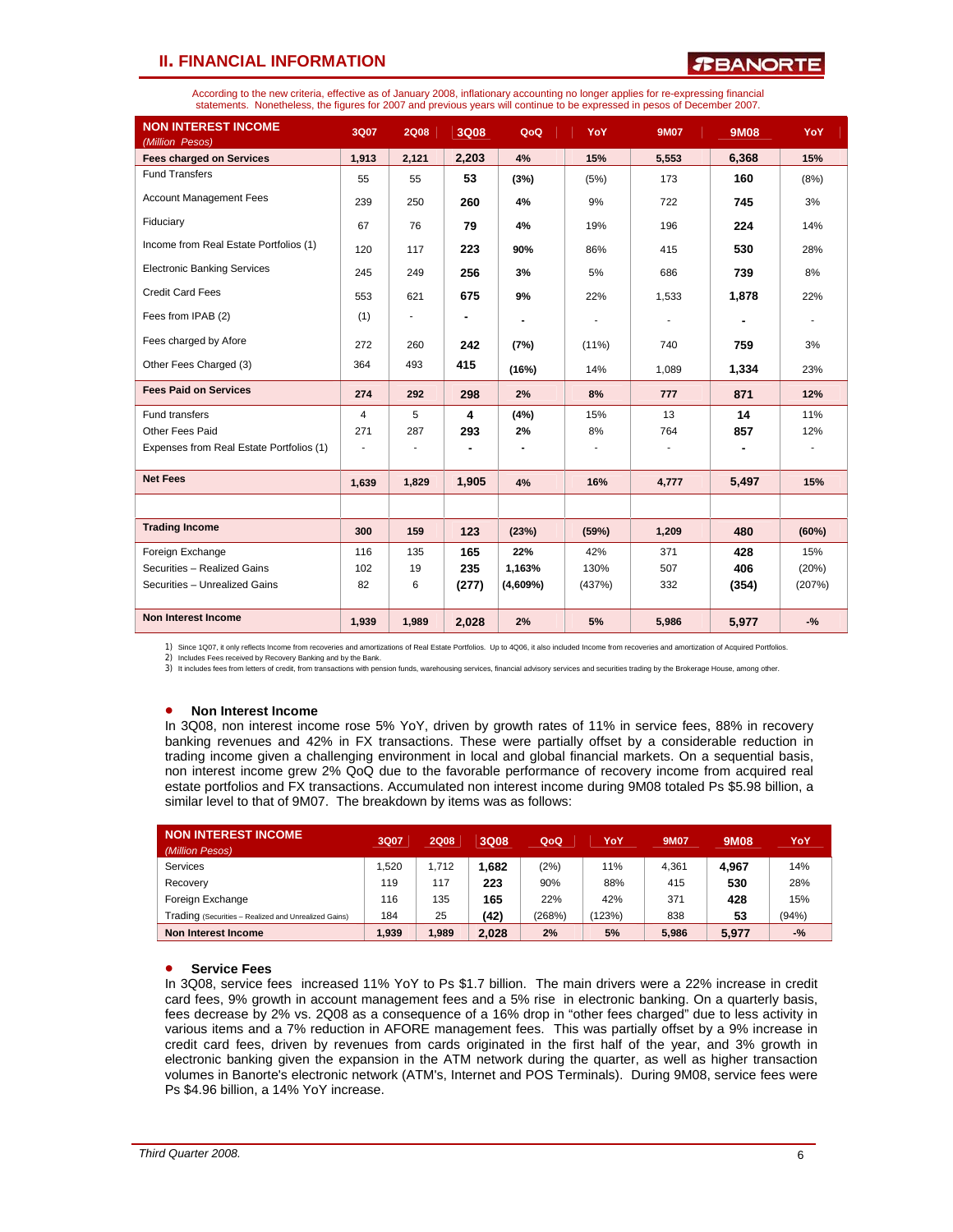## *R***BANORT**

According to the new criteria, effective as of January 2008, inflationary accounting no longer applies for re-expressing financial statements. Nonetheless, the figures for 2007 and previous years will continue to be expressed in pesos of December 2007.

| <b>NON INTEREST INCOME</b><br>(Million Pesos) | 3Q07           | <b>2Q08</b> | 3Q08  | QoQ      | YoY      | <b>9M07</b> | <b>9M08</b> | YoY    |
|-----------------------------------------------|----------------|-------------|-------|----------|----------|-------------|-------------|--------|
| <b>Fees charged on Services</b>               | 1,913          | 2,121       | 2,203 | 4%       | 15%      | 5,553       | 6,368       | 15%    |
| <b>Fund Transfers</b>                         | 55             | 55          | 53    | (3%)     | (5%)     | 173         | 160         | (8%)   |
| <b>Account Management Fees</b>                | 239            | 250         | 260   | 4%       | 9%       | 722         | 745         | 3%     |
| Fiduciary                                     | 67             | 76          | 79    | 4%       | 19%      | 196         | 224         | 14%    |
| Income from Real Estate Portfolios (1)        | 120            | 117         | 223   | 90%      | 86%      | 415         | 530         | 28%    |
| <b>Electronic Banking Services</b>            | 245            | 249         | 256   | 3%       | 5%       | 686         | 739         | 8%     |
| <b>Credit Card Fees</b>                       | 553            | 621         | 675   | 9%       | 22%      | 1,533       | 1,878       | 22%    |
| Fees from IPAB (2)                            | (1)            |             |       |          | ÷        |             |             | ٠      |
| Fees charged by Afore                         | 272            | 260         | 242   | (7%)     | $(11\%)$ | 740         | 759         | 3%     |
| Other Fees Charged (3)                        | 364            | 493         | 415   | (16%)    | 14%      | 1,089       | 1,334       | 23%    |
| <b>Fees Paid on Services</b>                  | 274            | 292         | 298   | 2%       | 8%       | 777         | 871         | 12%    |
| Fund transfers                                | $\overline{4}$ | 5           | 4     | (4%)     | 15%      | 13          | 14          | 11%    |
| Other Fees Paid                               | 271            | 287         | 293   | 2%       | 8%       | 764         | 857         | 12%    |
| Expenses from Real Estate Portfolios (1)      | $\blacksquare$ |             |       |          |          |             |             |        |
| <b>Net Fees</b>                               | 1,639          | 1,829       | 1,905 | 4%       | 16%      | 4,777       | 5,497       | 15%    |
|                                               |                |             |       |          |          |             |             |        |
| <b>Trading Income</b>                         | 300            | 159         | 123   | (23%)    | (59%)    | 1,209       | 480         | (60%)  |
| Foreign Exchange                              | 116            | 135         | 165   | 22%      | 42%      | 371         | 428         | 15%    |
| Securities - Realized Gains                   | 102            | 19          | 235   | 1,163%   | 130%     | 507         | 406         | (20%)  |
| Securities - Unrealized Gains                 | 82             | 6           | (277) | (4,609%) | (437%)   | 332         | (354)       | (207%) |
|                                               |                |             |       |          |          |             |             |        |
| <b>Non Interest Income</b>                    | 1,939          | 1,989       | 2,028 | 2%       | 5%       | 5,986       | 5,977       | $-$ %  |

1) Since 1Q07, it only reflects Income from recoveries and amortizations of Real Estate Portfolios. Up to 4Q06, it also included Income from recoveries and amortization of Acquired Portfolios.<br>2) Includes Fees received by

3) It includes fees from letters of credit, from transactions with pension funds, warehousing services, financial advisory services and securities trading by the Brokerage House, among other.

### • **Non Interest Income**

In 3Q08, non interest income rose 5% YoY, driven by growth rates of 11% in service fees, 88% in recovery banking revenues and 42% in FX transactions. These were partially offset by a considerable reduction in trading income given a challenging environment in local and global financial markets. On a sequential basis, non interest income grew 2% QoQ due to the favorable performance of recovery income from acquired real estate portfolios and FX transactions. Accumulated non interest income during 9M08 totaled Ps \$5.98 billion, a similar level to that of 9M07. The breakdown by items was as follows:

| <b>NON INTEREST INCOME</b><br>(Million Pesos)        | 3Q07  | <b>2Q08</b> | 3Q08  | QoQ    | YoY  | <b>9M07</b> | <b>9M08</b> | YoY   |
|------------------------------------------------------|-------|-------------|-------|--------|------|-------------|-------------|-------|
| Services                                             | .520  | 1.712       | 1.682 | (2%)   | 11%  | 4.361       | 4,967       | 14%   |
| Recovery                                             | 119   | 117         | 223   | 90%    | 88%  | 415         | 530         | 28%   |
| Foreign Exchange                                     | 116   | 135         | 165   | 22%    | 42%  | 371         | 428         | 15%   |
| Trading (Securities - Realized and Unrealized Gains) | 184   | 25          | (42)  | (268%) | 123% | 838         | 53          | (94%) |
| Non Interest Income                                  | 1.939 | 1.989       | 2.028 | 2%     | 5%   | 5.986       | 5,977       | $-$ % |

### • **Service Fees**

In 3Q08, service fees increased 11% YoY to Ps \$1.7 billion. The main drivers were a 22% increase in credit card fees, 9% growth in account management fees and a 5% rise in electronic banking. On a quarterly basis, fees decrease by 2% vs. 2Q08 as a consequence of a 16% drop in "other fees charged" due to less activity in various items and a 7% reduction in AFORE management fees. This was partially offset by a 9% increase in credit card fees, driven by revenues from cards originated in the first half of the year, and 3% growth in electronic banking given the expansion in the ATM network during the quarter, as well as higher transaction volumes in Banorte's electronic network (ATM's, Internet and POS Terminals). During 9M08, service fees were Ps \$4.96 billion, a 14% YoY increase.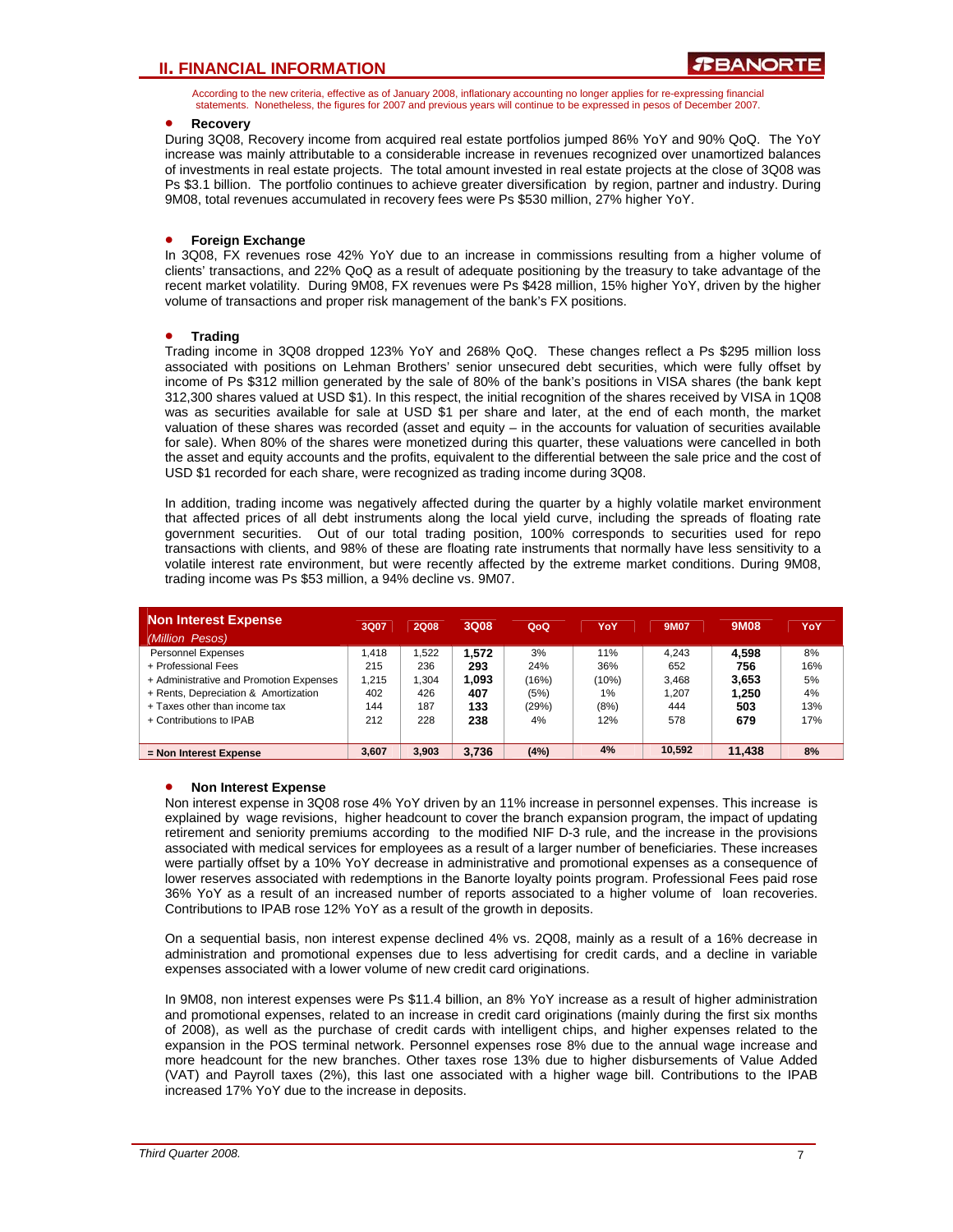According to the new criteria, effective as of January 2008, inflationary accounting no longer applies for re-expressing financial statements. Nonetheless, the figures for 2007 and previous years will continue to be expressed in pesos of December 2007.

### • **Recovery**

During 3Q08, Recovery income from acquired real estate portfolios jumped 86% YoY and 90% QoQ. The YoY increase was mainly attributable to a considerable increase in revenues recognized over unamortized balances of investments in real estate projects. The total amount invested in real estate projects at the close of 3Q08 was Ps \$3.1 billion. The portfolio continues to achieve greater diversification by region, partner and industry. During 9M08, total revenues accumulated in recovery fees were Ps \$530 million, 27% higher YoY.

## • **Foreign Exchange**

In 3Q08, FX revenues rose 42% YoY due to an increase in commissions resulting from a higher volume of clients' transactions, and 22% QoQ as a result of adequate positioning by the treasury to take advantage of the recent market volatility. During 9M08, FX revenues were Ps \$428 million, 15% higher YoY, driven by the higher volume of transactions and proper risk management of the bank's FX positions.

## • **Trading**

Trading income in 3Q08 dropped 123% YoY and 268% QoQ. These changes reflect a Ps \$295 million loss associated with positions on Lehman Brothers' senior unsecured debt securities, which were fully offset by income of Ps \$312 million generated by the sale of 80% of the bank's positions in VISA shares (the bank kept 312,300 shares valued at USD \$1). In this respect, the initial recognition of the shares received by VISA in 1Q08 was as securities available for sale at USD \$1 per share and later, at the end of each month, the market valuation of these shares was recorded (asset and equity – in the accounts for valuation of securities available for sale). When 80% of the shares were monetized during this quarter, these valuations were cancelled in both the asset and equity accounts and the profits, equivalent to the differential between the sale price and the cost of USD \$1 recorded for each share, were recognized as trading income during 3Q08.

In addition, trading income was negatively affected during the quarter by a highly volatile market environment that affected prices of all debt instruments along the local yield curve, including the spreads of floating rate government securities. Out of our total trading position, 100% corresponds to securities used for repo transactions with clients, and 98% of these are floating rate instruments that normally have less sensitivity to a volatile interest rate environment, but were recently affected by the extreme market conditions. During 9M08, trading income was Ps \$53 million, a 94% decline vs. 9M07.

| Non Interest Expense                    | 3Q07  | <b>2Q08</b> | 3Q08  | QoQ   | YoY   | 9M07   | <b>9M08</b> | YoY |
|-----------------------------------------|-------|-------------|-------|-------|-------|--------|-------------|-----|
| (Million Pesos)                         |       |             |       |       |       |        |             |     |
| <b>Personnel Expenses</b>               | 1.418 | .522        | 1,572 | 3%    | 11%   | 4.243  | 4.598       | 8%  |
| + Professional Fees                     | 215   | 236         | 293   | 24%   | 36%   | 652    | 756         | 16% |
| + Administrative and Promotion Expenses | 1.215 | 1,304       | 1.093 | (16%) | (10%) | 3.468  | 3.653       | 5%  |
| + Rents, Depreciation & Amortization    | 402   | 426         | 407   | (5%)  | 1%    | 1.207  | 1.250       | 4%  |
| + Taxes other than income tax           | 144   | 187         | 133   | (29%) | (8%)  | 444    | 503         | 13% |
| + Contributions to IPAB                 | 212   | 228         | 238   | 4%    | 12%   | 578    | 679         | 17% |
|                                         |       |             |       |       |       |        |             |     |
| = Non Interest Expense                  | 3.607 | 3.903       | 3.736 | (4%)  | 4%    | 10.592 | 11.438      | 8%  |

### • **Non Interest Expense**

Non interest expense in 3Q08 rose 4% YoY driven by an 11% increase in personnel expenses. This increase is explained by wage revisions, higher headcount to cover the branch expansion program, the impact of updating retirement and seniority premiums according to the modified NIF D-3 rule, and the increase in the provisions associated with medical services for employees as a result of a larger number of beneficiaries. These increases were partially offset by a 10% YoY decrease in administrative and promotional expenses as a consequence of lower reserves associated with redemptions in the Banorte loyalty points program. Professional Fees paid rose 36% YoY as a result of an increased number of reports associated to a higher volume of loan recoveries. Contributions to IPAB rose 12% YoY as a result of the growth in deposits.

On a sequential basis, non interest expense declined 4% vs. 2Q08, mainly as a result of a 16% decrease in administration and promotional expenses due to less advertising for credit cards, and a decline in variable expenses associated with a lower volume of new credit card originations.

In 9M08, non interest expenses were Ps \$11.4 billion, an 8% YoY increase as a result of higher administration and promotional expenses, related to an increase in credit card originations (mainly during the first six months of 2008), as well as the purchase of credit cards with intelligent chips, and higher expenses related to the expansion in the POS terminal network. Personnel expenses rose 8% due to the annual wage increase and more headcount for the new branches. Other taxes rose 13% due to higher disbursements of Value Added (VAT) and Payroll taxes (2%), this last one associated with a higher wage bill. Contributions to the IPAB increased 17% YoY due to the increase in deposits.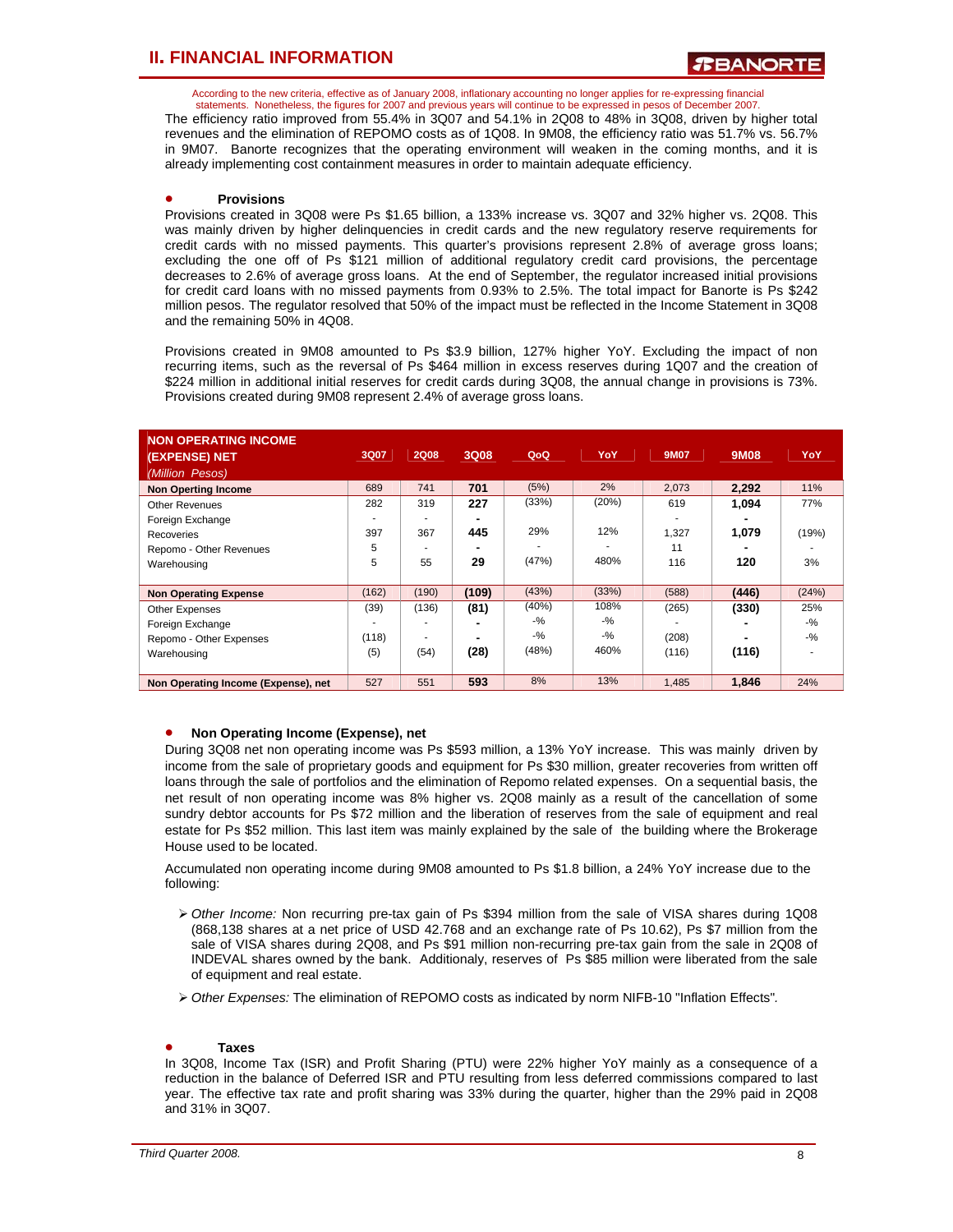According to the new criteria, effective as of January 2008, inflationary accounting no longer applies for re-expressing financial statements. Nonetheless, the figures for 2007 and previous years will continue to be expressed in pesos of December 2007.

The efficiency ratio improved from 55.4% in 3Q07 and 54.1% in 2Q08 to 48% in 3Q08, driven by higher total revenues and the elimination of REPOMO costs as of 1Q08. In 9M08, the efficiency ratio was 51.7% vs. 56.7% in 9M07. Banorte recognizes that the operating environment will weaken in the coming months, and it is already implementing cost containment measures in order to maintain adequate efficiency.

### • **Provisions**

Provisions created in 3Q08 were Ps \$1.65 billion, a 133% increase vs. 3Q07 and 32% higher vs. 2Q08. This was mainly driven by higher delinquencies in credit cards and the new regulatory reserve requirements for credit cards with no missed payments. This quarter's provisions represent 2.8% of average gross loans; excluding the one off of Ps \$121 million of additional regulatory credit card provisions, the percentage decreases to 2.6% of average gross loans. At the end of September, the regulator increased initial provisions for credit card loans with no missed payments from 0.93% to 2.5%. The total impact for Banorte is Ps \$242 million pesos. The regulator resolved that 50% of the impact must be reflected in the Income Statement in 3Q08 and the remaining 50% in 4Q08.

Provisions created in 9M08 amounted to Ps \$3.9 billion, 127% higher YoY. Excluding the impact of non recurring items, such as the reversal of Ps \$464 million in excess reserves during 1Q07 and the creation of \$224 million in additional initial reserves for credit cards during 3Q08, the annual change in provisions is 73%. Provisions created during 9M08 represent 2.4% of average gross loans.

| <b>NON OPERATING INCOME</b><br>(EXPENSE) NET<br>(Million Pesos) | 3Q07  | <b>2Q08</b> | 3Q08  | QoQ    | YoY    | <b>9M07</b> | 9M08  | YoY    |
|-----------------------------------------------------------------|-------|-------------|-------|--------|--------|-------------|-------|--------|
| <b>Non Operting Income</b>                                      | 689   | 741         | 701   | (5%)   | 2%     | 2,073       | 2,292 | 11%    |
| <b>Other Revenues</b>                                           | 282   | 319         | 227   | (33%)  | (20%)  | 619         | 1.094 | 77%    |
| Foreign Exchange                                                |       |             |       |        |        |             |       |        |
| Recoveries                                                      | 397   | 367         | 445   | 29%    | 12%    | 1,327       | 1.079 | (19%)  |
| Repomo - Other Revenues                                         | 5     |             |       |        |        | 11          |       |        |
| Warehousing                                                     | 5     | 55          | 29    | (47%)  | 480%   | 116         | 120   | 3%     |
|                                                                 |       |             |       |        |        |             |       |        |
| <b>Non Operating Expense</b>                                    | (162) | (190)       | (109) | (43%)  | (33%)  | (588)       | (446) | (24%)  |
| Other Expenses                                                  | (39)  | (136)       | (81)  | (40%)  | 108%   | (265)       | (330) | 25%    |
| Foreign Exchange                                                |       |             |       | $-9/2$ | $-9/2$ |             |       | $-9/6$ |
| Repomo - Other Expenses                                         | (118) |             |       | $-9/2$ | $-9/6$ | (208)       |       | $-9/6$ |
| Warehousing                                                     | (5)   | (54)        | (28)  | (48%)  | 460%   | (116)       | (116) |        |
|                                                                 |       |             |       |        |        |             |       |        |
| Non Operating Income (Expense), net                             | 527   | 551         | 593   | 8%     | 13%    | 1,485       | 1,846 | 24%    |

### • **Non Operating Income (Expense), net**

During 3Q08 net non operating income was Ps \$593 million, a 13% YoY increase. This was mainly driven by income from the sale of proprietary goods and equipment for Ps \$30 million, greater recoveries from written off loans through the sale of portfolios and the elimination of Repomo related expenses. On a sequential basis, the net result of non operating income was 8% higher vs. 2Q08 mainly as a result of the cancellation of some sundry debtor accounts for Ps \$72 million and the liberation of reserves from the sale of equipment and real estate for Ps \$52 million. This last item was mainly explained by the sale of the building where the Brokerage House used to be located.

Accumulated non operating income during 9M08 amounted to Ps \$1.8 billion, a 24% YoY increase due to the following:

- ¾ *Other Income:* Non recurring pre-tax gain of Ps \$394 million from the sale of VISA shares during 1Q08 (868,138 shares at a net price of USD 42.768 and an exchange rate of Ps 10.62), Ps \$7 million from the sale of VISA shares during 2Q08, and Ps \$91 million non-recurring pre-tax gain from the sale in 2Q08 of INDEVAL shares owned by the bank. Additionaly, reserves of Ps \$85 million were liberated from the sale of equipment and real estate.
- ¾ *Other Expenses:* The elimination of REPOMO costs as indicated by norm NIFB-10 "Inflation Effects"*.*

### • **Taxes**

In 3Q08, Income Tax (ISR) and Profit Sharing (PTU) were 22% higher YoY mainly as a consequence of a reduction in the balance of Deferred ISR and PTU resulting from less deferred commissions compared to last year. The effective tax rate and profit sharing was 33% during the quarter, higher than the 29% paid in 2Q08 and 31% in 3Q07.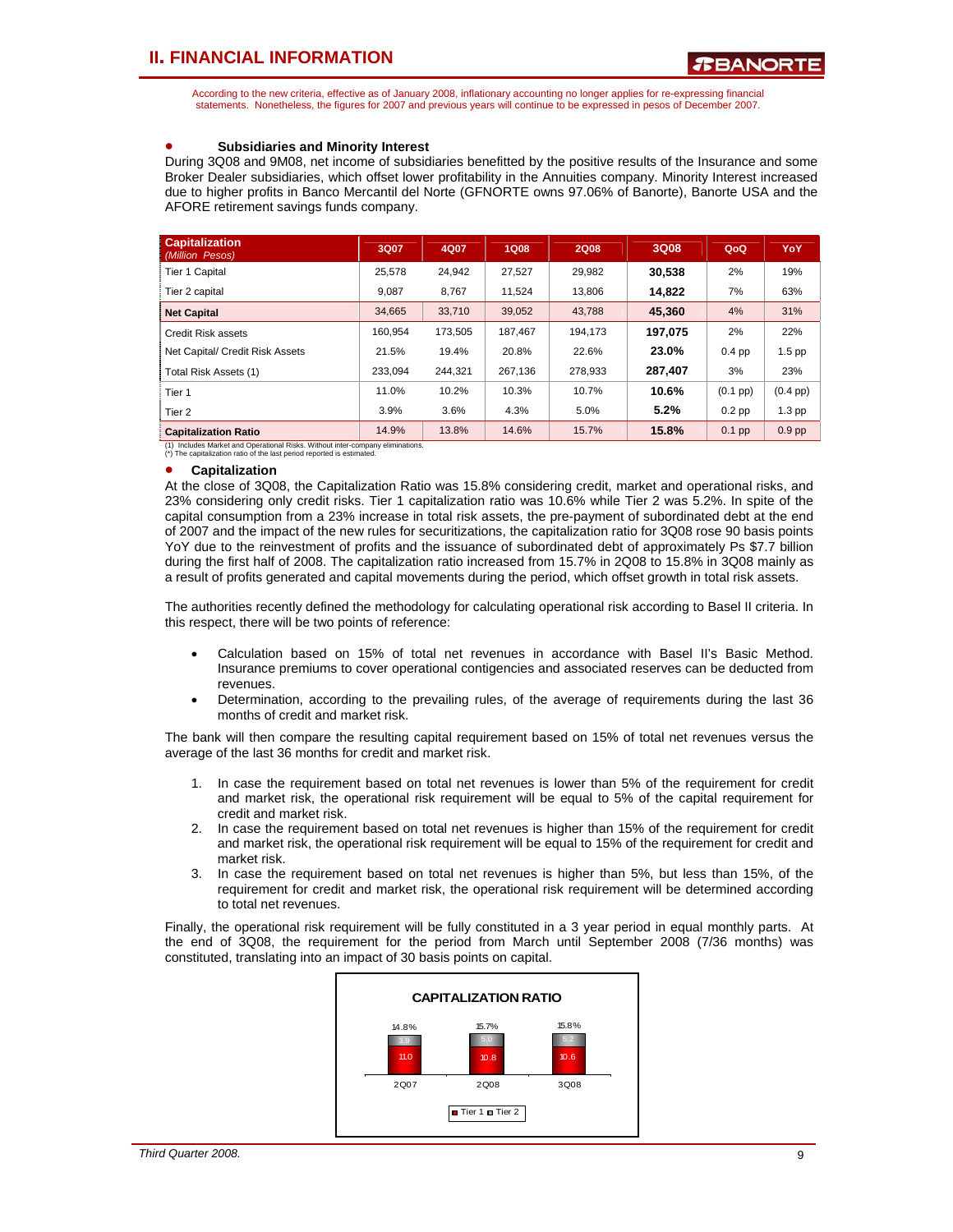According to the new criteria, effective as of January 2008, inflationary accounting no longer applies for re-expressing financial statements. Nonetheless, the figures for 2007 and previous years will continue to be expressed in pesos of December 2007.

### • **Subsidiaries and Minority Interest**

During 3Q08 and 9M08, net income of subsidiaries benefitted by the positive results of the Insurance and some Broker Dealer subsidiaries, which offset lower profitability in the Annuities company. Minority Interest increased due to higher profits in Banco Mercantil del Norte (GFNORTE owns 97.06% of Banorte), Banorte USA and the AFORE retirement savings funds company.

| <b>Capitalization</b><br>(Million Pesos) | 3Q07    | 4Q07    | <b>1Q08</b> | <b>2Q08</b> | 3Q08    | QoQ        | <b>YoY</b>         |
|------------------------------------------|---------|---------|-------------|-------------|---------|------------|--------------------|
| <b>Tier 1 Capital</b>                    | 25,578  | 24,942  | 27,527      | 29,982      | 30,538  | 2%         | 19%                |
| Tier 2 capital                           | 9.087   | 8.767   | 11.524      | 13.806      | 14,822  | 7%         | 63%                |
| <b>Net Capital</b>                       | 34,665  | 33.710  | 39,052      | 43.788      | 45,360  | 4%         | 31%                |
| Credit Risk assets                       | 160.954 | 173.505 | 187.467     | 194.173     | 197.075 | 2%         | 22%                |
| Net Capital/ Credit Risk Assets          | 21.5%   | 19.4%   | 20.8%       | 22.6%       | 23.0%   | $0.4$ pp   | $1.5$ pp           |
| Total Risk Assets (1)                    | 233.094 | 244.321 | 267.136     | 278.933     | 287,407 | 3%         | 23%                |
| Tier 1                                   | 11.0%   | 10.2%   | 10.3%       | 10.7%       | 10.6%   | $(0.1$ pp) | $(0.4 \text{ pp})$ |
| Tier 2                                   | 3.9%    | 3.6%    | 4.3%        | 5.0%        | 5.2%    | $0.2$ pp   | $1.3$ pp           |
| <b>Capitalization Ratio</b>              | 14.9%   | 13.8%   | 14.6%       | 15.7%       | 15.8%   | $0.1$ pp   | $0.9$ pp           |

(1) Includes Market and Operational Risks. Without inter-company eliminations. (\*) The capitalization ratio of the last period reported is estimated.

#### • **Capitalization**

At the close of 3Q08, the Capitalization Ratio was 15.8% considering credit, market and operational risks, and 23% considering only credit risks. Tier 1 capitalization ratio was 10.6% while Tier 2 was 5.2%. In spite of the capital consumption from a 23% increase in total risk assets, the pre-payment of subordinated debt at the end of 2007 and the impact of the new rules for securitizations, the capitalization ratio for 3Q08 rose 90 basis points YoY due to the reinvestment of profits and the issuance of subordinated debt of approximately Ps \$7.7 billion during the first half of 2008. The capitalization ratio increased from 15.7% in 2Q08 to 15.8% in 3Q08 mainly as a result of profits generated and capital movements during the period, which offset growth in total risk assets.

The authorities recently defined the methodology for calculating operational risk according to Basel II criteria. In this respect, there will be two points of reference:

- Calculation based on 15% of total net revenues in accordance with Basel II's Basic Method. Insurance premiums to cover operational contigencies and associated reserves can be deducted from revenues.
- Determination, according to the prevailing rules, of the average of requirements during the last 36 months of credit and market risk.

The bank will then compare the resulting capital requirement based on 15% of total net revenues versus the average of the last 36 months for credit and market risk.

- 1. In case the requirement based on total net revenues is lower than 5% of the requirement for credit and market risk, the operational risk requirement will be equal to 5% of the capital requirement for credit and market risk.
- 2. In case the requirement based on total net revenues is higher than 15% of the requirement for credit and market risk, the operational risk requirement will be equal to 15% of the requirement for credit and market risk.
- 3. In case the requirement based on total net revenues is higher than 5%, but less than 15%, of the requirement for credit and market risk, the operational risk requirement will be determined according to total net revenues.

Finally, the operational risk requirement will be fully constituted in a 3 year period in equal monthly parts. At the end of 3Q08, the requirement for the period from March until September 2008 (7/36 months) was constituted, translating into an impact of 30 basis points on capital.

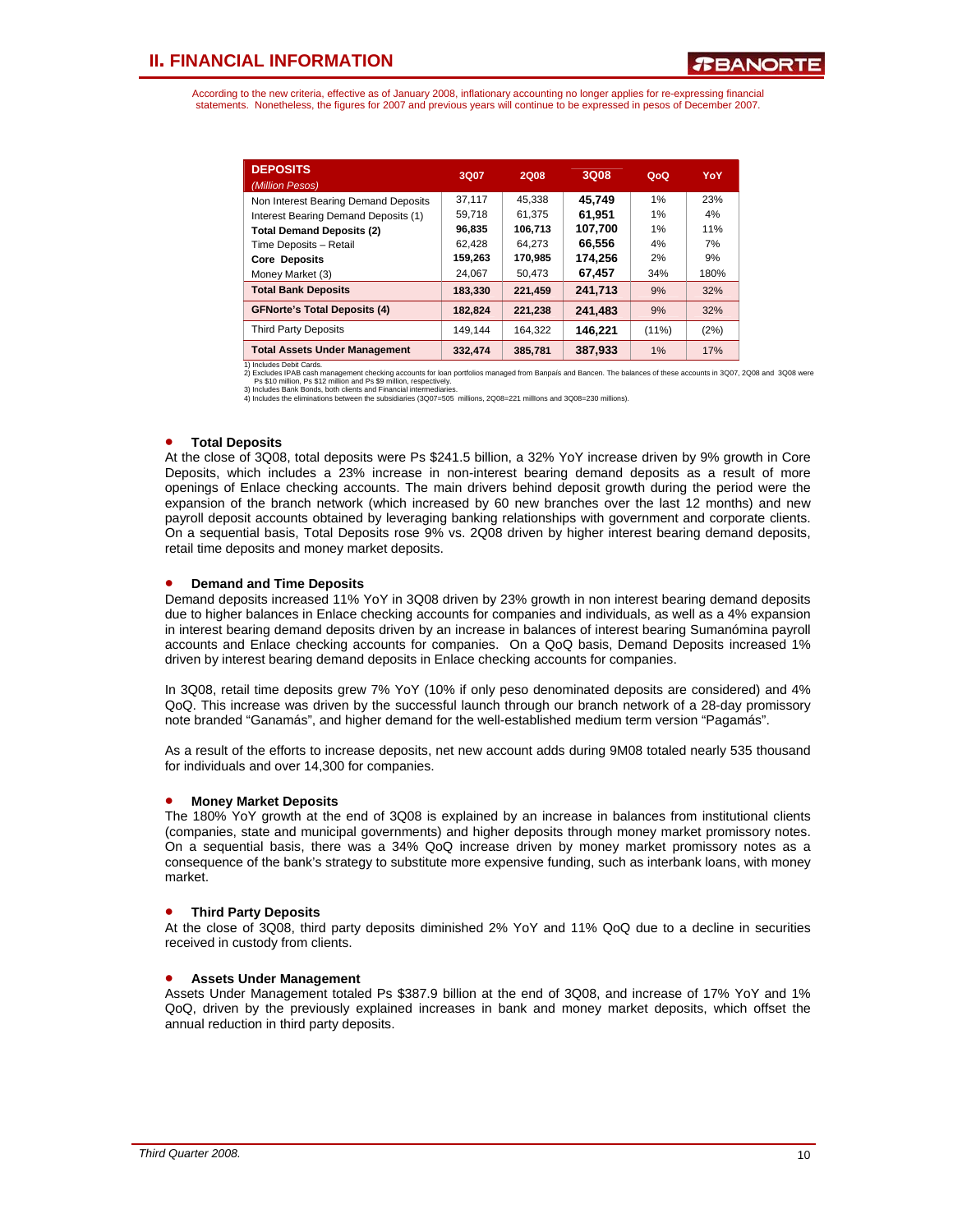According to the new criteria, effective as of January 2008, inflationary accounting no longer applies for re-expressing financial statements. Nonetheless, the figures for 2007 and previous years will continue to be expressed in pesos of December 2007.

| <b>DEPOSITS</b><br>(Million Pesos)   | 3Q07    | 2Q08    | 3Q08    | QoQ      | YoY  |
|--------------------------------------|---------|---------|---------|----------|------|
| Non Interest Bearing Demand Deposits | 37.117  | 45.338  | 45.749  | 1%       | 23%  |
| Interest Bearing Demand Deposits (1) | 59,718  | 61.375  | 61.951  | 1%       | 4%   |
| <b>Total Demand Deposits (2)</b>     | 96,835  | 106.713 | 107.700 | 1%       | 11%  |
| Time Deposits - Retail               | 62,428  | 64.273  | 66.556  | 4%       | 7%   |
| <b>Core Deposits</b>                 | 159,263 | 170,985 | 174.256 | 2%       | 9%   |
| Money Market (3)                     | 24.067  | 50.473  | 67.457  | 34%      | 180% |
| <b>Total Bank Deposits</b>           | 183.330 | 221,459 | 241.713 | 9%       | 32%  |
| <b>GFNorte's Total Deposits (4)</b>  | 182.824 | 221.238 | 241.483 | 9%       | 32%  |
| <b>Third Party Deposits</b>          | 149.144 | 164.322 | 146,221 | $(11\%)$ | (2%) |
| <b>Total Assets Under Management</b> | 332.474 | 385,781 | 387.933 | $1\%$    | 17%  |

1) Includes Debit Cards.

2) Excludes IPAB cash management checking accounts for loan portfolios managed from Banpais and Bancen. The balances of these accounts in 3Q07, 2Q08 and 3Q08 were<br>3) Includes Bank Bonds, both clients and Financial intermed

#### • **Total Deposits**

At the close of 3Q08, total deposits were Ps \$241.5 billion, a 32% YoY increase driven by 9% growth in Core Deposits, which includes a 23% increase in non-interest bearing demand deposits as a result of more openings of Enlace checking accounts. The main drivers behind deposit growth during the period were the expansion of the branch network (which increased by 60 new branches over the last 12 months) and new payroll deposit accounts obtained by leveraging banking relationships with government and corporate clients. On a sequential basis, Total Deposits rose 9% vs. 2Q08 driven by higher interest bearing demand deposits, retail time deposits and money market deposits.

### • **Demand and Time Deposits**

Demand deposits increased 11% YoY in 3Q08 driven by 23% growth in non interest bearing demand deposits due to higher balances in Enlace checking accounts for companies and individuals, as well as a 4% expansion in interest bearing demand deposits driven by an increase in balances of interest bearing Sumanómina payroll accounts and Enlace checking accounts for companies. On a QoQ basis, Demand Deposits increased 1% driven by interest bearing demand deposits in Enlace checking accounts for companies.

In 3Q08, retail time deposits grew 7% YoY (10% if only peso denominated deposits are considered) and 4% QoQ. This increase was driven by the successful launch through our branch network of a 28-day promissory note branded "Ganamás", and higher demand for the well-established medium term version "Pagamás".

As a result of the efforts to increase deposits, net new account adds during 9M08 totaled nearly 535 thousand for individuals and over 14,300 for companies.

### • **Money Market Deposits**

The 180% YoY growth at the end of 3Q08 is explained by an increase in balances from institutional clients (companies, state and municipal governments) and higher deposits through money market promissory notes. On a sequential basis, there was a 34% QoQ increase driven by money market promissory notes as a consequence of the bank's strategy to substitute more expensive funding, such as interbank loans, with money market.

### • **Third Party Deposits**

At the close of 3Q08, third party deposits diminished 2% YoY and 11% QoQ due to a decline in securities received in custody from clients.

### • **Assets Under Management**

Assets Under Management totaled Ps \$387.9 billion at the end of 3Q08, and increase of 17% YoY and 1% QoQ, driven by the previously explained increases in bank and money market deposits, which offset the annual reduction in third party deposits.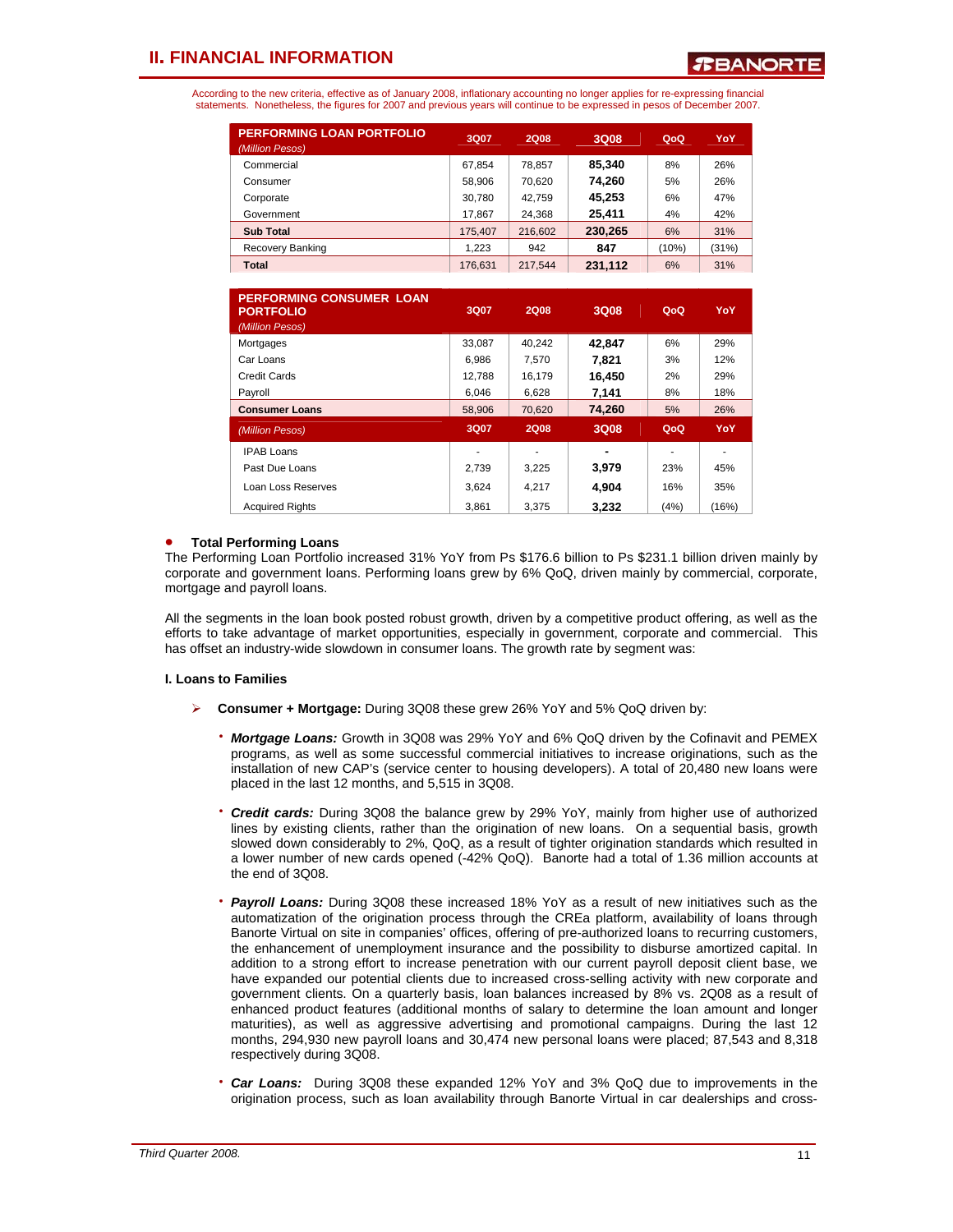According to the new criteria, effective as of January 2008, inflationary accounting no longer applies for re-expressing financial statements. Nonetheless, the figures for 2007 and previous years will continue to be expressed in pesos of December 2007.

| <b>PERFORMING LOAN PORTFOLIO</b><br>(Million Pesos) | 3Q07    | <b>2Q08</b> | 3Q08    | QoQ   | YoY   |
|-----------------------------------------------------|---------|-------------|---------|-------|-------|
| Commercial                                          | 67,854  | 78.857      | 85.340  | 8%    | 26%   |
| Consumer                                            | 58,906  | 70.620      | 74.260  | 5%    | 26%   |
| Corporate                                           | 30,780  | 42.759      | 45,253  | 6%    | 47%   |
| Government                                          | 17.867  | 24.368      | 25,411  | 4%    | 42%   |
| <b>Sub Total</b>                                    | 175,407 | 216,602     | 230,265 | 6%    | 31%   |
| Recovery Banking                                    | 1.223   | 942         | 847     | (10%) | (31%) |
| <b>Total</b>                                        | 176.631 | 217.544     | 231,112 | 6%    | 31%   |

| <b>PERFORMING CONSUMER LOAN</b><br><b>PORTFOLIO</b><br>(Million Pesos) | 3Q07   | <b>2Q08</b> | 3Q08   | QoQ  | YoY   |
|------------------------------------------------------------------------|--------|-------------|--------|------|-------|
| Mortgages                                                              | 33.087 | 40.242      | 42.847 | 6%   | 29%   |
| Car Loans                                                              | 6.986  | 7.570       | 7.821  | 3%   | 12%   |
| Credit Cards                                                           | 12.788 | 16,179      | 16,450 | 2%   | 29%   |
| Payroll                                                                | 6.046  | 6,628       | 7,141  | 8%   | 18%   |
| <b>Consumer Loans</b>                                                  | 58,906 | 70.620      | 74,260 | 5%   | 26%   |
| (Million Pesos)                                                        | 3Q07   | <b>2Q08</b> | 3Q08   | QoQ  | YoY   |
| <b>IPAB Loans</b>                                                      |        |             |        |      |       |
| Past Due Loans                                                         | 2.739  | 3,225       | 3,979  | 23%  | 45%   |
| Loan Loss Reserves                                                     | 3.624  | 4.217       | 4.904  | 16%  | 35%   |
| <b>Acquired Rights</b>                                                 | 3.861  | 3.375       | 3.232  | (4%) | (16%) |

### • **Total Performing Loans**

The Performing Loan Portfolio increased 31% YoY from Ps \$176.6 billion to Ps \$231.1 billion driven mainly by corporate and government loans. Performing loans grew by 6% QoQ, driven mainly by commercial, corporate, mortgage and payroll loans.

All the segments in the loan book posted robust growth, driven by a competitive product offering, as well as the efforts to take advantage of market opportunities, especially in government, corporate and commercial. This has offset an industry-wide slowdown in consumer loans. The growth rate by segment was:

### **I. Loans to Families**

- ¾ **Consumer + Mortgage:** During 3Q08 these grew 26% YoY and 5% QoQ driven by:
	- ⋅ *Mortgage Loans:* Growth in 3Q08 was 29% YoY and 6% QoQ driven by the Cofinavit and PEMEX programs, as well as some successful commercial initiatives to increase originations, such as the installation of new CAP's (service center to housing developers). A total of 20,480 new loans were placed in the last 12 months, and 5,515 in 3Q08.
	- **Credit cards:** During 3Q08 the balance grew by 29% YoY, mainly from higher use of authorized lines by existing clients, rather than the origination of new loans. On a sequential basis, growth slowed down considerably to 2%, QoQ, as a result of tighter origination standards which resulted in a lower number of new cards opened (-42% QoQ). Banorte had a total of 1.36 million accounts at the end of 3Q08.
	- ⋅ *Payroll Loans:* During 3Q08 these increased 18% YoY as a result of new initiatives such as the automatization of the origination process through the CREa platform, availability of loans through Banorte Virtual on site in companies' offices, offering of pre-authorized loans to recurring customers, the enhancement of unemployment insurance and the possibility to disburse amortized capital. In addition to a strong effort to increase penetration with our current payroll deposit client base, we have expanded our potential clients due to increased cross-selling activity with new corporate and government clients. On a quarterly basis, loan balances increased by 8% vs. 2Q08 as a result of enhanced product features (additional months of salary to determine the loan amount and longer maturities), as well as aggressive advertising and promotional campaigns. During the last 12 months, 294,930 new payroll loans and 30,474 new personal loans were placed; 87,543 and 8,318 respectively during 3Q08.
	- **Car Loans:** During 3Q08 these expanded 12% YoY and 3% QoQ due to improvements in the origination process, such as loan availability through Banorte Virtual in car dealerships and cross-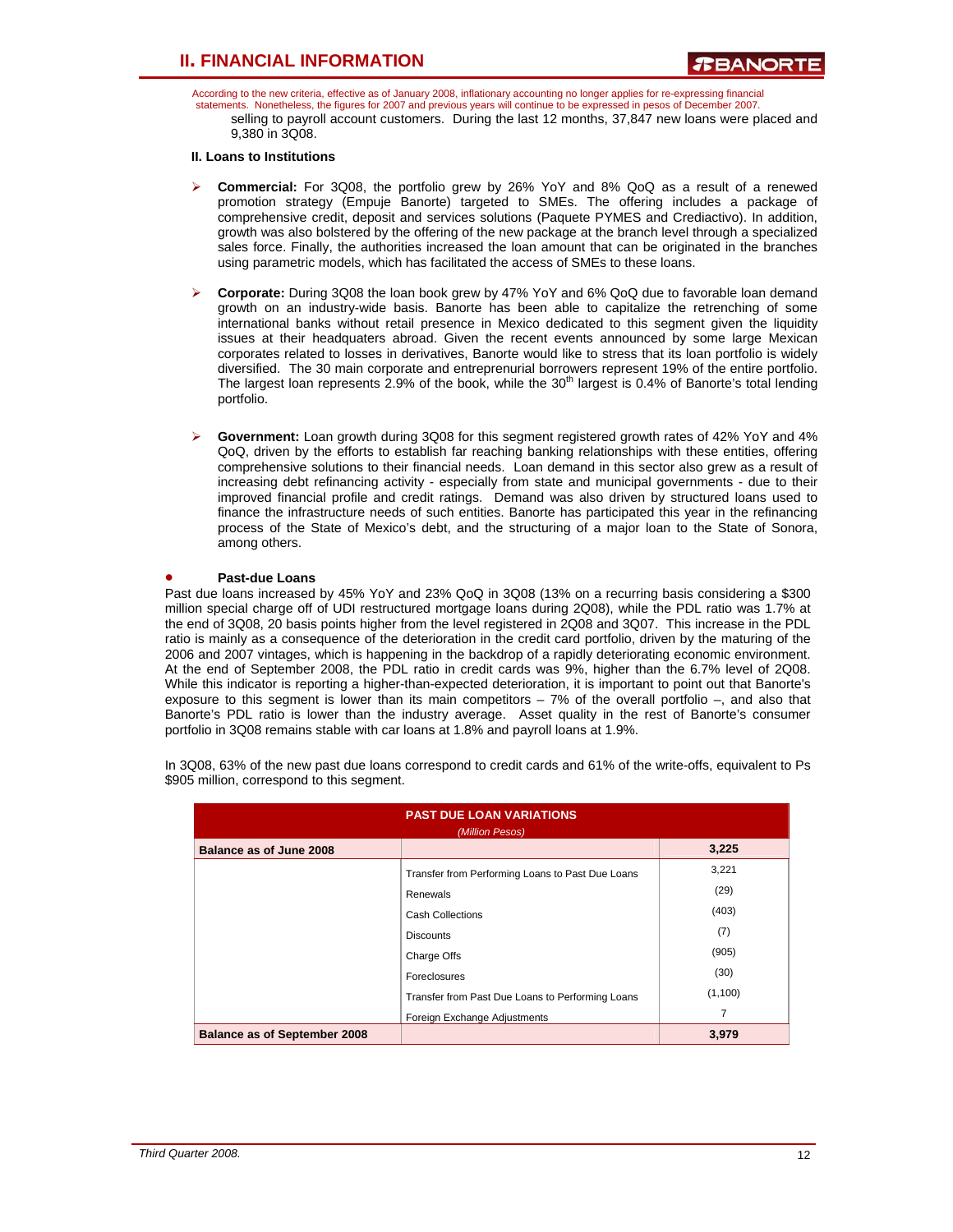According to the new criteria, effective as of January 2008, inflationary accounting no longer applies for re-expressing financial statements. Nonetheless, the figures for 2007 and previous years will continue to be expressed in pesos of December 2007. selling to payroll account customers. During the last 12 months, 37,847 new loans were placed and 9,380 in 3Q08.

### **II. Loans to Institutions**

- ¾ **Commercial:** For 3Q08, the portfolio grew by 26% YoY and 8% QoQ as a result of a renewed promotion strategy (Empuje Banorte) targeted to SMEs. The offering includes a package of comprehensive credit, deposit and services solutions (Paquete PYMES and Crediactivo). In addition, growth was also bolstered by the offering of the new package at the branch level through a specialized sales force. Finally, the authorities increased the loan amount that can be originated in the branches using parametric models, which has facilitated the access of SMEs to these loans.
- ¾ **Corporate:** During 3Q08 the loan book grew by 47% YoY and 6% QoQ due to favorable loan demand growth on an industry-wide basis. Banorte has been able to capitalize the retrenching of some international banks without retail presence in Mexico dedicated to this segment given the liquidity issues at their headquaters abroad. Given the recent events announced by some large Mexican corporates related to losses in derivatives, Banorte would like to stress that its loan portfolio is widely diversified. The 30 main corporate and entreprenurial borrowers represent 19% of the entire portfolio. The largest loan represents 2.9% of the book, while the 30<sup>th</sup> largest is 0.4% of Banorte's total lending portfolio.
- ¾ **Government:** Loan growth during 3Q08 for this segment registered growth rates of 42% YoY and 4% QoQ, driven by the efforts to establish far reaching banking relationships with these entities, offering comprehensive solutions to their financial needs. Loan demand in this sector also grew as a result of increasing debt refinancing activity - especially from state and municipal governments - due to their improved financial profile and credit ratings. Demand was also driven by structured loans used to finance the infrastructure needs of such entities. Banorte has participated this year in the refinancing process of the State of Mexico's debt, and the structuring of a major loan to the State of Sonora, among others.

### • **Past-due Loans**

Past due loans increased by 45% YoY and 23% QoQ in 3Q08 (13% on a recurring basis considering a \$300 million special charge off of UDI restructured mortgage loans during 2Q08), while the PDL ratio was 1.7% at the end of 3Q08, 20 basis points higher from the level registered in 2Q08 and 3Q07. This increase in the PDL ratio is mainly as a consequence of the deterioration in the credit card portfolio, driven by the maturing of the 2006 and 2007 vintages, which is happening in the backdrop of a rapidly deteriorating economic environment. At the end of September 2008, the PDL ratio in credit cards was 9%, higher than the 6.7% level of 2Q08. While this indicator is reporting a higher-than-expected deterioration, it is important to point out that Banorte's exposure to this segment is lower than its main competitors  $-7%$  of the overall portfolio  $-$ , and also that Banorte's PDL ratio is lower than the industry average. Asset quality in the rest of Banorte's consumer portfolio in 3Q08 remains stable with car loans at 1.8% and payroll loans at 1.9%.

| <b>PAST DUE LOAN VARIATIONS</b><br>(Million Pesos) |                                                  |         |  |  |  |  |
|----------------------------------------------------|--------------------------------------------------|---------|--|--|--|--|
| Balance as of June 2008                            |                                                  | 3,225   |  |  |  |  |
|                                                    | Transfer from Performing Loans to Past Due Loans | 3,221   |  |  |  |  |
|                                                    | Renewals                                         | (29)    |  |  |  |  |
|                                                    | <b>Cash Collections</b>                          | (403)   |  |  |  |  |
|                                                    | <b>Discounts</b>                                 | (7)     |  |  |  |  |
|                                                    | Charge Offs                                      | (905)   |  |  |  |  |
|                                                    | <b>Foreclosures</b>                              | (30)    |  |  |  |  |
|                                                    | Transfer from Past Due Loans to Performing Loans | (1,100) |  |  |  |  |
|                                                    | Foreign Exchange Adjustments                     | 7       |  |  |  |  |
| <b>Balance as of September 2008</b>                |                                                  | 3,979   |  |  |  |  |

In 3Q08, 63% of the new past due loans correspond to credit cards and 61% of the write-offs, equivalent to Ps \$905 million, correspond to this segment.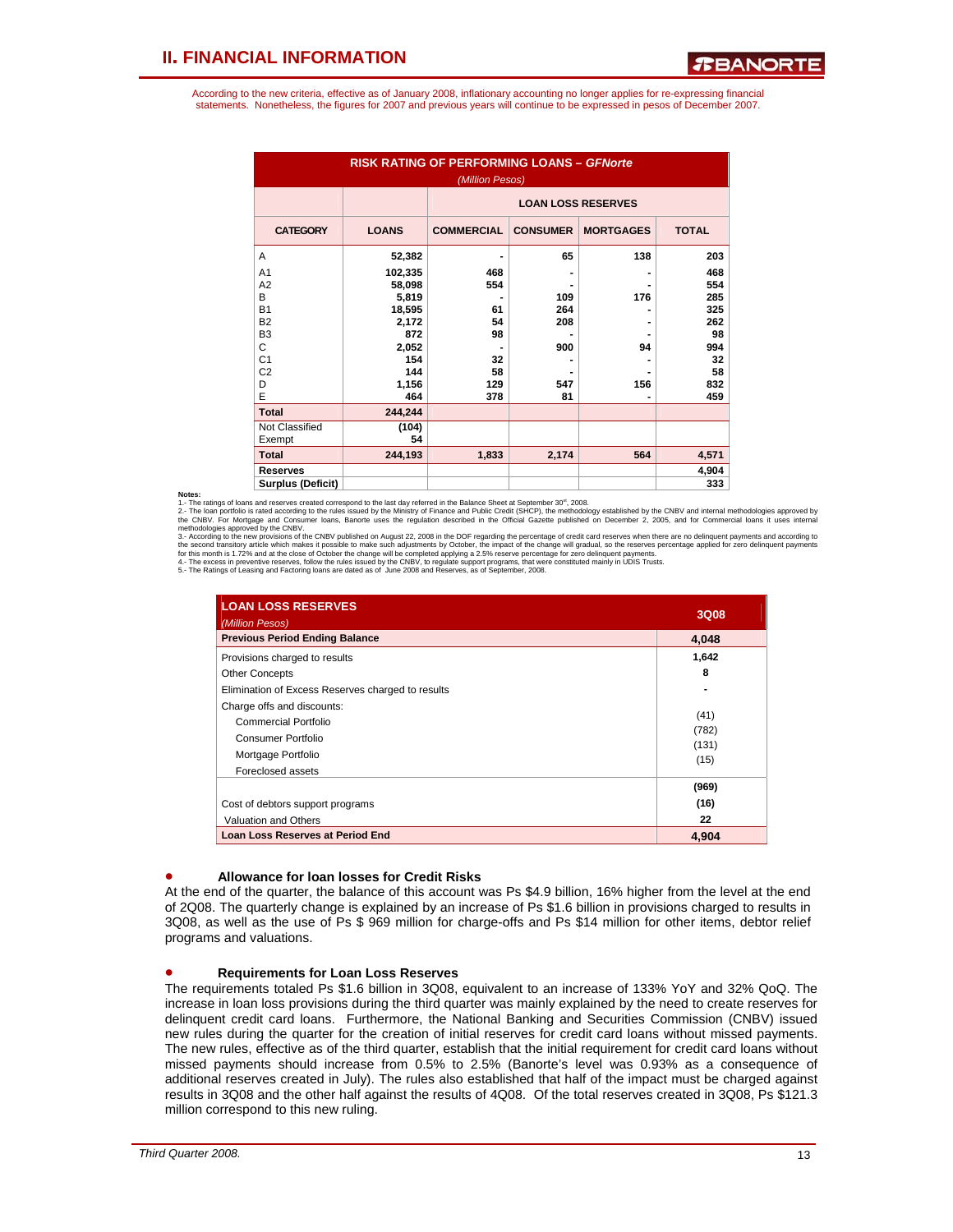According to the new criteria, effective as of January 2008, inflationary accounting no longer applies for re-expressing financial statements. Nonetheless, the figures for 2007 and previous years will continue to be expressed in pesos of December 2007.

| <b>RISK RATING OF PERFORMING LOANS - GFNorte</b><br>(Million Pesos) |              |                           |                 |                  |              |  |  |  |
|---------------------------------------------------------------------|--------------|---------------------------|-----------------|------------------|--------------|--|--|--|
|                                                                     |              | <b>LOAN LOSS RESERVES</b> |                 |                  |              |  |  |  |
| <b>CATEGORY</b>                                                     | <b>LOANS</b> | <b>COMMERCIAL</b>         | <b>CONSUMER</b> | <b>MORTGAGES</b> | <b>TOTAL</b> |  |  |  |
| A                                                                   | 52,382       |                           | 65              | 138              | 203          |  |  |  |
| A <sub>1</sub>                                                      | 102,335      | 468                       |                 | ۰                | 468          |  |  |  |
| A2                                                                  | 58,098       | 554                       |                 |                  | 554          |  |  |  |
| B                                                                   | 5,819        |                           | 109             | 176              | 285          |  |  |  |
| <b>B1</b>                                                           | 18,595       | 61                        | 264             |                  | 325          |  |  |  |
| <b>B2</b>                                                           | 2,172        | 54                        | 208             |                  | 262          |  |  |  |
| B <sub>3</sub>                                                      | 872          | 98                        |                 |                  | 98           |  |  |  |
| C                                                                   | 2,052        |                           | 900             | 94               | 994          |  |  |  |
| C <sub>1</sub>                                                      | 154          | 32                        |                 |                  | 32           |  |  |  |
| C <sub>2</sub>                                                      | 144          | 58                        |                 |                  | 58           |  |  |  |
| D                                                                   | 1,156        | 129                       | 547             | 156              | 832          |  |  |  |
| E                                                                   | 464          | 378                       | 81              |                  | 459          |  |  |  |
| <b>Total</b>                                                        | 244,244      |                           |                 |                  |              |  |  |  |
| Not Classified                                                      | (104)        |                           |                 |                  |              |  |  |  |
| Exempt                                                              | 54           |                           |                 |                  |              |  |  |  |
| <b>Total</b>                                                        | 244,193      | 1,833                     | 2,174           | 564              | 4,571        |  |  |  |
| <b>Reserves</b>                                                     |              |                           |                 |                  | 4,904        |  |  |  |
| <b>Surplus (Deficit)</b>                                            |              |                           |                 |                  | 333          |  |  |  |

Notes:<br>1 - The ratings of loans and reserves created correspond to the last day referred in the Balance Sheet at September 30<sup>st</sup>, 2008.

1 - The ratings of loans and reserves created correspond to the last day referred in the Balance Sheet at September 30", 2008.<br>2- The loan portfolio is raid reserves created correspond to the last day referred in the Offic

| <b>LOAN LOSS RESERVES</b><br>(Million Pesos)                                                                        | 3Q08                           |
|---------------------------------------------------------------------------------------------------------------------|--------------------------------|
| <b>Previous Period Ending Balance</b>                                                                               | 4.048                          |
| Provisions charged to results                                                                                       | 1,642                          |
| <b>Other Concepts</b>                                                                                               | 8                              |
| Elimination of Excess Reserves charged to results                                                                   |                                |
| Charge offs and discounts:<br>Commercial Portfolio<br>Consumer Portfolio<br>Mortgage Portfolio<br>Foreclosed assets | (41)<br>(782)<br>(131)<br>(15) |
| Cost of debtors support programs<br>Valuation and Others                                                            | (969)<br>(16)<br>22            |
| <b>Loan Loss Reserves at Period End</b>                                                                             | 4.904                          |

#### • **Allowance for loan losses for Credit Risks**

At the end of the quarter, the balance of this account was Ps \$4.9 billion, 16% higher from the level at the end of 2Q08. The quarterly change is explained by an increase of Ps \$1.6 billion in provisions charged to results in 3Q08, as well as the use of Ps \$ 969 million for charge-offs and Ps \$14 million for other items, debtor relief programs and valuations.

### • **Requirements for Loan Loss Reserves**

The requirements totaled Ps \$1.6 billion in 3Q08, equivalent to an increase of 133% YoY and 32% QoQ. The increase in loan loss provisions during the third quarter was mainly explained by the need to create reserves for delinquent credit card loans. Furthermore, the National Banking and Securities Commission (CNBV) issued new rules during the quarter for the creation of initial reserves for credit card loans without missed payments. The new rules, effective as of the third quarter, establish that the initial requirement for credit card loans without missed payments should increase from 0.5% to 2.5% (Banorte's level was 0.93% as a consequence of additional reserves created in July). The rules also established that half of the impact must be charged against results in 3Q08 and the other half against the results of 4Q08. Of the total reserves created in 3Q08, Ps \$121.3 million correspond to this new ruling.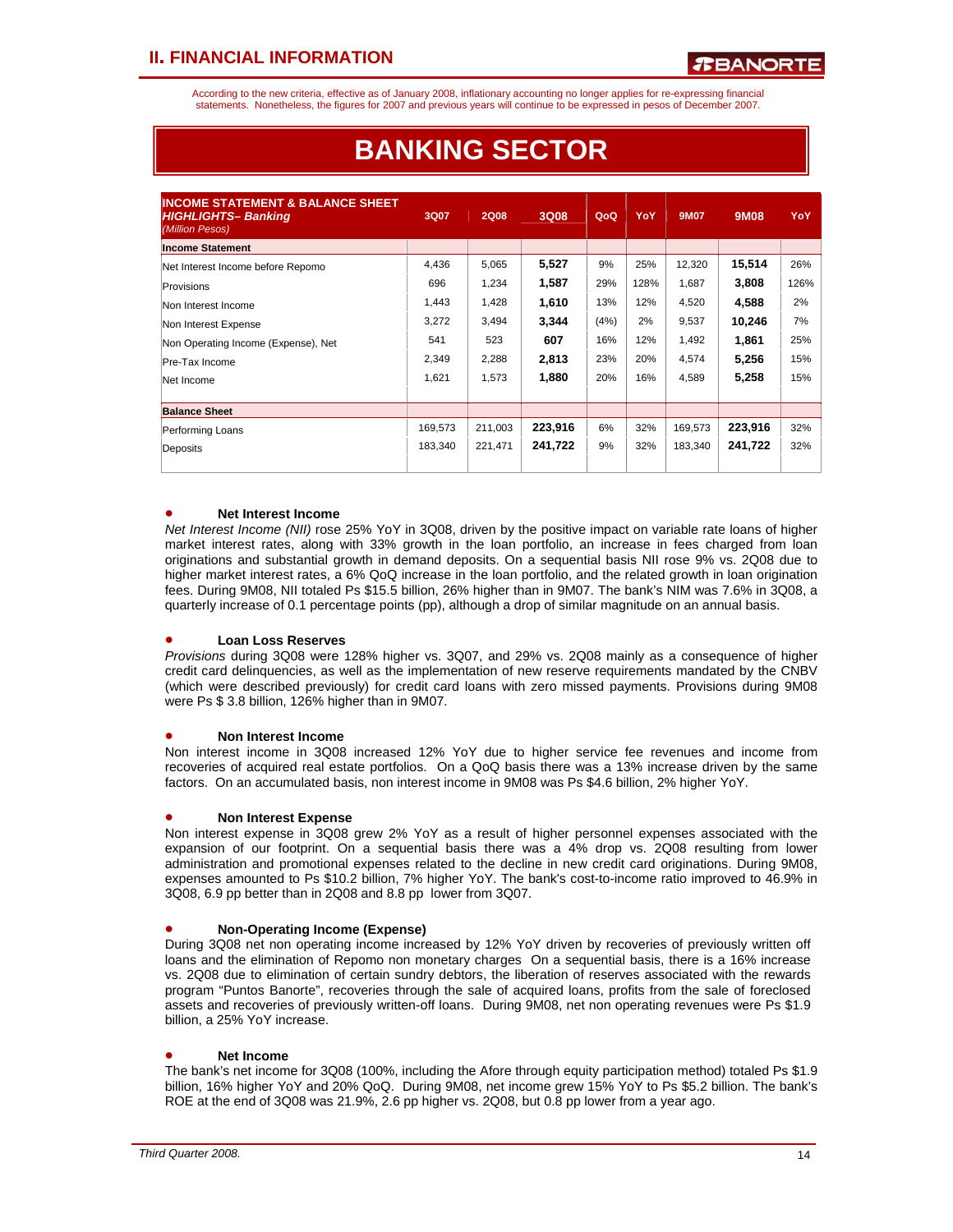According to the new criteria, effective as of January 2008, inflationary accounting no longer applies for re-expressing financial statements. Nonetheless, the figures for 2007 and previous years will continue to be expressed in pesos of December 2007.

| <b>INCOME STATEMENT &amp; BALANCE SHEET</b><br><b>HIGHLIGHTS-Banking</b><br>(Million Pesos) | 3Q07    | <b>2Q08</b> | 3Q08    | QoQ  | YoY  | <b>9M07</b> | 9M08    | YoY  |
|---------------------------------------------------------------------------------------------|---------|-------------|---------|------|------|-------------|---------|------|
| <b>Income Statement</b>                                                                     |         |             |         |      |      |             |         |      |
| Net Interest Income before Repomo                                                           | 4,436   | 5,065       | 5,527   | 9%   | 25%  | 12,320      | 15,514  | 26%  |
| Provisions                                                                                  | 696     | 1,234       | 1,587   | 29%  | 128% | 1,687       | 3,808   | 126% |
| Non Interest Income                                                                         | 1,443   | 1,428       | 1,610   | 13%  | 12%  | 4,520       | 4,588   | 2%   |
| Non Interest Expense                                                                        | 3,272   | 3,494       | 3.344   | (4%) | 2%   | 9,537       | 10,246  | 7%   |
| Non Operating Income (Expense), Net                                                         | 541     | 523         | 607     | 16%  | 12%  | 1,492       | 1,861   | 25%  |
| Pre-Tax Income                                                                              | 2,349   | 2,288       | 2,813   | 23%  | 20%  | 4,574       | 5,256   | 15%  |
| Net Income                                                                                  | 1,621   | 1,573       | 1,880   | 20%  | 16%  | 4,589       | 5,258   | 15%  |
| <b>Balance Sheet</b>                                                                        |         |             |         |      |      |             |         |      |
| Performing Loans                                                                            | 169,573 | 211,003     | 223,916 | 6%   | 32%  | 169,573     | 223,916 | 32%  |
| Deposits                                                                                    | 183,340 | 221,471     | 241,722 | 9%   | 32%  | 183,340     | 241,722 | 32%  |

# **BANKING SECTOR**

## • **Net Interest Income**

*Net Interest Income (NII)* rose 25% YoY in 3Q08, driven by the positive impact on variable rate loans of higher market interest rates, along with 33% growth in the loan portfolio, an increase in fees charged from loan originations and substantial growth in demand deposits. On a sequential basis NII rose 9% vs. 2Q08 due to higher market interest rates, a 6% QoQ increase in the loan portfolio, and the related growth in loan origination fees. During 9M08, NII totaled Ps \$15.5 billion, 26% higher than in 9M07. The bank's NIM was 7.6% in 3Q08, a quarterly increase of 0.1 percentage points (pp), although a drop of similar magnitude on an annual basis.

## • **Loan Loss Reserves**

*Provisions* during 3Q08 were 128% higher vs. 3Q07, and 29% vs. 2Q08 mainly as a consequence of higher credit card delinquencies, as well as the implementation of new reserve requirements mandated by the CNBV (which were described previously) for credit card loans with zero missed payments. Provisions during 9M08 were Ps \$ 3.8 billion, 126% higher than in 9M07.

### • **Non Interest Income**

Non interest income in 3Q08 increased 12% YoY due to higher service fee revenues and income from recoveries of acquired real estate portfolios. On a QoQ basis there was a 13% increase driven by the same factors. On an accumulated basis, non interest income in 9M08 was Ps \$4.6 billion, 2% higher YoY.

### • **Non Interest Expense**

Non interest expense in 3Q08 grew 2% YoY as a result of higher personnel expenses associated with the expansion of our footprint. On a sequential basis there was a 4% drop vs. 2Q08 resulting from lower administration and promotional expenses related to the decline in new credit card originations. During 9M08, expenses amounted to Ps \$10.2 billion, 7% higher YoY. The bank's cost-to-income ratio improved to 46.9% in 3Q08, 6.9 pp better than in 2Q08 and 8.8 pp lower from 3Q07.

## • **Non-Operating Income (Expense)**

During 3Q08 net non operating income increased by 12% YoY driven by recoveries of previously written off loans and the elimination of Repomo non monetary charges On a sequential basis, there is a 16% increase vs. 2Q08 due to elimination of certain sundry debtors, the liberation of reserves associated with the rewards program "Puntos Banorte", recoveries through the sale of acquired loans, profits from the sale of foreclosed assets and recoveries of previously written-off loans. During 9M08, net non operating revenues were Ps \$1.9 billion, a 25% YoY increase.

## • **Net Income**

The bank's net income for 3Q08 (100%, including the Afore through equity participation method) totaled Ps \$1.9 billion, 16% higher YoY and 20% QoQ. During 9M08, net income grew 15% YoY to Ps \$5.2 billion. The bank's ROE at the end of 3Q08 was 21.9%, 2.6 pp higher vs. 2Q08, but 0.8 pp lower from a year ago.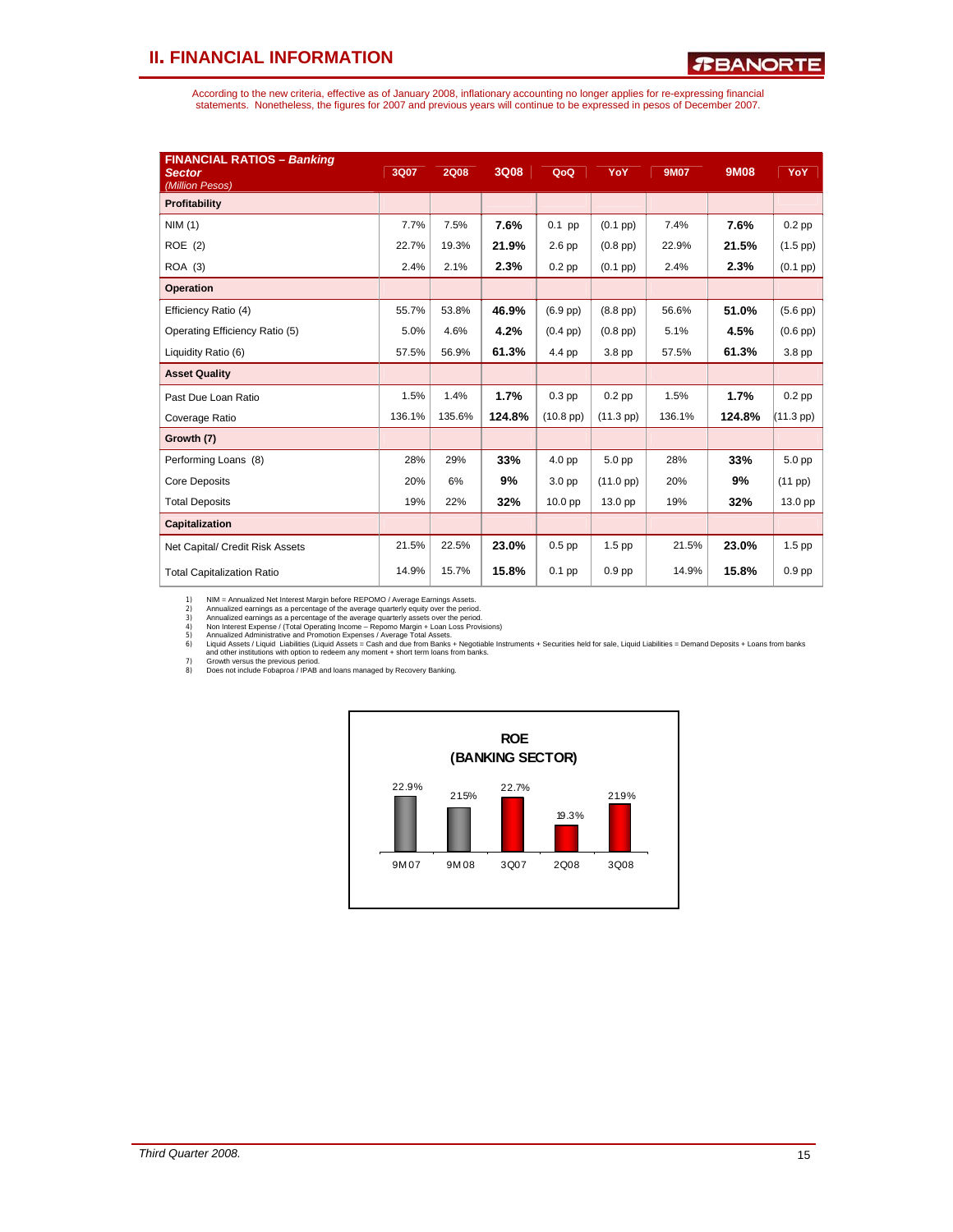According to the new criteria, effective as of January 2008, inflationary accounting no longer applies for re-expressing financial<br>statements. Nonetheless, the figures for 2007 and previous years will continue to be expres

| <b>FINANCIAL RATIOS - Banking</b><br><b>Sector</b><br>(Million Pesos) | 3Q07   | <b>2Q08</b> | 3Q08   | QoQ                | YoY                 | <b>9M07</b> | 9M08   | YoY               |
|-----------------------------------------------------------------------|--------|-------------|--------|--------------------|---------------------|-------------|--------|-------------------|
| Profitability                                                         |        |             |        |                    |                     |             |        |                   |
| NIM(1)                                                                | 7.7%   | 7.5%        | 7.6%   | $0.1$ pp           | $(0.1$ pp $)$       | 7.4%        | 7.6%   | $0.2$ pp          |
| ROE (2)                                                               | 22.7%  | 19.3%       | 21.9%  | $2.6$ pp           | $(0.8$ pp $)$       | 22.9%       | 21.5%  | $(1.5$ pp)        |
| ROA (3)                                                               | 2.4%   | 2.1%        | 2.3%   | $0.2$ pp           | $(0.1$ pp $)$       | 2.4%        | 2.3%   | $(0.1~\text{pp})$ |
| <b>Operation</b>                                                      |        |             |        |                    |                     |             |        |                   |
| Efficiency Ratio (4)                                                  | 55.7%  | 53.8%       | 46.9%  | $(6.9$ pp $)$      | $(8.8$ pp $)$       | 56.6%       | 51.0%  | $(5.6$ pp $)$     |
| Operating Efficiency Ratio (5)                                        | 5.0%   | 4.6%        | 4.2%   | $(0.4$ pp $)$      | $(0.8$ pp $)$       | 5.1%        | 4.5%   | $(0.6$ pp $)$     |
| Liquidity Ratio (6)                                                   | 57.5%  | 56.9%       | 61.3%  | 4.4 pp             | 3.8 pp              | 57.5%       | 61.3%  | 3.8 pp            |
| <b>Asset Quality</b>                                                  |        |             |        |                    |                     |             |        |                   |
| Past Due Loan Ratio                                                   | 1.5%   | 1.4%        | 1.7%   | $0.3$ pp           | $0.2$ pp            | 1.5%        | 1.7%   | $0.2$ pp          |
| Coverage Ratio                                                        | 136.1% | 135.6%      | 124.8% | $(10.8~\text{pp})$ | $(11.3$ pp)         | 136.1%      | 124.8% | (11.3 pp)         |
| Growth (7)                                                            |        |             |        |                    |                     |             |        |                   |
| Performing Loans (8)                                                  | 28%    | 29%         | 33%    | 4.0 pp             | 5.0 pp              | 28%         | 33%    | 5.0 pp            |
| <b>Core Deposits</b>                                                  | 20%    | 6%          | 9%     | 3.0 pp             | $(11.0 \text{ pp})$ | 20%         | 9%     | (11 pp)           |
| <b>Total Deposits</b>                                                 | 19%    | 22%         | 32%    | 10.0 pp            | 13.0 pp             | 19%         | 32%    | 13.0 pp           |
| Capitalization                                                        |        |             |        |                    |                     |             |        |                   |
| Net Capital/ Credit Risk Assets                                       | 21.5%  | 22.5%       | 23.0%  | $0.5$ pp           | $1.5$ pp            | 21.5%       | 23.0%  | $1.5$ pp          |
| <b>Total Capitalization Ratio</b>                                     | 14.9%  | 15.7%       | 15.8%  | $0.1$ pp           | 0.9 <sub>pp</sub>   | 14.9%       | 15.8%  | $0.9$ pp          |

1) NIM = Annualized aernings as a percentage of the average quarterly equity over the period.<br>2) Annualized earnings as a percentage of the average quarterly equity over the period.<br>3) Annualized earnings as a percentage o

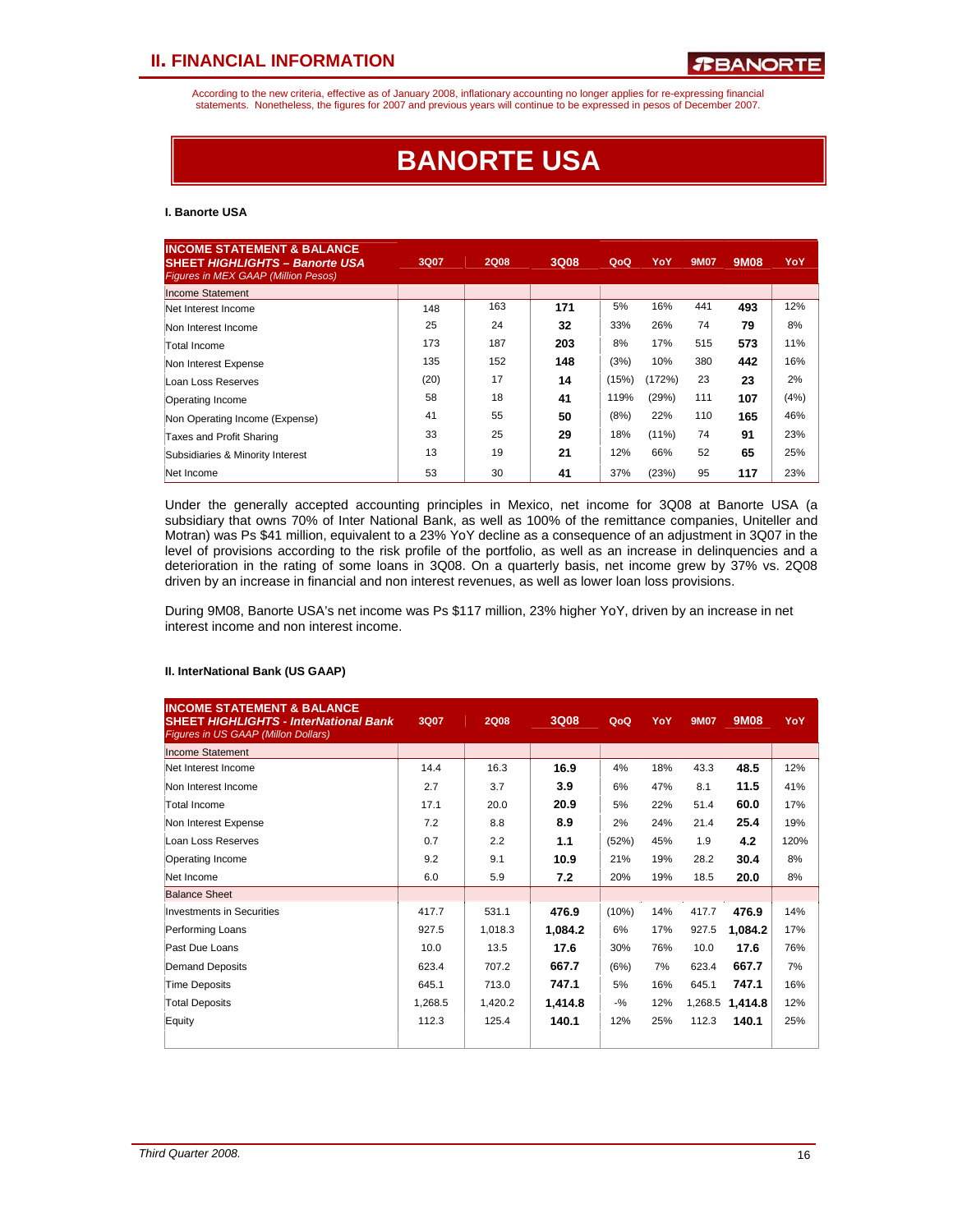According to the new criteria, effective as of January 2008, inflationary accounting no longer applies for re-expressing financial statements. Nonetheless, the figures for 2007 and previous years will continue to be expressed in pesos of December 2007.

# **BANORTE USA**

#### **I. Banorte USA**

| <b>INCOME STATEMENT &amp; BALANCE</b><br><b>SHEET HIGHLIGHTS - Banorte USA</b><br><b>Figures in MEX GAAP (Million Pesos)</b> | 3Q07 | <b>2Q08</b> | 3Q08 | QoQ   | YoY      | <b>9M07</b> | <b>9M08</b> | YoY  |
|------------------------------------------------------------------------------------------------------------------------------|------|-------------|------|-------|----------|-------------|-------------|------|
| Income Statement                                                                                                             |      |             |      |       |          |             |             |      |
| Net Interest Income                                                                                                          | 148  | 163         | 171  | 5%    | 16%      | 441         | 493         | 12%  |
| Non Interest Income                                                                                                          | 25   | 24          | 32   | 33%   | 26%      | 74          | 79          | 8%   |
| Total Income                                                                                                                 | 173  | 187         | 203  | 8%    | 17%      | 515         | 573         | 11%  |
| Non Interest Expense                                                                                                         | 135  | 152         | 148  | (3%)  | 10%      | 380         | 442         | 16%  |
| Loan Loss Reserves                                                                                                           | (20) | 17          | 14   | (15%) | (172%)   | 23          | 23          | 2%   |
| Operating Income                                                                                                             | 58   | 18          | 41   | 119%  | (29%)    | 111         | 107         | (4%) |
| Non Operating Income (Expense)                                                                                               | 41   | 55          | 50   | (8%)  | 22%      | 110         | 165         | 46%  |
| Taxes and Profit Sharing                                                                                                     | 33   | 25          | 29   | 18%   | $(11\%)$ | 74          | 91          | 23%  |
| Subsidiaries & Minority Interest                                                                                             | 13   | 19          | 21   | 12%   | 66%      | 52          | 65          | 25%  |
| Net Income                                                                                                                   | 53   | 30          | 41   | 37%   | (23%)    | 95          | 117         | 23%  |

Under the generally accepted accounting principles in Mexico, net income for 3Q08 at Banorte USA (a subsidiary that owns 70% of Inter National Bank, as well as 100% of the remittance companies, Uniteller and Motran) was Ps \$41 million, equivalent to a 23% YoY decline as a consequence of an adjustment in 3Q07 in the level of provisions according to the risk profile of the portfolio, as well as an increase in delinquencies and a deterioration in the rating of some loans in 3Q08. On a quarterly basis, net income grew by 37% vs. 2Q08 driven by an increase in financial and non interest revenues, as well as lower loan loss provisions.

During 9M08, Banorte USA's net income was Ps \$117 million, 23% higher YoY, driven by an increase in net interest income and non interest income.

#### **II. InterNational Bank (US GAAP)**

| <b>INCOME STATEMENT &amp; BALANCE</b><br><b>SHEET HIGHLIGHTS - InterNational Bank</b><br>Figures in US GAAP (Millon Dollars) | 3Q07    | <b>2Q08</b> | 3Q08    | QoQ    | YoY | <b>9M07</b> | 9M08            | YoY  |
|------------------------------------------------------------------------------------------------------------------------------|---------|-------------|---------|--------|-----|-------------|-----------------|------|
| <b>Income Statement</b>                                                                                                      |         |             |         |        |     |             |                 |      |
| Net Interest Income                                                                                                          | 14.4    | 16.3        | 16.9    | 4%     | 18% | 43.3        | 48.5            | 12%  |
| Non Interest Income                                                                                                          | 2.7     | 3.7         | 3.9     | 6%     | 47% | 8.1         | 11.5            | 41%  |
| Total Income                                                                                                                 | 17.1    | 20.0        | 20.9    | 5%     | 22% | 51.4        | 60.0            | 17%  |
| Non Interest Expense                                                                                                         | 7.2     | 8.8         | 8.9     | 2%     | 24% | 21.4        | 25.4            | 19%  |
| Loan Loss Reserves                                                                                                           | 0.7     | 2.2         | 1.1     | (52%)  | 45% | 1.9         | 4.2             | 120% |
| Operating Income                                                                                                             | 9.2     | 9.1         | 10.9    | 21%    | 19% | 28.2        | 30.4            | 8%   |
| Net Income                                                                                                                   | 6.0     | 5.9         | 7.2     | 20%    | 19% | 18.5        | 20.0            | 8%   |
| <b>Balance Sheet</b>                                                                                                         |         |             |         |        |     |             |                 |      |
| <b>Investments in Securities</b>                                                                                             | 417.7   | 531.1       | 476.9   | (10%)  | 14% | 417.7       | 476.9           | 14%  |
| Performing Loans                                                                                                             | 927.5   | 1,018.3     | 1,084.2 | 6%     | 17% | 927.5       | 1,084.2         | 17%  |
| Past Due Loans                                                                                                               | 10.0    | 13.5        | 17.6    | 30%    | 76% | 10.0        | 17.6            | 76%  |
| Demand Deposits                                                                                                              | 623.4   | 707.2       | 667.7   | (6%)   | 7%  | 623.4       | 667.7           | 7%   |
| <b>Time Deposits</b>                                                                                                         | 645.1   | 713.0       | 747.1   | 5%     | 16% | 645.1       | 747.1           | 16%  |
| <b>Total Deposits</b>                                                                                                        | 1,268.5 | 1,420.2     | 1,414.8 | $-9/6$ | 12% |             | 1,268.5 1,414.8 | 12%  |
| Equity                                                                                                                       | 112.3   | 125.4       | 140.1   | 12%    | 25% | 112.3       | 140.1           | 25%  |
|                                                                                                                              |         |             |         |        |     |             |                 |      |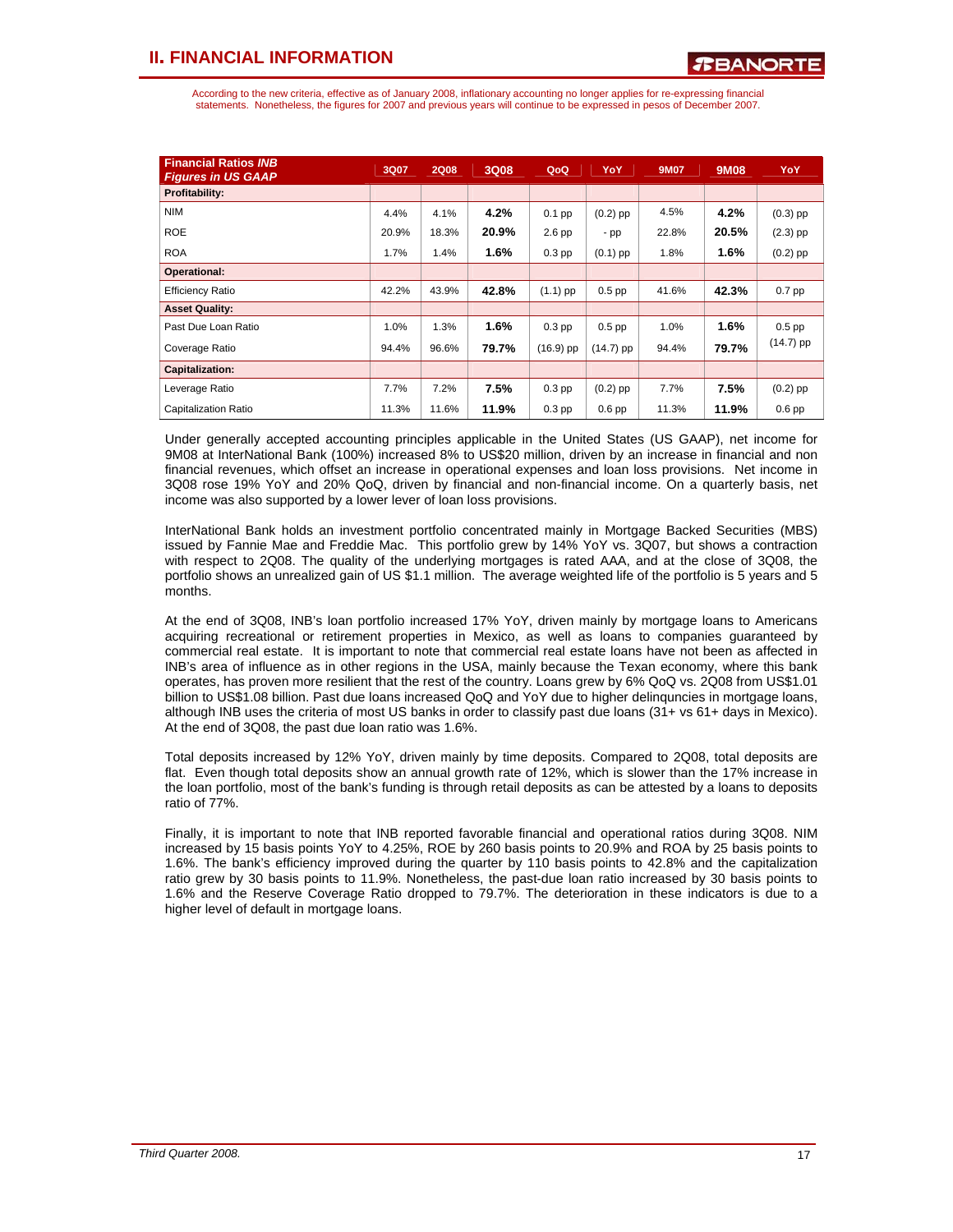According to the new criteria, effective as of January 2008, inflationary accounting no longer applies for re-expressing financial statements. Nonetheless, the figures for 2007 and previous years will continue to be expressed in pesos of December 2007.

| <b>Financial Ratios INB</b><br><b>Figures in US GAAP</b> | 3Q07  | <b>2Q08</b> | 3Q08  | QoQ         | <b>YoY</b>        | <b>9M07</b> | <b>9M08</b> | YoY         |
|----------------------------------------------------------|-------|-------------|-------|-------------|-------------------|-------------|-------------|-------------|
| Profitability:                                           |       |             |       |             |                   |             |             |             |
| <b>NIM</b>                                               | 4.4%  | 4.1%        | 4.2%  | $0.1$ pp    | $(0.2)$ pp        | 4.5%        | 4.2%        | $(0.3)$ pp  |
| <b>ROE</b>                                               | 20.9% | 18.3%       | 20.9% | $2.6$ pp    | $-pp$             | 22.8%       | 20.5%       | $(2.3)$ pp  |
| <b>ROA</b>                                               | 1.7%  | 1.4%        | 1.6%  | $0.3$ pp    | $(0.1)$ pp        | 1.8%        | 1.6%        | $(0.2)$ pp  |
| <b>Operational:</b>                                      |       |             |       |             |                   |             |             |             |
| <b>Efficiency Ratio</b>                                  | 42.2% | 43.9%       | 42.8% | $(1.1)$ pp  | $0.5$ pp          | 41.6%       | 42.3%       | $0.7$ pp    |
| <b>Asset Quality:</b>                                    |       |             |       |             |                   |             |             |             |
| Past Due Loan Ratio                                      | 1.0%  | 1.3%        | 1.6%  | $0.3$ pp    | $0.5$ pp          | 1.0%        | 1.6%        | $0.5$ pp    |
| Coverage Ratio                                           | 94.4% | 96.6%       | 79.7% | $(16.9)$ pp | $(14.7)$ pp       | 94.4%       | 79.7%       | $(14.7)$ pp |
| Capitalization:                                          |       |             |       |             |                   |             |             |             |
| Leverage Ratio                                           | 7.7%  | 7.2%        | 7.5%  | $0.3$ pp    | $(0.2)$ pp        | 7.7%        | 7.5%        | $(0.2)$ pp  |
| Capitalization Ratio                                     | 11.3% | 11.6%       | 11.9% | $0.3$ pp    | 0.6 <sub>pp</sub> | 11.3%       | 11.9%       | $0.6$ pp    |

Under generally accepted accounting principles applicable in the United States (US GAAP), net income for 9M08 at InterNational Bank (100%) increased 8% to US\$20 million, driven by an increase in financial and non financial revenues, which offset an increase in operational expenses and loan loss provisions. Net income in 3Q08 rose 19% YoY and 20% QoQ, driven by financial and non-financial income. On a quarterly basis, net income was also supported by a lower lever of loan loss provisions.

InterNational Bank holds an investment portfolio concentrated mainly in Mortgage Backed Securities (MBS) issued by Fannie Mae and Freddie Mac. This portfolio grew by 14% YoY vs. 3Q07, but shows a contraction with respect to 2Q08. The quality of the underlying mortgages is rated AAA, and at the close of 3Q08, the portfolio shows an unrealized gain of US \$1.1 million. The average weighted life of the portfolio is 5 years and 5 months.

At the end of 3Q08, INB's loan portfolio increased 17% YoY, driven mainly by mortgage loans to Americans acquiring recreational or retirement properties in Mexico, as well as loans to companies guaranteed by commercial real estate. It is important to note that commercial real estate loans have not been as affected in INB's area of influence as in other regions in the USA, mainly because the Texan economy, where this bank operates, has proven more resilient that the rest of the country. Loans grew by 6% QoQ vs. 2Q08 from US\$1.01 billion to US\$1.08 billion. Past due loans increased QoQ and YoY due to higher delinquncies in mortgage loans, although INB uses the criteria of most US banks in order to classify past due loans (31+ vs 61+ days in Mexico). At the end of 3Q08, the past due loan ratio was 1.6%.

Total deposits increased by 12% YoY, driven mainly by time deposits. Compared to 2Q08, total deposits are flat. Even though total deposits show an annual growth rate of 12%, which is slower than the 17% increase in the loan portfolio, most of the bank's funding is through retail deposits as can be attested by a loans to deposits ratio of 77%.

Finally, it is important to note that INB reported favorable financial and operational ratios during 3Q08. NIM increased by 15 basis points YoY to 4.25%, ROE by 260 basis points to 20.9% and ROA by 25 basis points to 1.6%. The bank's efficiency improved during the quarter by 110 basis points to 42.8% and the capitalization ratio grew by 30 basis points to 11.9%. Nonetheless, the past-due loan ratio increased by 30 basis points to 1.6% and the Reserve Coverage Ratio dropped to 79.7%. The deterioration in these indicators is due to a higher level of default in mortgage loans.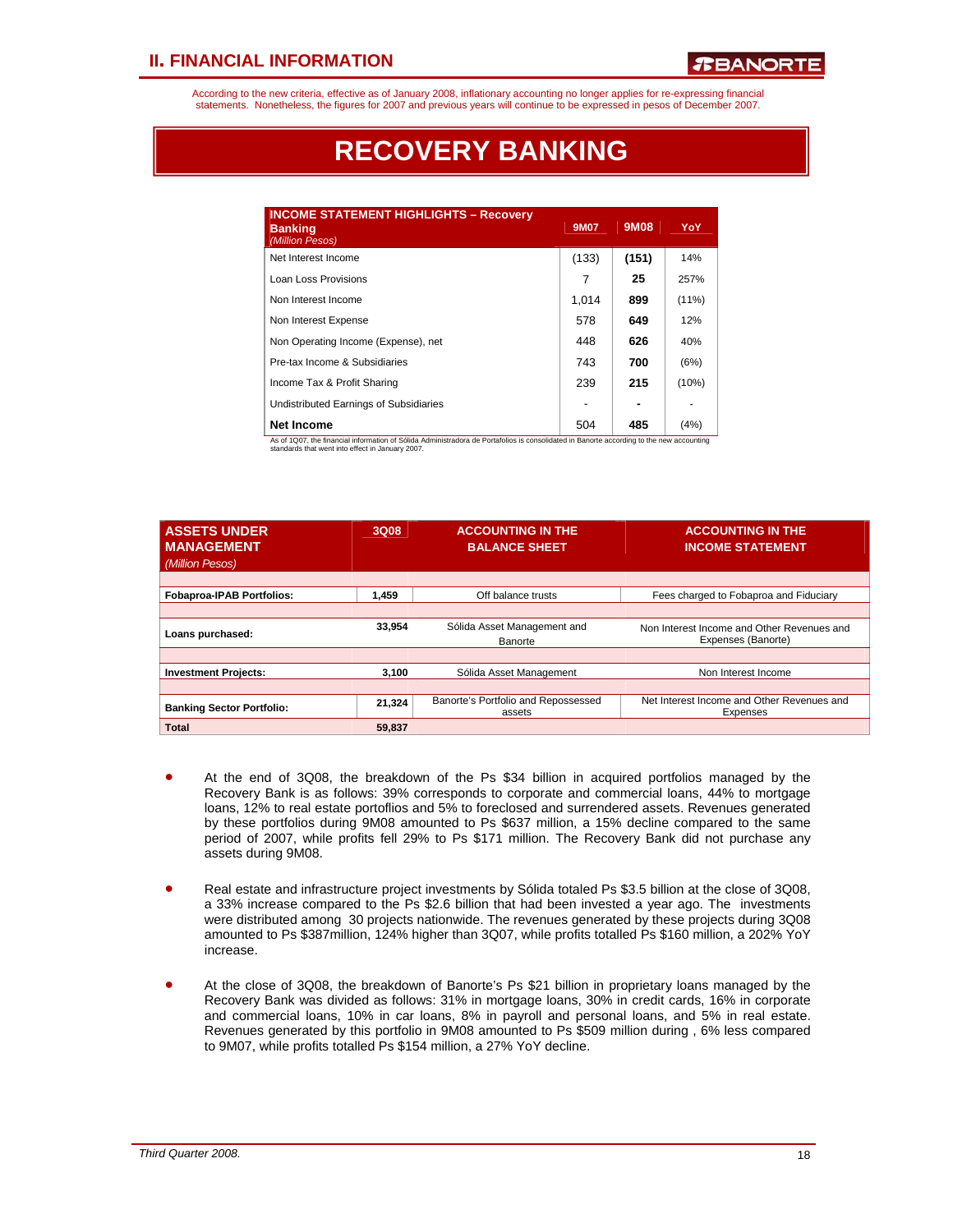According to the new criteria, effective as of January 2008, inflationary accounting no longer applies for re-expressing financial statements. Nonetheless, the figures for 2007 and previous years will continue to be expressed in pesos of December 2007.

# **RECOVERY BANKING**

| <b>INCOME STATEMENT HIGHLIGHTS - Recovery</b><br><b>Banking</b><br>(Million Pesos) | 9M07  | 9M08  | YoY      |
|------------------------------------------------------------------------------------|-------|-------|----------|
| Net Interest Income                                                                | (133) | (151) | 14%      |
| Loan Loss Provisions                                                               | 7     | 25    | 257%     |
| Non Interest Income                                                                | 1.014 | 899   | $(11\%)$ |
| Non Interest Expense                                                               | 578   | 649   | 12%      |
| Non Operating Income (Expense), net                                                | 448   | 626   | 40%      |
| Pre-tax Income & Subsidiaries                                                      | 743   | 700   | (6%)     |
| Income Tax & Profit Sharing                                                        | 239   | 215   | (10%)    |
| Undistributed Earnings of Subsidiaries                                             |       |       |          |
| Net Income                                                                         | 504   | 485   | (4% )    |

As of 1Q07, the financial information of Sólida Administradora de Portafolios is consolidated in Banorte according to the new accounting standards that went into effect in January 2007.

| <b>ASSETS UNDER</b><br><b>MANAGEMENT</b><br>(Million Pesos) | 3Q08   | <b>ACCOUNTING IN THE</b><br><b>BALANCE SHEET</b> | <b>ACCOUNTING IN THE</b><br><b>INCOME STATEMENT</b>              |
|-------------------------------------------------------------|--------|--------------------------------------------------|------------------------------------------------------------------|
|                                                             |        |                                                  |                                                                  |
| <b>Fobaproa-IPAB Portfolios:</b>                            | 1.459  | Off balance trusts                               | Fees charged to Fobaproa and Fiduciary                           |
|                                                             |        |                                                  |                                                                  |
| Loans purchased:                                            | 33.954 | Sólida Asset Management and<br>Banorte           | Non Interest Income and Other Revenues and<br>Expenses (Banorte) |
|                                                             |        |                                                  |                                                                  |
| <b>Investment Projects:</b>                                 | 3.100  | Sólida Asset Management                          | Non Interest Income                                              |
|                                                             |        |                                                  |                                                                  |
| <b>Banking Sector Portfolio:</b>                            | 21,324 | Banorte's Portfolio and Repossessed<br>assets    | Net Interest Income and Other Revenues and<br>Expenses           |
| Total                                                       | 59.837 |                                                  |                                                                  |

- At the end of 3Q08, the breakdown of the Ps \$34 billion in acquired portfolios managed by the Recovery Bank is as follows: 39% corresponds to corporate and commercial loans, 44% to mortgage loans, 12% to real estate portoflios and 5% to foreclosed and surrendered assets. Revenues generated by these portfolios during 9M08 amounted to Ps \$637 million, a 15% decline compared to the same period of 2007, while profits fell 29% to Ps \$171 million. The Recovery Bank did not purchase any assets during 9M08.
- Real estate and infrastructure project investments by Sólida totaled Ps \$3.5 billion at the close of 3Q08, a 33% increase compared to the Ps \$2.6 billion that had been invested a year ago. The investments were distributed among 30 projects nationwide. The revenues generated by these projects during 3Q08 amounted to Ps \$387million, 124% higher than 3Q07, while profits totalled Ps \$160 million, a 202% YoY increase.
- At the close of 3Q08, the breakdown of Banorte's Ps \$21 billion in proprietary loans managed by the Recovery Bank was divided as follows: 31% in mortgage loans, 30% in credit cards, 16% in corporate and commercial loans, 10% in car loans, 8% in payroll and personal loans, and 5% in real estate. Revenues generated by this portfolio in 9M08 amounted to Ps \$509 million during , 6% less compared to 9M07, while profits totalled Ps \$154 million, a 27% YoY decline.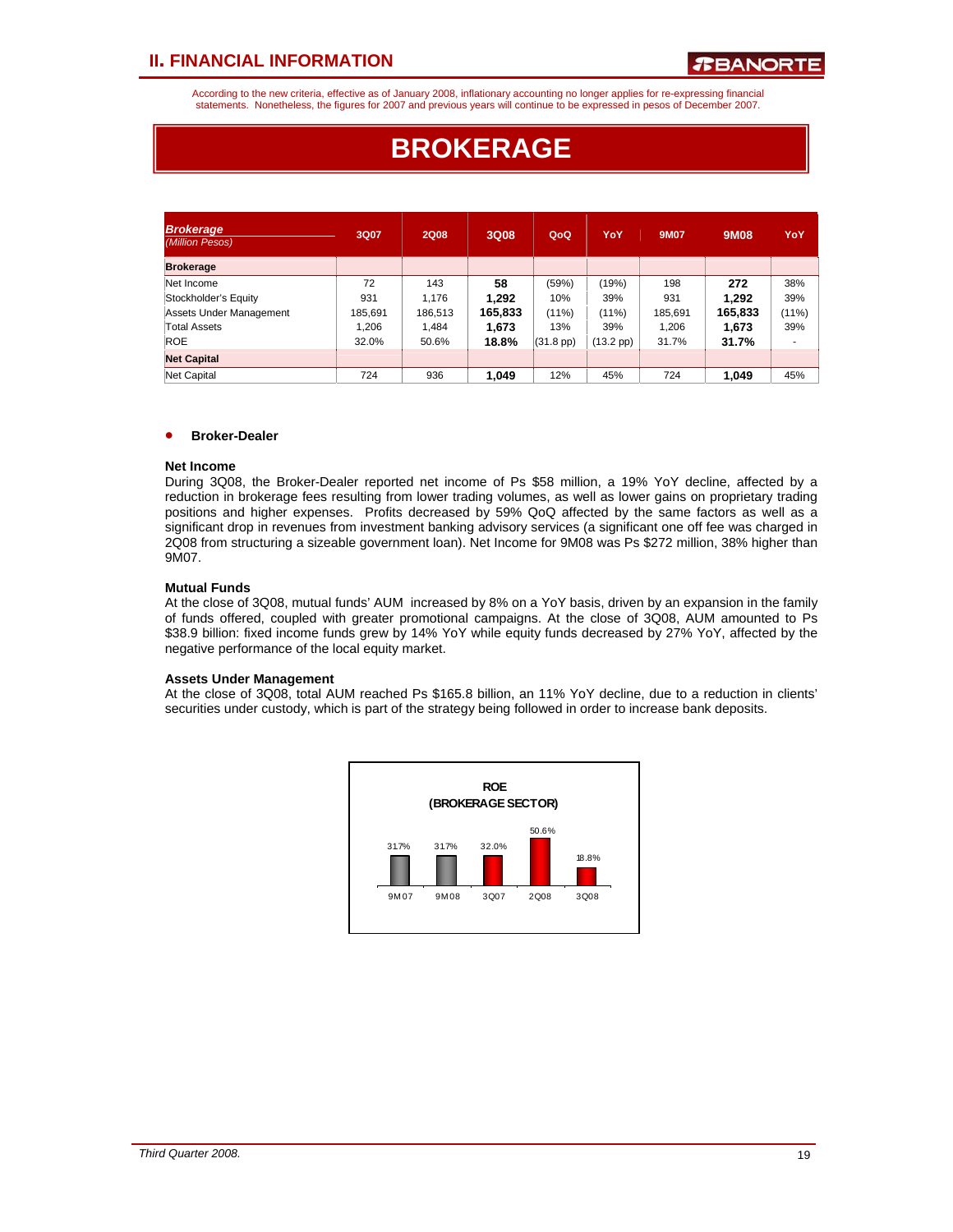According to the new criteria, effective as of January 2008, inflationary accounting no longer applies for re-expressing financial statements. Nonetheless, the figures for 2007 and previous years will continue to be expressed in pesos of December 2007.

# **BROKERAGE**

| <b>Brokerage</b><br>(Million Pesos) | 3Q07    | <b>2Q08</b> | 3Q08    | QoQ                | YoY                | 9M07    | 9M08    | YoY   |
|-------------------------------------|---------|-------------|---------|--------------------|--------------------|---------|---------|-------|
| <b>Brokerage</b>                    |         |             |         |                    |                    |         |         |       |
| Net Income                          | 72      | 143         | 58      | (59%)              | (19%)              | 198     | 272     | 38%   |
| Stockholder's Equity                | 931     | 1.176       | 1,292   | 10%                | 39%                | 931     | 1,292   | 39%   |
| Assets Under Management             | 185,691 | 186,513     | 165,833 | $(11\%)$           | (11%)              | 185,691 | 165,833 | (11%) |
| Total Assets                        | 1.206   | 1.484       | 1.673   | 13%                | 39%                | 1.206   | 1,673   | 39%   |
| <b>ROE</b>                          | 32.0%   | 50.6%       | 18.8%   | $(31.8~\text{pp})$ | $(13.2~\text{pp})$ | 31.7%   | 31.7%   |       |
| <b>Net Capital</b>                  |         |             |         |                    |                    |         |         |       |
| Net Capital                         | 724     | 936         | 1,049   | 12%                | 45%                | 724     | 1.049   | 45%   |

## • **Broker-Dealer**

#### **Net Income**

During 3Q08, the Broker-Dealer reported net income of Ps \$58 million, a 19% YoY decline, affected by a reduction in brokerage fees resulting from lower trading volumes, as well as lower gains on proprietary trading positions and higher expenses. Profits decreased by 59% QoQ affected by the same factors as well as a significant drop in revenues from investment banking advisory services (a significant one off fee was charged in 2Q08 from structuring a sizeable government loan). Net Income for 9M08 was Ps \$272 million, 38% higher than 9M07.

### **Mutual Funds**

At the close of 3Q08, mutual funds' AUM increased by 8% on a YoY basis, driven by an expansion in the family of funds offered, coupled with greater promotional campaigns. At the close of 3Q08, AUM amounted to Ps \$38.9 billion: fixed income funds grew by 14% YoY while equity funds decreased by 27% YoY, affected by the negative performance of the local equity market.

#### **Assets Under Management**

At the close of 3Q08, total AUM reached Ps \$165.8 billion, an 11% YoY decline, due to a reduction in clients' securities under custody, which is part of the strategy being followed in order to increase bank deposits.

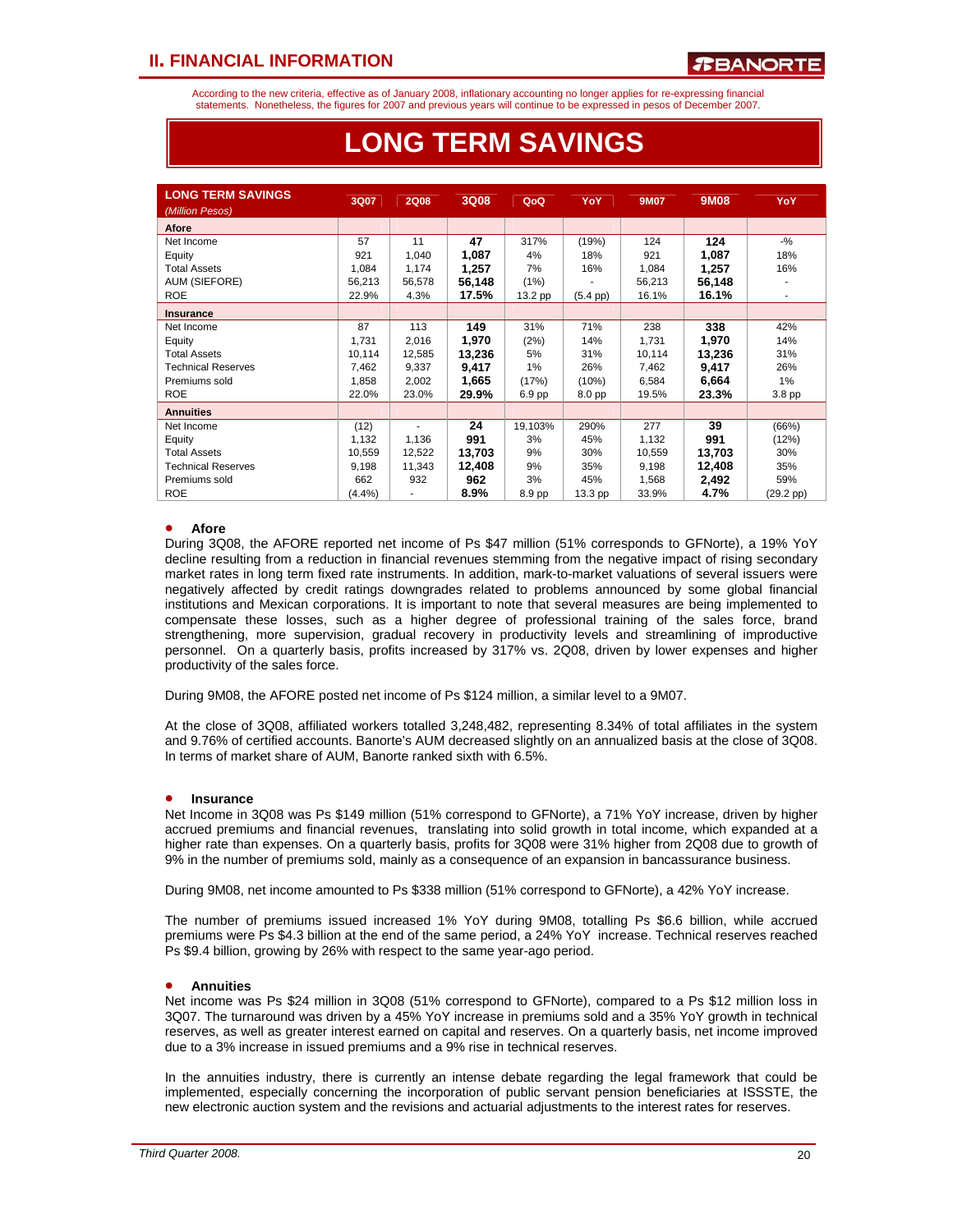According to the new criteria, effective as of January 2008, inflationary accounting no longer applies for re-expressing financial statements. Nonetheless, the figures for 2007 and previous years will continue to be expressed in pesos of December 2007.

## **LONG TERM SAVINGS**

| <b>LONG TERM SAVINGS</b>  | 3Q07   | <b>2Q08</b> | <b>3Q08</b> | QoQ     | YoY               | <b>9M07</b> | 9M08   | YoY.                     |
|---------------------------|--------|-------------|-------------|---------|-------------------|-------------|--------|--------------------------|
| (Million Pesos)           |        |             |             |         |                   |             |        |                          |
| Afore                     |        |             |             |         |                   |             |        |                          |
| Net Income                | 57     | 11          | 47          | 317%    | (19%)             | 124         | 124    | $-$ %                    |
| Equity                    | 921    | 1,040       | 1,087       | 4%      | 18%               | 921         | 1,087  | 18%                      |
| <b>Total Assets</b>       | 1,084  | 1,174       | 1,257       | 7%      | 16%               | 1,084       | 1,257  | 16%                      |
| AUM (SIEFORE)             | 56,213 | 56,578      | 56,148      | (1%)    |                   | 56,213      | 56,148 |                          |
| <b>ROE</b>                | 22.9%  | 4.3%        | 17.5%       | 13.2 pp | $(5.4~\text{pp})$ | 16.1%       | 16.1%  | $\overline{\phantom{a}}$ |
| <b>Insurance</b>          |        |             |             |         |                   |             |        |                          |
| Net Income                | 87     | 113         | 149         | 31%     | 71%               | 238         | 338    | 42%                      |
| Equity                    | 1,731  | 2,016       | 1,970       | (2%)    | 14%               | 1,731       | 1,970  | 14%                      |
| <b>Total Assets</b>       | 10,114 | 12,585      | 13,236      | 5%      | 31%               | 10,114      | 13,236 | 31%                      |
| <b>Technical Reserves</b> | 7,462  | 9,337       | 9,417       | 1%      | 26%               | 7,462       | 9,417  | 26%                      |
| Premiums sold             | 1,858  | 2,002       | 1,665       | (17%)   | (10%)             | 6,584       | 6,664  | 1%                       |
| <b>ROE</b>                | 22.0%  | 23.0%       | 29.9%       | 6.9 pp  | 8.0 pp            | 19.5%       | 23.3%  | 3.8 pp                   |
| <b>Annuities</b>          |        |             |             |         |                   |             |        |                          |
| Net Income                | (12)   | ٠           | 24          | 19,103% | 290%              | 277         | 39     | (66%)                    |
| Equity                    | 1,132  | 1,136       | 991         | 3%      | 45%               | 1,132       | 991    | (12%)                    |
| <b>Total Assets</b>       | 10,559 | 12,522      | 13,703      | 9%      | 30%               | 10,559      | 13,703 | 30%                      |
| <b>Technical Reserves</b> | 9,198  | 11,343      | 12,408      | 9%      | 35%               | 9,198       | 12,408 | 35%                      |
| Premiums sold             | 662    | 932         | 962         | 3%      | 45%               | 1,568       | 2,492  | 59%                      |
| <b>ROE</b>                | (4.4%) | ٠           | 8.9%        | 8.9 pp  | 13.3 pp           | 33.9%       | 4.7%   | (29.2 pp)                |

## • **Afore**

• ֦֘

During 3Q08, the AFORE reported net income of Ps \$47 million (51% corresponds to GFNorte), a 19% YoY decline resulting from a reduction in financial revenues stemming from the negative impact of rising secondary market rates in long term fixed rate instruments. In addition, mark-to-market valuations of several issuers were negatively affected by credit ratings downgrades related to problems announced by some global financial institutions and Mexican corporations. It is important to note that several measures are being implemented to compensate these losses, such as a higher degree of professional training of the sales force, brand strengthening, more supervision, gradual recovery in productivity levels and streamlining of improductive personnel. On a quarterly basis, profits increased by 317% vs. 2Q08, driven by lower expenses and higher productivity of the sales force.

During 9M08, the AFORE posted net income of Ps \$124 million, a similar level to a 9M07.

At the close of 3Q08, affiliated workers totalled 3,248,482, representing 8.34% of total affiliates in the system and 9.76% of certified accounts. Banorte's AUM decreased slightly on an annualized basis at the close of 3Q08. In terms of market share of AUM, Banorte ranked sixth with 6.5%.

### • **Insurance**

Net Income in 3Q08 was Ps \$149 million (51% correspond to GFNorte), a 71% YoY increase, driven by higher accrued premiums and financial revenues, translating into solid growth in total income, which expanded at a higher rate than expenses. On a quarterly basis, profits for 3Q08 were 31% higher from 2Q08 due to growth of 9% in the number of premiums sold, mainly as a consequence of an expansion in bancassurance business.

During 9M08, net income amounted to Ps \$338 million (51% correspond to GFNorte), a 42% YoY increase.

The number of premiums issued increased 1% YoY during 9M08, totalling Ps \$6.6 billion, while accrued premiums were Ps \$4.3 billion at the end of the same period, a 24% YoY increase. Technical reserves reached Ps \$9.4 billion, growing by 26% with respect to the same year-ago period.

### • **Annuities**

Net income was Ps \$24 million in 3Q08 (51% correspond to GFNorte), compared to a Ps \$12 million loss in 3Q07. The turnaround was driven by a 45% YoY increase in premiums sold and a 35% YoY growth in technical reserves, as well as greater interest earned on capital and reserves. On a quarterly basis, net income improved due to a 3% increase in issued premiums and a 9% rise in technical reserves.

In the annuities industry, there is currently an intense debate regarding the legal framework that could be implemented, especially concerning the incorporation of public servant pension beneficiaries at ISSSTE, the new electronic auction system and the revisions and actuarial adjustments to the interest rates for reserves.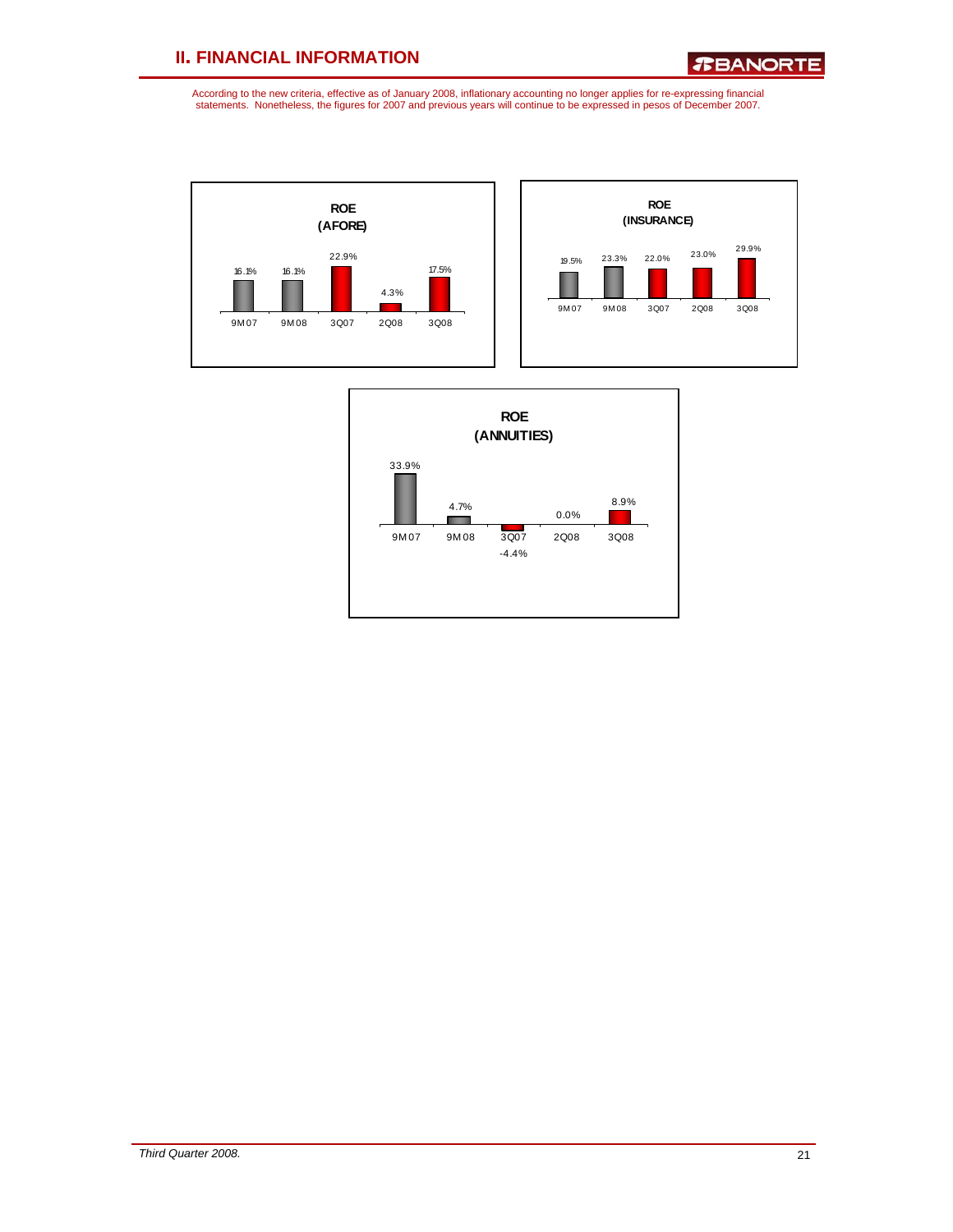*R***BANORTE** 





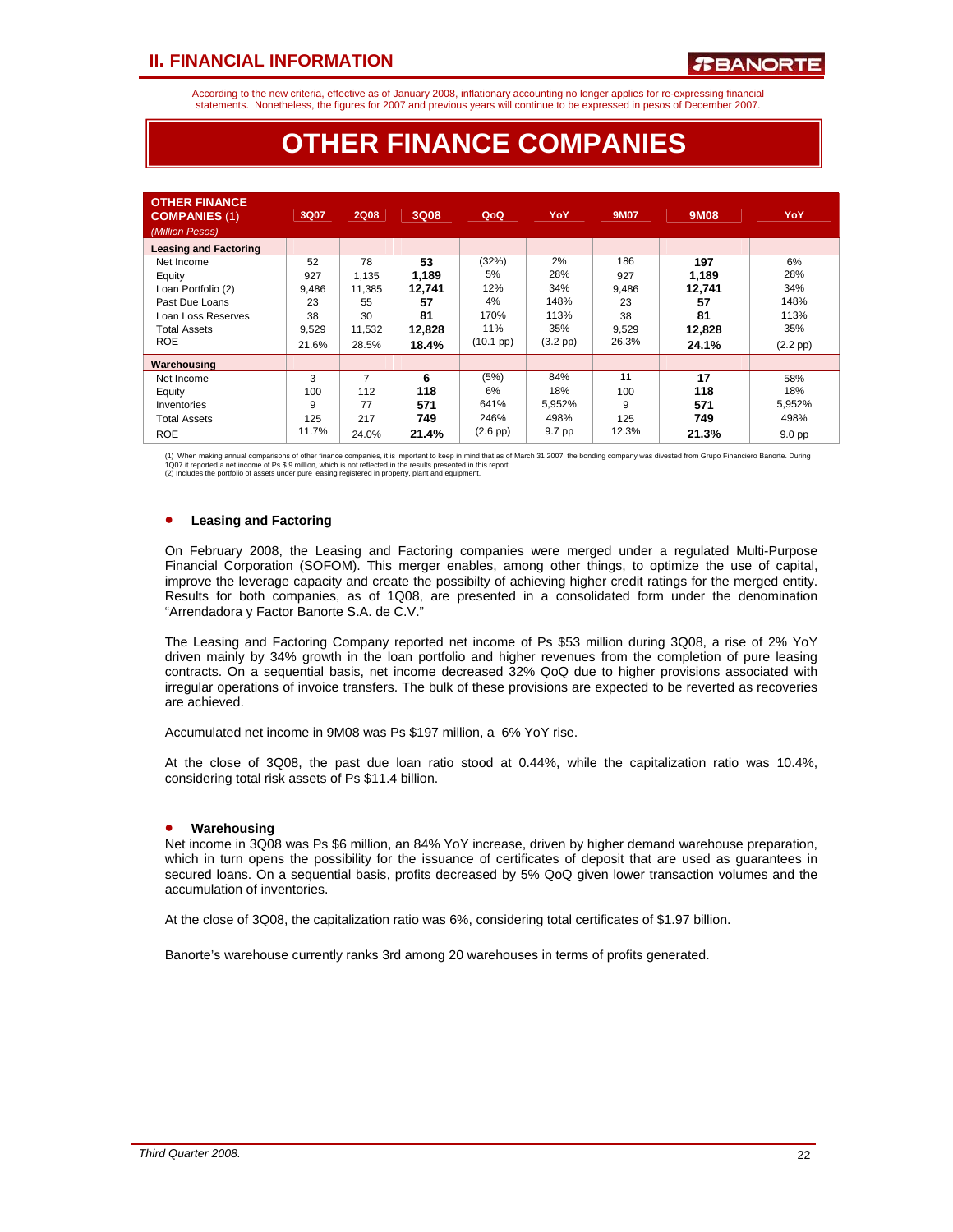According to the new criteria, effective as of January 2008, inflationary accounting no longer applies for re-expressing financial statements. Nonetheless, the figures for 2007 and previous years will continue to be expressed in pesos of December 2007.

## **OTHER FINANCE COMPANIES**

| <b>OTHER FINANCE</b><br><b>COMPANIES (1)</b><br>(Million Pesos) | 3Q07  | <b>2Q08</b> | 3Q08   | QoQ                | YoY           | <b>9M07</b> | 9M08   | YoY               |
|-----------------------------------------------------------------|-------|-------------|--------|--------------------|---------------|-------------|--------|-------------------|
| <b>Leasing and Factoring</b>                                    |       |             |        |                    |               |             |        |                   |
| Net Income                                                      | 52    | 78          | 53     | (32%)              | 2%            | 186         | 197    | 6%                |
| Equity                                                          | 927   | 1,135       | 1,189  | 5%                 | 28%           | 927         | 1,189  | 28%               |
| Loan Portfolio (2)                                              | 9.486 | 11,385      | 12.741 | 12%                | 34%           | 9,486       | 12.741 | 34%               |
| Past Due Loans                                                  | 23    | 55          | 57     | 4%                 | 148%          | 23          | 57     | 148%              |
| Loan Loss Reserves                                              | 38    | 30          | 81     | 170%               | 113%          | 38          | 81     | 113%              |
| <b>Total Assets</b>                                             | 9,529 | 11,532      | 12,828 | 11%                | 35%           | 9,529       | 12,828 | 35%               |
| <b>ROE</b>                                                      | 21.6% | 28.5%       | 18.4%  | $(10.1~{\rm pp})$  | $(3.2$ pp $)$ | 26.3%       | 24.1%  | $(2.2$ pp $)$     |
| Warehousing                                                     |       |             |        |                    |               |             |        |                   |
| Net Income                                                      | 3     | 7           | 6      | (5%)               | 84%           | 11          | 17     | 58%               |
| Equity                                                          | 100   | 112         | 118    | 6%                 | 18%           | 100         | 118    | 18%               |
| Inventories                                                     | 9     | 77          | 571    | 641%               | 5,952%        | 9           | 571    | 5,952%            |
| <b>Total Assets</b>                                             | 125   | 217         | 749    | 246%               | 498%          | 125         | 749    | 498%              |
| <b>ROE</b>                                                      | 11.7% | 24.0%       | 21.4%  | $(2.6 \text{ pp})$ | 9.7 pp        | 12.3%       | 21.3%  | 9.0 <sub>pp</sub> |

(1) When making annual comparisons of other finance companies, it is important to keep in mind that as of March 31 2007, the bonding company was divested from Grupo Financiero Banorte. During<br>1Q07 it reported a net income

## • **Leasing and Factoring**

On February 2008, the Leasing and Factoring companies were merged under a regulated Multi-Purpose Financial Corporation (SOFOM). This merger enables, among other things, to optimize the use of capital, improve the leverage capacity and create the possibilty of achieving higher credit ratings for the merged entity. Results for both companies, as of 1Q08, are presented in a consolidated form under the denomination "Arrendadora y Factor Banorte S.A. de C.V."

The Leasing and Factoring Company reported net income of Ps \$53 million during 3Q08, a rise of 2% YoY driven mainly by 34% growth in the loan portfolio and higher revenues from the completion of pure leasing contracts. On a sequential basis, net income decreased 32% QoQ due to higher provisions associated with irregular operations of invoice transfers. The bulk of these provisions are expected to be reverted as recoveries are achieved.

Accumulated net income in 9M08 was Ps \$197 million, a 6% YoY rise.

At the close of 3Q08, the past due loan ratio stood at 0.44%, while the capitalization ratio was 10.4%, considering total risk assets of Ps \$11.4 billion.

### • **Warehousing**

Net income in 3Q08 was Ps \$6 million, an 84% YoY increase, driven by higher demand warehouse preparation, which in turn opens the possibility for the issuance of certificates of deposit that are used as guarantees in secured loans. On a sequential basis, profits decreased by 5% QoQ given lower transaction volumes and the accumulation of inventories.

At the close of 3Q08, the capitalization ratio was 6%, considering total certificates of \$1.97 billion.

Banorte's warehouse currently ranks 3rd among 20 warehouses in terms of profits generated.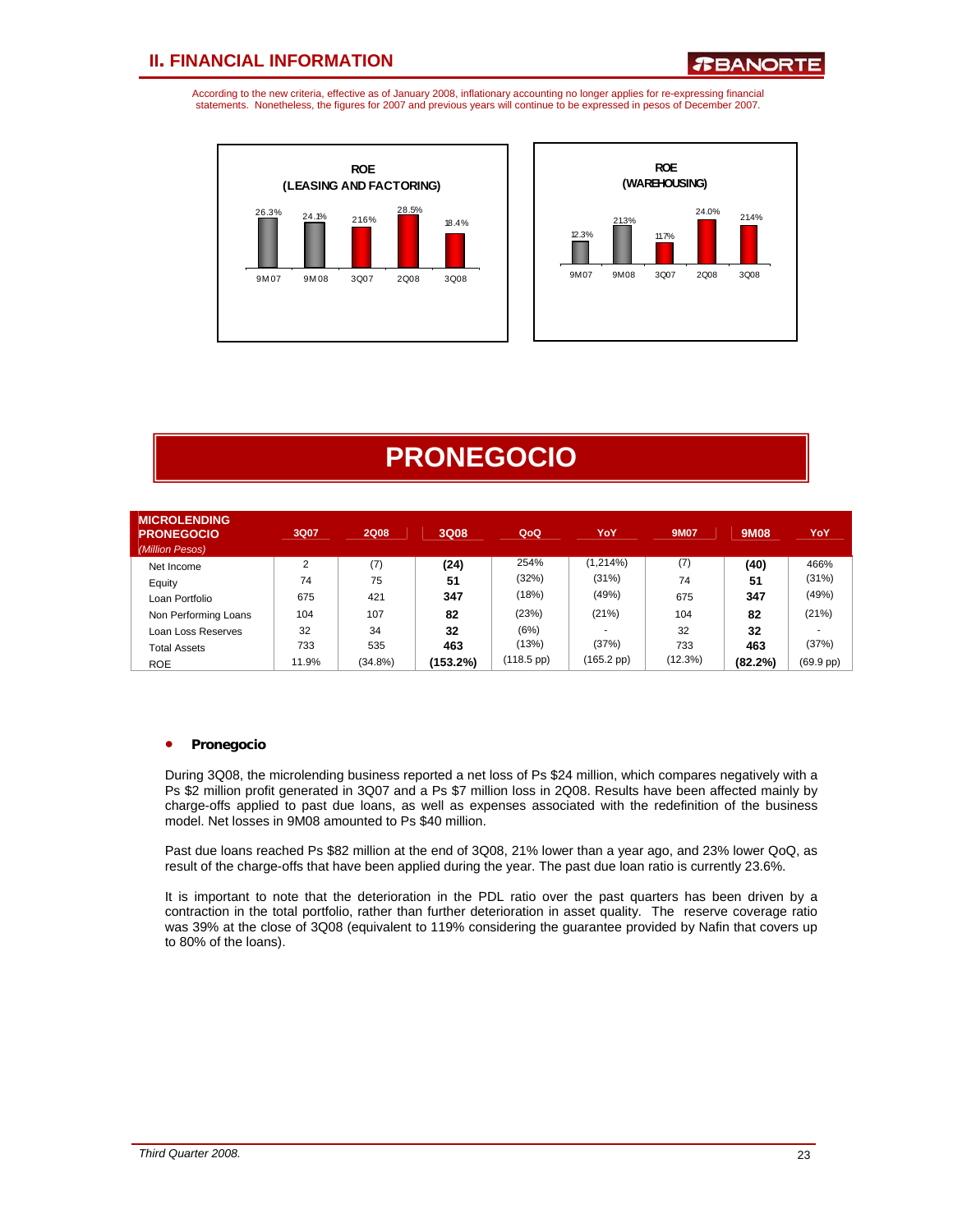*R***BANORTE** 

According to the new criteria, effective as of January 2008, inflationary accounting no longer applies for re-expressing financial statements. Nonetheless, the figures for 2007 and previous years will continue to be expressed in pesos of December 2007.





# **PRONEGOCIO**

| <b>MICROLENDING</b><br><b>PRONEGOCIO</b><br>(Million Pesos) | 3Q07   | <b>2Q08</b> | 3Q08     | QoQ                  | YoY.                 | <b>9M07</b> | <b>9M08</b> | YoY                 |
|-------------------------------------------------------------|--------|-------------|----------|----------------------|----------------------|-------------|-------------|---------------------|
| Net Income                                                  | $\sim$ | (7)         | (24)     | 254%                 | (1,214%)             | (7)         | (40)        | 466%                |
| Equity                                                      | 74     | 75          | 51       | (32%)                | (31%)                | 74          | 51          | (31%)               |
| Loan Portfolio                                              | 675    | 421         | 347      | (18%)                | (49%)                | 675         | 347         | (49%)               |
| Non Performing Loans                                        | 104    | 107         | 82       | (23%)                | (21%)                | 104         | 82          | (21%)               |
| Loan Loss Reserves                                          | 32     | 34          | 32       | (6%)                 |                      | 32          | 32          |                     |
| <b>Total Assets</b>                                         | 733    | 535         | 463      | (13%)                | (37%)                | 733         | 463         | (37%)               |
| <b>ROE</b>                                                  | 11.9%  | $(34.8\%)$  | (153.2%) | $(118.5 \text{ pp})$ | $(165.2 \text{ pp})$ | (12.3%)     | $(82.2\%)$  | $(69.9 \text{ pp})$ |

## • **Pronegocio**

During 3Q08, the microlending business reported a net loss of Ps \$24 million, which compares negatively with a Ps \$2 million profit generated in 3Q07 and a Ps \$7 million loss in 2Q08. Results have been affected mainly by charge-offs applied to past due loans, as well as expenses associated with the redefinition of the business model. Net losses in 9M08 amounted to Ps \$40 million.

Past due loans reached Ps \$82 million at the end of 3Q08, 21% lower than a year ago, and 23% lower QoQ, as result of the charge-offs that have been applied during the year. The past due loan ratio is currently 23.6%.

It is important to note that the deterioration in the PDL ratio over the past quarters has been driven by a contraction in the total portfolio, rather than further deterioration in asset quality. The reserve coverage ratio was 39% at the close of 3Q08 (equivalent to 119% considering the guarantee provided by Nafin that covers up to 80% of the loans).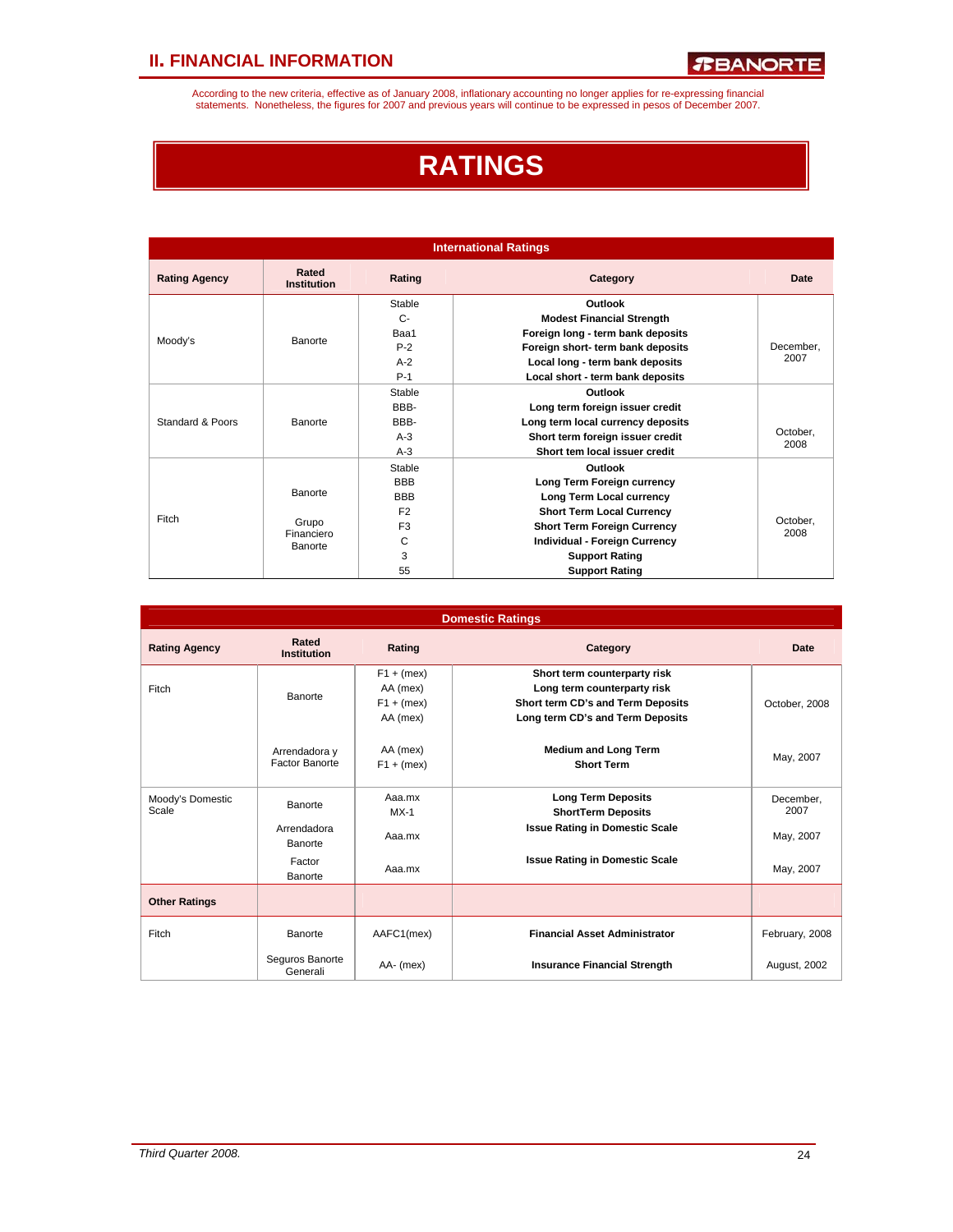According to the new criteria, effective as of January 2008, inflationary accounting no longer applies for re-expressing financial<br>statements. Nonetheless, the figures for 2007 and previous years will continue to be expres

# **RATINGS**

|                      |                             |                | <b>International Ratings</b>         |                  |
|----------------------|-----------------------------|----------------|--------------------------------------|------------------|
| <b>Rating Agency</b> | Rated<br><b>Institution</b> | Rating         | Category                             | Date             |
|                      |                             | Stable         | Outlook                              |                  |
|                      |                             | $C-$           | <b>Modest Financial Strength</b>     |                  |
|                      | Banorte                     | Baa1           | Foreign long - term bank deposits    |                  |
| Moody's              |                             | $P-2$          | Foreign short- term bank deposits    | December.        |
|                      |                             | $A-2$          | Local long - term bank deposits      | 2007             |
|                      |                             | $P-1$          | Local short - term bank deposits     |                  |
|                      |                             | Stable         | Outlook                              |                  |
|                      |                             | RRR-           | Long term foreign issuer credit      |                  |
| Standard & Poors     | Banorte                     | BBB-           | Long term local currency deposits    |                  |
|                      |                             | $A-3$          | Short term foreign issuer credit     | October,         |
|                      |                             | $A-3$          | Short tem local issuer credit        | 2008             |
|                      |                             | Stable         | Outlook                              |                  |
|                      |                             | <b>BBB</b>     | Long Term Foreign currency           |                  |
|                      | Banorte                     | <b>BBB</b>     | Long Term Local currency             |                  |
|                      |                             | F <sub>2</sub> | <b>Short Term Local Currency</b>     |                  |
| Fitch                | Grupo                       | F <sub>3</sub> | <b>Short Term Foreign Currency</b>   | October,<br>2008 |
|                      | Financiero<br>Banorte       | С              | <b>Individual - Foreign Currency</b> |                  |
|                      |                             | 3              | <b>Support Rating</b>                |                  |
|                      |                             | 55             | <b>Support Rating</b>                |                  |

|                           |                                 |                                                      | <b>Domestic Ratings</b>                                                                                                              |                   |
|---------------------------|---------------------------------|------------------------------------------------------|--------------------------------------------------------------------------------------------------------------------------------------|-------------------|
| <b>Rating Agency</b>      | Rated<br><b>Institution</b>     | Rating                                               | Category                                                                                                                             | Date              |
| Fitch                     | Banorte                         | $F1 + (mex)$<br>AA (mex)<br>$F1 + (mex)$<br>AA (mex) | Short term counterparty risk<br>Long term counterparty risk<br>Short term CD's and Term Deposits<br>Long term CD's and Term Deposits | October, 2008     |
|                           | Arrendadora y<br>Factor Banorte | AA (mex)<br>$F1 + (mex)$                             | <b>Medium and Long Term</b><br><b>Short Term</b>                                                                                     | May, 2007         |
| Moody's Domestic<br>Scale | Banorte                         | Aaa.mx<br>$MX-1$                                     | <b>Long Term Deposits</b><br><b>ShortTerm Deposits</b>                                                                               | December.<br>2007 |
|                           | Arrendadora<br>Banorte          | Aaa.mx                                               | <b>Issue Rating in Domestic Scale</b>                                                                                                | May, 2007         |
|                           | Factor<br>Banorte               | Aaa.mx                                               | <b>Issue Rating in Domestic Scale</b>                                                                                                | May, 2007         |
| <b>Other Ratings</b>      |                                 |                                                      |                                                                                                                                      |                   |
| Fitch                     | Banorte                         | AAFC1(mex)                                           | <b>Financial Asset Administrator</b>                                                                                                 | February, 2008    |
|                           | Seguros Banorte<br>Generali     | AA- (mex)                                            | <b>Insurance Financial Strength</b>                                                                                                  | August, 2002      |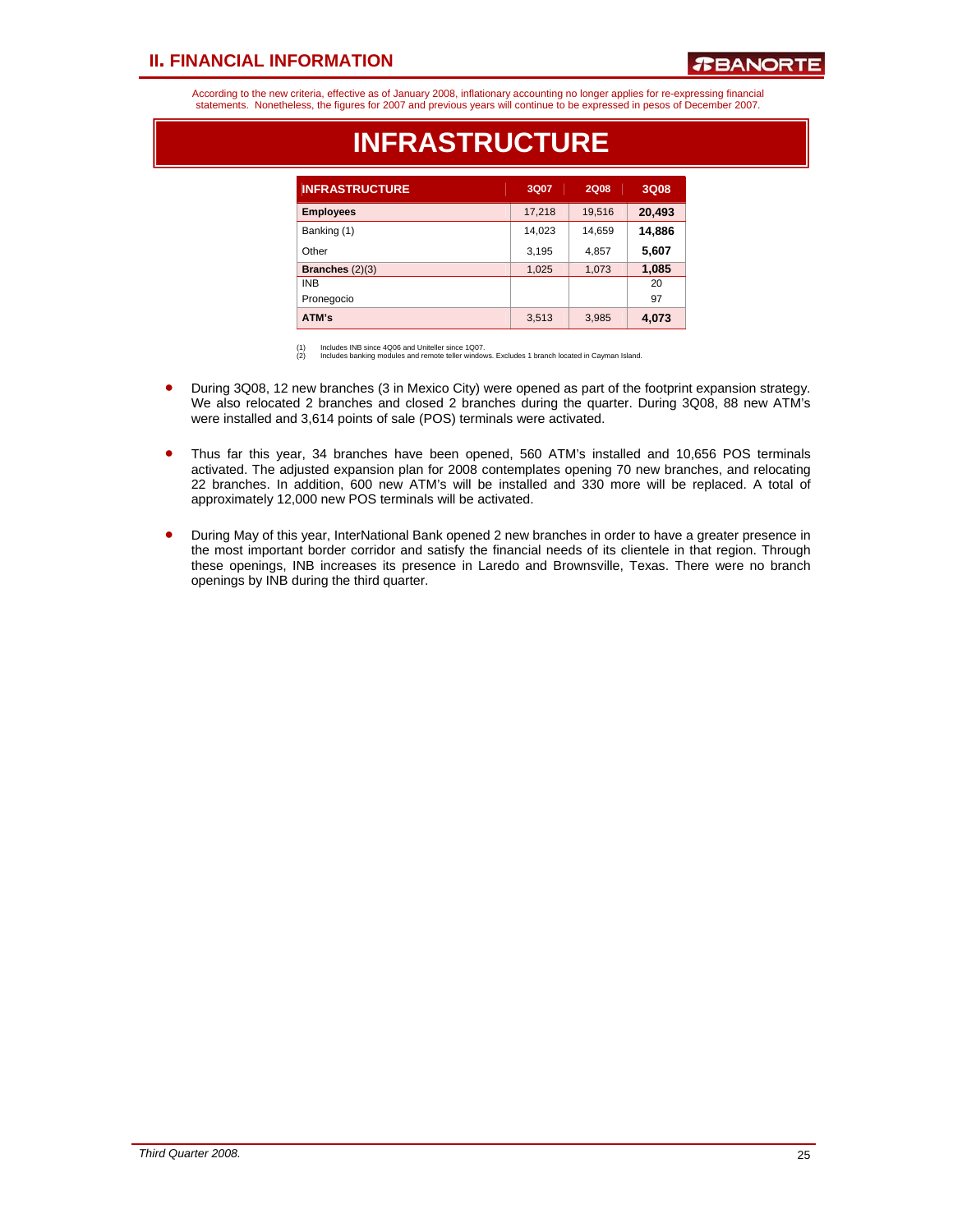## *R***BANORT**

According to the new criteria, effective as of January 2008, inflationary accounting no longer applies for re-expressing financial statements. Nonetheless, the figures for 2007 and previous years will continue to be expressed in pesos of December 2007.

| <b>INFRASTRUCTURE</b> | 3Q07   | <b>2Q08</b> | 3Q08   |
|-----------------------|--------|-------------|--------|
| <b>Employees</b>      | 17,218 | 19,516      | 20,493 |
| Banking (1)           | 14,023 | 14,659      | 14,886 |
| Other                 | 3,195  | 4,857       | 5,607  |
| Branches $(2)(3)$     | 1,025  | 1,073       | 1,085  |
| <b>INB</b>            |        |             | 20     |
| Pronegocio            |        |             | 97     |
| ATM's                 | 3,513  | 3,985       | 4,073  |

## **INFRASTRUCTURE**

(1) Includes INB since 4Q06 and Uniteller since 1Q07. (2) Includes banking modules and remote teller windows. Excludes 1 branch located in Cayman Island.

- During 3Q08, 12 new branches (3 in Mexico City) were opened as part of the footprint expansion strategy. We also relocated 2 branches and closed 2 branches during the quarter. During 3Q08, 88 new ATM's were installed and 3,614 points of sale (POS) terminals were activated.
- Thus far this year, 34 branches have been opened, 560 ATM's installed and 10,656 POS terminals activated. The adjusted expansion plan for 2008 contemplates opening 70 new branches, and relocating 22 branches. In addition, 600 new ATM's will be installed and 330 more will be replaced. A total of approximately 12,000 new POS terminals will be activated.
- During May of this year, InterNational Bank opened 2 new branches in order to have a greater presence in the most important border corridor and satisfy the financial needs of its clientele in that region. Through these openings, INB increases its presence in Laredo and Brownsville, Texas. There were no branch openings by INB during the third quarter.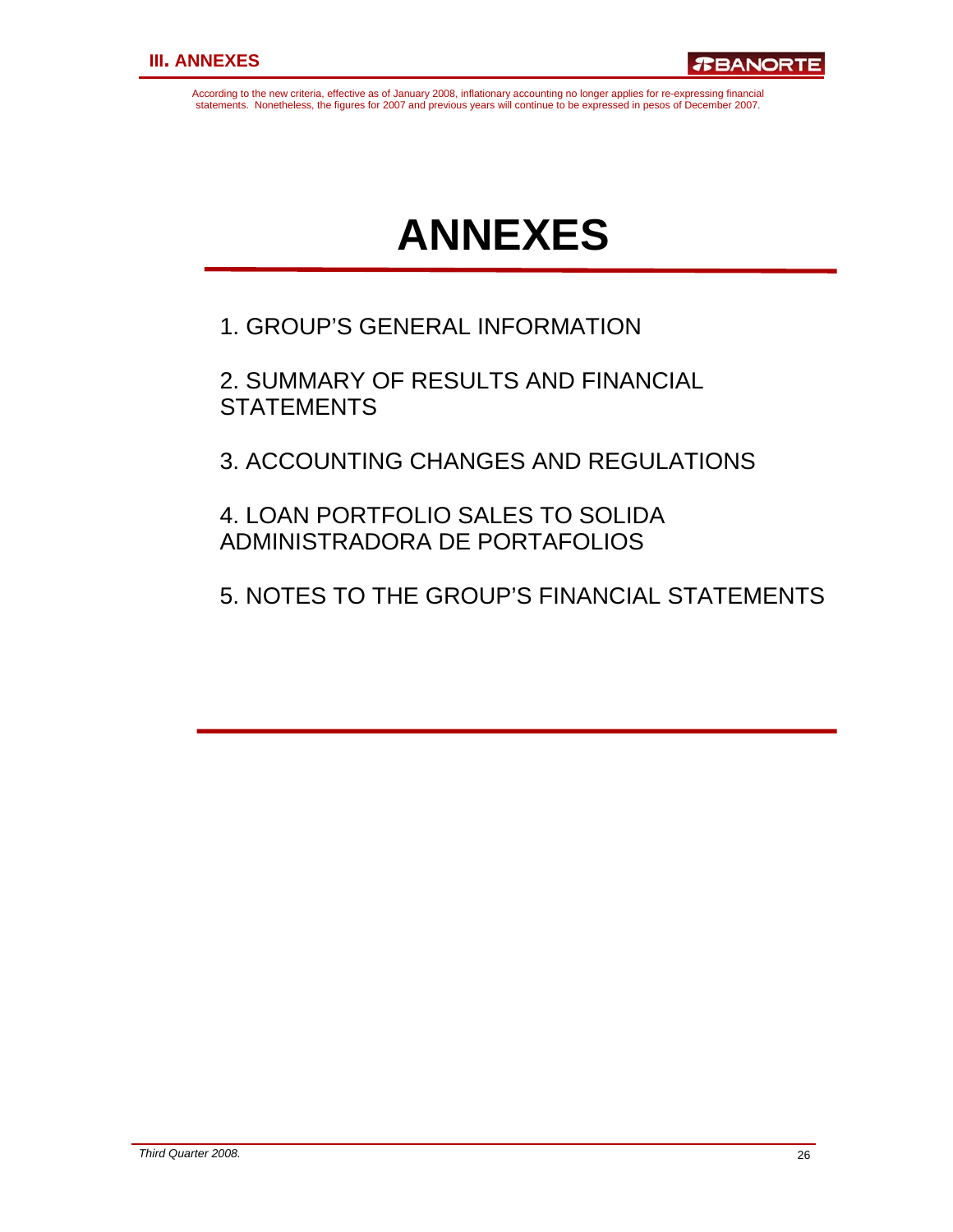According to the new criteria, effective as of January 2008, inflationary accounting no longer applies for re-expressing financial statements. Nonetheless, the figures for 2007 and previous years will continue to be expressed in pesos of December 2007.

# **ANNEXES**

1. GROUP'S GENERAL INFORMATION

2. SUMMARY OF RESULTS AND FINANCIAL **STATEMENTS** 

3. ACCOUNTING CHANGES AND REGULATIONS

4. LOAN PORTFOLIO SALES TO SOLIDA ADMINISTRADORA DE PORTAFOLIOS

5. NOTES TO THE GROUP'S FINANCIAL STATEMENTS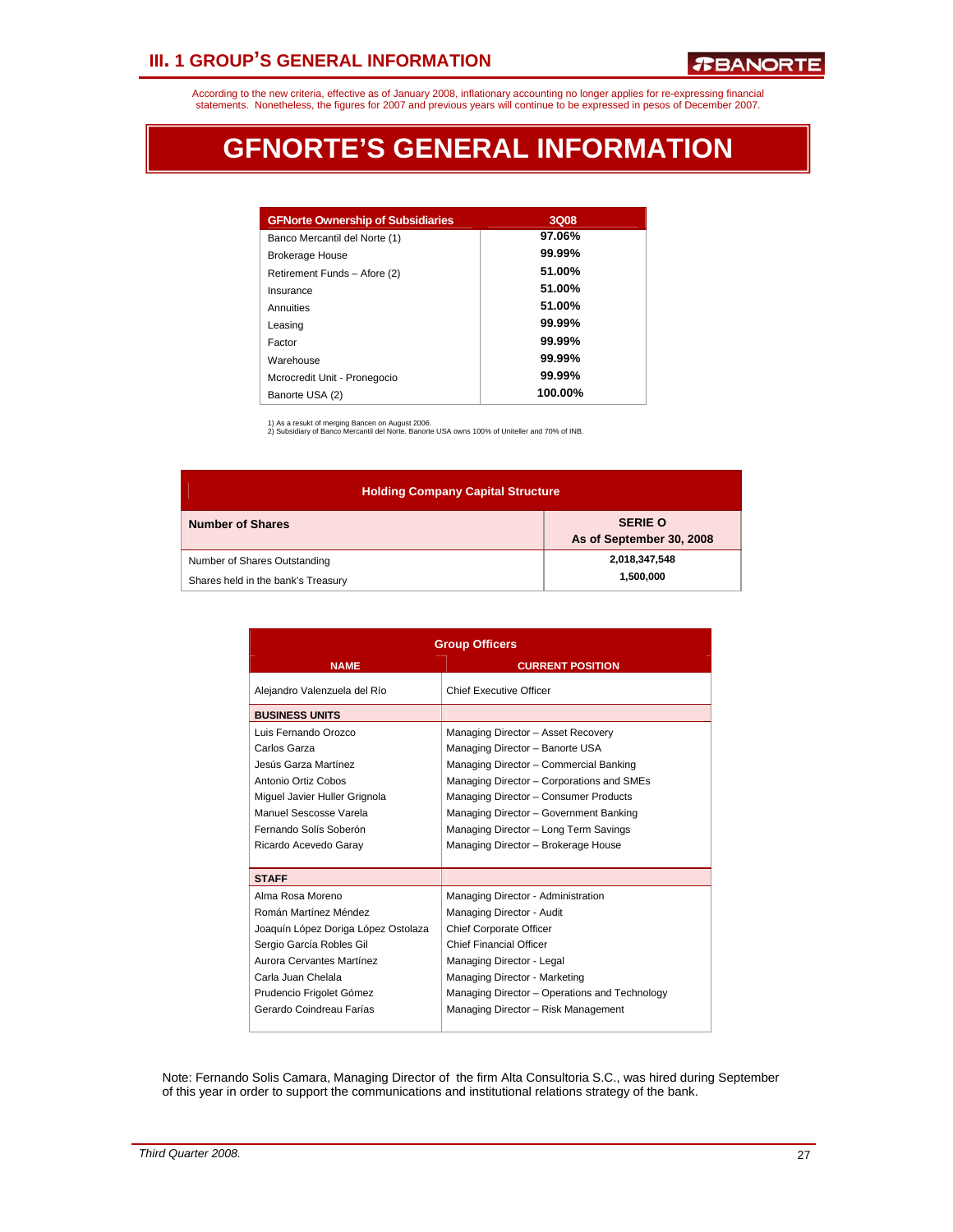## **III. 1 GROUP'S GENERAL INFORMATION**

According to the new criteria, effective as of January 2008, inflationary accounting no longer applies for re-expressing financial statements. Nonetheless, the figures for 2007 and previous years will continue to be expressed in pesos of December 2007.

# **GFNORTE'S GENERAL INFORMATION**

| <b>GFNorte Ownership of Subsidiaries</b> | 3Q08      |
|------------------------------------------|-----------|
|                                          |           |
| Banco Mercantil del Norte (1)            | 97.06%    |
| <b>Brokerage House</b>                   | $99.99\%$ |
| Retirement Funds - Afore (2)             | 51.00%    |
| Insurance                                | 51.00%    |
| Annuities                                | 51.00%    |
| Leasing                                  | $99.99\%$ |
| Factor                                   | $99.99\%$ |
| Warehouse                                | $99.99\%$ |
| Mcrocredit Unit - Pronegocio             | $99.99\%$ |
| Banorte USA (2)                          | 100.00%   |

1) As a resukt of merging Bancen on August 2006. 2) Subsidiary of Banco Mercantil del Norte. Banorte USA owns 100% of Uniteller and 70% of INB.

| <b>Holding Company Capital Structure</b>                           |                                            |  |  |  |  |  |  |  |
|--------------------------------------------------------------------|--------------------------------------------|--|--|--|--|--|--|--|
| <b>Number of Shares</b>                                            | <b>SERIE O</b><br>As of September 30, 2008 |  |  |  |  |  |  |  |
| Number of Shares Outstanding<br>Shares held in the bank's Treasury | 2,018,347,548<br>1,500,000                 |  |  |  |  |  |  |  |

|                                     | <b>Group Officers</b>                         |
|-------------------------------------|-----------------------------------------------|
| <b>NAME</b>                         | <b>CURRENT POSITION</b>                       |
| Alejandro Valenzuela del Río        | <b>Chief Executive Officer</b>                |
| <b>BUSINESS UNITS</b>               |                                               |
| Luis Fernando Orozco                | Managing Director - Asset Recovery            |
| Carlos Garza                        | Managing Director - Banorte USA               |
| Jesús Garza Martínez                | Managing Director - Commercial Banking        |
| Antonio Ortiz Cobos                 | Managing Director - Corporations and SMEs     |
| Miquel Javier Huller Grignola       | Managing Director - Consumer Products         |
| Manuel Sescosse Varela              | Managing Director - Government Banking        |
| Fernando Solís Soberón              | Managing Director - Long Term Savings         |
| Ricardo Acevedo Garay               | Managing Director - Brokerage House           |
|                                     |                                               |
| <b>STAFF</b>                        |                                               |
| Alma Rosa Moreno                    | Managing Director - Administration            |
| Román Martínez Méndez               | Managing Director - Audit                     |
| Joaquín López Doriga López Ostolaza | <b>Chief Corporate Officer</b>                |
| Sergio García Robles Gil            | <b>Chief Financial Officer</b>                |
| Aurora Cervantes Martínez           | Managing Director - Legal                     |
| Carla Juan Chelala                  | Managing Director - Marketing                 |
| Prudencio Frigolet Gómez            | Managing Director - Operations and Technology |
| Gerardo Coindreau Farías            | Managing Director - Risk Management           |
|                                     |                                               |

Note: Fernando Solis Camara, Managing Director of the firm Alta Consultoria S.C., was hired during September of this year in order to support the communications and institutional relations strategy of the bank.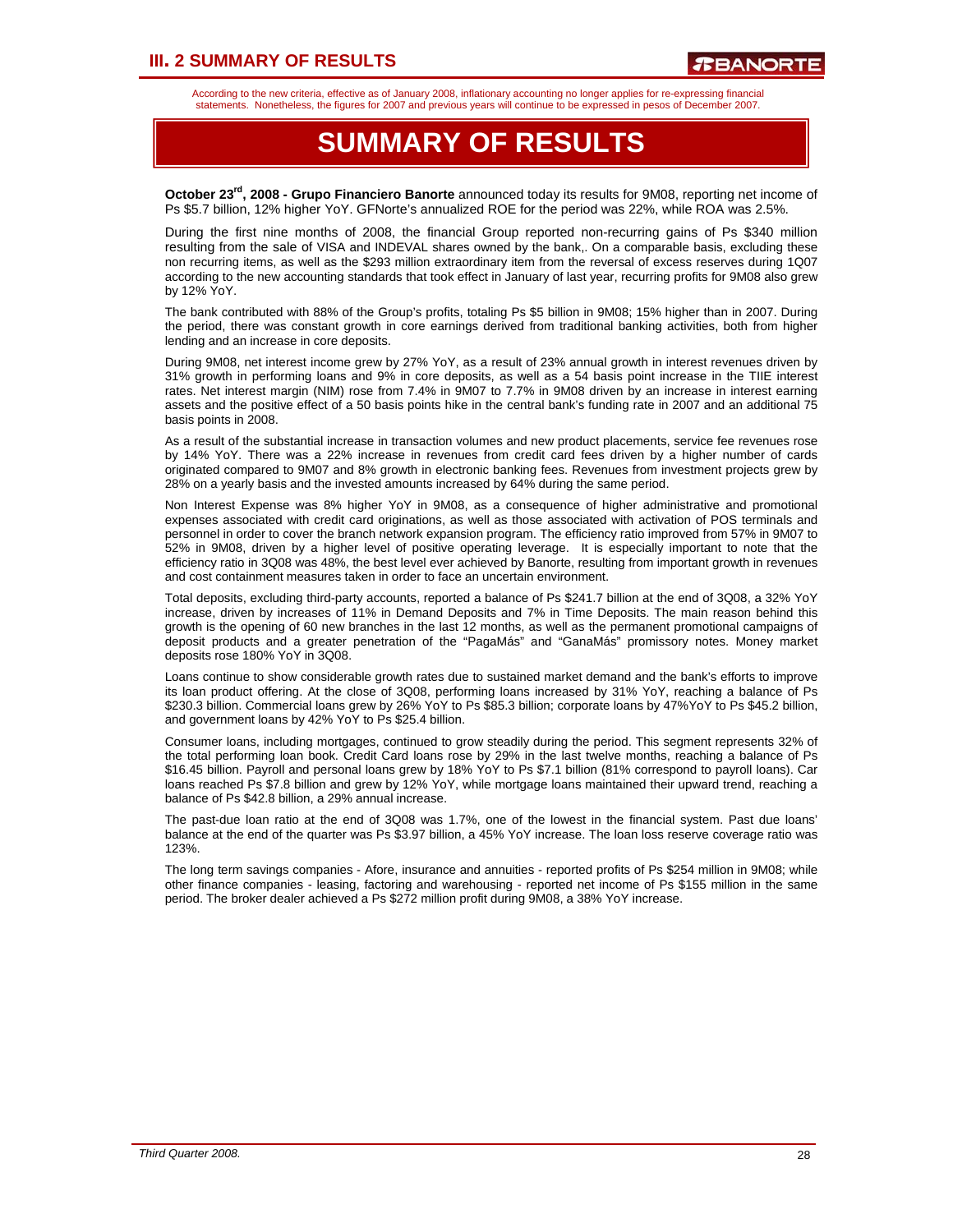## **III. 2 SUMMARY OF RESULTS**

According to the new criteria, effective as of January 2008, inflationary accounting no longer applies for re-expressing financial statements. Nonetheless, the figures for 2007 and previous years will continue to be expressed in pesos of December 2007.

## **SUMMARY OF RESULTS**

**October 23rd, 2008 - Grupo Financiero Banorte** announced today its results for 9M08, reporting net income of Ps \$5.7 billion, 12% higher YoY. GFNorte's annualized ROE for the period was 22%, while ROA was 2.5%.

During the first nine months of 2008, the financial Group reported non-recurring gains of Ps \$340 million resulting from the sale of VISA and INDEVAL shares owned by the bank,. On a comparable basis, excluding these non recurring items, as well as the \$293 million extraordinary item from the reversal of excess reserves during 1Q07 according to the new accounting standards that took effect in January of last year, recurring profits for 9M08 also grew by 12% YoY.

The bank contributed with 88% of the Group's profits, totaling Ps \$5 billion in 9M08; 15% higher than in 2007. During the period, there was constant growth in core earnings derived from traditional banking activities, both from higher lending and an increase in core deposits.

During 9M08, net interest income grew by 27% YoY, as a result of 23% annual growth in interest revenues driven by 31% growth in performing loans and 9% in core deposits, as well as a 54 basis point increase in the TIIE interest rates. Net interest margin (NIM) rose from 7.4% in 9M07 to 7.7% in 9M08 driven by an increase in interest earning assets and the positive effect of a 50 basis points hike in the central bank's funding rate in 2007 and an additional 75 basis points in 2008.

As a result of the substantial increase in transaction volumes and new product placements, service fee revenues rose by 14% YoY. There was a 22% increase in revenues from credit card fees driven by a higher number of cards originated compared to 9M07 and 8% growth in electronic banking fees. Revenues from investment projects grew by 28% on a yearly basis and the invested amounts increased by 64% during the same period.

Non Interest Expense was 8% higher YoY in 9M08, as a consequence of higher administrative and promotional expenses associated with credit card originations, as well as those associated with activation of POS terminals and personnel in order to cover the branch network expansion program. The efficiency ratio improved from 57% in 9M07 to 52% in 9M08, driven by a higher level of positive operating leverage. It is especially important to note that the efficiency ratio in 3Q08 was 48%, the best level ever achieved by Banorte, resulting from important growth in revenues and cost containment measures taken in order to face an uncertain environment.

Total deposits, excluding third-party accounts, reported a balance of Ps \$241.7 billion at the end of 3Q08, a 32% YoY increase, driven by increases of 11% in Demand Deposits and 7% in Time Deposits. The main reason behind this growth is the opening of 60 new branches in the last 12 months, as well as the permanent promotional campaigns of deposit products and a greater penetration of the "PagaMás" and "GanaMás" promissory notes. Money market deposits rose 180% YoY in 3Q08.

Loans continue to show considerable growth rates due to sustained market demand and the bank's efforts to improve its loan product offering. At the close of 3Q08, performing loans increased by 31% YoY, reaching a balance of Ps \$230.3 billion. Commercial loans grew by 26% YoY to Ps \$85.3 billion; corporate loans by 47%YoY to Ps \$45.2 billion, and government loans by 42% YoY to Ps \$25.4 billion.

Consumer loans, including mortgages, continued to grow steadily during the period. This segment represents 32% of the total performing loan book. Credit Card loans rose by 29% in the last twelve months, reaching a balance of Ps \$16.45 billion. Payroll and personal loans grew by 18% YoY to Ps \$7.1 billion (81% correspond to payroll loans). Car loans reached Ps \$7.8 billion and grew by 12% YoY, while mortgage loans maintained their upward trend, reaching a balance of Ps \$42.8 billion, a 29% annual increase.

The past-due loan ratio at the end of 3Q08 was 1.7%, one of the lowest in the financial system. Past due loans' balance at the end of the quarter was Ps \$3.97 billion, a 45% YoY increase. The loan loss reserve coverage ratio was 123%.

The long term savings companies - Afore, insurance and annuities - reported profits of Ps \$254 million in 9M08; while other finance companies - leasing, factoring and warehousing - reported net income of Ps \$155 million in the same period. The broker dealer achieved a Ps \$272 million profit during 9M08, a 38% YoY increase.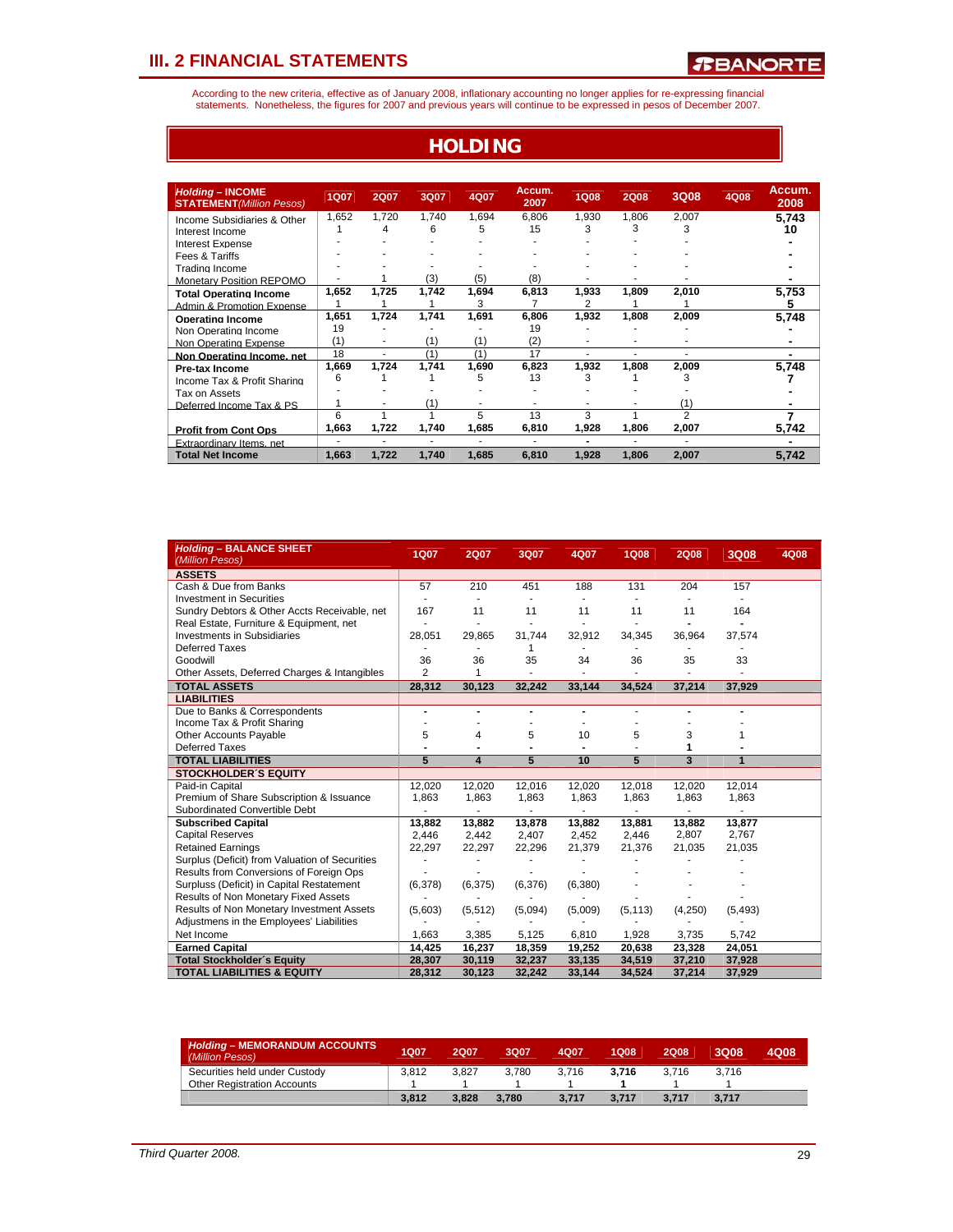According to the new criteria, effective as of January 2008, inflationary accounting no longer applies for re-expressing financial<br>statements. Nonetheless, the figures for 2007 and previous years will continue to be expres

**HOLDING**

| <b>Holding - INCOME</b><br><b>STATEMENT</b> (Million Pesos) | <b>1Q07</b> | 2Q07  | 3Q07  | 4Q07  | Accum.<br>2007 | <b>1Q08</b> | <b>2Q08</b> | 3Q08           | 4Q08 | Accum.<br>2008 |
|-------------------------------------------------------------|-------------|-------|-------|-------|----------------|-------------|-------------|----------------|------|----------------|
| Income Subsidiaries & Other                                 | 1,652       | 1,720 | 1,740 | 1,694 | 6.806          | 1,930       | 1.806       | 2,007          |      | 5.743          |
| Interest Income                                             |             | 4     | 6     | 5     | 15             | 3           | 3           | 3              |      | 10             |
| <b>Interest Expense</b>                                     |             |       |       |       |                |             |             |                |      |                |
| Fees & Tariffs                                              |             |       |       |       |                |             |             |                |      |                |
| Trading Income                                              |             |       |       |       |                |             |             |                |      |                |
| <b>Monetary Position REPOMO</b>                             |             |       | (3)   | (5)   | (8)            |             |             |                |      |                |
| <b>Total Operating Income</b>                               | 1,652       | 1,725 | 1,742 | 1,694 | 6,813          | 1,933       | 1.809       | 2,010          |      | 5,753          |
| Admin & Promotion Expense                                   |             |       |       |       | 7              | 2           |             |                |      | 5              |
| <b>Operating Income</b>                                     | 1,651       | 1,724 | 1,741 | 1,691 | 6,806          | 1,932       | 1,808       | 2,009          |      | 5,748          |
| Non Operating Income                                        | 19          |       |       |       | 19             |             |             |                |      |                |
| Non Operating Expense                                       | (1)         |       | (1)   | (1)   | (2)            |             |             |                |      |                |
| Non Operating Income, net                                   | 18          |       | (1)   | (1)   | 17             |             |             |                |      |                |
| Pre-tax Income                                              | 1,669       | 1,724 | 1,741 | 1,690 | 6,823          | 1,932       | 1,808       | 2,009          |      | 5,748          |
| Income Tax & Profit Sharing                                 | 6           |       |       | 5     | 13             | 3           |             | 3              |      |                |
| Tax on Assets                                               |             |       |       |       |                |             |             |                |      |                |
| Deferred Income Tax & PS                                    |             |       | (1)   |       |                |             |             | (1)            |      |                |
|                                                             | 6           |       |       | 5.    | 13             | 3           |             | $\overline{2}$ |      |                |
| <b>Profit from Cont Ops</b>                                 | 1,663       | 1,722 | 1,740 | 1.685 | 6,810          | 1,928       | 1.806       | 2,007          |      | 5.742          |
| <b>Extraordinary Items net</b>                              | ٠           |       |       |       |                | ۰           |             | ٠              |      |                |
| <b>Total Net Income</b>                                     | 1,663       | 1,722 | 1,740 | 1,685 | 6,810          | 1,928       | 1,806       | 2,007          |      | 5,742          |

| <b>Holding - BALANCE SHEET</b><br>(Million Pesos) | 1Q07           | <b>2Q07</b> | 3Q07    | 4Q07           | <b>1Q08</b>    | <b>2Q08</b>    | 3Q08     | 4Q08 |
|---------------------------------------------------|----------------|-------------|---------|----------------|----------------|----------------|----------|------|
| <b>ASSETS</b>                                     |                |             |         |                |                |                |          |      |
| Cash & Due from Banks                             | 57             | 210         | 451     | 188            | 131            | 204            | 157      |      |
| <b>Investment in Securities</b>                   |                |             |         |                |                |                |          |      |
| Sundry Debtors & Other Accts Receivable, net      | 167            | 11          | 11      | 11             | 11             | 11             | 164      |      |
| Real Estate, Furniture & Equipment, net           |                |             | ٠       | ٠              |                | $\blacksquare$ |          |      |
| <b>Investments in Subsidiaries</b>                | 28,051         | 29,865      | 31,744  | 32,912         | 34,345         | 36,964         | 37,574   |      |
| <b>Deferred Taxes</b>                             |                |             | 1       | $\sim$         |                |                |          |      |
| Goodwill                                          | 36             | 36          | 35      | 34             | 36             | 35             | 33       |      |
| Other Assets, Deferred Charges & Intangibles      | $\overline{2}$ | 1           |         |                |                |                |          |      |
| <b>TOTAL ASSETS</b>                               | 28,312         | 30,123      | 32,242  | 33,144         | 34,524         | 37,214         | 37,929   |      |
| <b>LIABILITIES</b>                                |                |             |         |                |                |                |          |      |
| Due to Banks & Correspondents                     | ٠              |             |         | $\blacksquare$ | $\blacksquare$ |                |          |      |
| Income Tax & Profit Sharing                       |                |             |         |                |                |                |          |      |
| <b>Other Accounts Payable</b>                     | 5              | 4           | 5       | 10             | 5              | 3              |          |      |
| <b>Deferred Taxes</b>                             |                |             |         |                |                |                |          |      |
| <b>TOTAL LIABILITIES</b>                          | $\overline{5}$ | 4           | 5       | 10             | 5              | 3              | 1        |      |
| <b>STOCKHOLDER'S EQUITY</b>                       |                |             |         |                |                |                |          |      |
| Paid-in Capital                                   | 12,020         | 12,020      | 12,016  | 12,020         | 12,018         | 12,020         | 12,014   |      |
| Premium of Share Subscription & Issuance          | 1.863          | 1,863       | 1,863   | 1,863          | 1,863          | 1,863          | 1,863    |      |
| Subordinated Convertible Debt                     |                |             |         |                |                |                |          |      |
| <b>Subscribed Capital</b>                         | 13,882         | 13,882      | 13,878  | 13,882         | 13,881         | 13,882         | 13.877   |      |
| <b>Capital Reserves</b>                           | 2,446          | 2,442       | 2,407   | 2,452          | 2,446          | 2,807          | 2,767    |      |
| <b>Retained Earnings</b>                          | 22.297         | 22,297      | 22,296  | 21,379         | 21,376         | 21,035         | 21,035   |      |
| Surplus (Deficit) from Valuation of Securities    |                |             |         |                |                |                |          |      |
| Results from Conversions of Foreign Ops           |                |             |         |                |                |                |          |      |
| Surpluss (Deficit) in Capital Restatement         | (6,378)        | (6, 375)    | (6,376) | (6,380)        |                |                |          |      |
| Results of Non Monetary Fixed Assets              |                |             |         |                |                |                |          |      |
| Results of Non Monetary Investment Assets         | (5,603)        | (5, 512)    | (5,094) | (5,009)        | (5, 113)       | (4,250)        | (5, 493) |      |
| Adjustmens in the Employees' Liabilities          |                |             |         |                |                |                |          |      |
| Net Income                                        | 1,663          | 3,385       | 5,125   | 6,810          | 1,928          | 3,735          | 5,742    |      |
| <b>Earned Capital</b>                             | 14,425         | 16,237      | 18,359  | 19,252         | 20,638         | 23,328         | 24,051   |      |
| <b>Total Stockholder's Equity</b>                 | 28,307         | 30,119      | 32,237  | 33,135         | 34,519         | 37,210         | 37,928   |      |
| <b>TOTAL LIABILITIES &amp; EQUITY</b>             | 28,312         | 30,123      | 32.242  | 33,144         | 34,524         | 37,214         | 37,929   |      |

| <b>Holding - MEMORANDUM ACCOUNTS</b><br>(Million Pesos) | 1Q07  | 2007  | 3007  | 4007  | 1Q08  | 2Q08  | 3008  | 4Q08 |
|---------------------------------------------------------|-------|-------|-------|-------|-------|-------|-------|------|
| Securities held under Custody                           | 3.812 | 3.827 | 3.780 | 3.716 | 3.716 | 3.716 | 3.716 |      |
| <b>Other Registration Accounts</b>                      |       |       |       |       |       |       |       |      |
|                                                         | 3.812 | 3.828 | 3.780 | 3.717 | 3.717 | 3.717 | 3.717 |      |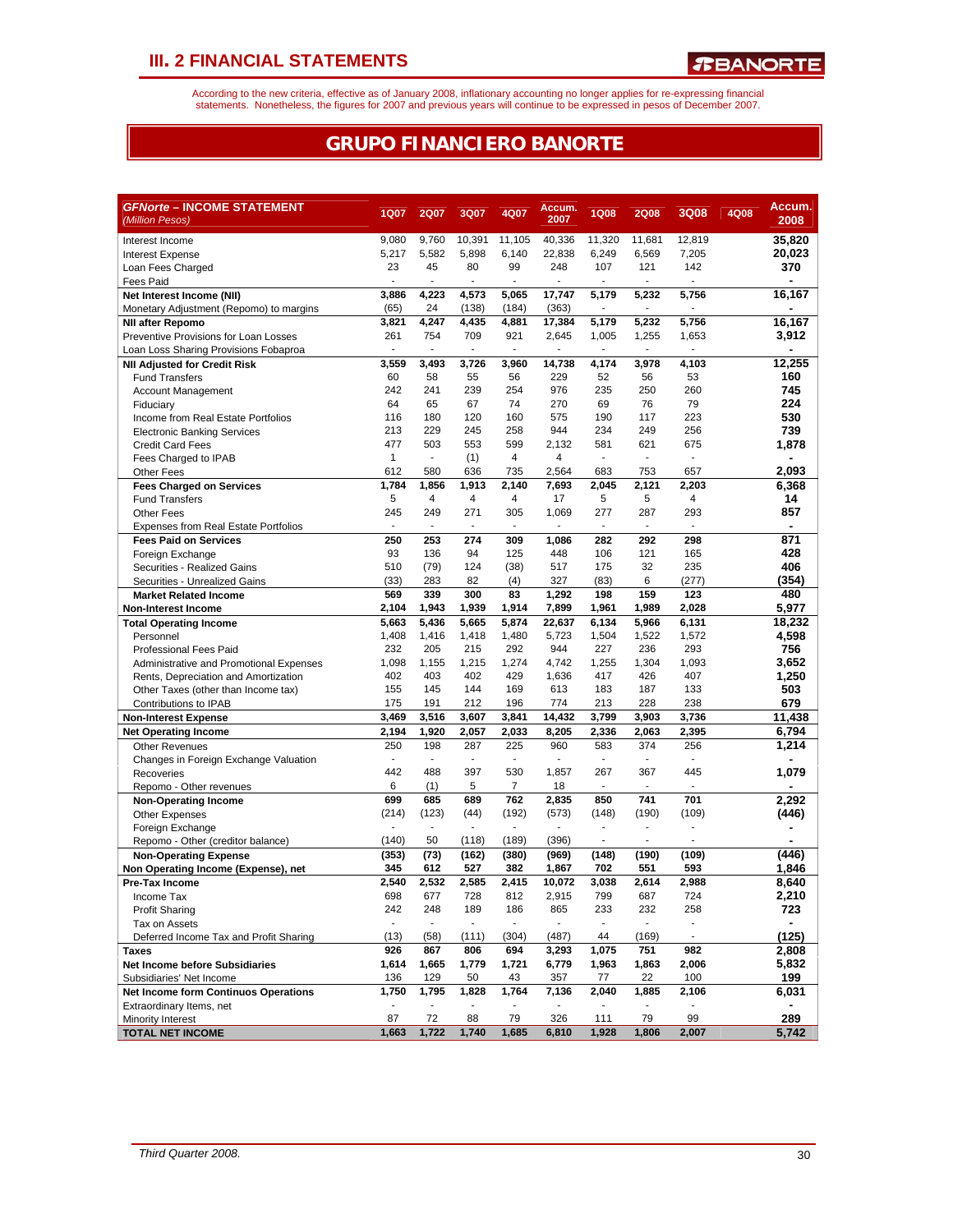According to the new criteria, effective as of January 2008, inflationary accounting no longer applies for re-expressing financial<br>statements. Nonetheless, the figures for 2007 and previous years will continue to be expres

## **GRUPO FINANCIERO BANORTE**

| <i><b>GFNorte – INCOME STATEMENT</b></i>                                |                          |                       |                          |                          | Accum.                          |                                 |                |                       |      | Accum.       |
|-------------------------------------------------------------------------|--------------------------|-----------------------|--------------------------|--------------------------|---------------------------------|---------------------------------|----------------|-----------------------|------|--------------|
| (Million Pesos)                                                         | 1Q07                     | <b>2Q07</b>           | 3Q07                     | 4Q07                     | 2007                            | <b>1Q08</b>                     | <b>2Q08</b>    | <b>3Q08</b>           | 4Q08 | 2008         |
| Interest Income                                                         | 9,080                    | 9,760                 | 10,391                   | 11,105                   | 40,336                          | 11.320                          | 11,681         | 12,819                |      | 35,820       |
| <b>Interest Expense</b>                                                 | 5,217                    | 5,582                 | 5,898                    | 6,140                    | 22,838                          | 6,249                           | 6,569          | 7,205                 |      | 20,023       |
| Loan Fees Charged                                                       | 23                       | 45                    | 80                       | 99                       | 248                             | 107                             | 121            | 142                   |      | 370          |
| Fees Paid                                                               | ÷,                       | ÷                     | ÷.                       | ä,                       | ÷,                              |                                 | ÷.             | ÷                     |      |              |
| Net Interest Income (NII)                                               | 3,886                    | 4,223                 | 4,573                    | 5,065                    | 17,747                          | 5,179                           | 5,232          | 5,756                 |      | 16,167       |
| Monetary Adjustment (Repomo) to margins                                 | (65)                     | 24                    | (138)                    | (184)                    | (363)                           |                                 | ä,             | ä,                    |      |              |
| <b>NII after Repomo</b>                                                 | 3,821                    | 4,247                 | 4,435                    | 4,881                    | 17,384                          | 5,179                           | 5,232          | 5,756                 |      | 16,167       |
| Preventive Provisions for Loan Losses                                   | 261                      | 754                   | 709                      | 921                      | 2,645                           | 1,005                           | 1,255          | 1,653                 |      | 3,912        |
| Loan Loss Sharing Provisions Fobaproa                                   | $\overline{\phantom{a}}$ | $\sim$                | $\blacksquare$           | $\blacksquare$           | $\overline{\phantom{a}}$        | $\sim$                          | $\blacksquare$ | $\blacksquare$        |      |              |
| <b>NII Adjusted for Credit Risk</b>                                     | 3,559                    | 3,493                 | 3,726                    | 3,960                    | 14,738                          | 4,174                           | 3,978          | 4,103                 |      | 12.255       |
| <b>Fund Transfers</b>                                                   | 60                       | 58                    | 55                       | 56                       | 229                             | 52                              | 56             | 53                    |      | 160          |
| Account Management                                                      | 242                      | 241                   | 239                      | 254                      | 976                             | 235                             | 250            | 260                   |      | 745          |
| Fiduciary                                                               | 64                       | 65<br>180             | 67                       | 74                       | 270<br>575                      | 69<br>190                       | 76<br>117      | 79<br>223             |      | 224          |
| Income from Real Estate Portfolios                                      | 116<br>213               | 229                   | 120<br>245               | 160<br>258               | 944                             | 234                             | 249            | 256                   |      | 530<br>739   |
| <b>Electronic Banking Services</b>                                      | 477                      | 503                   | 553                      | 599                      | 2,132                           | 581                             | 621            | 675                   |      |              |
| <b>Credit Card Fees</b><br>Fees Charged to IPAB                         | $\mathbf{1}$             | $\mathcal{L}$         | (1)                      | 4                        | 4                               | ÷.                              | ä,             | ÷,                    |      | 1,878        |
| Other Fees                                                              | 612                      | 580                   | 636                      | 735                      | 2,564                           | 683                             | 753            | 657                   |      | 2,093        |
| <b>Fees Charged on Services</b>                                         | 1,784                    | 1,856                 | 1,913                    | 2,140                    | 7,693                           | 2,045                           | 2,121          | 2,203                 |      | 6,368        |
| <b>Fund Transfers</b>                                                   | 5                        | 4                     | 4                        | 4                        | 17                              | 5                               | 5              | 4                     |      | 14           |
| <b>Other Fees</b>                                                       | 245                      | 249                   | 271                      | 305                      | 1,069                           | 277                             | 287            | 293                   |      | 857          |
| <b>Expenses from Real Estate Portfolios</b>                             | $\blacksquare$           | $\sim$                | ٠                        | $\overline{\phantom{a}}$ | $\blacksquare$                  | $\blacksquare$                  | $\blacksquare$ | ٠                     |      |              |
| <b>Fees Paid on Services</b>                                            | 250                      | 253                   | 274                      | 309                      | 1,086                           | 282                             | 292            | 298                   |      | 871          |
| Foreign Exchange                                                        | 93                       | 136                   | 94                       | 125                      | 448                             | 106                             | 121            | 165                   |      | 428          |
| Securities - Realized Gains                                             | 510                      | (79)                  | 124                      | (38)                     | 517                             | 175                             | 32             | 235                   |      | 406          |
| Securities - Unrealized Gains                                           | (33)                     | 283                   | 82                       | (4)                      | 327                             | (83)                            | 6              | (277)                 |      | (354)        |
| <b>Market Related Income</b>                                            | 569                      | 339                   | 300                      | 83                       | 1,292                           | 198                             | 159            | 123                   |      | 480          |
| <b>Non-Interest Income</b>                                              | 2,104                    | 1,943                 | 1,939                    | 1,914                    | 7,899                           | 1,961                           | 1,989          | 2,028                 |      | 5,977        |
| <b>Total Operating Income</b>                                           | 5,663                    | 5,436                 | 5,665                    | 5,874                    | 22.637                          | 6,134                           | 5.966          | 6,131                 |      | 18,232       |
| Personnel                                                               | 1,408                    | 1,416                 | 1,418                    | 1,480                    | 5,723                           | 1,504                           | 1,522          | 1,572                 |      | 4,598        |
| <b>Professional Fees Paid</b>                                           | 232                      | 205                   | 215                      | 292                      | 944                             | 227                             | 236            | 293                   |      | 756          |
| Administrative and Promotional Expenses                                 | 1,098                    | 1,155                 | 1,215                    | 1,274                    | 4,742                           | 1,255                           | 1,304          | 1,093                 |      | 3,652        |
| Rents, Depreciation and Amortization                                    | 402                      | 403                   | 402                      | 429                      | 1,636                           | 417                             | 426            | 407                   |      | 1,250        |
| Other Taxes (other than Income tax)                                     | 155                      | 145                   | 144                      | 169                      | 613                             | 183                             | 187            | 133                   |      | 503          |
| Contributions to IPAB                                                   | 175                      | 191                   | 212                      | 196                      | 774                             | 213                             | 228            | 238                   |      | 679          |
| <b>Non-Interest Expense</b>                                             | 3,469                    | 3,516                 | 3,607                    | 3,841                    | 14,432                          | 3,799                           | 3,903          | 3,736                 |      | 11,438       |
| <b>Net Operating Income</b>                                             | 2,194                    | 1,920                 | 2,057                    | 2,033                    | 8,205                           | 2,336                           | 2,063          | 2,395                 |      | 6,794        |
| <b>Other Revenues</b>                                                   | 250                      | 198                   | 287                      | 225                      | 960                             | 583                             | 374            | 256                   |      | 1,214        |
| Changes in Foreign Exchange Valuation                                   | ٠                        | $\sim$                | ٠                        | $\blacksquare$           | $\blacksquare$                  | $\blacksquare$                  | ٠              | ٠                     |      |              |
| Recoveries                                                              | 442                      | 488                   | 397                      | 530                      | 1,857                           | 267                             | 367            | 445                   |      | 1,079        |
| Repomo - Other revenues                                                 | 6                        | (1)                   | 5                        | $\overline{7}$           | 18                              |                                 |                |                       |      |              |
| <b>Non-Operating Income</b>                                             | 699                      | 685                   | 689                      | 762                      | 2,835                           | 850                             | 741            | 701                   |      | 2,292        |
| <b>Other Expenses</b>                                                   | (214)                    | (123)                 | (44)                     | (192)                    | (573)                           | (148)                           | (190)          | (109)                 |      | (446)        |
| Foreign Exchange                                                        | ä,                       | $\mathbf{r}$          | $\sim$                   | $\overline{a}$           | $\overline{a}$                  |                                 | ۷              |                       |      |              |
| Repomo - Other (creditor balance)                                       | (140)                    | 50                    | (118)                    | (189)                    | (396)                           |                                 | ä,             |                       |      |              |
| <b>Non-Operating Expense</b>                                            | (353)                    | (73)                  | (162)                    | (380)                    | (969)                           | (148)                           | (190)          | (109)                 |      | (446)        |
| Non Operating Income (Expense), net                                     | 345                      | 612                   | 527                      | 382                      | 1,867                           | 702                             | 551            | 593                   |      | 1,846        |
| Pre-Tax Income                                                          | 2,540                    | 2,532                 | 2.585                    | 2,415                    | 10,072                          | 3,038                           | 2,614          | 2,988                 |      | 8,640        |
| Income Tax                                                              | 698                      | 677                   | 728                      | 812                      | 2,915                           | 799                             | 687            | 724                   |      | 2,210        |
| <b>Profit Sharing</b>                                                   | 242<br>$\blacksquare$    | 248<br>$\blacksquare$ | 189<br>$\sim$            | 186<br>$\blacksquare$    | 865<br>$\overline{\phantom{a}}$ | 233<br>$\overline{\phantom{a}}$ | 232<br>ä,      | 258<br>$\blacksquare$ |      | 723          |
| Tax on Assets                                                           | (13)                     |                       | (111)                    | (304)                    | (487)                           | 44                              | (169)          | $\blacksquare$        |      | (125)        |
| Deferred Income Tax and Profit Sharing                                  |                          | (58)                  |                          |                          |                                 |                                 |                |                       |      |              |
| <b>Taxes</b>                                                            | 926<br>1,614             | 867<br>1,665          | 806                      | 694                      | 3,293<br>6,779                  | 1,075                           | 751            | 982                   |      | 2,808        |
| <b>Net Income before Subsidiaries</b>                                   | 136                      | 129                   | 1,779<br>50              | 1,721<br>43              | 357                             | 1,963<br>77                     | 1,863<br>22    | 2,006<br>100          |      | 5,832<br>199 |
| Subsidiaries' Net Income                                                | 1,750                    | 1,795                 | 1,828                    | 1,764                    | 7,136                           | 2,040                           | 1,885          | 2,106                 |      | 6,031        |
| <b>Net Income form Continuos Operations</b><br>Extraordinary Items, net | $\overline{\phantom{a}}$ | $\blacksquare$        | $\overline{\phantom{a}}$ |                          | $\overline{\phantom{a}}$        | $\overline{\phantom{a}}$        |                | $\blacksquare$        |      |              |
| Minority Interest                                                       | 87                       | 72                    | 88                       | 79                       | 326                             | 111                             | 79             | 99                    |      | 289          |
| <b>TOTAL NET INCOME</b>                                                 | 1,663                    | 1,722                 | 1,740                    | 1,685                    | 6,810                           | 1,928                           | 1,806          | 2,007                 |      | 5,742        |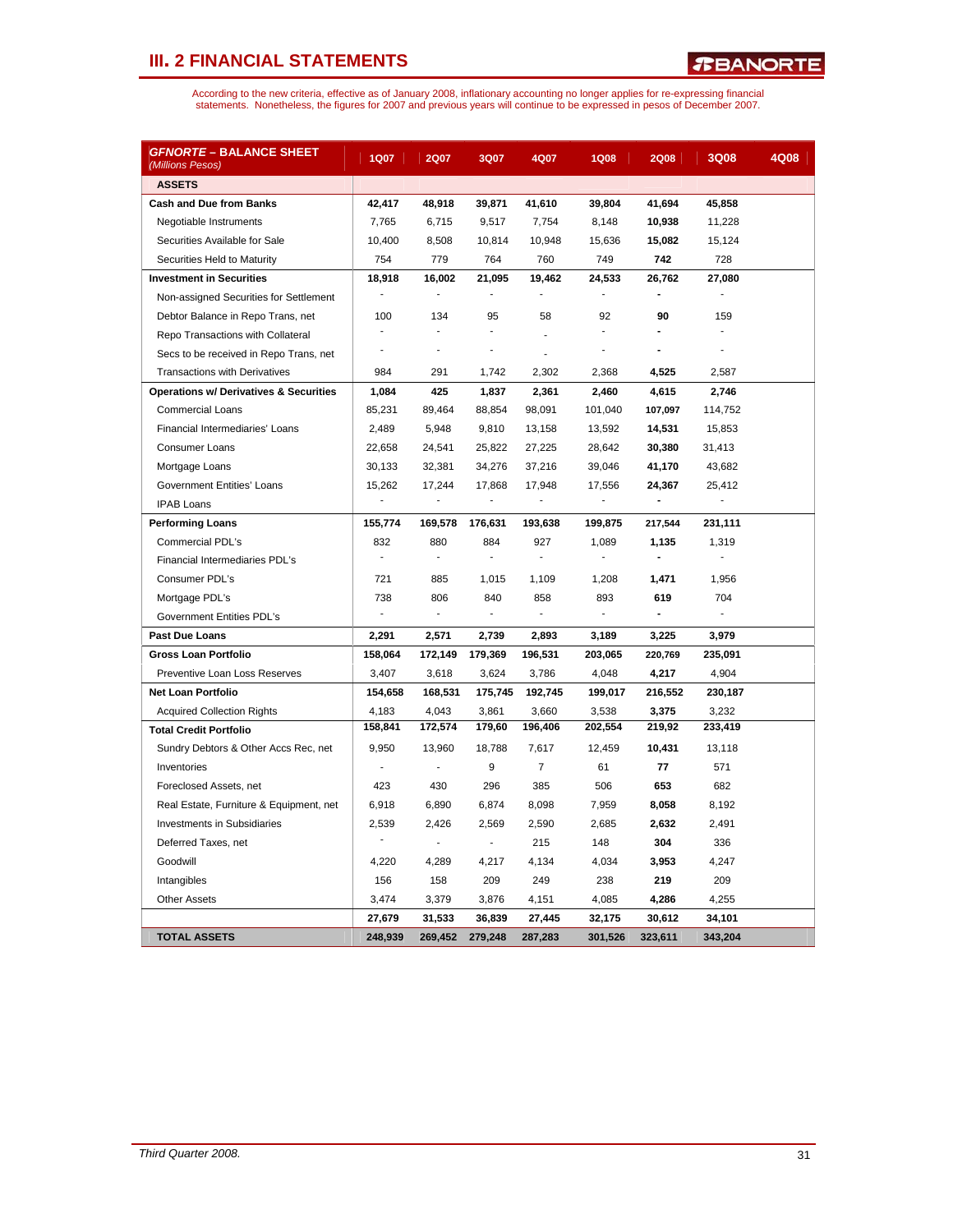| <i>GFNORTE</i> – BALANCE SHEET<br>(Millions Pesos) | 1Q07           | <b>2Q07</b>              | 3Q07                     | 4Q07                         | <b>1Q08</b> | <b>2Q08</b>    | 3Q08    | 4Q08 |
|----------------------------------------------------|----------------|--------------------------|--------------------------|------------------------------|-------------|----------------|---------|------|
| <b>ASSETS</b>                                      |                |                          |                          |                              |             |                |         |      |
| <b>Cash and Due from Banks</b>                     | 42,417         | 48,918                   | 39,871                   | 41,610                       | 39,804      | 41,694         | 45,858  |      |
| Negotiable Instruments                             | 7,765          | 6,715                    | 9,517                    | 7,754                        | 8,148       | 10,938         | 11,228  |      |
| Securities Available for Sale                      | 10.400         | 8,508                    | 10,814                   | 10,948                       | 15,636      | 15,082         | 15,124  |      |
| Securities Held to Maturity                        | 754            | 779                      | 764                      | 760                          | 749         | 742            | 728     |      |
| <b>Investment in Securities</b>                    | 18,918         | 16,002                   | 21,095                   | 19,462                       | 24,533      | 26,762         | 27,080  |      |
| Non-assigned Securities for Settlement             |                | $\blacksquare$           | ä,                       | $\overline{a}$               | ÷,          | $\blacksquare$ | ÷,      |      |
| Debtor Balance in Repo Trans, net                  | 100            | 134                      | 95                       | 58                           | 92          | 90             | 159     |      |
| Repo Transactions with Collateral                  | $\mathbf{r}$   | ÷,                       | ÷,                       |                              | L,          | ۳              | ÷       |      |
| Secs to be received in Repo Trans, net             |                |                          | ÷,                       |                              |             |                |         |      |
| <b>Transactions with Derivatives</b>               | 984            | 291                      | 1,742                    | 2,302                        | 2,368       | 4,525          | 2,587   |      |
| <b>Operations w/ Derivatives &amp; Securities</b>  | 1,084          | 425                      | 1,837                    | 2,361                        | 2,460       | 4,615          | 2,746   |      |
| <b>Commercial Loans</b>                            | 85,231         | 89,464                   | 88,854                   | 98,091                       | 101,040     | 107,097        | 114,752 |      |
| Financial Intermediaries' Loans                    | 2,489          | 5,948                    | 9,810                    | 13,158                       | 13,592      | 14,531         | 15,853  |      |
| Consumer Loans                                     | 22,658         | 24,541                   | 25,822                   | 27,225                       | 28,642      | 30,380         | 31,413  |      |
| Mortgage Loans                                     | 30,133         | 32,381                   | 34,276                   | 37,216                       | 39,046      | 41,170         | 43,682  |      |
| <b>Government Entities' Loans</b>                  | 15,262         | 17,244                   | 17,868                   | 17,948                       | 17,556      | 24,367         | 25,412  |      |
| <b>IPAB Loans</b>                                  |                | ÷,                       | ÷,                       | $\qquad \qquad \blacksquare$ |             | $\blacksquare$ | ÷,      |      |
| <b>Performing Loans</b>                            | 155,774        | 169,578                  | 176,631                  | 193,638                      | 199,875     | 217,544        | 231,111 |      |
| <b>Commercial PDL's</b>                            | 832            | 880                      | 884                      | 927                          | 1,089       | 1,135          | 1,319   |      |
| Financial Intermediaries PDL's                     | ٠              | $\blacksquare$           | ٠                        | ٠                            |             |                |         |      |
| Consumer PDL's                                     | 721            | 885                      | 1,015                    | 1,109                        | 1,208       | 1,471          | 1,956   |      |
| Mortgage PDL's                                     | 738            | 806                      | 840                      | 858                          | 893         | 619            | 704     |      |
| Government Entities PDL's                          | $\blacksquare$ | $\overline{\phantom{a}}$ | $\overline{\phantom{a}}$ | $\blacksquare$               | ÷           | $\blacksquare$ |         |      |
| Past Due Loans                                     | 2,291          | 2,571                    | 2,739                    | 2,893                        | 3,189       | 3,225          | 3,979   |      |
| <b>Gross Loan Portfolio</b>                        | 158,064        | 172,149                  | 179,369                  | 196,531                      | 203,065     | 220,769        | 235,091 |      |
| Preventive Loan Loss Reserves                      | 3,407          | 3,618                    | 3,624                    | 3,786                        | 4,048       | 4,217          | 4,904   |      |
| <b>Net Loan Portfolio</b>                          | 154,658        | 168,531                  | 175,745                  | 192,745                      | 199,017     | 216,552        | 230,187 |      |
| <b>Acquired Collection Rights</b>                  | 4,183          | 4,043                    | 3,861                    | 3,660                        | 3,538       | 3,375          | 3,232   |      |
| <b>Total Credit Portfolio</b>                      | 158,841        | 172,574                  | 179,60                   | 196,406                      | 202,554     | 219,92         | 233,419 |      |
| Sundry Debtors & Other Accs Rec, net               | 9,950          | 13,960                   | 18,788                   | 7,617                        | 12,459      | 10,431         | 13,118  |      |
| Inventories                                        | ÷,             | ÷,                       | 9                        | $\overline{7}$               | 61          | 77             | 571     |      |
| Foreclosed Assets, net                             | 423            | 430                      | 296                      | 385                          | 506         | 653            | 682     |      |
| Real Estate, Furniture & Equipment, net            | 6,918          | 6,890                    | 6,874                    | 8,098                        | 7,959       | 8,058          | 8,192   |      |
| <b>Investments in Subsidiaries</b>                 | 2,539          | 2,426                    | 2.569                    | 2,590                        | 2,685       | 2,632          | 2,491   |      |
| Deferred Taxes, net                                |                | $\blacksquare$           | $\blacksquare$           | 215                          | 148         | 304            | 336     |      |
| Goodwill                                           | 4,220          | 4,289                    | 4,217                    | 4,134                        | 4,034       | 3,953          | 4,247   |      |
| Intangibles                                        | 156            | 158                      | 209                      | 249                          | 238         | 219            | 209     |      |
| <b>Other Assets</b>                                | 3,474          | 3,379                    | 3,876                    | 4,151                        | 4,085       | 4,286          | 4,255   |      |
|                                                    | 27,679         | 31,533                   | 36,839                   | 27,445                       | 32,175      | 30,612         | 34,101  |      |
| <b>TOTAL ASSETS</b>                                | 248,939        | 269,452                  | 279,248                  | 287,283                      | 301,526     | 323,611        | 343,204 |      |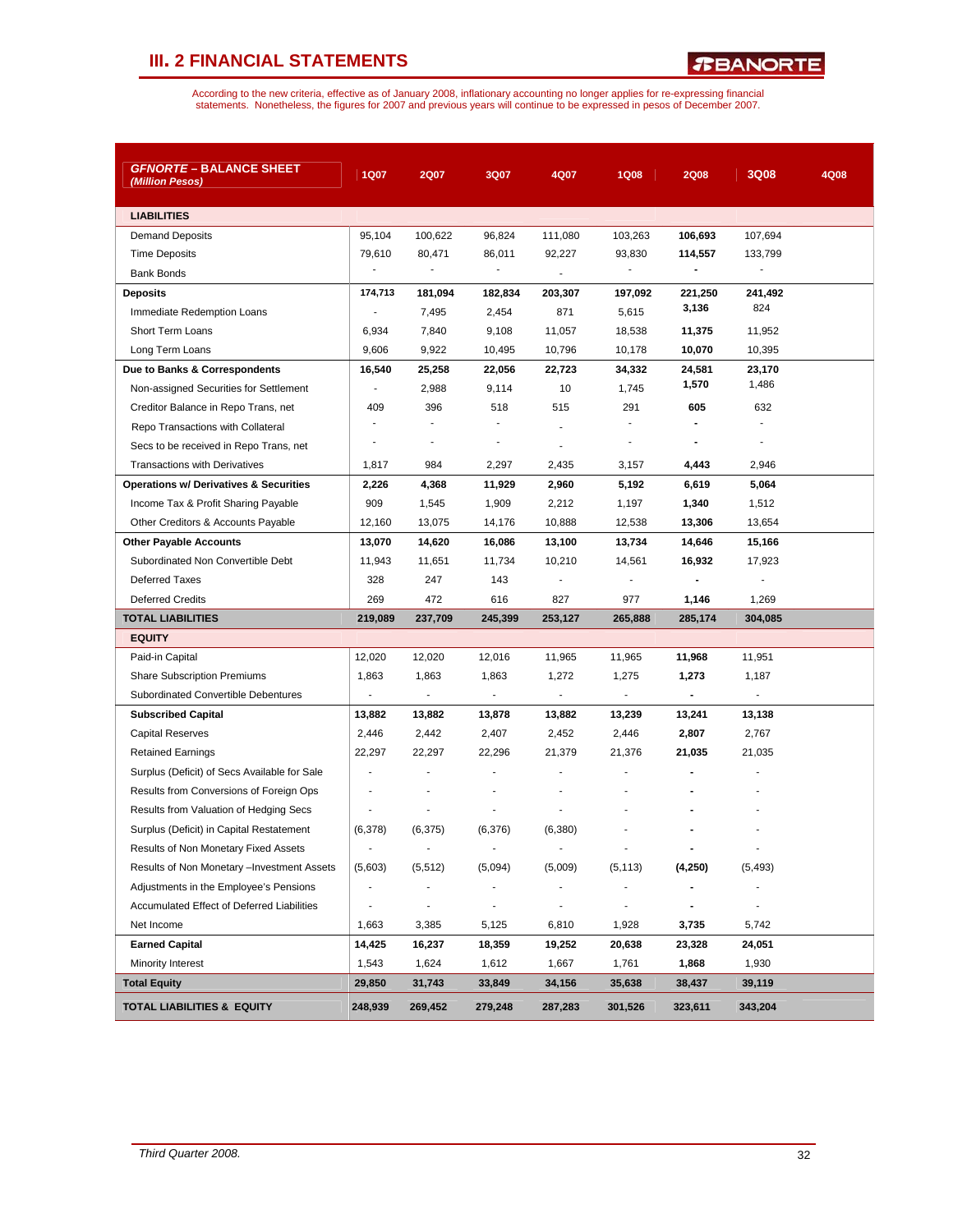*R***BANORTE** 

| <i><b>GFNORTE – BALANCE SHEET</b></i><br>(Million Pesos) | 1Q07                     | <b>2Q07</b>              | 3Q07                         | 4Q07                     | <b>1Q08</b>    | <b>2Q08</b>              | 3Q08                     | 4Q08 |
|----------------------------------------------------------|--------------------------|--------------------------|------------------------------|--------------------------|----------------|--------------------------|--------------------------|------|
| <b>LIABILITIES</b>                                       |                          |                          |                              |                          |                |                          |                          |      |
| <b>Demand Deposits</b>                                   | 95,104                   | 100,622                  | 96,824                       | 111,080                  | 103,263        | 106,693                  | 107,694                  |      |
| <b>Time Deposits</b>                                     | 79,610                   | 80,471                   | 86,011                       | 92,227                   | 93,830         | 114,557                  | 133,799                  |      |
| <b>Bank Bonds</b>                                        |                          |                          |                              | ÷,                       |                |                          |                          |      |
| <b>Deposits</b>                                          | 174,713                  | 181,094                  | 182,834                      | 203,307                  | 197,092        | 221,250                  | 241,492                  |      |
| Immediate Redemption Loans                               |                          | 7,495                    | 2,454                        | 871                      | 5,615          | 3,136                    | 824                      |      |
| Short Term Loans                                         | 6,934                    | 7,840                    | 9,108                        | 11,057                   | 18,538         | 11,375                   | 11,952                   |      |
| Long Term Loans                                          | 9,606                    | 9,922                    | 10,495                       | 10,796                   | 10,178         | 10,070                   | 10,395                   |      |
| Due to Banks & Correspondents                            | 16,540                   | 25,258                   | 22,056                       | 22,723                   | 34,332         | 24,581                   | 23.170                   |      |
| Non-assigned Securities for Settlement                   |                          | 2,988                    | 9,114                        | 10                       | 1,745          | 1,570                    | 1,486                    |      |
| Creditor Balance in Repo Trans, net                      | 409                      | 396                      | 518                          | 515                      | 291            | 605                      | 632                      |      |
| Repo Transactions with Collateral                        |                          |                          |                              | ٠                        |                | $\blacksquare$           |                          |      |
| Secs to be received in Repo Trans, net                   |                          | $\overline{\phantom{m}}$ |                              | ÷.                       | -              | $\blacksquare$           |                          |      |
| <b>Transactions with Derivatives</b>                     | 1,817                    | 984                      | 2,297                        | 2,435                    | 3,157          | 4,443                    | 2,946                    |      |
| <b>Operations w/ Derivatives &amp; Securities</b>        | 2,226                    | 4,368                    | 11,929                       | 2,960                    | 5,192          | 6,619                    | 5,064                    |      |
| Income Tax & Profit Sharing Payable                      | 909                      | 1,545                    | 1,909                        | 2,212                    | 1,197          | 1,340                    | 1,512                    |      |
| Other Creditors & Accounts Payable                       | 12,160                   | 13,075                   | 14,176                       | 10,888                   | 12,538         | 13,306                   | 13,654                   |      |
| <b>Other Payable Accounts</b>                            | 13,070                   | 14,620                   | 16,086                       | 13,100                   | 13,734         | 14,646                   | 15,166                   |      |
| Subordinated Non Convertible Debt                        | 11,943                   | 11,651                   | 11,734                       | 10,210                   | 14,561         | 16,932                   | 17,923                   |      |
| <b>Deferred Taxes</b>                                    | 328                      | 247                      | 143                          | $\overline{a}$           | $\blacksquare$ |                          |                          |      |
| <b>Deferred Credits</b>                                  | 269                      | 472                      | 616                          | 827                      | 977            | 1,146                    | 1,269                    |      |
| <b>TOTAL LIABILITIES</b>                                 | 219,089                  | 237,709                  | 245,399                      | 253,127                  | 265,888        | 285,174                  | 304,085                  |      |
| <b>EQUITY</b>                                            |                          |                          |                              |                          |                |                          |                          |      |
| Paid-in Capital                                          | 12,020                   | 12,020                   | 12,016                       | 11,965                   | 11,965         | 11,968                   | 11,951                   |      |
| <b>Share Subscription Premiums</b>                       | 1,863                    | 1,863                    | 1,863                        | 1,272                    | 1,275          | 1,273                    | 1,187                    |      |
| Subordinated Convertible Debentures                      | $\Box$                   | $\overline{\phantom{a}}$ | $\blacksquare$               | $\overline{\phantom{a}}$ | $\blacksquare$ | $\blacksquare$           | $\overline{\phantom{a}}$ |      |
| <b>Subscribed Capital</b>                                | 13,882                   | 13,882                   | 13,878                       | 13,882                   | 13,239         | 13,241                   | 13,138                   |      |
| <b>Capital Reserves</b>                                  | 2,446                    | 2,442                    | 2,407                        | 2,452                    | 2,446          | 2,807                    | 2,767                    |      |
| <b>Retained Earnings</b>                                 | 22,297                   | 22,297                   | 22,296                       | 21,379                   | 21,376         | 21,035                   | 21,035                   |      |
| Surplus (Deficit) of Secs Available for Sale             | ä,                       | ä,                       | ä,                           |                          |                |                          |                          |      |
| Results from Conversions of Foreign Ops                  | ٠                        |                          |                              |                          |                |                          |                          |      |
| Results from Valuation of Hedging Secs                   |                          |                          |                              |                          |                |                          |                          |      |
| Surplus (Deficit) in Capital Restatement                 | (6,378)                  | (6, 375)                 | (6,376)                      | (6,380)                  |                |                          |                          |      |
| Results of Non Monetary Fixed Assets                     | $\overline{\phantom{a}}$ |                          |                              |                          |                |                          |                          |      |
| Results of Non Monetary - Investment Assets              | (5,603)                  | (5, 512)                 | (5,094)                      | (5,009)                  | (5, 113)       | (4,250)                  | (5, 493)                 |      |
| Adjustments in the Employee's Pensions                   | $\overline{\phantom{a}}$ |                          |                              |                          |                |                          |                          |      |
| Accumulated Effect of Deferred Liabilities               |                          | $\overline{\phantom{m}}$ | $\qquad \qquad \blacksquare$ |                          |                | $\overline{\phantom{a}}$ | -                        |      |
| Net Income                                               | 1,663                    | 3,385                    | 5,125                        | 6,810                    | 1,928          | 3,735                    | 5,742                    |      |
| <b>Earned Capital</b>                                    | 14,425                   | 16,237                   | 18,359                       | 19,252                   | 20,638         | 23,328                   | 24,051                   |      |
| Minority Interest                                        | 1,543                    | 1,624                    | 1,612                        | 1,667                    | 1,761          | 1,868                    | 1,930                    |      |
| <b>Total Equity</b>                                      | 29,850                   | 31,743                   | 33,849                       | 34,156                   | 35,638         | 38,437                   | 39,119                   |      |
| <b>TOTAL LIABILITIES &amp; EQUITY</b>                    | 248,939                  | 269,452                  | 279,248                      | 287,283                  | 301,526        | 323,611                  | 343,204                  |      |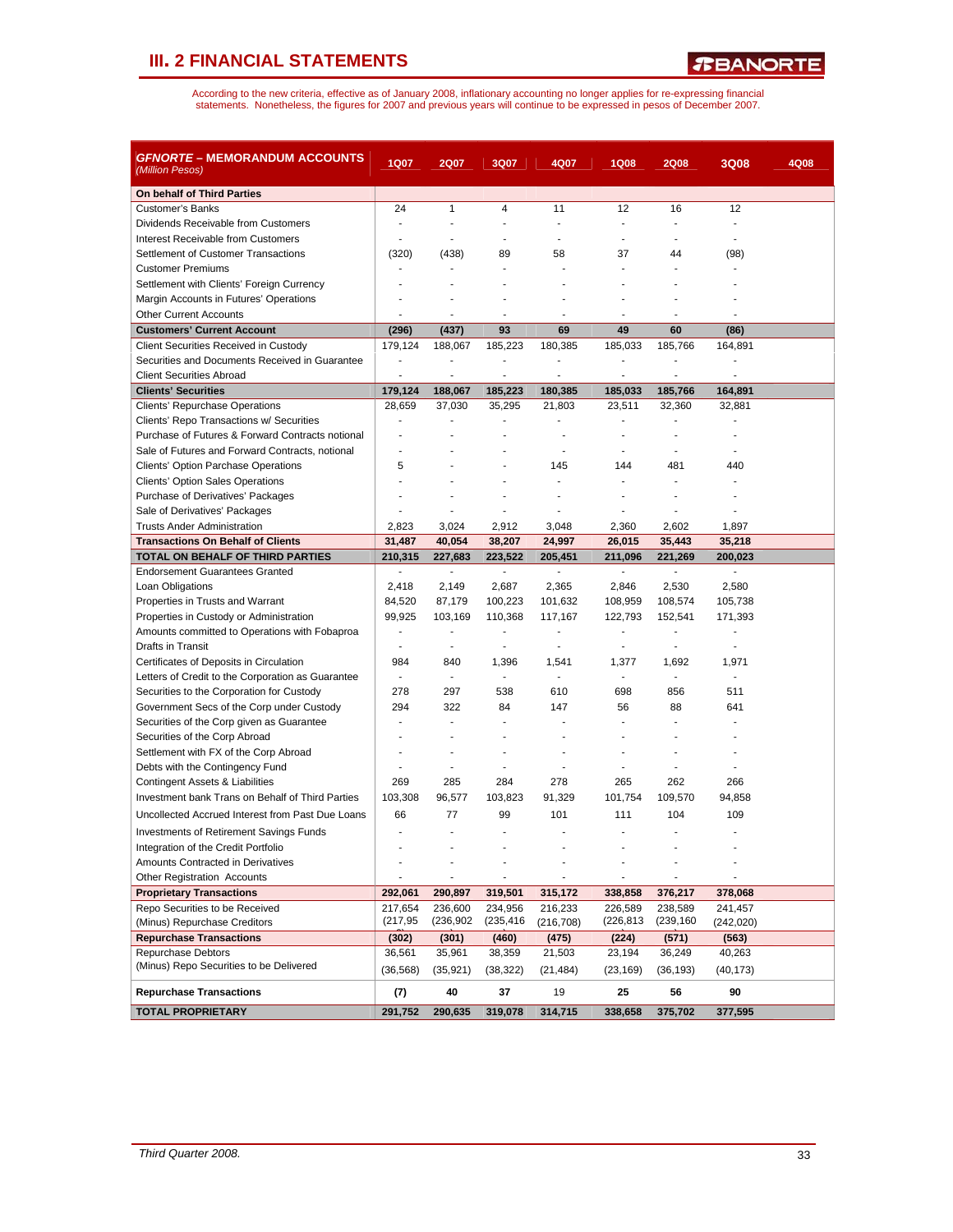| <i>GFNORTE</i> – MEMORANDUM ACCOUNTS<br>(Million Pesos)                      | <b>1Q07</b>              | <b>2Q07</b>       | 3Q07                     | 4Q07                     | <b>1Q08</b>       | <b>2Q08</b>       | 3Q08                     | 4Q08 |
|------------------------------------------------------------------------------|--------------------------|-------------------|--------------------------|--------------------------|-------------------|-------------------|--------------------------|------|
| On behalf of Third Parties                                                   |                          |                   |                          |                          |                   |                   |                          |      |
| <b>Customer's Banks</b>                                                      | 24                       | $\mathbf{1}$      | 4                        | 11                       | 12                | 16                | 12                       |      |
| Dividends Receivable from Customers                                          | $\blacksquare$           |                   | ٠                        | $\blacksquare$           | $\blacksquare$    | ٠                 | $\blacksquare$           |      |
| Interest Receivable from Customers                                           | $\overline{a}$           |                   |                          | ÷                        | $\overline{a}$    | ÷                 |                          |      |
| Settlement of Customer Transactions                                          | (320)                    | (438)             | 89                       | 58                       | 37                | 44                | (98)                     |      |
| <b>Customer Premiums</b>                                                     | $\overline{a}$           |                   | ÷.                       |                          |                   |                   |                          |      |
| Settlement with Clients' Foreign Currency                                    |                          |                   |                          |                          |                   |                   |                          |      |
| Margin Accounts in Futures' Operations                                       |                          |                   |                          |                          |                   |                   |                          |      |
| <b>Other Current Accounts</b>                                                |                          | $\overline{a}$    | Ĭ.                       | ä,                       | J.                | ä,                |                          |      |
| <b>Customers' Current Account</b>                                            | (296)                    | (437)             | 93                       | 69                       | 49                | 60                | (86)                     |      |
| Client Securities Received in Custody                                        | 179,124                  | 188,067           | 185,223                  | 180,385                  | 185,033           | 185,766           | 164,891                  |      |
| Securities and Documents Received in Guarantee                               | ÷,                       |                   |                          | Ĭ.                       | $\overline{a}$    |                   |                          |      |
| <b>Client Securities Abroad</b>                                              | ä,                       | ÷,                | ä,                       | ä,                       | $\blacksquare$    | ä,                | $\blacksquare$           |      |
| <b>Clients' Securities</b>                                                   | 179,124                  | 188,067           | 185,223                  | 180,385                  | 185,033           | 185,766           | 164,891                  |      |
| Clients' Repurchase Operations                                               | 28,659                   | 37,030            | 35,295                   | 21,803                   | 23,511            | 32,360            | 32,881                   |      |
| Clients' Repo Transactions w/ Securities                                     | ÷.                       |                   | ä,                       | ÷                        | ä,                | ٠                 |                          |      |
| Purchase of Futures & Forward Contracts notional                             |                          |                   |                          | Ĭ.                       |                   |                   |                          |      |
| Sale of Futures and Forward Contracts, notional                              |                          |                   |                          | $\overline{\phantom{a}}$ | ÷,                | ÷                 |                          |      |
| <b>Clients' Option Parchase Operations</b>                                   | 5                        |                   |                          | 145                      | 144               | 481               | 440                      |      |
| <b>Clients' Option Sales Operations</b>                                      |                          |                   | ÷.                       | $\overline{a}$           | ÷.                | $\overline{a}$    | $\overline{a}$           |      |
| Purchase of Derivatives' Packages                                            |                          |                   |                          |                          |                   |                   |                          |      |
| Sale of Derivatives' Packages                                                |                          |                   |                          |                          | ÷                 |                   |                          |      |
| <b>Trusts Ander Administration</b>                                           | 2,823                    | 3,024             | 2,912                    | 3,048                    | 2,360             | 2,602             | 1,897                    |      |
| <b>Transactions On Behalf of Clients</b><br>TOTAL ON BEHALF OF THIRD PARTIES | 31,487<br>210,315        | 40,054<br>227,683 | 38.207<br>223,522        | 24,997<br>205,451        | 26,015<br>211,096 | 35,443<br>221,269 | 35,218<br>200,023        |      |
| <b>Endorsement Guarantees Granted</b>                                        | $\overline{\phantom{a}}$ | $\blacksquare$    | $\overline{\phantom{a}}$ | $\overline{\phantom{a}}$ | $\overline{a}$    | ÷,                | $\overline{\phantom{a}}$ |      |
| Loan Obligations                                                             | 2,418                    | 2,149             | 2,687                    | 2,365                    | 2,846             | 2,530             | 2,580                    |      |
| Properties in Trusts and Warrant                                             | 84,520                   | 87,179            | 100,223                  | 101,632                  | 108,959           | 108,574           | 105,738                  |      |
| Properties in Custody or Administration                                      | 99,925                   | 103,169           | 110,368                  | 117,167                  | 122,793           | 152,541           | 171,393                  |      |
| Amounts committed to Operations with Fobaproa                                | ä,                       | ä,                | Ĭ.                       | ä,                       | ä,                | ä,                | $\overline{\phantom{a}}$ |      |
| Drafts in Transit                                                            | $\overline{a}$           | ٠                 |                          | $\overline{\phantom{a}}$ | ÷,                | $\overline{a}$    |                          |      |
| Certificates of Deposits in Circulation                                      | 984                      | 840               | 1,396                    | 1,541                    | 1,377             | 1,692             | 1,971                    |      |
| Letters of Credit to the Corporation as Guarantee                            | $\overline{\phantom{a}}$ | ÷.                | ÷                        | $\sim$                   | ä,                | ÷.                | $\overline{a}$           |      |
| Securities to the Corporation for Custody                                    | 278                      | 297               | 538                      | 610                      | 698               | 856               | 511                      |      |
| Government Secs of the Corp under Custody                                    | 294                      | 322               | 84                       | 147                      | 56                | 88                | 641                      |      |
| Securities of the Corp given as Guarantee                                    | ÷,                       | ÷,                | ÷                        |                          |                   |                   |                          |      |
| Securities of the Corp Abroad                                                |                          |                   |                          |                          |                   |                   |                          |      |
| Settlement with FX of the Corp Abroad                                        |                          |                   |                          |                          |                   |                   |                          |      |
| Debts with the Contingency Fund                                              | $\blacksquare$           |                   | ÷                        |                          | ä,                | $\overline{a}$    |                          |      |
| Contingent Assets & Liabilities                                              | 269                      | 285               | 284                      | 278                      | 265               | 262               | 266                      |      |
| Investment bank Trans on Behalf of Third Parties                             | 103,308                  | 96,577            | 103,823                  | 91,329                   | 101,754           | 109,570           | 94,858                   |      |
| Uncollected Accrued Interest from Past Due Loans                             | 66                       | 77                | 99                       | 101                      | 111               | 104               | 109                      |      |
| <b>Investments of Retirement Savings Funds</b>                               |                          |                   |                          |                          |                   |                   |                          |      |
| Integration of the Credit Portfolio                                          |                          |                   |                          |                          |                   |                   |                          |      |
| Amounts Contracted in Derivatives                                            |                          |                   |                          |                          |                   |                   |                          |      |
| <b>Other Registration Accounts</b>                                           |                          | $\overline{a}$    |                          | ٠                        | $\frac{1}{2}$     |                   | $\blacksquare$           |      |
| <b>Proprietary Transactions</b>                                              | 292,061                  | 290,897           | 319,501                  | 315,172                  | 338,858           | 376,217           | 378,068                  |      |
| Repo Securities to be Received                                               | 217,654                  | 236,600           | 234,956                  | 216,233                  | 226,589           | 238,589           | 241,457                  |      |
| (Minus) Repurchase Creditors                                                 | (217, 95)                | (236, 902)        | (235,416                 | (216, 708)               | (226,813          | (239, 160)        | (242, 020)               |      |
| <b>Repurchase Transactions</b>                                               | (302)                    | (301)             | (460)                    | (475)                    | (224)             | (571)             | (563)                    |      |
| Repurchase Debtors                                                           | 36,561                   | 35,961            | 38,359                   | 21,503                   | 23,194            | 36,249            | 40,263                   |      |
| (Minus) Repo Securities to be Delivered                                      | (36, 568)                | (35, 921)         | (38, 322)                | (21, 484)                | (23, 169)         | (36, 193)         | (40, 173)                |      |
| <b>Repurchase Transactions</b>                                               | (7)                      | 40                | 37                       | 19                       | 25                | 56                | 90                       |      |
| <b>TOTAL PROPRIETARY</b>                                                     | 291,752                  | 290,635           | 319,078                  | 314,715                  | 338,658           | 375,702           | 377,595                  |      |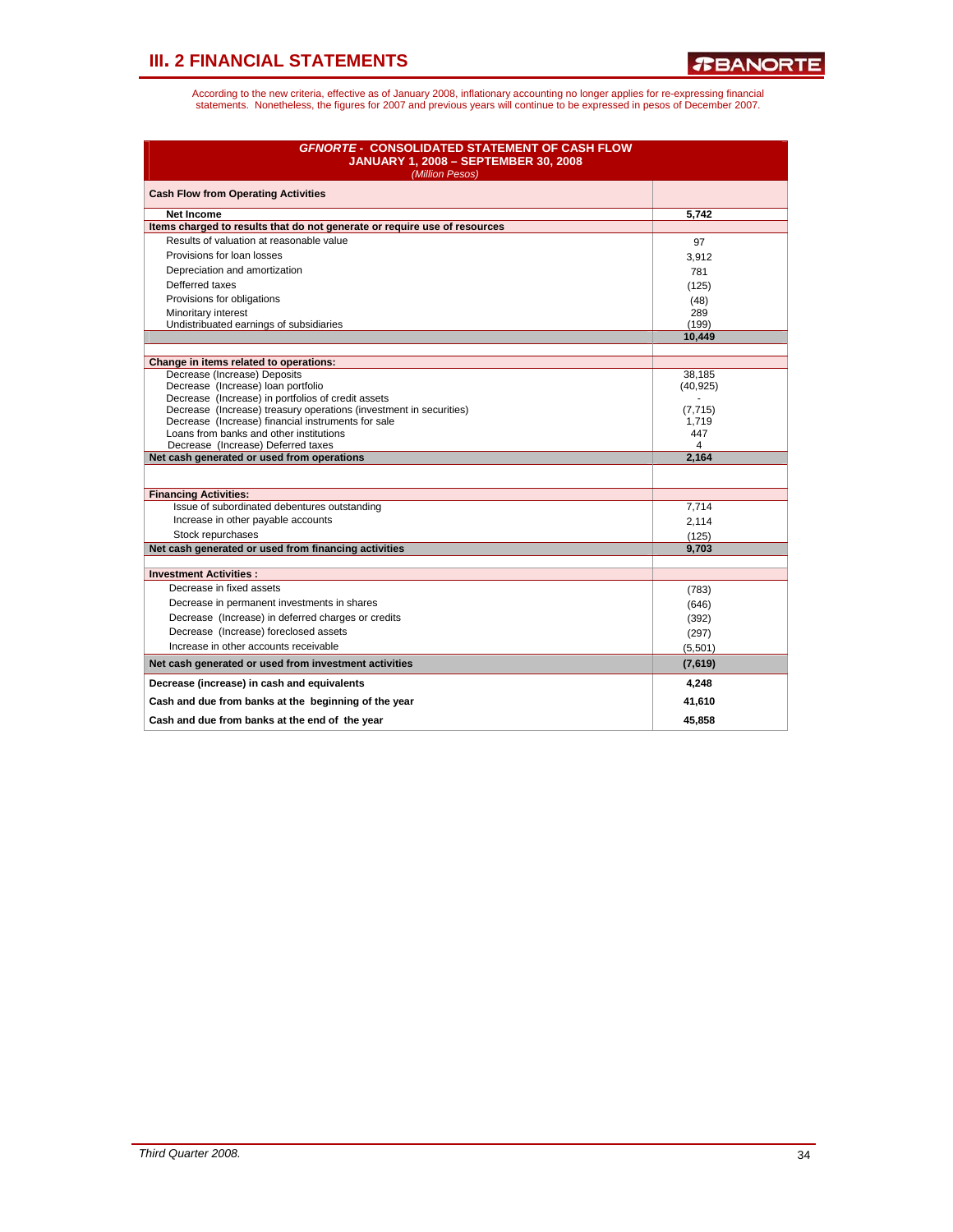| <b>GFNORTE - CONSOLIDATED STATEMENT OF CASH FLOW</b><br><b>JANUARY 1, 2008 - SEPTEMBER 30, 2008</b><br>(Million Pesos) |           |
|------------------------------------------------------------------------------------------------------------------------|-----------|
| <b>Cash Flow from Operating Activities</b>                                                                             |           |
| <b>Net Income</b>                                                                                                      | 5.742     |
| Items charged to results that do not generate or require use of resources                                              |           |
| Results of valuation at reasonable value                                                                               | 97        |
| Provisions for loan losses                                                                                             | 3,912     |
| Depreciation and amortization                                                                                          | 781       |
| Defferred taxes                                                                                                        | (125)     |
| Provisions for obligations                                                                                             | (48)      |
| Minoritary interest                                                                                                    | 289       |
| Undistribuated earnings of subsidiaries                                                                                | (199)     |
|                                                                                                                        | 10,449    |
|                                                                                                                        |           |
| Change in items related to operations:<br>Decrease (Increase) Deposits                                                 | 38,185    |
| Decrease (Increase) loan portfolio                                                                                     | (40, 925) |
| Decrease (Increase) in portfolios of credit assets                                                                     |           |
| Decrease (Increase) treasury operations (investment in securities)                                                     | (7, 715)  |
| Decrease (Increase) financial instruments for sale                                                                     | 1,719     |
| Loans from banks and other institutions                                                                                | 447       |
| Decrease (Increase) Deferred taxes                                                                                     | 4         |
| Net cash generated or used from operations                                                                             | 2.164     |
|                                                                                                                        |           |
| <b>Financing Activities:</b>                                                                                           |           |
| Issue of subordinated debentures outstanding                                                                           | 7,714     |
| Increase in other payable accounts                                                                                     | 2,114     |
| Stock repurchases                                                                                                      | (125)     |
| Net cash generated or used from financing activities                                                                   | 9,703     |
| <b>Investment Activities:</b>                                                                                          |           |
| Decrease in fixed assets                                                                                               | (783)     |
| Decrease in permanent investments in shares                                                                            | (646)     |
| Decrease (Increase) in deferred charges or credits                                                                     | (392)     |
| Decrease (Increase) foreclosed assets                                                                                  |           |
| Increase in other accounts receivable                                                                                  | (297)     |
|                                                                                                                        | (5,501)   |
| Net cash generated or used from investment activities                                                                  | (7,619)   |
| Decrease (increase) in cash and equivalents                                                                            | 4,248     |
| Cash and due from banks at the beginning of the year                                                                   | 41,610    |
| Cash and due from banks at the end of the year                                                                         | 45.858    |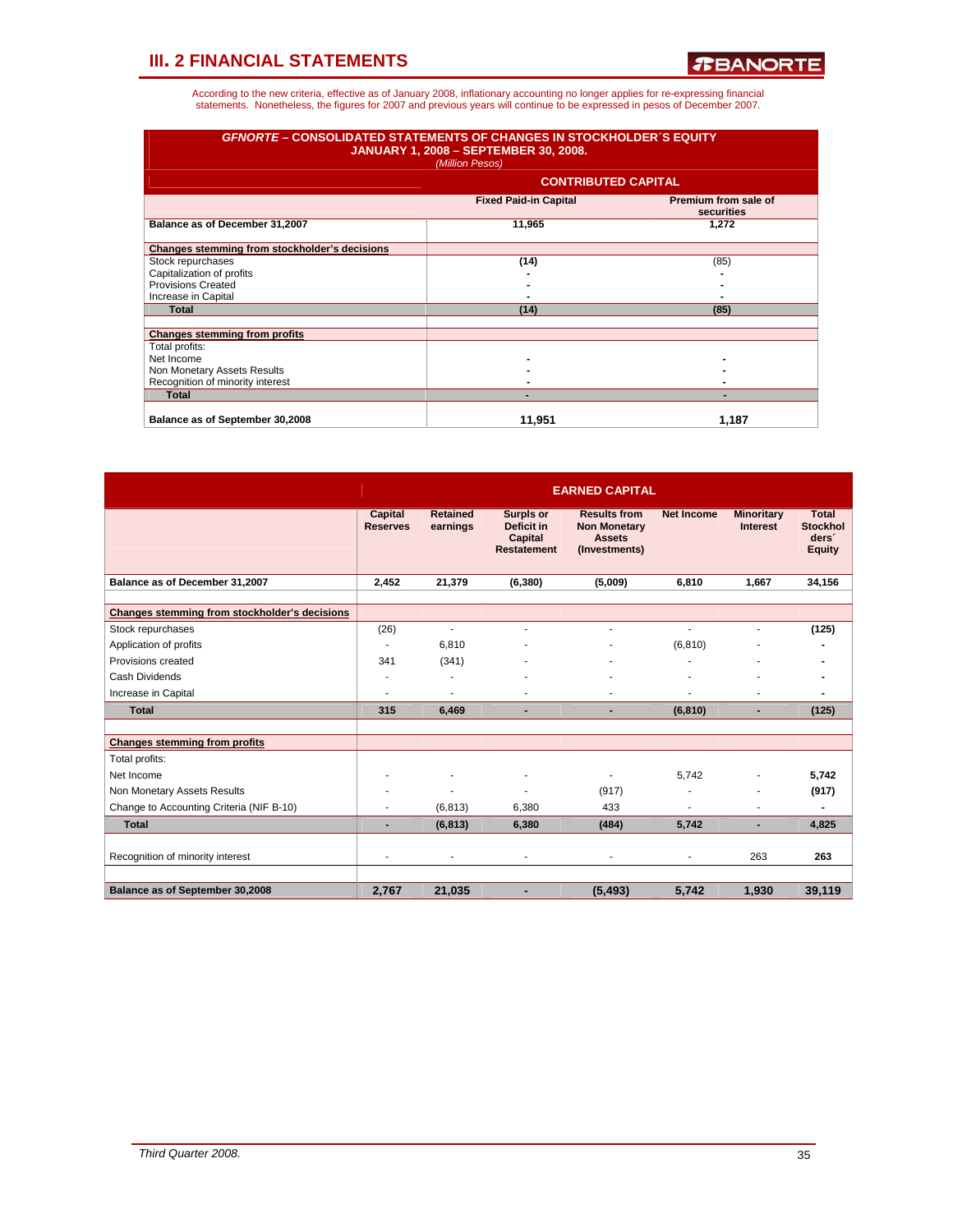| <b>GFNORTE – CONSOLIDATED STATEMENTS OF CHANGES IN STOCKHOLDER S EQUITY</b> | <b>JANUARY 1, 2008 - SEPTEMBER 30, 2008.</b><br>(Million Pesos) |                                    |
|-----------------------------------------------------------------------------|-----------------------------------------------------------------|------------------------------------|
|                                                                             | <b>CONTRIBUTED CAPITAL</b>                                      |                                    |
|                                                                             | <b>Fixed Paid-in Capital</b>                                    | Premium from sale of<br>securities |
| Balance as of December 31,2007                                              | 11,965                                                          | 1.272                              |
| Changes stemming from stockholder's decisions                               |                                                                 |                                    |
| Stock repurchases                                                           | (14)                                                            | (85)                               |
| Capitalization of profits                                                   |                                                                 |                                    |
| <b>Provisions Created</b>                                                   |                                                                 |                                    |
| Increase in Capital                                                         |                                                                 |                                    |
| <b>Total</b>                                                                | (14)                                                            | (85)                               |
| <b>Changes stemming from profits</b>                                        |                                                                 |                                    |
| Total profits:                                                              |                                                                 |                                    |
| Net Income                                                                  |                                                                 |                                    |
| Non Monetary Assets Results                                                 |                                                                 |                                    |
| Recognition of minority interest                                            |                                                                 |                                    |
| <b>Total</b>                                                                |                                                                 |                                    |
| Balance as of September 30,2008                                             | 11,951                                                          | 1,187                              |

|                                               | <b>EARNED CAPITAL</b>      |                             |                                                                        |                                                                              |                   |                                      |                                                                       |  |  |  |
|-----------------------------------------------|----------------------------|-----------------------------|------------------------------------------------------------------------|------------------------------------------------------------------------------|-------------------|--------------------------------------|-----------------------------------------------------------------------|--|--|--|
|                                               | Capital<br><b>Reserves</b> | <b>Retained</b><br>earnings | <b>Surpls or</b><br>Deficit in<br><b>Capital</b><br><b>Restatement</b> | <b>Results from</b><br><b>Non Monetary</b><br><b>Assets</b><br>(Investments) | <b>Net Income</b> | <b>Minoritary</b><br><b>Interest</b> | <b>Total</b><br><b>Stockhol</b><br>ders <sup>®</sup><br><b>Equity</b> |  |  |  |
| Balance as of December 31,2007                | 2,452                      | 21,379                      | (6, 380)                                                               | (5,009)                                                                      | 6,810             | 1.667                                | 34,156                                                                |  |  |  |
|                                               |                            |                             |                                                                        |                                                                              |                   |                                      |                                                                       |  |  |  |
| Changes stemming from stockholder's decisions |                            |                             |                                                                        |                                                                              |                   |                                      |                                                                       |  |  |  |
| Stock repurchases                             | (26)                       | ÷                           | ۰                                                                      | ٠                                                                            |                   | ٠                                    | (125)                                                                 |  |  |  |
| Application of profits                        | ä,                         | 6,810                       |                                                                        |                                                                              | (6, 810)          |                                      |                                                                       |  |  |  |
| Provisions created                            | 341                        | (341)                       |                                                                        |                                                                              |                   |                                      |                                                                       |  |  |  |
| Cash Dividends                                | ٠                          |                             |                                                                        |                                                                              |                   |                                      |                                                                       |  |  |  |
| Increase in Capital                           | ٠                          | ۰                           |                                                                        |                                                                              |                   |                                      |                                                                       |  |  |  |
| <b>Total</b>                                  | 315                        | 6,469                       |                                                                        | ٠                                                                            | (6, 810)          | $\blacksquare$                       | (125)                                                                 |  |  |  |
|                                               |                            |                             |                                                                        |                                                                              |                   |                                      |                                                                       |  |  |  |
| <b>Changes stemming from profits</b>          |                            |                             |                                                                        |                                                                              |                   |                                      |                                                                       |  |  |  |
| Total profits:                                |                            |                             |                                                                        |                                                                              |                   |                                      |                                                                       |  |  |  |
| Net Income                                    |                            |                             | ٠                                                                      |                                                                              | 5.742             | ٠                                    | 5,742                                                                 |  |  |  |
| Non Monetary Assets Results                   |                            |                             |                                                                        | (917)                                                                        |                   |                                      | (917)                                                                 |  |  |  |
| Change to Accounting Criteria (NIF B-10)      | ä,                         | (6, 813)                    | 6,380                                                                  | 433                                                                          | ÷                 | ä,                                   |                                                                       |  |  |  |
| <b>Total</b>                                  | ٠                          | (6, 813)                    | 6,380                                                                  | (484)                                                                        | 5,742             | $\blacksquare$                       | 4,825                                                                 |  |  |  |
|                                               |                            |                             |                                                                        |                                                                              |                   |                                      |                                                                       |  |  |  |
| Recognition of minority interest              | ٠                          | ٠                           | ۰                                                                      | ٠                                                                            | ٠                 | 263                                  | 263                                                                   |  |  |  |
|                                               |                            |                             |                                                                        |                                                                              |                   |                                      |                                                                       |  |  |  |
| Balance as of September 30,2008               | 2,767                      | 21,035                      | ۰                                                                      | (5, 493)                                                                     | 5,742             | 1,930                                | 39,119                                                                |  |  |  |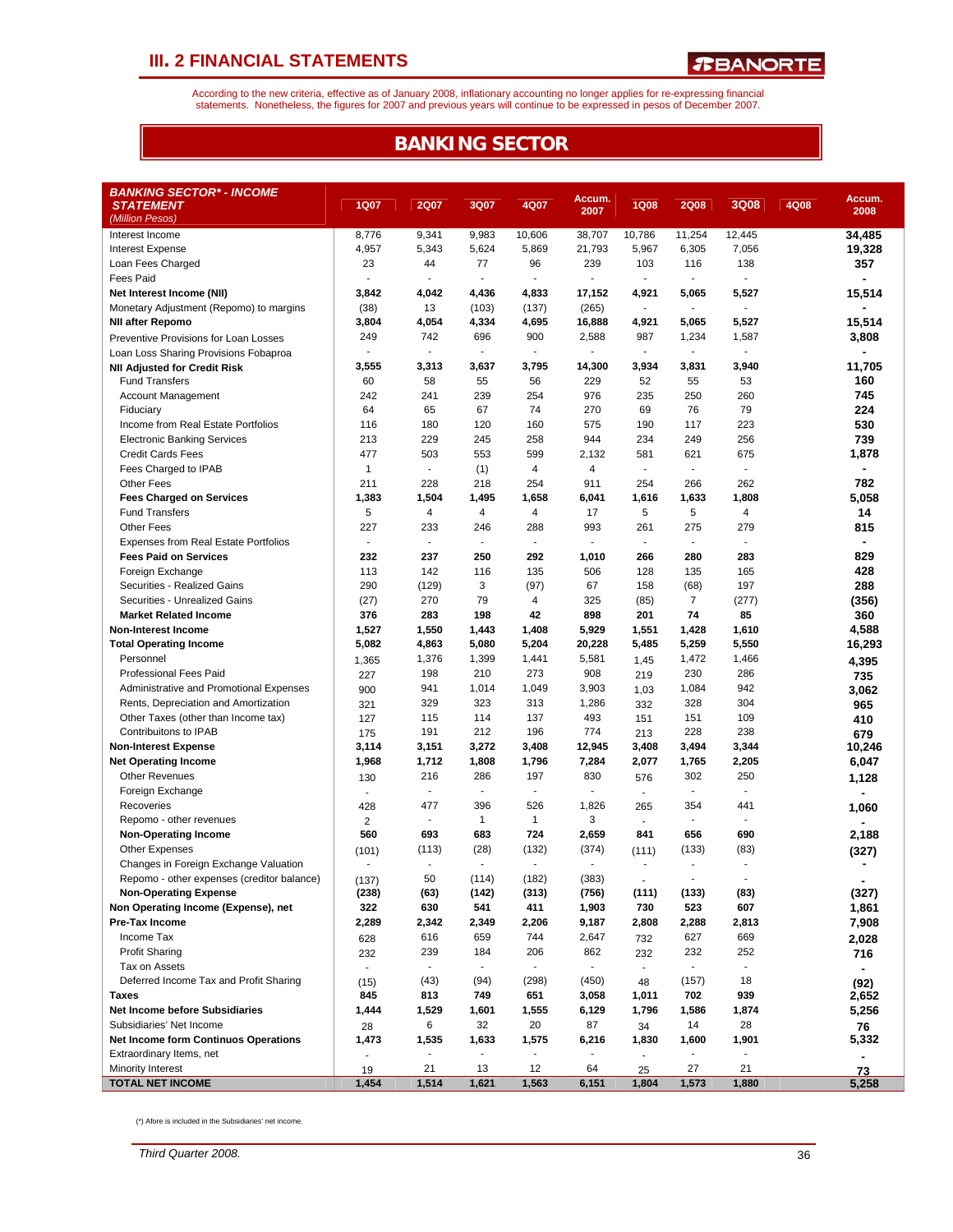According to the new criteria, effective as of January 2008, inflationary accounting no longer applies for re-expressing financial<br>statements. Nonetheless, the figures for 2007 and previous years will continue to be expres

## **BANKING SECTOR**

| <b>BANKING SECTOR* - INCOME</b>                                             |                                 |                          |                       |                                 |                |                                 |                                 |                          |      |               |
|-----------------------------------------------------------------------------|---------------------------------|--------------------------|-----------------------|---------------------------------|----------------|---------------------------------|---------------------------------|--------------------------|------|---------------|
| <b>STATEMENT</b>                                                            | <b>1Q07</b>                     | <b>2Q07</b>              | 3Q07                  | 4Q07                            | Accum.         | <b>1Q08</b>                     | <b>2Q08</b>                     | 3Q08                     | 4Q08 | Accum.        |
| (Million Pesos)                                                             |                                 |                          |                       |                                 | 2007           |                                 |                                 |                          |      | 2008          |
| Interest Income                                                             | 8,776                           | 9,341                    | 9,983                 | 10,606                          | 38,707         | 10,786                          | 11,254                          | 12,445                   |      | 34,485        |
| <b>Interest Expense</b>                                                     | 4,957                           | 5,343                    | 5,624                 | 5,869                           | 21,793         | 5,967                           | 6,305                           | 7,056                    |      | 19,328        |
| Loan Fees Charged                                                           | 23                              | 44                       | 77                    | 96                              | 239            | 103                             | 116                             | 138                      |      | 357           |
| <b>Fees Paid</b>                                                            | $\blacksquare$                  | $\blacksquare$           | $\blacksquare$        | $\blacksquare$                  |                | $\blacksquare$                  | $\blacksquare$                  | ÷.                       |      |               |
| Net Interest Income (NII)                                                   | 3,842                           | 4,042                    | 4,436                 | 4,833                           | 17,152         | 4,921                           | 5,065                           | 5,527                    |      | 15,514        |
| Monetary Adjustment (Repomo) to margins                                     | (38)                            | 13                       | (103)                 | (137)                           | (265)          | $\blacksquare$                  | $\overline{\phantom{a}}$        | ä,                       |      |               |
| <b>NII after Repomo</b>                                                     | 3,804                           | 4,054                    | 4,334                 | 4,695                           | 16,888         | 4,921                           | 5,065                           | 5,527                    |      | 15,514        |
| Preventive Provisions for Loan Losses                                       | 249                             | 742                      | 696                   | 900                             | 2,588          | 987                             | 1,234                           | 1,587                    |      | 3,808         |
| Loan Loss Sharing Provisions Fobaproa                                       |                                 |                          |                       | $\overline{a}$                  |                | $\overline{\phantom{a}}$        | $\overline{a}$                  | ÷,                       |      |               |
| <b>NII Adjusted for Credit Risk</b>                                         | 3,555                           | 3,313                    | 3,637                 | 3,795                           | 14,300         | 3,934                           | 3,831                           | 3,940                    |      | 11,705        |
| <b>Fund Transfers</b>                                                       | 60                              | 58                       | 55                    | 56                              | 229            | 52                              | 55                              | 53                       |      | 160           |
| Account Management                                                          | 242                             | 241                      | 239                   | 254                             | 976            | 235                             | 250                             | 260                      |      | 745           |
| Fiduciary                                                                   | 64                              | 65                       | 67                    | 74                              | 270            | 69                              | 76                              | 79                       |      | 224           |
| Income from Real Estate Portfolios                                          | 116                             | 180                      | 120                   | 160                             | 575            | 190                             | 117                             | 223                      |      | 530           |
| <b>Electronic Banking Services</b>                                          | 213                             | 229                      | 245                   | 258                             | 944            | 234                             | 249                             | 256                      |      | 739           |
| <b>Credit Cards Fees</b>                                                    | 477                             | 503                      | 553                   | 599                             | 2,132          | 581                             | 621                             | 675                      |      | 1,878         |
| Fees Charged to IPAB                                                        | $\mathbf{1}$                    | $\blacksquare$           | (1)                   | 4                               | 4              | $\blacksquare$                  | $\overline{\phantom{a}}$        | ÷,                       |      |               |
| Other Fees                                                                  | 211                             | 228                      | 218                   | 254                             | 911            | 254                             | 266                             | 262                      |      | 782           |
| <b>Fees Charged on Services</b>                                             | 1,383                           | 1,504                    | 1,495                 | 1,658                           | 6,041          | 1,616                           | 1,633                           | 1,808                    |      | 5,058         |
| <b>Fund Transfers</b>                                                       | 5                               | $\overline{4}$           | $\overline{4}$        | 4                               | 17             | 5                               | 5                               | 4                        |      | 14            |
| <b>Other Fees</b>                                                           | 227<br>$\overline{\phantom{a}}$ | 233<br>$\sim$            | 246<br>$\blacksquare$ | 288<br>$\overline{\phantom{a}}$ | 993            | 261<br>$\overline{\phantom{a}}$ | 275<br>$\overline{\phantom{a}}$ | 279<br>$\blacksquare$    |      | 815           |
| <b>Expenses from Real Estate Portfolios</b><br><b>Fees Paid on Services</b> | 232                             | 237                      | 250                   | 292                             | 1,010          | 266                             | 280                             | 283                      |      | 829           |
| Foreign Exchange                                                            | 113                             | 142                      | 116                   | 135                             | 506            | 128                             | 135                             | 165                      |      | 428           |
| Securities - Realized Gains                                                 | 290                             | (129)                    | 3                     | (97)                            | 67             | 158                             | (68)                            | 197                      |      | 288           |
| Securities - Unrealized Gains                                               | (27)                            | 270                      | 79                    | 4                               | 325            | (85)                            | $\overline{7}$                  | (277)                    |      | (356)         |
| <b>Market Related Income</b>                                                | 376                             | 283                      | 198                   | 42                              | 898            | 201                             | 74                              | 85                       |      | 360           |
| <b>Non-Interest Income</b>                                                  | 1,527                           | 1,550                    | 1,443                 | 1,408                           | 5,929          | 1,551                           | 1,428                           | 1,610                    |      | 4,588         |
| <b>Total Operating Income</b>                                               | 5,082                           | 4,863                    | 5,080                 | 5,204                           | 20,228         | 5,485                           | 5,259                           | 5,550                    |      | 16,293        |
| Personnel                                                                   | 1,365                           | 1,376                    | 1,399                 | 1,441                           | 5,581          | 1,45                            | 1,472                           | 1,466                    |      | 4,395         |
| <b>Professional Fees Paid</b>                                               | 227                             | 198                      | 210                   | 273                             | 908            | 219                             | 230                             | 286                      |      | 735           |
| Administrative and Promotional Expenses                                     | 900                             | 941                      | 1,014                 | 1,049                           | 3,903          | 1,03                            | 1,084                           | 942                      |      | 3,062         |
| Rents, Depreciation and Amortization                                        | 321                             | 329                      | 323                   | 313                             | 1,286          | 332                             | 328                             | 304                      |      | 965           |
| Other Taxes (other than Income tax)                                         | 127                             | 115                      | 114                   | 137                             | 493            | 151                             | 151                             | 109                      |      | 410           |
| Contribuitons to IPAB                                                       | 175                             | 191                      | 212                   | 196                             | 774            | 213                             | 228                             | 238                      |      | 679           |
| <b>Non-Interest Expense</b>                                                 | 3,114                           | 3,151                    | 3,272                 | 3,408                           | 12,945         | 3,408                           | 3,494                           | 3,344                    |      | 10,246        |
| <b>Net Operating Income</b>                                                 | 1,968                           | 1,712                    | 1,808                 | 1,796                           | 7,284          | 2,077                           | 1,765                           | 2,205                    |      | 6,047         |
| <b>Other Revenues</b>                                                       | 130                             | 216                      | 286                   | 197                             | 830            | 576                             | 302                             | 250                      |      | 1,128         |
| Foreign Exchange                                                            | $\sim$                          | $\blacksquare$           | ä,                    | ÷,                              |                | $\sim$                          | ÷,                              | ä,                       |      |               |
| Recoveries                                                                  | 428                             | 477                      | 396                   | 526                             | 1,826          | 265                             | 354                             | 441                      |      | 1,060         |
| Repomo - other revenues                                                     | 2                               | $\blacksquare$           | $\mathbf{1}$          | $\mathbf{1}$                    | 3              | $\sim$                          | $\blacksquare$                  | $\blacksquare$           |      |               |
| <b>Non-Operating Income</b>                                                 | 560                             | 693                      | 683                   | 724                             | 2,659          | 841                             | 656                             | 690                      |      | 2,188         |
| <b>Other Expenses</b>                                                       | (101)                           | (113)                    | (28)                  | (132)                           | (374)          | (111)                           | (133)                           | (83)                     |      | (327)         |
| Changes in Foreign Exchange Valuation                                       | ÷                               | ٠                        | ÷.                    | $\overline{a}$                  | $\blacksquare$ | $\blacksquare$                  | $\overline{\phantom{a}}$        | ÷,                       |      |               |
| Repomo - other expenses (creditor balance)                                  | (137)                           | 50                       | (114)                 | (182)                           | (383)          | $\blacksquare$                  | $\overline{\phantom{a}}$        |                          |      |               |
| <b>Non-Operating Expense</b>                                                | (238)                           | (63)                     | (142)                 | (313)                           | (756)          | (111)                           | (133)                           | (83)                     |      | (327)         |
| Non Operating Income (Expense), net                                         | 322                             | 630                      | 541                   | 411                             | 1,903          | 730                             | 523                             | 607                      |      | 1,861         |
| Pre-Tax Income<br>Income Tax                                                | 2,289                           | 2,342                    | 2,349                 | 2,206                           | 9,187          | 2,808                           | 2,288                           | 2,813                    |      | 7,908         |
| <b>Profit Sharing</b>                                                       | 628                             | 616<br>239               | 659<br>184            | 744<br>206                      | 2,647<br>862   | 732                             | 627<br>232                      | 669<br>252               |      | 2,028         |
| Tax on Assets                                                               | 232<br>$\blacksquare$           | $\overline{\phantom{a}}$ |                       |                                 |                | 232<br>$\blacksquare$           |                                 | $\overline{\phantom{a}}$ |      | 716           |
| Deferred Income Tax and Profit Sharing                                      |                                 | (43)                     | (94)                  | (298)                           | (450)          |                                 | (157)                           | 18                       |      | ۰             |
| Taxes                                                                       | (15)<br>845                     | 813                      | 749                   | 651                             | 3,058          | 48<br>1,011                     | 702                             | 939                      |      | (92)<br>2,652 |
| <b>Net Income before Subsidiaries</b>                                       | 1,444                           | 1,529                    | 1,601                 | 1,555                           | 6,129          | 1,796                           | 1,586                           | 1,874                    |      | 5,256         |
| Subsidiaries' Net Income                                                    | 28                              | 6                        | 32                    | 20                              | 87             | 34                              | 14                              | 28                       |      | 76            |
| <b>Net Income form Continuos Operations</b>                                 | 1,473                           | 1,535                    | 1,633                 | 1,575                           | 6,216          | 1,830                           | 1,600                           | 1,901                    |      | 5,332         |
| Extraordinary Items, net                                                    |                                 | $\frac{1}{2}$            |                       |                                 |                |                                 |                                 |                          |      |               |
| Minority Interest                                                           | 19                              | 21                       | 13                    | 12                              | 64             | 25                              | 27                              | 21                       |      | 73            |
| <b>TOTAL NET INCOME</b>                                                     | 1,454                           | 1,514                    | 1,621                 | 1,563                           | 6,151          | 1,804                           | 1,573                           | 1,880                    |      | 5,258         |

(\*) Afore is included in the Subsidiaries' net income.

*Third Quarter 2008.* 36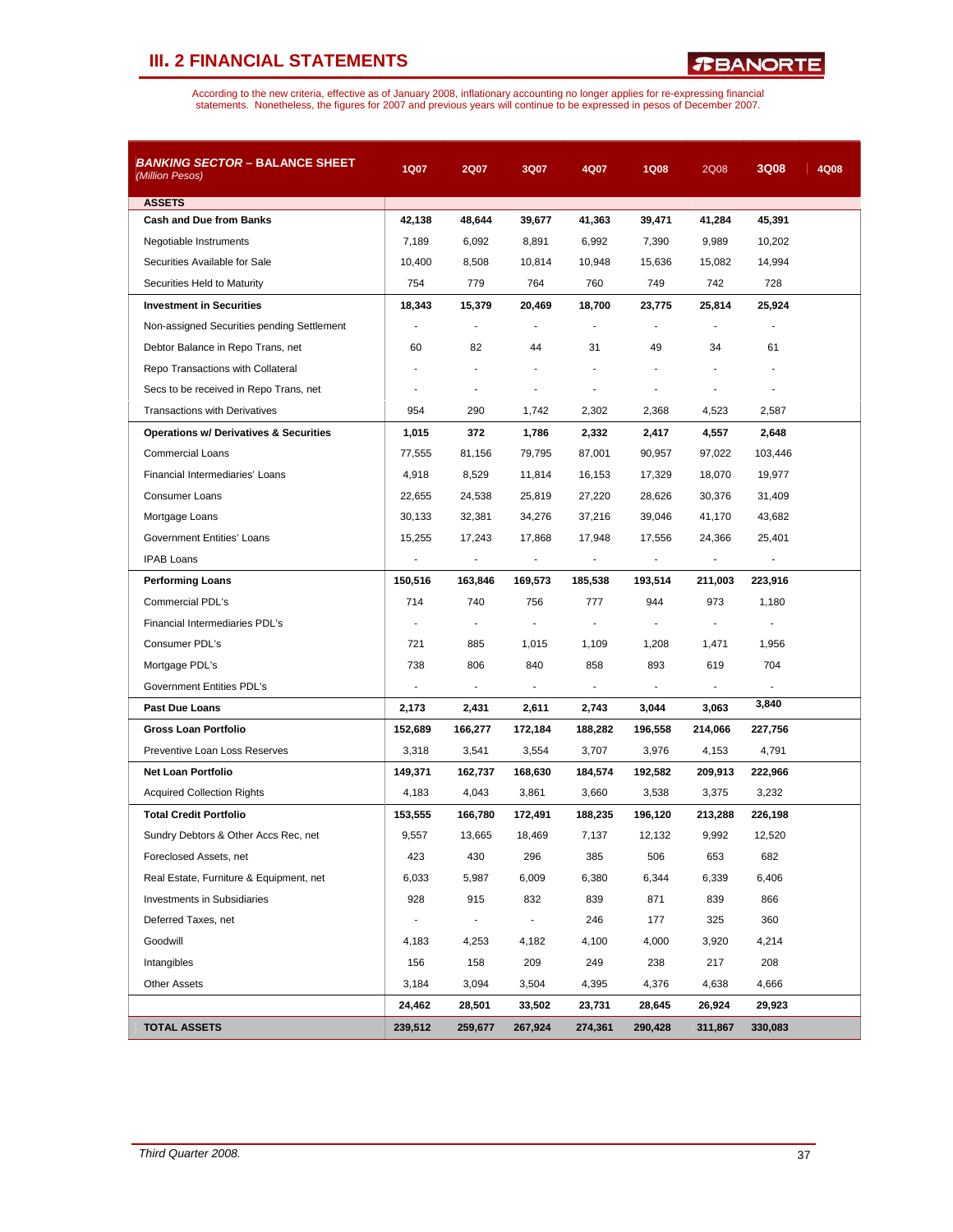*R***BANORTE** 

| <b>BANKING SECTOR – BALANCE SHEET</b><br>(Million Pesos) | 1Q07                     | <b>2Q07</b>    | 3Q07           | 4Q07           | <b>1Q08</b>    | 2Q08           | 3Q08           | 4Q08 |
|----------------------------------------------------------|--------------------------|----------------|----------------|----------------|----------------|----------------|----------------|------|
| <b>ASSETS</b>                                            |                          |                |                |                |                |                |                |      |
| <b>Cash and Due from Banks</b>                           | 42,138                   | 48,644         | 39,677         | 41,363         | 39,471         | 41,284         | 45,391         |      |
| Negotiable Instruments                                   | 7,189                    | 6,092          | 8,891          | 6,992          | 7,390          | 9,989          | 10,202         |      |
| Securities Available for Sale                            | 10,400                   | 8,508          | 10,814         | 10,948         | 15,636         | 15,082         | 14,994         |      |
| Securities Held to Maturity                              | 754                      | 779            | 764            | 760            | 749            | 742            | 728            |      |
| <b>Investment in Securities</b>                          | 18,343                   | 15,379         | 20,469         | 18,700         | 23,775         | 25,814         | 25,924         |      |
| Non-assigned Securities pending Settlement               |                          |                |                |                |                |                |                |      |
| Debtor Balance in Repo Trans, net                        | 60                       | 82             | 44             | 31             | 49             | 34             | 61             |      |
| Repo Transactions with Collateral                        |                          |                |                |                |                |                |                |      |
| Secs to be received in Repo Trans, net                   |                          | $\blacksquare$ |                |                |                |                |                |      |
| <b>Transactions with Derivatives</b>                     | 954                      | 290            | 1,742          | 2,302          | 2,368          | 4,523          | 2,587          |      |
| <b>Operations w/ Derivatives &amp; Securities</b>        | 1,015                    | 372            | 1,786          | 2,332          | 2,417          | 4,557          | 2,648          |      |
| <b>Commercial Loans</b>                                  | 77,555                   | 81,156         | 79,795         | 87,001         | 90,957         | 97,022         | 103,446        |      |
| Financial Intermediaries' Loans                          | 4,918                    | 8,529          | 11,814         | 16,153         | 17,329         | 18,070         | 19,977         |      |
| <b>Consumer Loans</b>                                    | 22,655                   | 24,538         | 25,819         | 27,220         | 28,626         | 30,376         | 31,409         |      |
| Mortgage Loans                                           | 30,133                   | 32,381         | 34,276         | 37,216         | 39,046         | 41,170         | 43,682         |      |
| Government Entities' Loans                               | 15,255                   | 17,243         | 17,868         | 17,948         | 17,556         | 24,366         | 25,401         |      |
| <b>IPAB Loans</b>                                        |                          |                |                |                |                |                |                |      |
| <b>Performing Loans</b>                                  | 150,516                  | 163,846        | 169,573        | 185,538        | 193,514        | 211,003        | 223,916        |      |
| Commercial PDL's                                         | 714                      | 740            | 756            | 777            | 944            | 973            | 1,180          |      |
| Financial Intermediaries PDL's                           | $\blacksquare$           | $\blacksquare$ | $\blacksquare$ | $\blacksquare$ | $\overline{a}$ | $\overline{a}$ | $\overline{a}$ |      |
| Consumer PDL's                                           | 721                      | 885            | 1,015          | 1,109          | 1,208          | 1,471          | 1,956          |      |
| Mortgage PDL's                                           | 738                      | 806            | 840            | 858            | 893            | 619            | 704            |      |
| Government Entities PDL's                                | $\overline{\phantom{a}}$ | $\blacksquare$ | $\blacksquare$ | $\blacksquare$ |                |                |                |      |
| <b>Past Due Loans</b>                                    | 2,173                    | 2,431          | 2,611          | 2,743          | 3,044          | 3,063          | 3,840          |      |
| Gross Loan Portfolio                                     | 152,689                  | 166,277        | 172,184        | 188,282        | 196,558        | 214,066        | 227,756        |      |
| Preventive Loan Loss Reserves                            | 3,318                    | 3,541          | 3,554          | 3,707          | 3,976          | 4,153          | 4,791          |      |
| Net Loan Portfolio                                       | 149,371                  | 162,737        | 168,630        | 184,574        | 192,582        | 209,913        | 222,966        |      |
| <b>Acquired Collection Rights</b>                        | 4,183                    | 4,043          | 3,861          | 3,660          | 3,538          | 3,375          | 3,232          |      |
| <b>Total Credit Portfolio</b>                            | 153,555                  | 166,780        | 172,491        | 188,235        | 196,120        | 213,288        | 226,198        |      |
| Sundry Debtors & Other Accs Rec, net                     | 9,557                    | 13,665         | 18,469         | 7,137          | 12,132         | 9,992          | 12,520         |      |
| Foreclosed Assets, net                                   | 423                      | 430            | 296            | 385            | 506            | 653            | 682            |      |
| Real Estate, Furniture & Equipment, net                  | 6,033                    | 5,987          | 6,009          | 6,380          | 6,344          | 6,339          | 6,406          |      |
| <b>Investments in Subsidiaries</b>                       | 928                      | 915            | 832            | 839            | 871            | 839            | 866            |      |
| Deferred Taxes, net                                      |                          | $\blacksquare$ | $\blacksquare$ | 246            | 177            | 325            | 360            |      |
| Goodwill                                                 | 4,183                    | 4,253          | 4,182          | 4,100          | 4,000          | 3,920          | 4,214          |      |
| Intangibles                                              | 156                      | 158            | 209            | 249            | 238            | 217            | 208            |      |
| <b>Other Assets</b>                                      | 3,184                    | 3,094          | 3,504          | 4,395          | 4,376          | 4,638          | 4,666          |      |
|                                                          | 24,462                   | 28,501         | 33,502         | 23,731         | 28,645         | 26,924         | 29,923         |      |
| <b>TOTAL ASSETS</b>                                      | 239,512                  | 259,677        | 267,924        | 274,361        | 290,428        | 311,867        | 330,083        |      |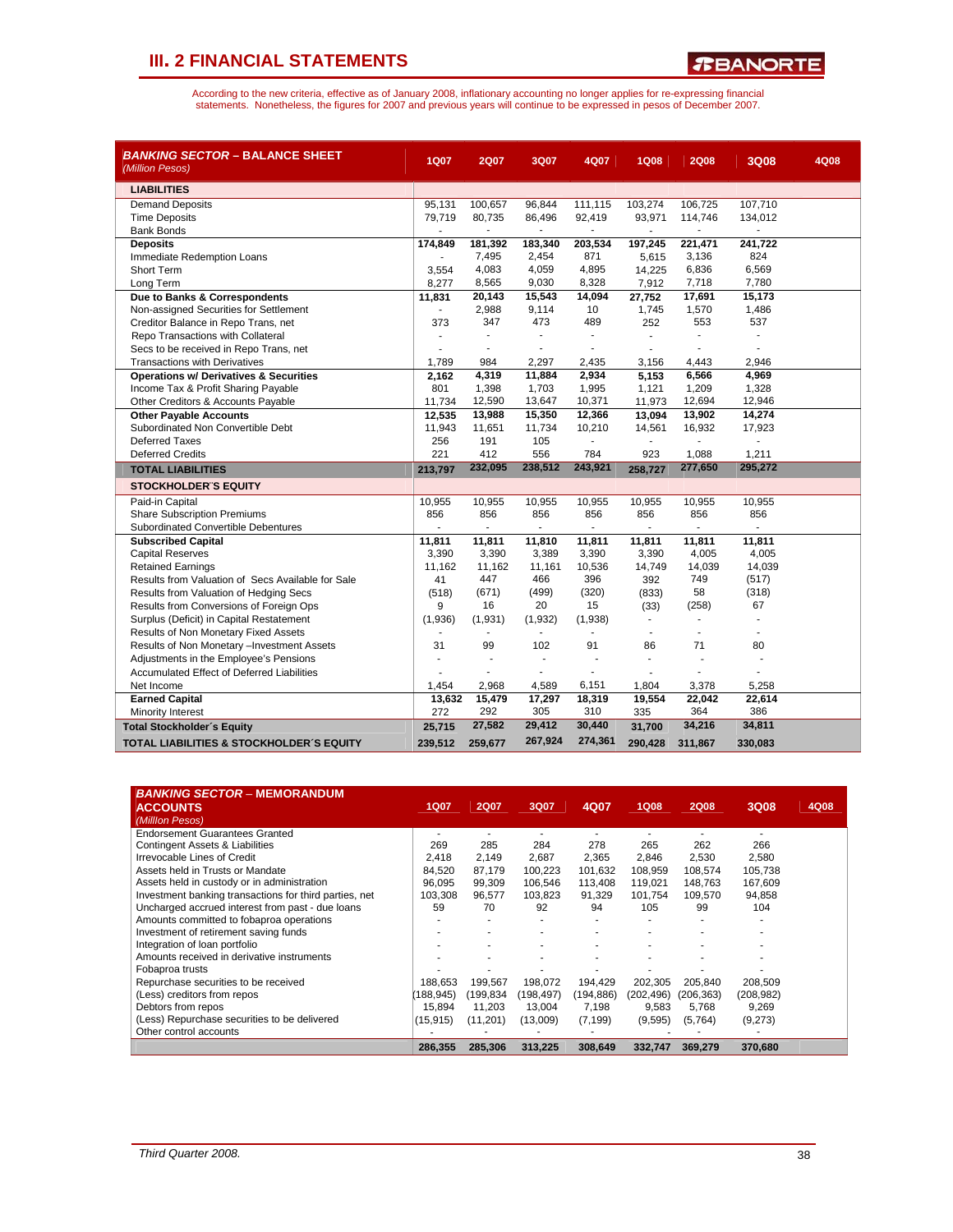*R***BANORTE** 

| <i>BANKING SECTOR</i> – BALANCE SHEET<br>(Million Pesos) | <b>1Q07</b> | <b>2Q07</b> | 3Q07                     | 4Q07    | <b>1Q08</b> | <b>2Q08</b>              | 3Q08           | 4Q08 |
|----------------------------------------------------------|-------------|-------------|--------------------------|---------|-------------|--------------------------|----------------|------|
| <b>LIABILITIES</b>                                       |             |             |                          |         |             |                          |                |      |
| <b>Demand Deposits</b>                                   | 95,131      | 100,657     | 96,844                   | 111,115 | 103,274     | 106,725                  | 107,710        |      |
| <b>Time Deposits</b>                                     | 79,719      | 80,735      | 86,496                   | 92,419  | 93,971      | 114,746                  | 134,012        |      |
| <b>Bank Bonds</b>                                        |             |             | $\overline{\phantom{a}}$ |         |             |                          |                |      |
| <b>Deposits</b>                                          | 174,849     | 181,392     | 183,340                  | 203,534 | 197,245     | 221,471                  | 241,722        |      |
| Immediate Redemption Loans                               | ٠           | 7,495       | 2,454                    | 871     | 5,615       | 3,136                    | 824            |      |
| <b>Short Term</b>                                        | 3,554       | 4,083       | 4,059                    | 4,895   | 14,225      | 6,836                    | 6,569          |      |
| Long Term                                                | 8,277       | 8,565       | 9,030                    | 8,328   | 7,912       | 7,718                    | 7,780          |      |
| Due to Banks & Correspondents                            | 11,831      | 20,143      | 15,543                   | 14,094  | 27,752      | 17,691                   | 15,173         |      |
| Non-assigned Securities for Settlement                   | $\sim$      | 2,988       | 9,114                    | 10      | 1,745       | 1,570                    | 1,486          |      |
| Creditor Balance in Repo Trans, net                      | 373         | 347         | 473                      | 489     | 252         | 553                      | 537            |      |
| Repo Transactions with Collateral                        |             |             | ÷.                       | ÷       |             | ÷.                       | $\overline{a}$ |      |
| Secs to be received in Repo Trans, net                   |             |             |                          |         |             |                          |                |      |
| <b>Transactions with Derivatives</b>                     | 1,789       | 984         | 2,297                    | 2,435   | 3,156       | 4,443                    | 2.946          |      |
| <b>Operations w/ Derivatives &amp; Securities</b>        | 2,162       | 4,319       | 11,884                   | 2,934   | 5,153       | 6,566                    | 4,969          |      |
| Income Tax & Profit Sharing Payable                      | 801         | 1,398       | 1,703                    | 1,995   | 1,121       | 1,209                    | 1,328          |      |
| Other Creditors & Accounts Payable                       | 11,734      | 12,590      | 13,647                   | 10,371  | 11,973      | 12,694                   | 12,946         |      |
| <b>Other Payable Accounts</b>                            | 12,535      | 13,988      | 15,350                   | 12,366  | 13,094      | 13,902                   | 14,274         |      |
| Subordinated Non Convertible Debt                        | 11,943      | 11,651      | 11,734                   | 10,210  | 14,561      | 16,932                   | 17,923         |      |
| <b>Deferred Taxes</b>                                    | 256         | 191         | 105                      |         |             |                          |                |      |
| <b>Deferred Credits</b>                                  | 221         | 412         | 556                      | 784     | 923         | 1,088                    | 1,211          |      |
| <b>TOTAL LIABILITIES</b>                                 | 213,797     | 232,095     | 238,512                  | 243,921 | 258,727     | 277,650                  | 295,272        |      |
| <b>STOCKHOLDER'S EQUITY</b>                              |             |             |                          |         |             |                          |                |      |
| Paid-in Capital                                          | 10,955      | 10,955      | 10,955                   | 10,955  | 10,955      | 10,955                   | 10,955         |      |
| <b>Share Subscription Premiums</b>                       | 856         | 856         | 856                      | 856     | 856         | 856                      | 856            |      |
| Subordinated Convertible Debentures                      |             |             |                          |         |             |                          |                |      |
| <b>Subscribed Capital</b>                                | 11,811      | 11,811      | 11,810                   | 11,811  | 11,811      | 11,811                   | 11,811         |      |
| <b>Capital Reserves</b>                                  | 3,390       | 3,390       | 3,389                    | 3,390   | 3,390       | 4,005                    | 4,005          |      |
| <b>Retained Earnings</b>                                 | 11,162      | 11,162      | 11,161                   | 10,536  | 14,749      | 14,039                   | 14,039         |      |
| Results from Valuation of Secs Available for Sale        | 41          | 447         | 466                      | 396     | 392         | 749                      | (517)          |      |
| Results from Valuation of Hedging Secs                   | (518)       | (671)       | (499)                    | (320)   | (833)       | 58                       | (318)          |      |
| Results from Conversions of Foreign Ops                  | 9           | 16          | 20                       | 15      | (33)        | (258)                    | 67             |      |
| Surplus (Deficit) in Capital Restatement                 | (1,936)     | (1,931)     | (1, 932)                 | (1,938) | $\sim$      |                          |                |      |
| Results of Non Monetary Fixed Assets                     |             | ٠           | $\blacksquare$           | Ĭ.      |             | $\overline{\phantom{a}}$ |                |      |
| Results of Non Monetary -Investment Assets               | 31          | 99          | 102                      | 91      | 86          | 71                       | 80             |      |
| Adjustments in the Employee's Pensions                   | ä,          |             | $\overline{\phantom{a}}$ |         | ä,          | ä,                       |                |      |
| Accumulated Effect of Deferred Liabilities               |             |             | L.                       |         |             |                          |                |      |
| Net Income                                               | 1,454       | 2,968       | 4,589                    | 6,151   | 1,804       | 3,378                    | 5,258          |      |
| <b>Earned Capital</b>                                    | 13,632      | 15,479      | 17,297                   | 18,319  | 19,554      | 22,042                   | 22,614         |      |
| Minority Interest                                        | 272         | 292         | 305                      | 310     | 335         | 364                      | 386            |      |
| <b>Total Stockholder's Equity</b>                        | 25,715      | 27,582      | 29,412                   | 30,440  | 31,700      | 34,216                   | 34,811         |      |
| TOTAL LIABILITIES & STOCKHOLDER'S EQUITY                 | 239,512     | 259,677     | 267,924                  | 274,361 | 290,428     | 311,867                  | 330,083        |      |

| <b>BANKING SECTOR - MEMORANDUM</b><br><b>ACCOUNTS</b><br>(Milllon Pesos) | <b>1Q07</b> | <b>2Q07</b> | 3Q07       | 4Q07       | <b>1Q08</b> | <b>2Q08</b> | 3Q08       | 4Q08 |
|--------------------------------------------------------------------------|-------------|-------------|------------|------------|-------------|-------------|------------|------|
| <b>Endorsement Guarantees Granted</b>                                    |             |             |            |            |             |             |            |      |
| <b>Contingent Assets &amp; Liabilities</b>                               | 269         | 285         | 284        | 278        | 265         | 262         | 266        |      |
| Irrevocable Lines of Credit                                              | 2.418       | 2,149       | 2,687      | 2,365      | 2,846       | 2,530       | 2,580      |      |
| Assets held in Trusts or Mandate                                         | 84.520      | 87,179      | 100,223    | 101,632    | 108,959     | 108,574     | 105,738    |      |
| Assets held in custody or in administration                              | 96.095      | 99.309      | 106.546    | 113.408    | 119.021     | 148.763     | 167,609    |      |
| Investment banking transactions for third parties, net                   | 103,308     | 96,577      | 103,823    | 91,329     | 101,754     | 109,570     | 94,858     |      |
| Uncharged accrued interest from past - due loans                         | 59          | 70          | 92         | 94         | 105         | 99          | 104        |      |
| Amounts committed to fobaproa operations                                 |             |             |            |            |             |             |            |      |
| Investment of retirement saving funds                                    |             |             |            |            |             |             |            |      |
| Integration of loan portfolio                                            |             |             |            |            |             |             |            |      |
| Amounts received in derivative instruments                               |             |             |            |            |             |             |            |      |
| Fobaproa trusts                                                          |             |             |            |            |             |             |            |      |
| Repurchase securities to be received                                     | 188,653     | 199,567     | 198,072    | 194,429    | 202,305     | 205,840     | 208,509    |      |
| (Less) creditors from repos                                              | (188.945)   | (199,834    | (198, 497) | (194, 886) | (202, 496)  | (206, 363)  | (208, 982) |      |
| Debtors from repos                                                       | 15.894      | 11,203      | 13,004     | 7,198      | 9,583       | 5,768       | 9,269      |      |
| (Less) Repurchase securities to be delivered                             | (15, 915)   | (11,201)    | (13,009)   | (7, 199)   | (9,595)     | (5,764)     | (9,273)    |      |
| Other control accounts                                                   |             |             |            |            |             |             |            |      |
|                                                                          | 286,355     | 285,306     | 313,225    | 308,649    | 332.747     | 369,279     | 370,680    |      |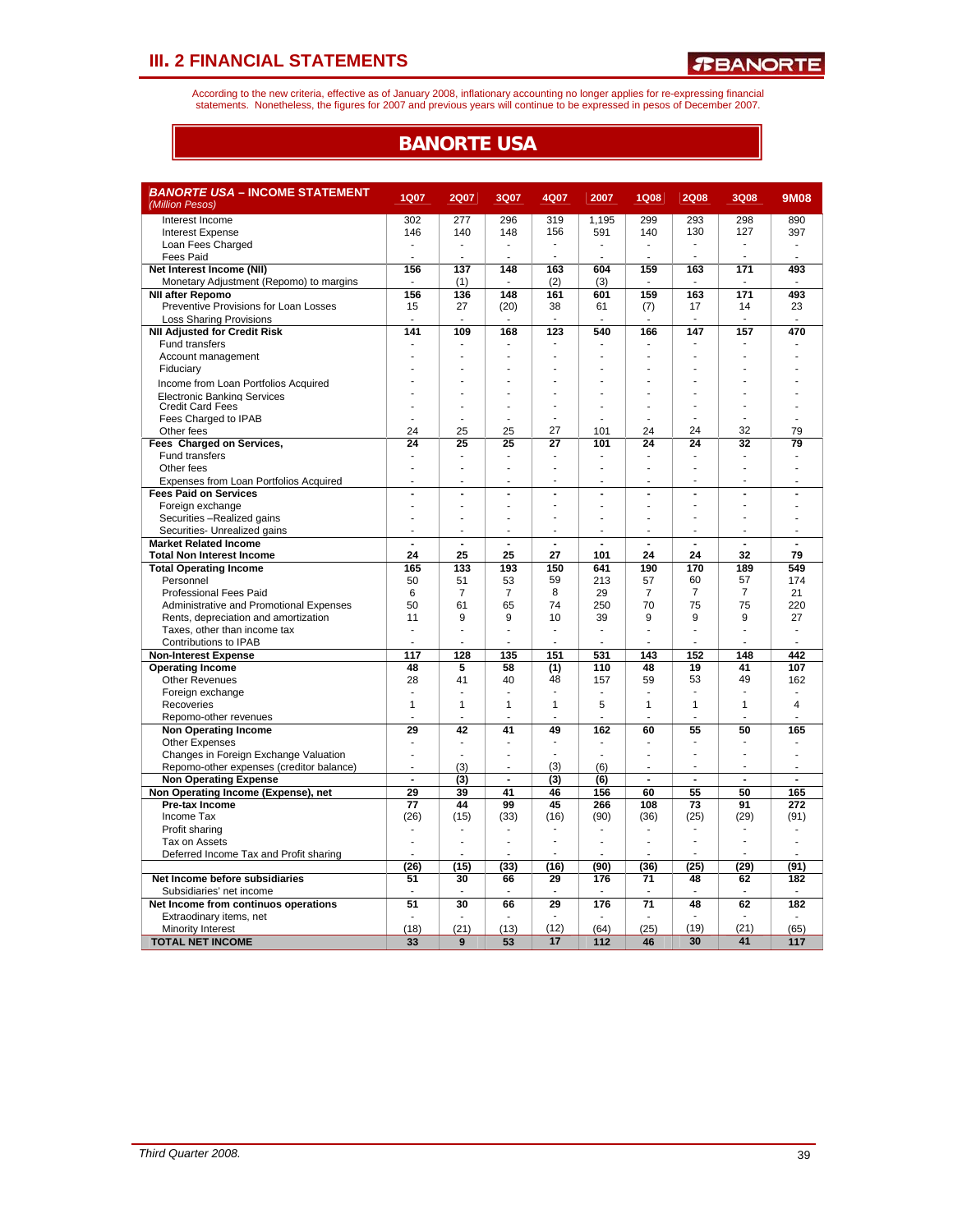According to the new criteria, effective as of January 2008, inflationary accounting no longer applies for re-expressing financial<br>statements. Nonetheless, the figures for 2007 and previous years will continue to be expres

## **BANORTE USA**

| <b>BANORTE USA – INCOME STATEMENT</b>      |                |                          |                |                 |                |                |                          |                |                |
|--------------------------------------------|----------------|--------------------------|----------------|-----------------|----------------|----------------|--------------------------|----------------|----------------|
| (Million Pesos)                            | <b>1Q07</b>    | <b>2Q07</b>              | 3Q07           | 4Q07            | 2007           | <b>1Q08</b>    | <b>2Q08</b>              | 3Q08           | <b>9M08</b>    |
| Interest Income                            | 302            | 277                      | 296            | 319             | 1,195          | 299            | 293                      | 298            | 890            |
| <b>Interest Expense</b>                    | 146            | 140                      | 148            | 156             | 591            | 140            | 130                      | 127            | 397            |
| Loan Fees Charged                          |                | ä,                       |                |                 |                |                |                          |                |                |
| <b>Fees Paid</b>                           |                | $\overline{\phantom{a}}$ | ٠              |                 | ٠              | ä,             |                          |                |                |
| Net Interest Income (NII)                  | 156            | 137                      | 148            | 163             | 604            | 159            | 163                      | 171            | 493            |
| Monetary Adjustment (Repomo) to margins    |                | (1)                      |                | (2)             | (3)            |                |                          |                |                |
| <b>NII after Repomo</b>                    | 156            | 136                      | 148            | 161             | 601            | 159            | 163                      | 171            | 493            |
| Preventive Provisions for Loan Losses      | 15             | 27                       | (20)           | 38              | 61             | (7)            | 17                       | 14             | 23             |
| <b>Loss Sharing Provisions</b>             |                | ٠                        |                |                 |                |                | ÷                        |                |                |
| <b>NII Adjusted for Credit Risk</b>        | 141            | 109                      | 168            | 123             | 540            | 166            | 147                      | 157            | 470            |
| <b>Fund transfers</b>                      |                | $\overline{a}$           |                |                 |                |                |                          |                |                |
| Account management                         |                |                          |                |                 |                |                |                          |                |                |
| Fiduciary                                  |                |                          |                |                 |                |                |                          |                |                |
| Income from Loan Portfolios Acquired       |                |                          |                |                 |                |                |                          |                |                |
| <b>Electronic Banking Services</b>         |                |                          |                |                 |                |                |                          |                |                |
| <b>Credit Card Fees</b>                    |                |                          |                |                 |                |                |                          |                |                |
| Fees Charged to IPAB                       |                |                          |                |                 |                |                |                          |                |                |
| Other fees                                 | 24             | 25                       | 25             | 27              | 101            | 24             | 24                       | 32             | 79             |
| Fees Charged on Services,                  | 24             | 25                       | 25             | $\overline{27}$ | 101            | 24             | 24                       | 32             | 79             |
| Fund transfers                             |                | $\overline{\phantom{a}}$ | ÷              |                 | ۰              |                | i.                       | ٠              |                |
| Other fees                                 |                |                          |                |                 |                |                |                          |                |                |
| Expenses from Loan Portfolios Acquired     |                | ł                        |                |                 |                |                |                          |                |                |
| <b>Fees Paid on Services</b>               | ÷,             | $\overline{a}$           | $\overline{a}$ | $\overline{a}$  | $\overline{a}$ | $\overline{a}$ | $\overline{\phantom{a}}$ | $\overline{a}$ | ÷,             |
| Foreign exchange                           |                | ä,                       |                |                 | ÷              | J.             | ÷.                       | ä,             |                |
| Securities -Realized gains                 |                | ä,                       |                |                 |                |                | ÷.                       | ä,             |                |
| Securities- Unrealized gains               | $\blacksquare$ | $\overline{\phantom{a}}$ | $\overline{a}$ |                 | ٠              | ٠              | $\blacksquare$           | ٠              | ÷              |
| <b>Market Related Income</b>               | $\overline{a}$ | $\overline{a}$           | J.             | 27              |                |                | $\overline{a}$           |                |                |
| <b>Total Non Interest Income</b>           | 24             | 25                       | 25             |                 | 101            | 24             | 24<br>170                | 32             | 79             |
| <b>Total Operating Income</b><br>Personnel | 165<br>50      | 133<br>51                | 193<br>53      | 150<br>59       | 641<br>213     | 190<br>57      | 60                       | 189<br>57      | 549<br>174     |
| <b>Professional Fees Paid</b>              | $6\phantom{1}$ | $\overline{7}$           | $\overline{7}$ | 8               | 29             | $\overline{7}$ | $\overline{7}$           | $\overline{7}$ | 21             |
| Administrative and Promotional Expenses    | 50             | 61                       | 65             | 74              | 250            | 70             | 75                       | 75             | 220            |
| Rents, depreciation and amortization       | 11             | 9                        | 9              | 10              | 39             | 9              | 9                        | 9              | 27             |
| Taxes, other than income tax               |                | L                        |                | ÷               | L,             | Ĭ.             | ÷.                       | ä,             |                |
| Contributions to IPAB                      |                |                          |                | ÷               |                |                |                          | ٠              |                |
| <b>Non-Interest Expense</b>                | 117            | 128                      | 135            | 151             | 531            | 143            | 152                      | 148            | 442            |
| <b>Operating Income</b>                    | 48             | 5                        | 58             | (1)             | 110            | 48             | 19                       | 41             | 107            |
| <b>Other Revenues</b>                      | 28             | 41                       | 40             | 48              | 157            | 59             | 53                       | 49             | 162            |
| Foreign exchange                           |                |                          |                | ÷               |                |                | ÷.                       | ٠              |                |
| Recoveries                                 | 1              | 1                        | 1              | 1               | 5              | 1              | 1                        | 1              | 4              |
| Repomo-other revenues                      |                | ä,                       |                |                 | ۷              |                |                          |                |                |
| <b>Non Operating Income</b>                | 29             | 42                       | 41             | 49              | 162            | 60             | 55                       | 50             | 165            |
| <b>Other Expenses</b>                      | $\blacksquare$ | ä,                       | ٠              |                 | ٠              | ٠              | ٠                        |                |                |
| Changes in Foreign Exchange Valuation      |                | Ĭ.                       |                |                 | ä,             | ä,             |                          |                |                |
| Repomo-other expenses (creditor balance)   |                | (3)                      |                | (3)             | (6)            |                | ä,                       |                |                |
| <b>Non Operating Expense</b>               | $\overline{a}$ | (3)                      | $\blacksquare$ | (3)             | (6)            | $\overline{a}$ | $\blacksquare$           | $\blacksquare$ | $\blacksquare$ |
| Non Operating Income (Expense), net        | 29             | 39                       | 41             | 46              | 156            | 60             | 55                       | 50             | 165            |
| Pre-tax Income                             | 77             | 44                       | 99             | 45              | 266            | 108            | 73                       | 91             | 272            |
| Income Tax                                 | (26)           | (15)                     | (33)           | (16)            | (90)           | (36)           | (25)                     | (29)           | (91)           |
| Profit sharing                             |                | $\overline{a}$           | ٠              |                 | ä,             | ÷,             |                          |                |                |
| Tax on Assets                              |                | l,                       |                |                 | ä,             | J.             | ÷,                       | ä,             | J.             |
| Deferred Income Tax and Profit sharing     |                | ÷,                       |                |                 |                |                |                          |                |                |
|                                            | (26)           | (15)                     | (33)           | (16)            | (90)           | (36)           | (25)                     | (29)           | (91)           |
| Net Income before subsidiaries             | 51             | 30                       | 66             | 29              | 176            | 71             | 48                       | 62             | 182            |
| Subsidiaries' net income                   |                |                          |                |                 |                |                |                          |                |                |
| Net Income from continuos operations       | 51             | $\overline{30}$          | 66             | 29              | 176            | 71             | 48                       | 62             | 182            |
| Extraodinary items, net                    |                |                          |                |                 |                |                |                          |                |                |
| Minority Interest                          | (18)           | (21)                     | (13)           | (12)            | (64)           | (25)           | (19)                     | (21)           | (65)           |
| <b>TOTAL NET INCOME</b>                    | 33             | 9                        | 53             | 17              | 112            | 46             | 30                       | 41             | 117            |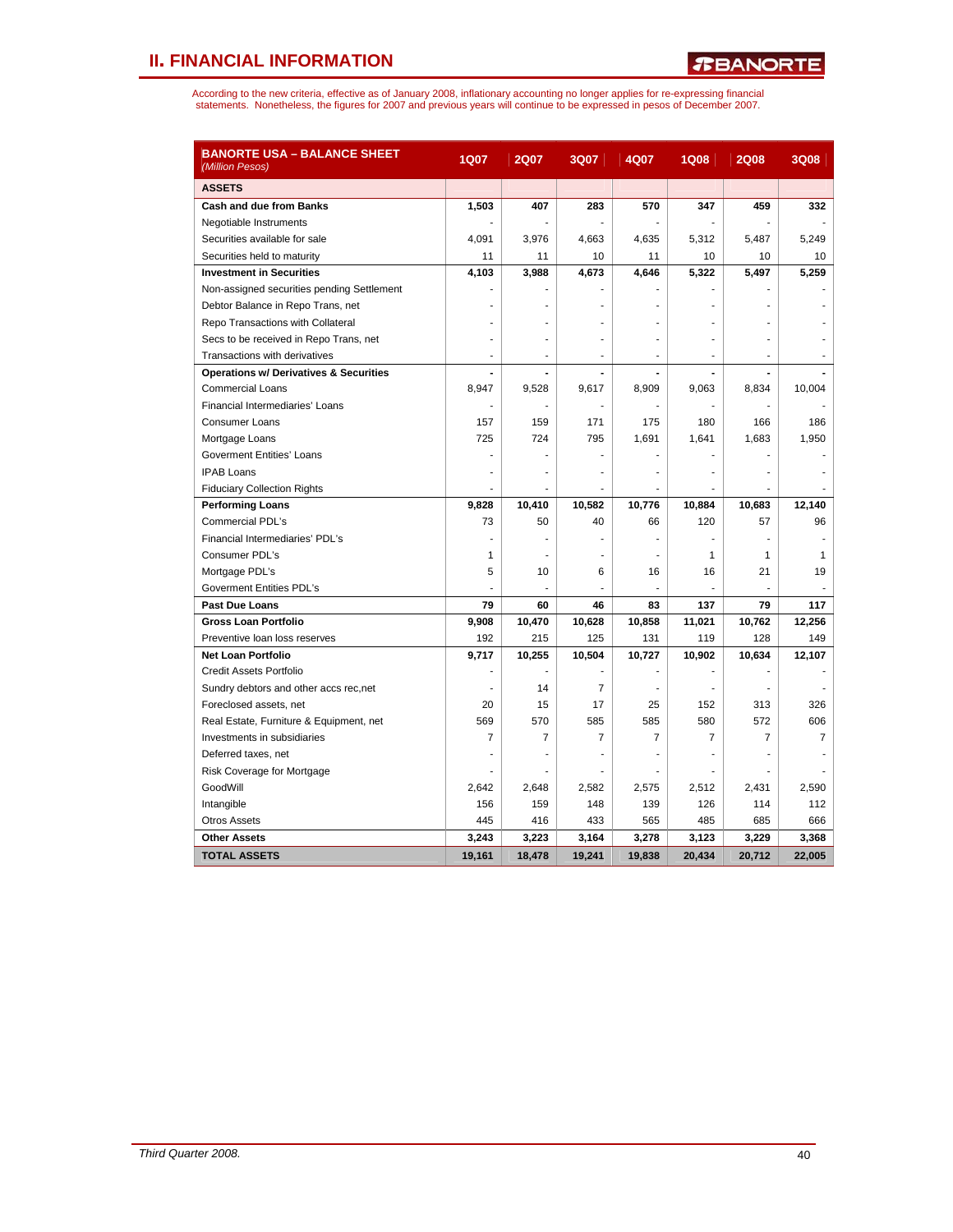| <b>BANORTE USA - BALANCE SHEET</b><br>(Million Pesos) | <b>1Q07</b> | <b>2Q07</b>              | 3Q07           | 4Q07           | <b>1Q08</b>    | <b>2Q08</b> | 3Q08   |
|-------------------------------------------------------|-------------|--------------------------|----------------|----------------|----------------|-------------|--------|
| <b>ASSETS</b>                                         |             |                          |                |                |                |             |        |
| Cash and due from Banks                               | 1,503       | 407                      | 283            | 570            | 347            | 459         | 332    |
| Negotiable Instruments                                |             | $\blacksquare$           |                |                |                |             |        |
| Securities available for sale                         | 4,091       | 3,976                    | 4,663          | 4,635          | 5,312          | 5,487       | 5,249  |
| Securities held to maturity                           | 11          | 11                       | 10             | 11             | 10             | 10          | 10     |
| <b>Investment in Securities</b>                       | 4,103       | 3,988                    | 4,673          | 4,646          | 5,322          | 5,497       | 5,259  |
| Non-assigned securities pending Settlement            |             |                          |                |                |                |             |        |
| Debtor Balance in Repo Trans, net                     |             |                          |                |                |                |             |        |
| Repo Transactions with Collateral                     |             |                          |                |                |                |             |        |
| Secs to be received in Repo Trans, net                |             |                          |                |                |                |             |        |
| Transactions with derivatives                         | ÷           | $\overline{a}$           |                | ä,             | $\overline{a}$ |             |        |
| <b>Operations w/ Derivatives &amp; Securities</b>     |             |                          |                |                |                |             |        |
| <b>Commercial Loans</b>                               | 8,947       | 9,528                    | 9,617          | 8,909          | 9,063          | 8,834       | 10,004 |
| Financial Intermediaries' Loans                       |             |                          |                |                |                |             |        |
| <b>Consumer Loans</b>                                 | 157         | 159                      | 171            | 175            | 180            | 166         | 186    |
| Mortgage Loans                                        | 725         | 724                      | 795            | 1,691          | 1,641          | 1,683       | 1,950  |
| Goverment Entities' Loans                             |             |                          |                |                |                |             |        |
| <b>IPAB Loans</b>                                     |             |                          |                |                |                |             |        |
| <b>Fiduciary Collection Rights</b>                    | ۷           | $\frac{1}{2}$            |                |                |                |             |        |
| <b>Performing Loans</b>                               | 9,828       | 10,410                   | 10,582         | 10,776         | 10,884         | 10,683      | 12,140 |
| <b>Commercial PDL's</b>                               | 73          | 50                       | 40             | 66             | 120            | 57          | 96     |
| Financial Intermediaries' PDL's                       |             |                          |                |                |                |             |        |
| Consumer PDL's                                        | 1           |                          |                |                | 1              | 1           | 1      |
| Mortgage PDL's                                        | 5           | 10                       | 6              | 16             | 16             | 21          | 19     |
| Goverment Entities PDL's                              |             | $\overline{\phantom{a}}$ | ä,             |                |                |             |        |
| <b>Past Due Loans</b>                                 | 79          | 60                       | 46             | 83             | 137            | 79          | 117    |
| <b>Gross Loan Portfolio</b>                           | 9,908       | 10,470                   | 10,628         | 10,858         | 11,021         | 10,762      | 12,256 |
| Preventive loan loss reserves                         | 192         | 215                      | 125            | 131            | 119            | 128         | 149    |
| <b>Net Loan Portfolio</b>                             | 9,717       | 10,255                   | 10,504         | 10,727         | 10,902         | 10,634      | 12,107 |
| Credit Assets Portfolio                               |             |                          |                |                |                |             |        |
| Sundry debtors and other accs rec, net                |             | 14                       | $\overline{7}$ |                |                |             |        |
| Foreclosed assets, net                                | 20          | 15                       | 17             | 25             | 152            | 313         | 326    |
| Real Estate, Furniture & Equipment, net               | 569         | 570                      | 585            | 585            | 580            | 572         | 606    |
| Investments in subsidiaries                           | 7           | $\overline{7}$           | $\overline{7}$ | $\overline{7}$ | 7              | 7           | 7      |
| Deferred taxes, net                                   |             |                          |                |                |                |             |        |
| Risk Coverage for Mortgage                            |             | ٠                        |                |                |                |             |        |
| GoodWill                                              | 2,642       | 2,648                    | 2,582          | 2,575          | 2,512          | 2,431       | 2,590  |
| Intangible                                            | 156         | 159                      | 148            | 139            | 126            | 114         | 112    |
| <b>Otros Assets</b>                                   | 445         | 416                      | 433            | 565            | 485            | 685         | 666    |
| <b>Other Assets</b>                                   | 3,243       | 3,223                    | 3,164          | 3,278          | 3,123          | 3,229       | 3,368  |
| <b>TOTAL ASSETS</b>                                   | 19,161      | 18.478                   | 19.241         | 19.838         | 20.434         | 20,712      | 22.005 |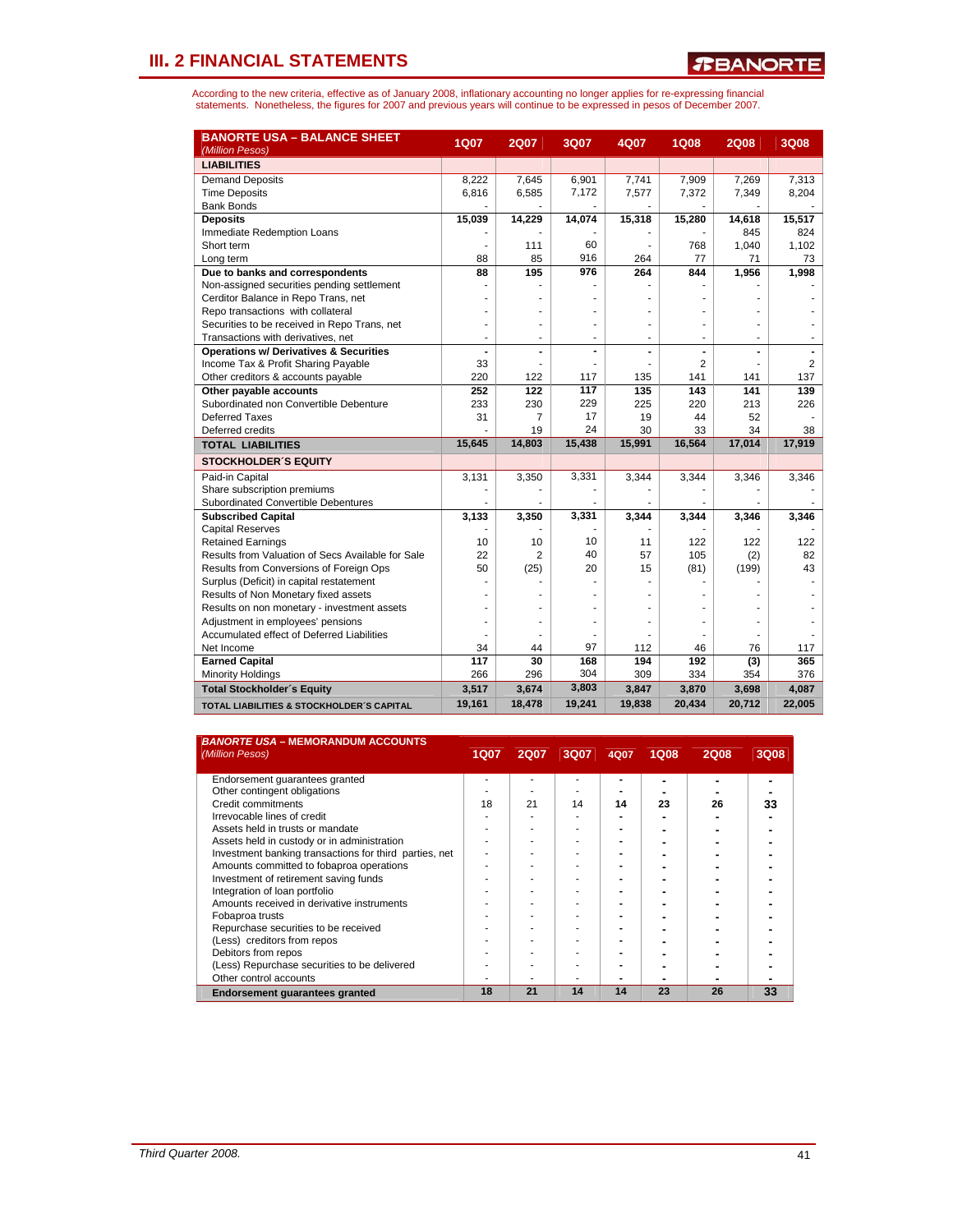| <b>BANORTE USA - BALANCE SHEET</b><br>(Million Pesos) | <b>1Q07</b> | <b>2Q07</b>    | 3Q07   | 4Q07   | <b>1Q08</b>    | <b>2Q08</b> | 3Q08   |
|-------------------------------------------------------|-------------|----------------|--------|--------|----------------|-------------|--------|
| <b>LIABILITIES</b>                                    |             |                |        |        |                |             |        |
| <b>Demand Deposits</b>                                | 8,222       | 7,645          | 6,901  | 7,741  | 7,909          | 7,269       | 7,313  |
| <b>Time Deposits</b>                                  | 6,816       | 6,585          | 7,172  | 7,577  | 7,372          | 7,349       | 8,204  |
| <b>Bank Bonds</b>                                     |             |                |        |        |                |             |        |
| <b>Deposits</b>                                       | 15,039      | 14,229         | 14,074 | 15,318 | 15,280         | 14,618      | 15,517 |
| Immediate Redemption Loans                            |             |                |        |        |                | 845         | 824    |
| Short term                                            |             | 111            | 60     |        | 768            | 1.040       | 1.102  |
| Long term                                             | 88          | 85             | 916    | 264    | 77             | 71          | 73     |
| Due to banks and correspondents                       | 88          | 195            | 976    | 264    | 844            | 1,956       | 1,998  |
| Non-assigned securities pending settlement            |             |                |        |        |                |             |        |
| Cerditor Balance in Repo Trans, net                   |             |                |        |        |                |             |        |
| Repo transactions with collateral                     |             |                |        |        |                |             |        |
| Securities to be received in Repo Trans, net          |             |                |        | ۰      |                |             |        |
| Transactions with derivatives, net                    | ÷           |                |        | ä,     |                |             |        |
| <b>Operations w/ Derivatives &amp; Securities</b>     |             |                | ۰      |        |                |             |        |
| Income Tax & Profit Sharing Payable                   | 33          |                |        |        | $\overline{2}$ |             | 2      |
| Other creditors & accounts payable                    | 220         | 122            | 117    | 135    | 141            | 141         | 137    |
| Other payable accounts                                | 252         | 122            | 117    | 135    | 143            | 141         | 139    |
| Subordinated non Convertible Debenture                | 233         | 230            | 229    | 225    | 220            | 213         | 226    |
| Deferred Taxes                                        | 31          | 7              | 17     | 19     | 44             | 52          |        |
| Deferred credits                                      |             | 19             | 24     | 30     | 33             | 34          | 38     |
| <b>TOTAL LIABILITIES</b>                              | 15,645      | 14,803         | 15,438 | 15,991 | 16,564         | 17,014      | 17,919 |
| <b>STOCKHOLDER'S EQUITY</b>                           |             |                |        |        |                |             |        |
| Paid-in Capital                                       | 3,131       | 3,350          | 3,331  | 3,344  | 3,344          | 3,346       | 3,346  |
| Share subscription premiums                           |             |                |        |        |                |             |        |
| Subordinated Convertible Debentures                   |             |                |        |        |                |             |        |
| <b>Subscribed Capital</b>                             | 3,133       | 3,350          | 3,331  | 3,344  | 3,344          | 3,346       | 3,346  |
| <b>Capital Reserves</b>                               |             |                |        |        |                |             |        |
| <b>Retained Earnings</b>                              | 10          | 10             | 10     | 11     | 122            | 122         | 122    |
| Results from Valuation of Secs Available for Sale     | 22          | $\overline{2}$ | 40     | 57     | 105            | (2)         | 82     |
| Results from Conversions of Foreign Ops               | 50          | (25)           | 20     | 15     | (81)           | (199)       | 43     |
| Surplus (Deficit) in capital restatement              |             |                |        |        |                |             |        |
| Results of Non Monetary fixed assets                  |             |                |        |        |                |             |        |
| Results on non monetary - investment assets           |             |                |        |        |                |             |        |
| Adjustment in employees' pensions                     |             |                |        |        |                |             |        |
| Accumulated effect of Deferred Liabilities            |             |                |        |        |                |             |        |
| Net Income                                            | 34          | 44             | 97     | 112    | 46             | 76          | 117    |
| <b>Earned Capital</b>                                 | 117         | 30             | 168    | 194    | 192            | (3)         | 365    |
| <b>Minority Holdings</b>                              | 266         | 296            | 304    | 309    | 334            | 354         | 376    |
| <b>Total Stockholder's Equity</b>                     | 3,517       | 3,674          | 3,803  | 3,847  | 3,870          | 3,698       | 4,087  |
| TOTAL LIABILITIES & STOCKHOLDER'S CAPITAL             | 19,161      | 18,478         | 19,241 | 19,838 | 20,434         | 20,712      | 22,005 |

| <b>BANORTE USA - MEMORANDUM ACCOUNTS</b><br>(Million Pesos) | <b>1Q07</b> | <b>2Q07</b> | 3Q07 | 4Q07 | 1Q08 | <b>2Q08</b> | 3Q08 |
|-------------------------------------------------------------|-------------|-------------|------|------|------|-------------|------|
| Endorsement quarantees granted                              |             |             |      |      |      |             |      |
| Other contingent obligations                                |             |             |      |      |      |             |      |
| Credit commitments                                          | 18          | 21          | 14   | 14   | 23   | 26          | 33   |
| Irrevocable lines of credit                                 |             |             |      |      |      |             |      |
| Assets held in trusts or mandate                            |             |             |      |      |      |             |      |
| Assets held in custody or in administration                 |             |             |      |      |      |             |      |
| Investment banking transactions for third parties, net      |             |             |      |      |      |             |      |
| Amounts committed to fobaproa operations                    |             |             |      |      |      |             |      |
| Investment of retirement saving funds                       |             |             |      |      |      |             |      |
| Integration of loan portfolio                               |             |             |      |      |      |             |      |
| Amounts received in derivative instruments                  |             |             |      |      |      |             |      |
| Fobaproa trusts                                             |             |             |      |      |      |             |      |
| Repurchase securities to be received                        |             |             |      |      |      |             |      |
| (Less) creditors from repos                                 |             |             |      |      |      |             |      |
| Debitors from repos                                         |             |             |      |      |      |             |      |
| (Less) Repurchase securities to be delivered                |             |             |      |      |      |             |      |
| Other control accounts                                      |             |             |      |      |      |             |      |
| Endorsement quarantees granted                              | 18          | 21          | 14   | 14   | 23   | 26          | 33   |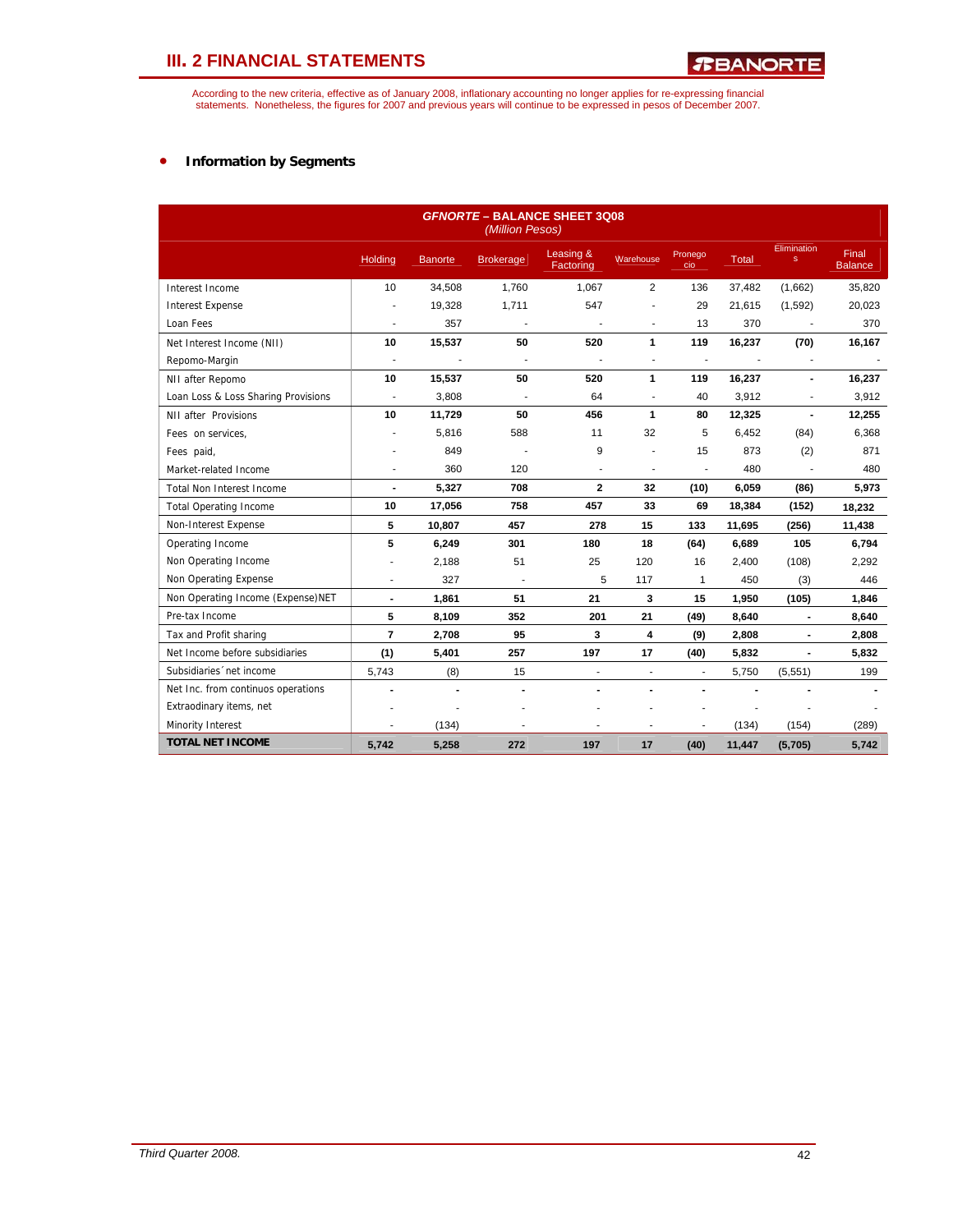According to the new criteria, effective as of January 2008, inflationary accounting no longer applies for re-expressing financial<br>statements. Nonetheless, the figures for 2007 and previous years will continue to be expres

## • **Information by Segments**

| <b>GFNORTE - BALANCE SHEET 3Q08</b><br>(Million Pesos) |                          |                |                          |                          |                          |                          |              |                             |                                |  |
|--------------------------------------------------------|--------------------------|----------------|--------------------------|--------------------------|--------------------------|--------------------------|--------------|-----------------------------|--------------------------------|--|
|                                                        | Holding                  | <b>Banorte</b> | <b>Brokerage</b>         | Leasing &<br>Factoring   | Warehouse                | Pronego<br>cio           | <b>Total</b> | Elimination<br>$\mathbf{s}$ | <b>Final</b><br><b>Balance</b> |  |
| Interest Income                                        | 10                       | 34,508         | 1.760                    | 1.067                    | 2                        | 136                      | 37,482       | (1,662)                     | 35,820                         |  |
| <b>Interest Expense</b>                                | ä,                       | 19,328         | 1,711                    | 547                      | $\blacksquare$           | 29                       | 21,615       | (1,592)                     | 20,023                         |  |
| Loan Fees                                              | $\blacksquare$           | 357            | $\blacksquare$           | $\overline{a}$           | $\blacksquare$           | 13                       | 370          | $\overline{\phantom{a}}$    | 370                            |  |
| Net Interest Income (NII)                              | 10                       | 15,537         | 50                       | 520                      | 1                        | 119                      | 16,237       | (70)                        | 16,167                         |  |
| Repomo-Margin                                          | $\overline{\phantom{a}}$ |                | $\overline{\phantom{a}}$ |                          | $\blacksquare$           | ÷,                       |              |                             |                                |  |
| NII after Repomo                                       | 10                       | 15,537         | 50                       | 520                      | 1                        | 119                      | 16,237       | $\blacksquare$              | 16,237                         |  |
| Loan Loss & Loss Sharing Provisions                    | ÷,                       | 3,808          | J.                       | 64                       | $\blacksquare$           | 40                       | 3,912        | ٠                           | 3,912                          |  |
| NII after Provisions                                   | 10                       | 11,729         | 50                       | 456                      | 1                        | 80                       | 12,325       | $\blacksquare$              | 12,255                         |  |
| Fees on services,                                      |                          | 5,816          | 588                      | 11                       | 32                       | 5                        | 6,452        | (84)                        | 6,368                          |  |
| Fees paid,                                             |                          | 849            |                          | 9                        |                          | 15                       | 873          | (2)                         | 871                            |  |
| Market-related Income                                  |                          | 360            | 120                      | ä,                       | $\overline{\phantom{a}}$ | ٠                        | 480          |                             | 480                            |  |
| <b>Total Non Interest Income</b>                       | $\overline{\phantom{a}}$ | 5,327          | 708                      | $\mathbf{2}$             | 32                       | (10)                     | 6,059        | (86)                        | 5,973                          |  |
| <b>Total Operating Income</b>                          | 10                       | 17,056         | 758                      | 457                      | 33                       | 69                       | 18,384       | (152)                       | 18,232                         |  |
| Non-Interest Expense                                   | 5                        | 10,807         | 457                      | 278                      | 15                       | 133                      | 11,695       | (256)                       | 11,438                         |  |
| Operating Income                                       | 5                        | 6,249          | 301                      | 180                      | 18                       | (64)                     | 6,689        | 105                         | 6,794                          |  |
| Non Operating Income                                   |                          | 2,188          | 51                       | 25                       | 120                      | 16                       | 2,400        | (108)                       | 2,292                          |  |
| Non Operating Expense                                  |                          | 327            | ÷.                       | 5                        | 117                      | $\mathbf{1}$             | 450          | (3)                         | 446                            |  |
| Non Operating Income (Expense)NET                      | $\blacksquare$           | 1,861          | 51                       | 21                       | 3                        | 15                       | 1,950        | (105)                       | 1,846                          |  |
| Pre-tax Income                                         | 5                        | 8,109          | 352                      | 201                      | 21                       | (49)                     | 8,640        | $\overline{a}$              | 8,640                          |  |
| Tax and Profit sharing                                 | $\overline{7}$           | 2,708          | 95                       | 3                        | 4                        | (9)                      | 2,808        | $\blacksquare$              | 2,808                          |  |
| Net Income before subsidiaries                         | (1)                      | 5,401          | 257                      | 197                      | 17                       | (40)                     | 5,832        | $\blacksquare$              | 5,832                          |  |
| Subsidiaries 'net income                               | 5,743                    | (8)            | 15                       | $\overline{\phantom{a}}$ | $\overline{\phantom{a}}$ | $\overline{\phantom{a}}$ | 5,750        | (5,551)                     | 199                            |  |
| Net Inc. from continuos operations                     |                          |                | ÷.                       |                          |                          |                          |              |                             |                                |  |
| Extraodinary items, net                                |                          |                |                          |                          |                          |                          |              |                             |                                |  |
| Minority Interest                                      | ٠                        | (134)          | ٠                        | ٠                        | $\blacksquare$           |                          | (134)        | (154)                       | (289)                          |  |
| <b>TOTAL NET INCOME</b>                                | 5,742                    | 5,258          | 272                      | 197                      | 17                       | (40)                     | 11,447       | (5,705)                     | 5,742                          |  |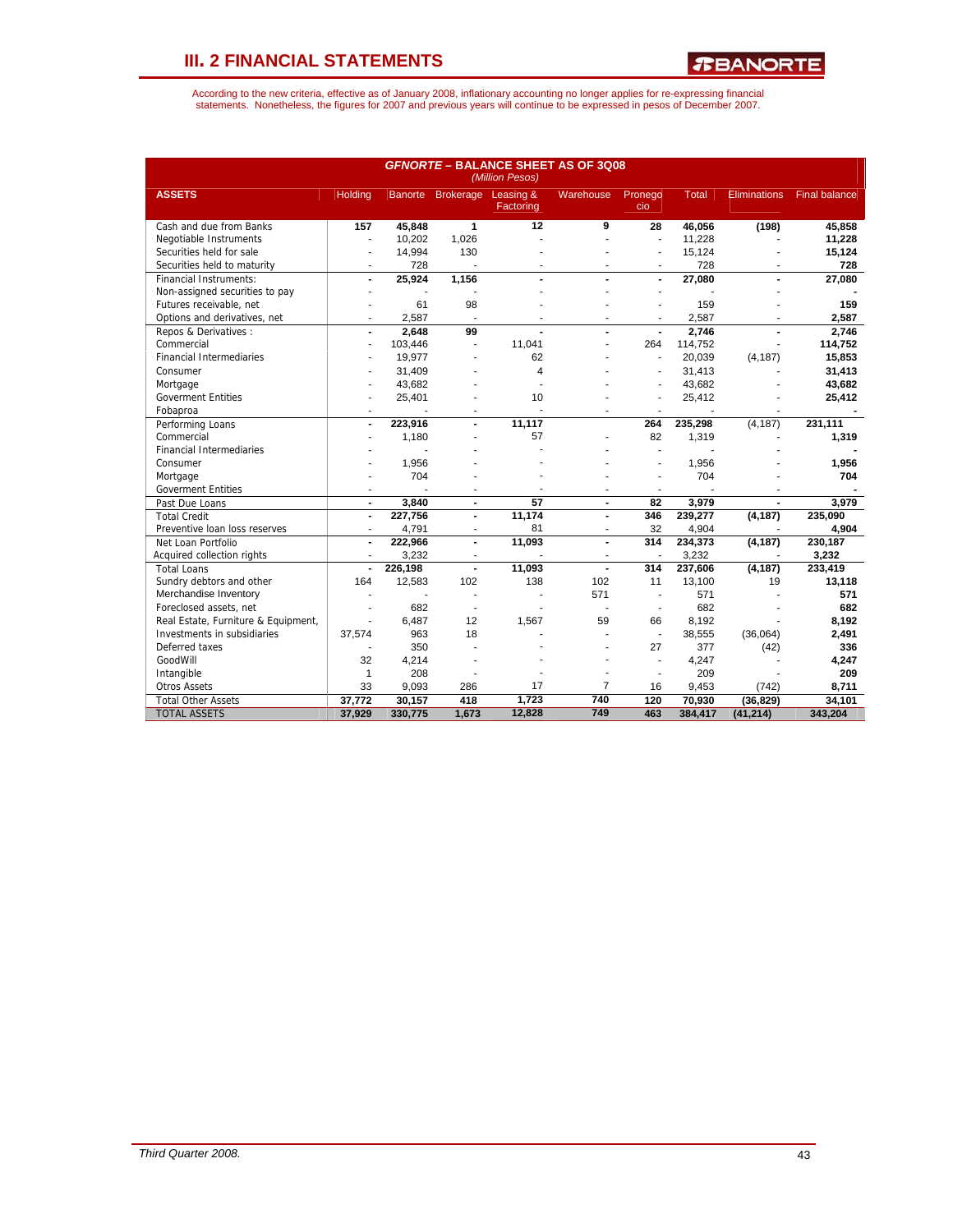*R***BANORTE** 

|                                     | <b>GFNORTE - BALANCE SHEET AS OF 3Q08</b><br>(Million Pesos) |         |                          |                        |                  |                          |              |                     |                      |  |
|-------------------------------------|--------------------------------------------------------------|---------|--------------------------|------------------------|------------------|--------------------------|--------------|---------------------|----------------------|--|
| <b>ASSETS</b>                       | <b>Holding</b>                                               |         | Banorte Brokerage        | Leasing &<br>Factoring | <b>Warehouse</b> | Pronego<br>cio           | <b>Total</b> | <b>Eliminations</b> | <b>Final balance</b> |  |
| Cash and due from Banks             | 157                                                          | 45,848  | $\overline{1}$           | $\overline{12}$        | 9                | $\overline{28}$          | 46,056       | (198)               | 45,858               |  |
| Negotiable Instruments              | $\blacksquare$                                               | 10,202  | 1,026                    | ÷                      | ä,               | $\blacksquare$           | 11,228       |                     | 11,228               |  |
| Securities held for sale            | $\blacksquare$                                               | 14,994  | 130                      |                        |                  | ä,                       | 15,124       |                     | 15,124               |  |
| Securities held to maturity         | ٠                                                            | 728     | $\blacksquare$           |                        |                  | ٠                        | 728          |                     | 728                  |  |
| <b>Financial Instruments:</b>       | $\overline{a}$                                               | 25,924  | 1,156                    |                        |                  | $\overline{a}$           | 27,080       |                     | 27,080               |  |
| Non-assigned securities to pay      | ٠                                                            | ٠       |                          |                        |                  |                          |              |                     |                      |  |
| Futures receivable, net             |                                                              | 61      | 98                       |                        |                  |                          | 159          |                     | 159                  |  |
| Options and derivatives, net        | $\overline{a}$                                               | 2.587   | $\overline{\phantom{a}}$ |                        | ÷                | ÷                        | 2.587        |                     | 2.587                |  |
| Repos & Derivatives:                | $\overline{a}$                                               | 2.648   | 99                       |                        |                  | $\overline{a}$           | 2.746        |                     | 2.746                |  |
| Commercial                          | ÷.                                                           | 103,446 | $\overline{\phantom{a}}$ | 11.041                 |                  | 264                      | 114,752      |                     | 114,752              |  |
| <b>Financial Intermediaries</b>     |                                                              | 19,977  |                          | 62                     |                  |                          | 20,039       | (4, 187)            | 15,853               |  |
| Consumer                            |                                                              | 31,409  |                          | $\overline{4}$         |                  |                          | 31,413       |                     | 31,413               |  |
| Mortgage                            |                                                              | 43,682  |                          |                        |                  |                          | 43,682       |                     | 43,682               |  |
| <b>Goverment Entities</b>           |                                                              | 25,401  |                          | 10                     |                  | ÷.                       | 25,412       |                     | 25,412               |  |
| Fobaproa                            | i.                                                           | ÷.      |                          | ÷                      | ÷                | ÷                        | $\sim$       |                     |                      |  |
| Performing Loans                    | $\blacksquare$                                               | 223,916 | $\overline{a}$           | 11,117                 |                  | 264                      | 235,298      | (4, 187)            | 231,111              |  |
| Commercial                          |                                                              | 1,180   | ٠                        | 57                     |                  | 82                       | 1,319        |                     | 1,319                |  |
| <b>Financial Intermediaries</b>     |                                                              |         |                          |                        |                  | ÷.                       |              |                     |                      |  |
| Consumer                            |                                                              | 1,956   |                          |                        |                  |                          | 1,956        |                     | 1,956                |  |
| Mortgage                            |                                                              | 704     |                          |                        |                  |                          | 704          |                     | 704                  |  |
| <b>Goverment Entities</b>           |                                                              |         | ä,                       |                        |                  | ä,                       |              |                     |                      |  |
| Past Due Loans                      | $\blacksquare$                                               | 3,840   | $\blacksquare$           | 57                     | $\blacksquare$   | 82                       | 3,979        |                     | 3,979                |  |
| <b>Total Credit</b>                 | $\blacksquare$                                               | 227,756 |                          | 11,174                 |                  | 346                      | 239,277      | (4, 187)            | 235,090              |  |
| Preventive loan loss reserves       | $\overline{\phantom{a}}$                                     | 4,791   | $\overline{\phantom{a}}$ | 81                     | $\blacksquare$   | 32                       | 4,904        |                     | 4,904                |  |
| Net Loan Portfolio                  | $\blacksquare$                                               | 222,966 | $\blacksquare$           | 11,093                 | $\blacksquare$   | 314                      | 234,373      | (4, 187)            | 230, 187             |  |
| Acquired collection rights          | $\overline{a}$                                               | 3,232   | ä,                       |                        |                  | $\overline{a}$           | 3,232        |                     | 3,232                |  |
| <b>Total Loans</b>                  | $\blacksquare$                                               | 226,198 | $\blacksquare$           | 11,093                 |                  | 314                      | 237,606      | (4, 187)            | 233,419              |  |
| Sundry debtors and other            | 164                                                          | 12,583  | 102                      | 138                    | 102              | 11                       | 13,100       | 19                  | 13,118               |  |
| Merchandise Inventory               |                                                              | J.      | ÷.                       |                        | 571              | $\sim$                   | 571          |                     | 571                  |  |
| Foreclosed assets, net              |                                                              | 682     | ä,                       |                        |                  | $\overline{\phantom{a}}$ | 682          |                     | 682                  |  |
| Real Estate, Furniture & Equipment, | ÷.                                                           | 6,487   | 12                       | 1,567                  | 59               | 66                       | 8,192        |                     | 8,192                |  |
| Investments in subsidiaries         | 37,574                                                       | 963     | 18                       |                        |                  | $\overline{\phantom{a}}$ | 38,555       | (36,064)            | 2,491                |  |
| Deferred taxes                      |                                                              | 350     |                          |                        |                  | 27                       | 377          | (42)                | 336                  |  |
| GoodWill                            | 32                                                           | 4,214   |                          |                        |                  | $\blacksquare$           | 4,247        |                     | 4,247                |  |
| Intangible                          | $\mathbf{1}$                                                 | 208     |                          |                        |                  | $\overline{a}$           | 209          |                     | 209                  |  |
| <b>Otros Assets</b>                 | 33                                                           | 9.093   | 286                      | 17                     | $\overline{7}$   | 16                       | 9,453        | (742)               | 8,711                |  |
| <b>Total Other Assets</b>           | 37,772                                                       | 30,157  | 418                      | 1,723                  | 740              | 120                      | 70,930       | (36, 829)           | 34,101               |  |
| <b>TOTAL ASSETS</b>                 | 37,929                                                       | 330,775 | 1,673                    | 12,828                 | 749              | 463                      | 384,417      | (41, 214)           | 343,204              |  |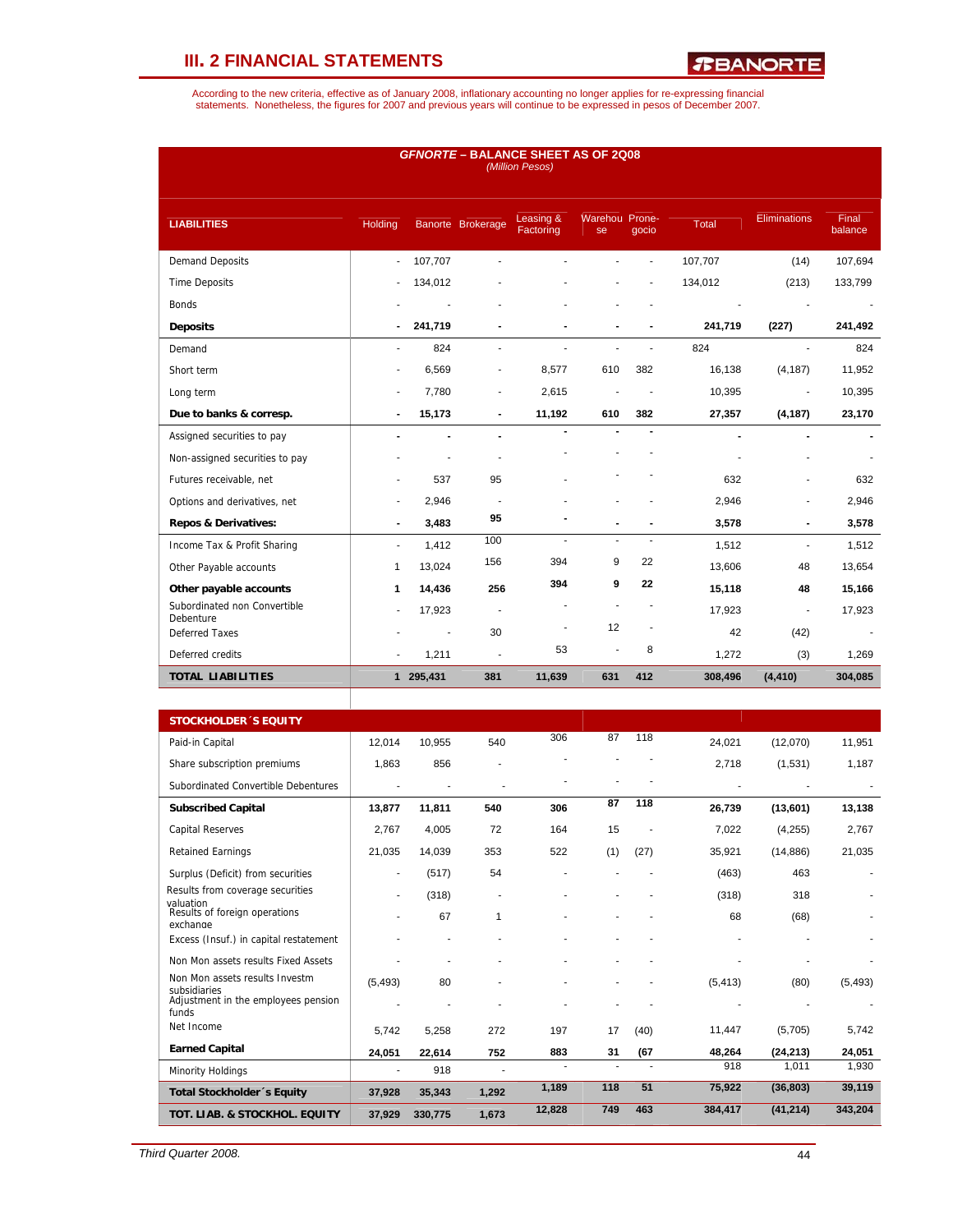*R***BANORTE** 

| <b>GFNORTE - BALANCE SHEET AS OF 2Q08</b><br>(Million Pesos) |                          |                |                              |                        |                      |                |              |                     |                  |  |
|--------------------------------------------------------------|--------------------------|----------------|------------------------------|------------------------|----------------------|----------------|--------------|---------------------|------------------|--|
| <b>LIABILITIES</b>                                           | Holding                  |                | Banorte Brokerage            | Leasing &<br>Factoring | Warehou Prone-<br>se | qocio          | <b>Total</b> | <b>Eliminations</b> | Final<br>balance |  |
| <b>Demand Deposits</b>                                       | $\sim$                   | 107,707        | ä,                           |                        |                      |                | 107,707      | (14)                | 107,694          |  |
| <b>Time Deposits</b>                                         |                          | 134,012        |                              |                        |                      |                | 134,012      | (213)               | 133,799          |  |
| <b>Bonds</b>                                                 |                          |                |                              |                        |                      |                |              | ٠                   | $\sim$           |  |
| <b>Deposits</b>                                              | $\blacksquare$           | 241,719        | $\blacksquare$               |                        |                      |                | 241,719      | (227)               | 241,492          |  |
| Demand                                                       | ٠                        | 824            | ٠                            |                        | ÷.                   |                | 824          | $\mathbf{r}$        | 824              |  |
| Short term                                                   | $\overline{a}$           | 6,569          | $\qquad \qquad \blacksquare$ | 8,577                  | 610                  | 382            | 16,138       | (4, 187)            | 11,952           |  |
| Long term                                                    | $\overline{a}$           | 7,780          | $\qquad \qquad \blacksquare$ | 2,615                  |                      |                | 10,395       | $\overline{a}$      | 10,395           |  |
| Due to banks & corresp.                                      | $\blacksquare$           | 15,173         | $\blacksquare$               | 11,192                 | 610                  | 382            | 27,357       | (4, 187)            | 23,170           |  |
| Assigned securities to pay                                   | $\blacksquare$           |                | $\blacksquare$               |                        |                      | $\blacksquare$ |              | $\blacksquare$      |                  |  |
| Non-assigned securities to pay                               |                          |                | ä,                           |                        |                      |                |              |                     |                  |  |
| Futures receivable, net                                      |                          | 537            | 95                           |                        |                      |                | 632          |                     | 632              |  |
| Options and derivatives, net                                 |                          | 2,946          |                              |                        |                      |                | 2,946        |                     | 2,946            |  |
| <b>Repos &amp; Derivatives:</b>                              | ٠                        | 3,483          | 95                           |                        |                      |                | 3,578        |                     | 3,578            |  |
| Income Tax & Profit Sharing                                  | $\overline{\phantom{a}}$ | 1,412          | 100                          | $\blacksquare$         | $\blacksquare$       | $\blacksquare$ | 1,512        | ä,                  | 1,512            |  |
| Other Payable accounts                                       | 1                        | 13,024         | 156                          | 394                    | 9                    | 22             | 13,606       | 48                  | 13,654           |  |
| Other payable accounts                                       | 1                        | 14,436         | 256                          | 394                    | 9                    | 22             | 15,118       | 48                  | 15,166           |  |
| Subordinated non Convertible<br>Debenture                    | ٠                        | 17,923         | $\overline{\phantom{a}}$     |                        |                      |                | 17,923       | Ĭ.                  | 17,923           |  |
| <b>Deferred Taxes</b>                                        |                          | $\blacksquare$ | 30                           | $\overline{a}$         | 12                   |                | 42           | (42)                |                  |  |
| Deferred credits                                             |                          | 1,211          | ä,                           | 53                     | $\overline{a}$       | 8              | 1,272        | (3)                 | 1,269            |  |
| <b>TOTAL LIABILITIES</b>                                     |                          | 1 295,431      | 381                          | 11,639                 | 631                  | 412            | 308,496      | (4, 410)            | 304,085          |  |

| <b>STOCKHOLDER 'S EQUITY</b>                           |          |         |       |        |     |      |          |           |          |
|--------------------------------------------------------|----------|---------|-------|--------|-----|------|----------|-----------|----------|
| Paid-in Capital                                        | 12,014   | 10,955  | 540   | 306    | 87  | 118  | 24,021   | (12,070)  | 11,951   |
| Share subscription premiums                            | 1,863    | 856     |       |        |     |      | 2,718    | (1,531)   | 1,187    |
| Subordinated Convertible Debentures                    |          |         |       |        |     |      |          |           |          |
| <b>Subscribed Capital</b>                              | 13,877   | 11,811  | 540   | 306    | 87  | 118  | 26,739   | (13,601)  | 13,138   |
| <b>Capital Reserves</b>                                | 2.767    | 4,005   | 72    | 164    | 15  |      | 7,022    | (4, 255)  | 2,767    |
| <b>Retained Earnings</b>                               | 21,035   | 14,039  | 353   | 522    | (1) | (27) | 35,921   | (14, 886) | 21,035   |
| Surplus (Deficit) from securities                      | ٠        | (517)   | 54    |        |     |      | (463)    | 463       |          |
| Results from coverage securities                       | ۰        | (318)   | ٠     |        |     |      | (318)    | 318       |          |
| valuation<br>Results of foreign operations<br>exchange |          | 67      | 1     |        |     |      | 68       | (68)      |          |
| Excess (Insuf.) in capital restatement                 |          |         |       |        |     |      |          |           |          |
| Non Mon assets results Fixed Assets                    |          |         |       |        |     |      |          |           |          |
| Non Mon assets results Investm<br>subsidiaries         | (5, 493) | 80      |       |        |     |      | (5, 413) | (80)      | (5, 493) |
| Adjustment in the employees pension<br>funds           |          |         |       |        |     |      |          |           |          |
| Net Income                                             | 5.742    | 5,258   | 272   | 197    | 17  | (40) | 11,447   | (5,705)   | 5,742    |
| <b>Earned Capital</b>                                  | 24,051   | 22.614  | 752   | 883    | 31  | (67) | 48,264   | (24, 213) | 24,051   |
| Minority Holdings                                      |          | 918     |       |        |     |      | 918      | 1,011     | 1,930    |
| Total Stockholder's Equity                             | 37,928   | 35,343  | 1,292 | 1,189  | 118 | 51   | 75,922   | (36, 803) | 39,119   |
| TOT. LIAB. & STOCKHOL. EQUITY                          | 37,929   | 330,775 | 1,673 | 12,828 | 749 | 463  | 384,417  | (41, 214) | 343,204  |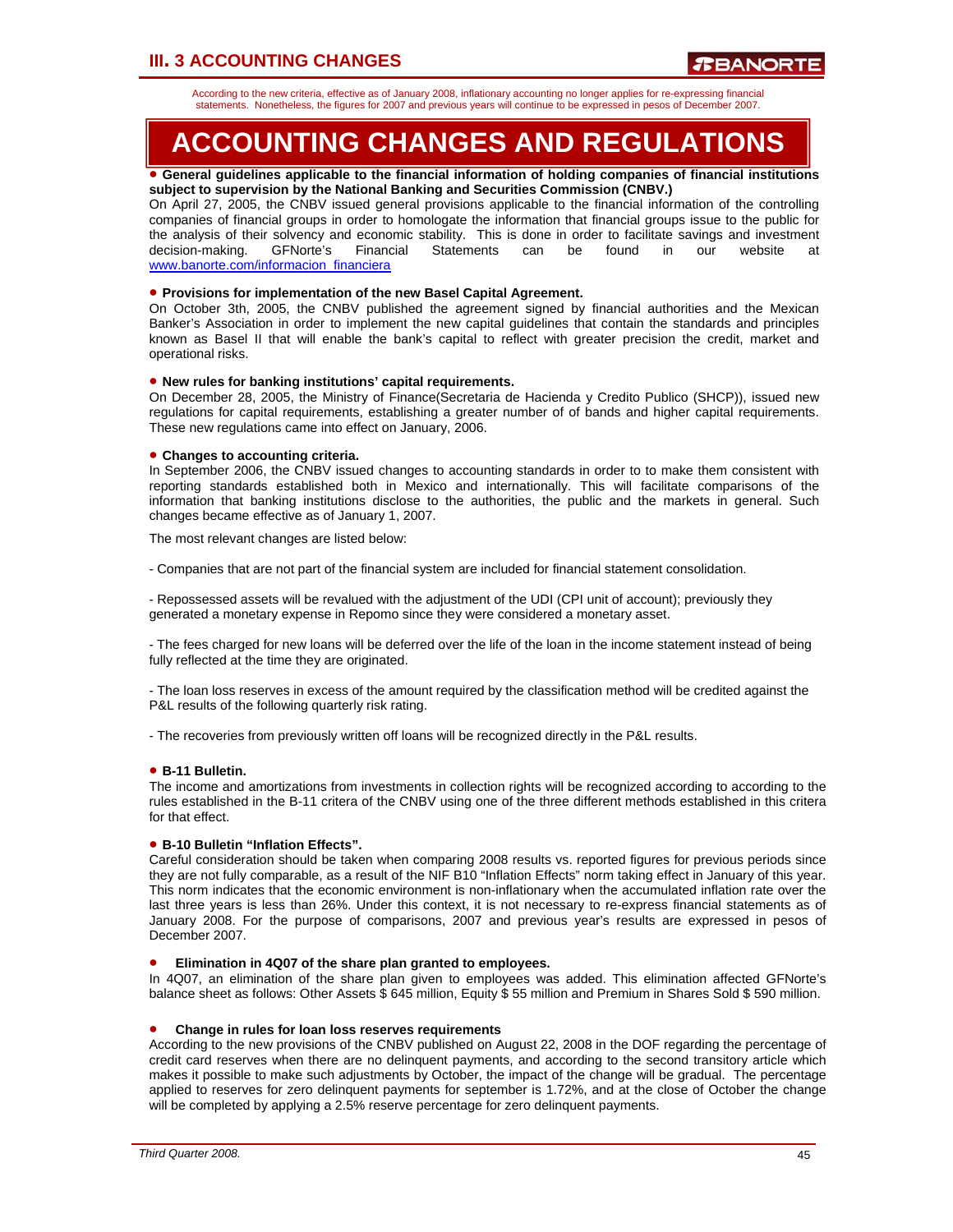## **III. 3 ACCOUNTING CHANGES**

According to the new criteria, effective as of January 2008, inflationary accounting no longer applies for re-expressing financial statements. Nonetheless, the figures for 2007 and previous years will continue to be expressed in pesos of December 2007.

## **ACCOUNTING CHANGES AND REGULATIONS**

### • **General guidelines applicable to the financial information of holding companies of financial institutions subject to supervision by the National Banking and Securities Commission (CNBV.)**

On April 27, 2005, the CNBV issued general provisions applicable to the financial information of the controlling companies of financial groups in order to homologate the information that financial groups issue to the public for the analysis of their solvency and economic stability. This is done in order to facilitate savings and investment decision-making. GFNorte's Financial Statements can be found in our website at www.banorte.com/informacion\_financiera

## • **Provisions for implementation of the new Basel Capital Agreement.**

On October 3th, 2005, the CNBV published the agreement signed by financial authorities and the Mexican Banker's Association in order to implement the new capital guidelines that contain the standards and principles known as Basel II that will enable the bank's capital to reflect with greater precision the credit, market and operational risks.

## • **New rules for banking institutions' capital requirements.**

On December 28, 2005, the Ministry of Finance(Secretaria de Hacienda y Credito Publico (SHCP)), issued new regulations for capital requirements, establishing a greater number of of bands and higher capital requirements. These new regulations came into effect on January, 2006.

### • **Changes to accounting criteria.**

In September 2006, the CNBV issued changes to accounting standards in order to to make them consistent with reporting standards established both in Mexico and internationally. This will facilitate comparisons of the information that banking institutions disclose to the authorities, the public and the markets in general. Such changes became effective as of January 1, 2007.

The most relevant changes are listed below:

- Companies that are not part of the financial system are included for financial statement consolidation.

- Repossessed assets will be revalued with the adjustment of the UDI (CPI unit of account); previously they generated a monetary expense in Repomo since they were considered a monetary asset.

- The fees charged for new loans will be deferred over the life of the loan in the income statement instead of being fully reflected at the time they are originated.

- The loan loss reserves in excess of the amount required by the classification method will be credited against the P&L results of the following quarterly risk rating.

- The recoveries from previously written off loans will be recognized directly in the P&L results.

## • **B-11 Bulletin.**

The income and amortizations from investments in collection rights will be recognized according to according to the rules established in the B-11 critera of the CNBV using one of the three different methods established in this critera for that effect.

## • **B-10 Bulletin "Inflation Effects".**

Careful consideration should be taken when comparing 2008 results vs. reported figures for previous periods since they are not fully comparable, as a result of the NIF B10 "Inflation Effects" norm taking effect in January of this year. This norm indicates that the economic environment is non-inflationary when the accumulated inflation rate over the last three years is less than 26%. Under this context, it is not necessary to re-express financial statements as of January 2008. For the purpose of comparisons, 2007 and previous year's results are expressed in pesos of December 2007.

### • **Elimination in 4Q07 of the share plan granted to employees.**

In 4Q07, an elimination of the share plan given to employees was added. This elimination affected GFNorte's balance sheet as follows: Other Assets \$ 645 million, Equity \$ 55 million and Premium in Shares Sold \$ 590 million.

### • **Change in rules for loan loss reserves requirements**

According to the new provisions of the CNBV published on August 22, 2008 in the DOF regarding the percentage of credit card reserves when there are no delinquent payments, and according to the second transitory article which makes it possible to make such adjustments by October, the impact of the change will be gradual. The percentage applied to reserves for zero delinquent payments for september is 1.72%, and at the close of October the change will be completed by applying a 2.5% reserve percentage for zero delinquent payments.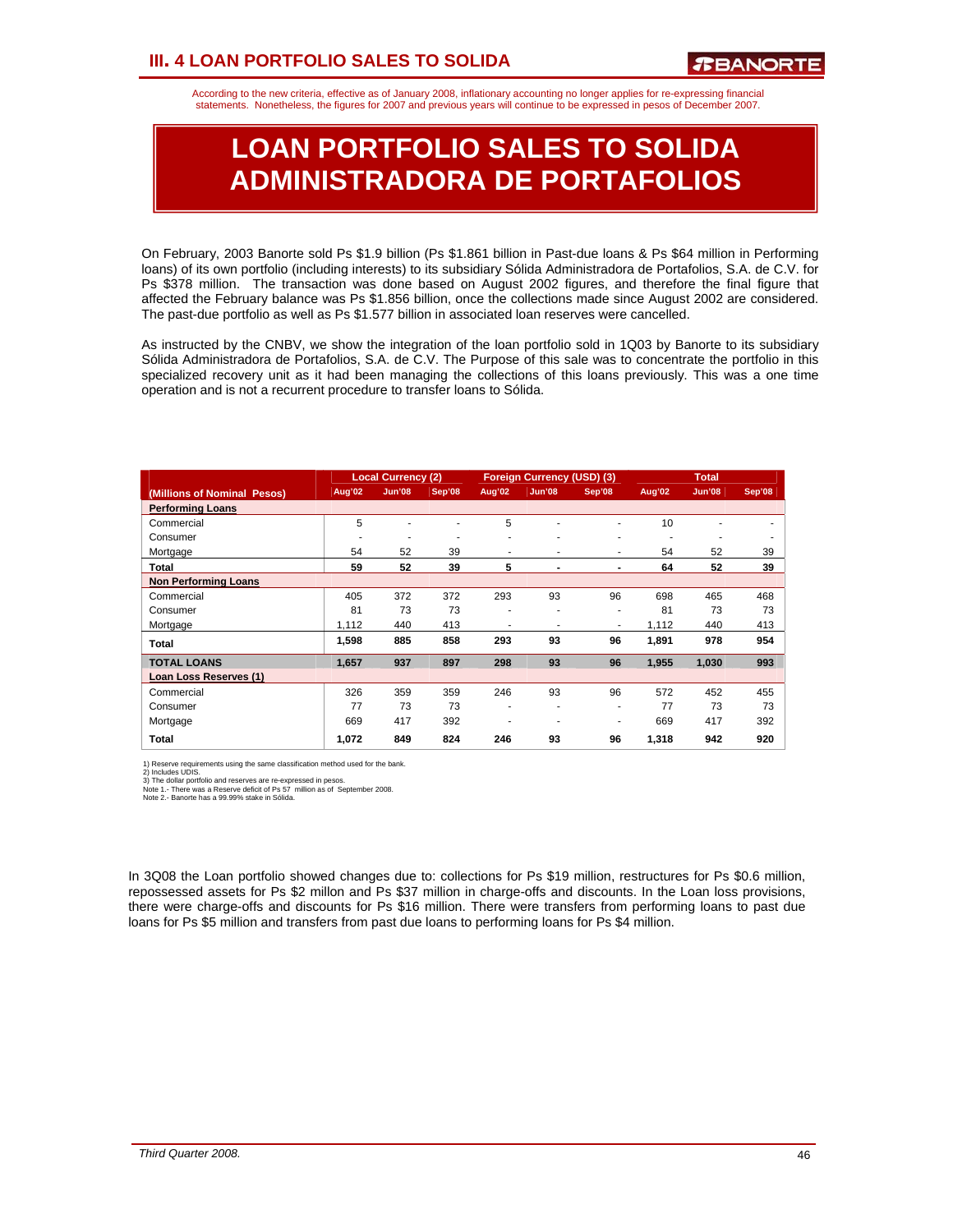According to the new criteria, effective as of January 2008, inflationary accounting no longer applies for re-expressing financial statements. Nonetheless, the figures for 2007 and previous years will continue to be expressed in pesos of December 2007.

# **LOAN PORTFOLIO SALES TO SOLIDA ADMINISTRADORA DE PORTAFOLIOS**

On February, 2003 Banorte sold Ps \$1.9 billion (Ps \$1.861 billion in Past-due loans & Ps \$64 million in Performing loans) of its own portfolio (including interests) to its subsidiary Sólida Administradora de Portafolios, S.A. de C.V. for Ps \$378 million. The transaction was done based on August 2002 figures, and therefore the final figure that affected the February balance was Ps \$1.856 billion, once the collections made since August 2002 are considered. The past-due portfolio as well as Ps \$1.577 billion in associated loan reserves were cancelled.

As instructed by the CNBV, we show the integration of the loan portfolio sold in 1Q03 by Banorte to its subsidiary Sólida Administradora de Portafolios, S.A. de C.V. The Purpose of this sale was to concentrate the portfolio in this specialized recovery unit as it had been managing the collections of this loans previously. This was a one time operation and is not a recurrent procedure to transfer loans to Sólida.

|                             |        | <b>Local Currency (2)</b> |        | <b>Foreign Currency (USD) (3)</b> |        |        |        | <b>Total</b>  |        |
|-----------------------------|--------|---------------------------|--------|-----------------------------------|--------|--------|--------|---------------|--------|
| (Millions of Nominal Pesos) | Aug'02 | <b>Jun'08</b>             | Sep'08 | Aug'02                            | Jun'08 | Sep'08 | Aug'02 | <b>Jun'08</b> | Sep'08 |
| <b>Performing Loans</b>     |        |                           |        |                                   |        |        |        |               |        |
| Commercial                  | 5      |                           |        | 5                                 | ٠      | ٠      | 10     |               |        |
| Consumer                    |        | $\overline{\phantom{a}}$  | ۰      | $\overline{\phantom{a}}$          | ۰      | ۰      | ۰      |               |        |
| Mortgage                    | 54     | 52                        | 39     | ۰                                 | ۰      | ٠      | 54     | 52            | 39     |
| Total                       | 59     | 52                        | 39     | 5                                 | ٠      |        | 64     | 52            | 39     |
| <b>Non Performing Loans</b> |        |                           |        |                                   |        |        |        |               |        |
| Commercial                  | 405    | 372                       | 372    | 293                               | 93     | 96     | 698    | 465           | 468    |
| Consumer                    | 81     | 73                        | 73     |                                   | ٠      | ٠      | 81     | 73            | 73     |
| Mortgage                    | 1,112  | 440                       | 413    | ۰                                 | ٠      | ۰      | 1,112  | 440           | 413    |
| Total                       | 1,598  | 885                       | 858    | 293                               | 93     | 96     | 1,891  | 978           | 954    |
| <b>TOTAL LOANS</b>          | 1.657  | 937                       | 897    | 298                               | 93     | 96     | 1,955  | 1,030         | 993    |
| Loan Loss Reserves (1)      |        |                           |        |                                   |        |        |        |               |        |
| Commercial                  | 326    | 359                       | 359    | 246                               | 93     | 96     | 572    | 452           | 455    |
| Consumer                    | 77     | 73                        | 73     | ٠                                 |        | ۰      | 77     | 73            | 73     |
| Mortgage                    | 669    | 417                       | 392    | ۰                                 | ٠      | ۰      | 669    | 417           | 392    |
| Total                       | 1.072  | 849                       | 824    | 246                               | 93     | 96     | 1.318  | 942           | 920    |

1) Reserve requirements using the same classification method used for the bank.<br>2) Includes UDIS.<br>3) The dollar portfolio and reserves are re-expressed in pesos.<br>Note 1. - There was a Reserve deficit of Ps 57 million as of

In 3Q08 the Loan portfolio showed changes due to: collections for Ps \$19 million, restructures for Ps \$0.6 million, repossessed assets for Ps \$2 millon and Ps \$37 million in charge-offs and discounts. In the Loan loss provisions, there were charge-offs and discounts for Ps \$16 million. There were transfers from performing loans to past due loans for Ps \$5 million and transfers from past due loans to performing loans for Ps \$4 million.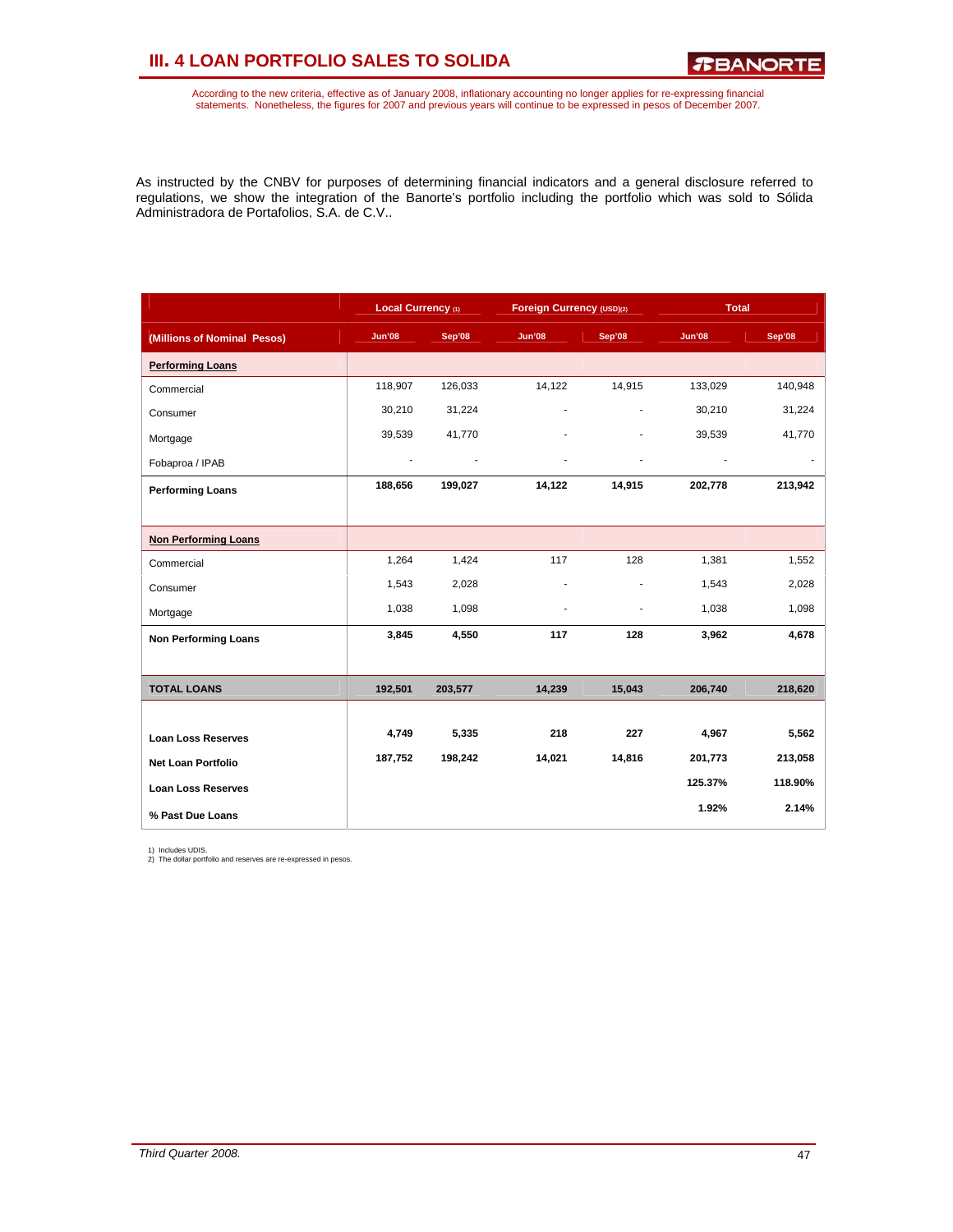## **III. 4 LOAN PORTFOLIO SALES TO SOLIDA**

According to the new criteria, effective as of January 2008, inflationary accounting no longer applies for re-expressing financial<br>statements. Nonetheless, the figures for 2007 and previous years will continue to be expres

As instructed by the CNBV for purposes of determining financial indicators and a general disclosure referred to regulations, we show the integration of the Banorte's portfolio including the portfolio which was sold to Sólida Administradora de Portafolios, S.A. de C.V..

|                             | Local Currency (1) |         | Foreign Currency (USD)(2) |                          | <b>Total</b>  |         |
|-----------------------------|--------------------|---------|---------------------------|--------------------------|---------------|---------|
| (Millions of Nominal Pesos) | <b>Jun'08</b>      | Sep'08  | Jun'08                    | Sep'08                   | <b>Jun'08</b> | Sep'08  |
| <b>Performing Loans</b>     |                    |         |                           |                          |               |         |
| Commercial                  | 118,907            | 126,033 | 14,122                    | 14,915                   | 133,029       | 140,948 |
| Consumer                    | 30,210             | 31,224  | ä,                        | $\overline{\phantom{m}}$ | 30,210        | 31,224  |
| Mortgage                    | 39,539             | 41,770  |                           |                          | 39,539        | 41,770  |
| Fobaproa / IPAB             | $\blacksquare$     |         |                           |                          |               |         |
| <b>Performing Loans</b>     | 188,656            | 199,027 | 14,122                    | 14,915                   | 202,778       | 213,942 |
|                             |                    |         |                           |                          |               |         |
| <b>Non Performing Loans</b> |                    |         |                           |                          |               |         |
| Commercial                  | 1,264              | 1,424   | 117                       | 128                      | 1,381         | 1,552   |
| Consumer                    | 1,543              | 2,028   | ä,                        |                          | 1,543         | 2,028   |
| Mortgage                    | 1,038              | 1,098   |                           |                          | 1,038         | 1,098   |
| <b>Non Performing Loans</b> | 3,845              | 4,550   | 117                       | 128                      | 3,962         | 4,678   |
|                             |                    |         |                           |                          |               |         |
| <b>TOTAL LOANS</b>          | 192,501            | 203,577 | 14,239                    | 15,043                   | 206,740       | 218,620 |
|                             |                    |         |                           |                          |               |         |
| <b>Loan Loss Reserves</b>   | 4,749              | 5,335   | 218                       | 227                      | 4,967         | 5,562   |
| <b>Net Loan Portfolio</b>   | 187,752            | 198,242 | 14,021                    | 14,816                   | 201,773       | 213,058 |
| <b>Loan Loss Reserves</b>   |                    |         |                           |                          | 125.37%       | 118.90% |
| % Past Due Loans            |                    |         |                           |                          | 1.92%         | 2.14%   |

1) Includes UDIS. 2) The dollar portfolio and reserves are re-expressed in pesos.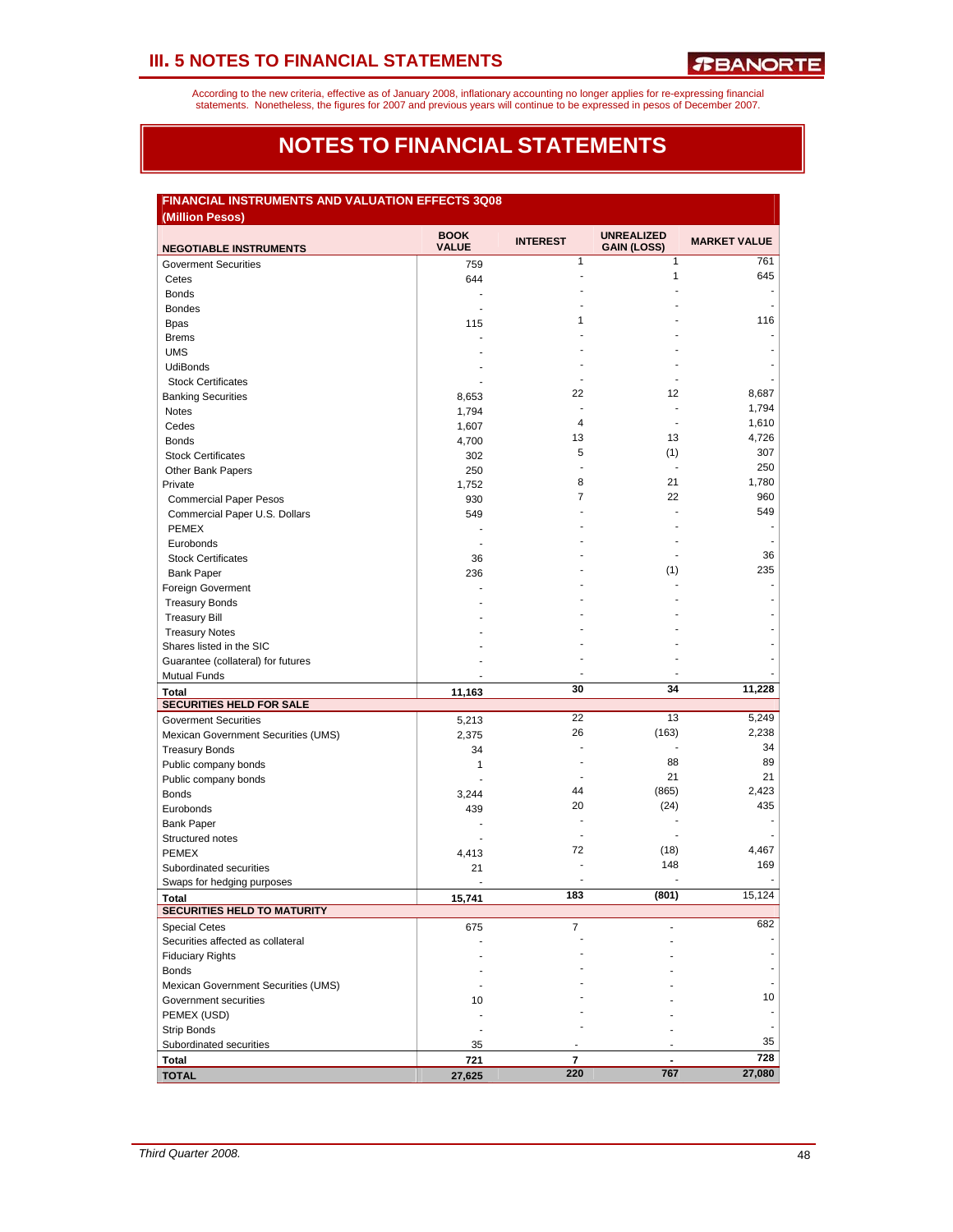According to the new criteria, effective as of January 2008, inflationary accounting no longer applies for re-expressing financial<br>statements. Nonetheless, the figures for 2007 and previous years will continue to be expres

## **NOTES TO FINANCIAL STATEMENTS**

## **FINANCIAL INSTRUMENTS AND VALUATION EFFECTS 3Q08**

| (Million Pesos)                               |              |                 |                    |                     |
|-----------------------------------------------|--------------|-----------------|--------------------|---------------------|
|                                               | <b>BOOK</b>  | <b>INTEREST</b> | <b>UNREALIZED</b>  | <b>MARKET VALUE</b> |
| <b>NEGOTIABLE INSTRUMENTS</b>                 | <b>VALUE</b> |                 | <b>GAIN (LOSS)</b> |                     |
| <b>Goverment Securities</b>                   | 759          | 1               | $\mathbf{1}$       | 761                 |
| Cetes                                         | 644          | L,              | 1                  | 645                 |
| <b>Bonds</b>                                  |              |                 |                    |                     |
| <b>Bondes</b>                                 |              |                 |                    |                     |
| <b>Bpas</b>                                   | 115          | 1               |                    | 116                 |
| <b>Brems</b>                                  |              |                 |                    |                     |
| <b>UMS</b>                                    |              |                 |                    |                     |
| <b>UdiBonds</b>                               |              |                 |                    |                     |
| <b>Stock Certificates</b>                     |              |                 |                    |                     |
| <b>Banking Securities</b>                     | 8,653        | 22              | 12                 | 8,687               |
| Notes                                         | 1,794        | $\overline{a}$  |                    | 1,794               |
| Cedes                                         | 1,607        | 4               | $\overline{a}$     | 1,610               |
| <b>Bonds</b>                                  | 4,700        | 13              | 13                 | 4,726               |
| <b>Stock Certificates</b>                     | 302          | 5               | (1)                | 307                 |
| Other Bank Papers                             | 250          | L,              |                    | 250                 |
| Private                                       | 1,752        | 8               | 21                 | 1,780               |
| <b>Commercial Paper Pesos</b>                 | 930          | 7               | 22                 | 960                 |
| Commercial Paper U.S. Dollars                 | 549          |                 |                    | 549                 |
| <b>PEMEX</b>                                  |              |                 |                    |                     |
| Eurobonds                                     |              |                 |                    |                     |
| <b>Stock Certificates</b>                     | 36           |                 |                    | 36                  |
| <b>Bank Paper</b>                             | 236          |                 | (1)                | 235                 |
| Foreign Goverment                             |              |                 |                    |                     |
| <b>Treasury Bonds</b>                         |              |                 |                    |                     |
| <b>Treasury Bill</b>                          |              |                 |                    |                     |
| <b>Treasury Notes</b>                         |              |                 |                    |                     |
| Shares listed in the SIC                      |              |                 |                    |                     |
| Guarantee (collateral) for futures            |              |                 |                    |                     |
| <b>Mutual Funds</b>                           |              |                 |                    |                     |
| <b>Total</b>                                  | 11,163       | 30              | 34                 | 11,228              |
| SECURITIES HELD FOR SALE                      |              |                 |                    |                     |
| <b>Goverment Securities</b>                   | 5,213        | 22              | 13                 | 5,249               |
| Mexican Government Securities (UMS)           | 2,375        | 26              | (163)              | 2,238               |
| <b>Treasury Bonds</b>                         | 34           |                 |                    | 34                  |
| Public company bonds                          | 1            |                 | 88                 | 89                  |
| Public company bonds                          |              | ÷               | 21                 | 21                  |
| <b>Bonds</b>                                  | 3,244        | 44              | (865)              | 2,423               |
| Eurobonds                                     | 439          | 20              | (24)               | 435                 |
| <b>Bank Paper</b>                             | ÷            |                 |                    |                     |
| Structured notes                              |              |                 |                    |                     |
| <b>PEMEX</b>                                  | 4,413        | 72              | (18)               | 4,467               |
| Subordinated securities                       | 21           |                 | 148                | 169                 |
| Swaps for hedging purposes                    |              |                 |                    |                     |
| <b>Total</b>                                  | 15,741       | 183             | (801)              | 15,124              |
| <b>SECURITIES HELD TO MATURITY</b>            |              |                 |                    |                     |
| <b>Special Cetes</b>                          | 675          | $\overline{7}$  |                    | 682                 |
| Securities affected as collateral             |              |                 |                    |                     |
| <b>Fiduciary Rights</b>                       |              |                 |                    |                     |
| <b>Bonds</b>                                  |              |                 |                    |                     |
| Mexican Government Securities (UMS)           |              |                 |                    |                     |
| Government securities                         |              |                 |                    | 10                  |
|                                               | 10           |                 |                    |                     |
| PEMEX (USD)                                   |              |                 |                    |                     |
| <b>Strip Bonds</b><br>Subordinated securities |              |                 |                    | 35                  |
|                                               | 35           | 7               |                    | 728                 |
| Total                                         | 721          | 220             | 767                | 27,080              |
| <b>TOTAL</b>                                  | 27,625       |                 |                    |                     |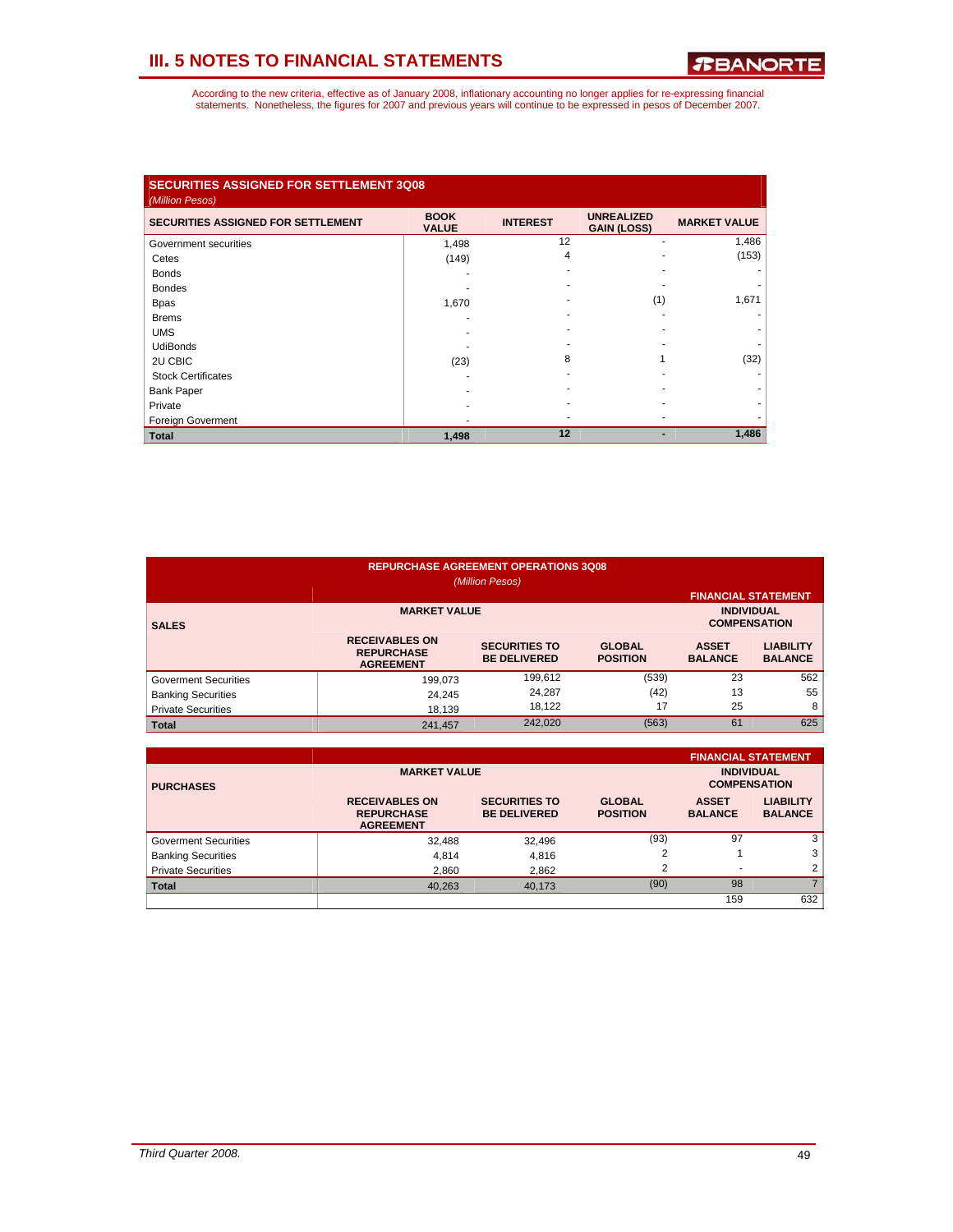| <b>SECURITIES ASSIGNED FOR SETTLEMENT 3Q08</b><br>(Million Pesos) |                             |                 |                                         |                     |
|-------------------------------------------------------------------|-----------------------------|-----------------|-----------------------------------------|---------------------|
| <b>SECURITIES ASSIGNED FOR SETTLEMENT</b>                         | <b>BOOK</b><br><b>VALUE</b> | <b>INTEREST</b> | <b>UNREALIZED</b><br><b>GAIN (LOSS)</b> | <b>MARKET VALUE</b> |
| Government securities                                             | 1,498                       | 12              | ٠                                       | 1,486               |
| Cetes                                                             | (149)                       | 4               |                                         | (153)               |
| <b>Bonds</b>                                                      |                             |                 |                                         |                     |
| <b>Bondes</b>                                                     |                             |                 |                                         |                     |
| <b>Bpas</b>                                                       | 1,670                       |                 | (1)                                     | 1,671               |
| <b>Brems</b>                                                      |                             |                 |                                         |                     |
| <b>UMS</b>                                                        |                             |                 |                                         |                     |
| <b>UdiBonds</b>                                                   |                             |                 |                                         |                     |
| 2U CBIC                                                           | (23)                        | 8               |                                         | (32)                |
| <b>Stock Certificates</b>                                         |                             |                 |                                         |                     |
| <b>Bank Paper</b>                                                 |                             |                 |                                         |                     |
| Private                                                           |                             |                 |                                         |                     |
| <b>Foreign Goverment</b>                                          |                             |                 |                                         |                     |
| <b>Total</b>                                                      | 1,498                       | 12              |                                         | 1,486               |

| <b>REPURCHASE AGREEMENT OPERATIONS 3Q08</b><br>(Million Pesos) |                                                                |                                             |                                  |                                |                                    |  |  |  |
|----------------------------------------------------------------|----------------------------------------------------------------|---------------------------------------------|----------------------------------|--------------------------------|------------------------------------|--|--|--|
|                                                                |                                                                | <b>FINANCIAL STATEMENT</b>                  |                                  |                                |                                    |  |  |  |
| <b>SALES</b>                                                   |                                                                | <b>INDIVIDUAL</b><br><b>COMPENSATION</b>    |                                  |                                |                                    |  |  |  |
|                                                                | <b>RECEIVABLES ON</b><br><b>REPURCHASE</b><br><b>AGREEMENT</b> | <b>SECURITIES TO</b><br><b>BE DELIVERED</b> | <b>GLOBAL</b><br><b>POSITION</b> | <b>ASSET</b><br><b>BALANCE</b> | <b>LIABILITY</b><br><b>BALANCE</b> |  |  |  |
| <b>Goverment Securities</b>                                    | 199,073                                                        | 199,612                                     | (539)                            | 23                             | 562                                |  |  |  |
| <b>Banking Securities</b>                                      | 24,245                                                         | 24,287                                      | (42)                             | 13                             | 55                                 |  |  |  |
| <b>Private Securities</b>                                      | 18,139                                                         | 18.122                                      | 17                               | 25                             | 8                                  |  |  |  |
| <b>Total</b>                                                   | 241,457                                                        | 242,020                                     | (563)                            | 61                             | 625                                |  |  |  |

|                             |                                                                |                                             |                                  |                                          | <b>FINANCIAL STATEMENT</b>         |
|-----------------------------|----------------------------------------------------------------|---------------------------------------------|----------------------------------|------------------------------------------|------------------------------------|
| <b>PURCHASES</b>            | <b>MARKET VALUE</b>                                            |                                             |                                  | <b>INDIVIDUAL</b><br><b>COMPENSATION</b> |                                    |
|                             | <b>RECEIVABLES ON</b><br><b>REPURCHASE</b><br><b>AGREEMENT</b> | <b>SECURITIES TO</b><br><b>BE DELIVERED</b> | <b>GLOBAL</b><br><b>POSITION</b> | <b>ASSET</b><br><b>BALANCE</b>           | <b>LIABILITY</b><br><b>BALANCE</b> |
| <b>Goverment Securities</b> | 32,488                                                         | 32,496                                      | (93)                             | 97                                       | 3                                  |
| <b>Banking Securities</b>   | 4.814                                                          | 4.816                                       | າ                                |                                          | 3                                  |
| <b>Private Securities</b>   | 2.860                                                          | 2,862                                       | 2                                | $\overline{\phantom{a}}$                 | 2                                  |
| <b>Total</b>                | 40,263                                                         | 40.173                                      | (90)                             | 98                                       |                                    |
|                             |                                                                |                                             |                                  | 159                                      | 632                                |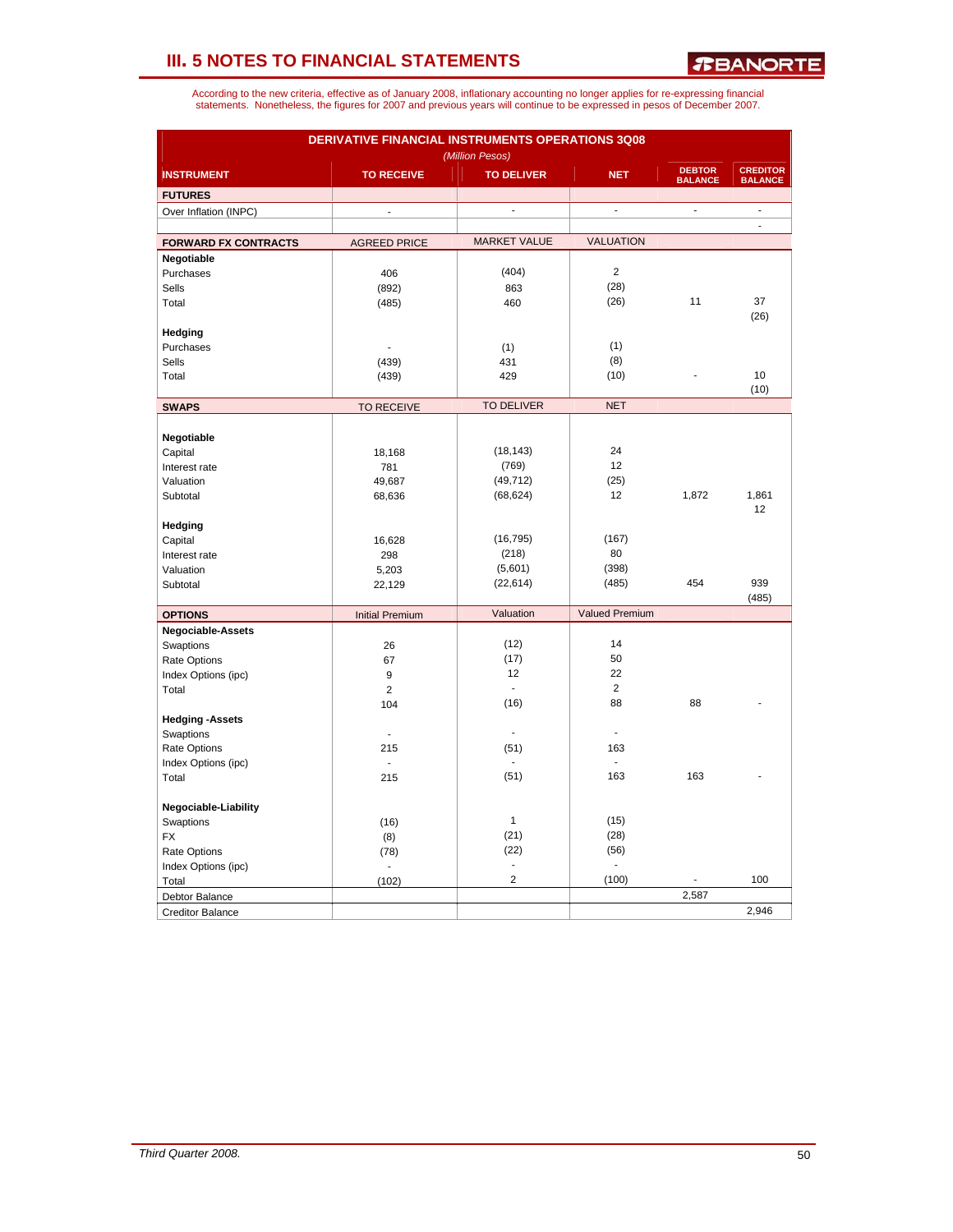*R***BANORTE** 

| According to the new criteria, effective as of January 2008, inflationary accounting no longer applies for re-expressing financial |
|------------------------------------------------------------------------------------------------------------------------------------|
| statements. Nonetheless, the figures for 2007 and previous years will continue to be expressed in pesos of December 2007.          |

| DERIVATIVE FINANCIAL INSTRUMENTS OPERATIONS 3Q08<br>(Million Pesos) |                        |                     |                       |                                 |                                   |  |  |  |  |  |  |
|---------------------------------------------------------------------|------------------------|---------------------|-----------------------|---------------------------------|-----------------------------------|--|--|--|--|--|--|
| <b>INSTRUMENT</b>                                                   | <b>TO RECEIVE</b>      | <b>TO DELIVER</b>   | <b>NET</b>            | <b>DEBTOR</b><br><b>BALANCE</b> | <b>CREDITOR</b><br><b>BALANCE</b> |  |  |  |  |  |  |
| <b>FUTURES</b>                                                      |                        |                     |                       |                                 |                                   |  |  |  |  |  |  |
| Over Inflation (INPC)                                               | $\overline{a}$         | $\blacksquare$      | $\blacksquare$        | $\overline{\phantom{a}}$        | $\blacksquare$                    |  |  |  |  |  |  |
|                                                                     |                        |                     |                       |                                 | $\Box$                            |  |  |  |  |  |  |
| <b>FORWARD FX CONTRACTS</b>                                         | <b>AGREED PRICE</b>    | <b>MARKET VALUE</b> | <b>VALUATION</b>      |                                 |                                   |  |  |  |  |  |  |
| Negotiable                                                          |                        |                     |                       |                                 |                                   |  |  |  |  |  |  |
| Purchases                                                           | 406                    | (404)               | $\overline{2}$        |                                 |                                   |  |  |  |  |  |  |
| Sells                                                               | (892)                  | 863                 | (28)                  |                                 |                                   |  |  |  |  |  |  |
| Total                                                               | (485)                  | 460                 | (26)                  | 11                              | 37                                |  |  |  |  |  |  |
|                                                                     |                        |                     |                       |                                 | (26)                              |  |  |  |  |  |  |
| Hedging                                                             |                        |                     |                       |                                 |                                   |  |  |  |  |  |  |
| Purchases                                                           | Ĭ.                     | (1)                 | (1)                   |                                 |                                   |  |  |  |  |  |  |
| Sells                                                               | (439)                  | 431                 | (8)                   |                                 | 10                                |  |  |  |  |  |  |
| Total                                                               | (439)                  | 429                 | (10)                  |                                 | (10)                              |  |  |  |  |  |  |
| <b>SWAPS</b>                                                        | <b>TO RECEIVE</b>      | <b>TO DELIVER</b>   | <b>NET</b>            |                                 |                                   |  |  |  |  |  |  |
|                                                                     |                        |                     |                       |                                 |                                   |  |  |  |  |  |  |
| Negotiable                                                          |                        |                     |                       |                                 |                                   |  |  |  |  |  |  |
| Capital                                                             | 18,168                 | (18, 143)           | 24                    |                                 |                                   |  |  |  |  |  |  |
| Interest rate                                                       | 781                    | (769)               | 12                    |                                 |                                   |  |  |  |  |  |  |
| Valuation                                                           | 49,687                 | (49, 712)           | (25)                  |                                 |                                   |  |  |  |  |  |  |
| Subtotal                                                            | 68,636                 | (68, 624)           | 12                    | 1,872                           | 1,861                             |  |  |  |  |  |  |
|                                                                     |                        |                     |                       |                                 | 12                                |  |  |  |  |  |  |
| Hedging                                                             |                        |                     |                       |                                 |                                   |  |  |  |  |  |  |
| Capital                                                             | 16,628                 | (16, 795)           | (167)                 |                                 |                                   |  |  |  |  |  |  |
| Interest rate                                                       | 298                    | (218)               | 80                    |                                 |                                   |  |  |  |  |  |  |
| Valuation                                                           | 5,203                  | (5,601)             | (398)                 |                                 |                                   |  |  |  |  |  |  |
| Subtotal                                                            | 22,129                 | (22, 614)           | (485)                 | 454                             | 939                               |  |  |  |  |  |  |
|                                                                     |                        |                     |                       |                                 | (485)                             |  |  |  |  |  |  |
| <b>OPTIONS</b>                                                      | <b>Initial Premium</b> | Valuation           | <b>Valued Premium</b> |                                 |                                   |  |  |  |  |  |  |
| Negociable-Assets                                                   |                        |                     |                       |                                 |                                   |  |  |  |  |  |  |
| Swaptions                                                           | 26                     | (12)                | 14                    |                                 |                                   |  |  |  |  |  |  |
| Rate Options                                                        | 67                     | (17)                | 50                    |                                 |                                   |  |  |  |  |  |  |
| Index Options (ipc)                                                 | 9                      | 12<br>÷,            | 22<br>$\overline{2}$  |                                 |                                   |  |  |  |  |  |  |
| Total                                                               | $\overline{2}$         |                     | 88                    | 88                              |                                   |  |  |  |  |  |  |
| <b>Hedging -Assets</b>                                              | 104                    | (16)                |                       |                                 |                                   |  |  |  |  |  |  |
| Swaptions                                                           |                        | ä,                  | ÷,                    |                                 |                                   |  |  |  |  |  |  |
| Rate Options                                                        | 215                    | (51)                | 163                   |                                 |                                   |  |  |  |  |  |  |
| Index Options (ipc)                                                 | $\mathbf{r}$           |                     | $\blacksquare$        |                                 |                                   |  |  |  |  |  |  |
| Total                                                               | 215                    | (51)                | 163                   | 163                             |                                   |  |  |  |  |  |  |
|                                                                     |                        |                     |                       |                                 |                                   |  |  |  |  |  |  |
| Negociable-Liability                                                |                        |                     |                       |                                 |                                   |  |  |  |  |  |  |
| Swaptions                                                           | (16)                   | $\mathbf{1}$        | (15)                  |                                 |                                   |  |  |  |  |  |  |
| FX                                                                  | (8)                    | (21)                | (28)                  |                                 |                                   |  |  |  |  |  |  |
| Rate Options                                                        | (78)                   | (22)                | (56)                  |                                 |                                   |  |  |  |  |  |  |
| Index Options (ipc)                                                 |                        | ä,                  |                       |                                 |                                   |  |  |  |  |  |  |
| Total                                                               | (102)                  | $\overline{2}$      | (100)                 |                                 | 100                               |  |  |  |  |  |  |
| Debtor Balance                                                      |                        |                     |                       | 2,587                           |                                   |  |  |  |  |  |  |
| <b>Creditor Balance</b>                                             |                        |                     |                       |                                 | 2,946                             |  |  |  |  |  |  |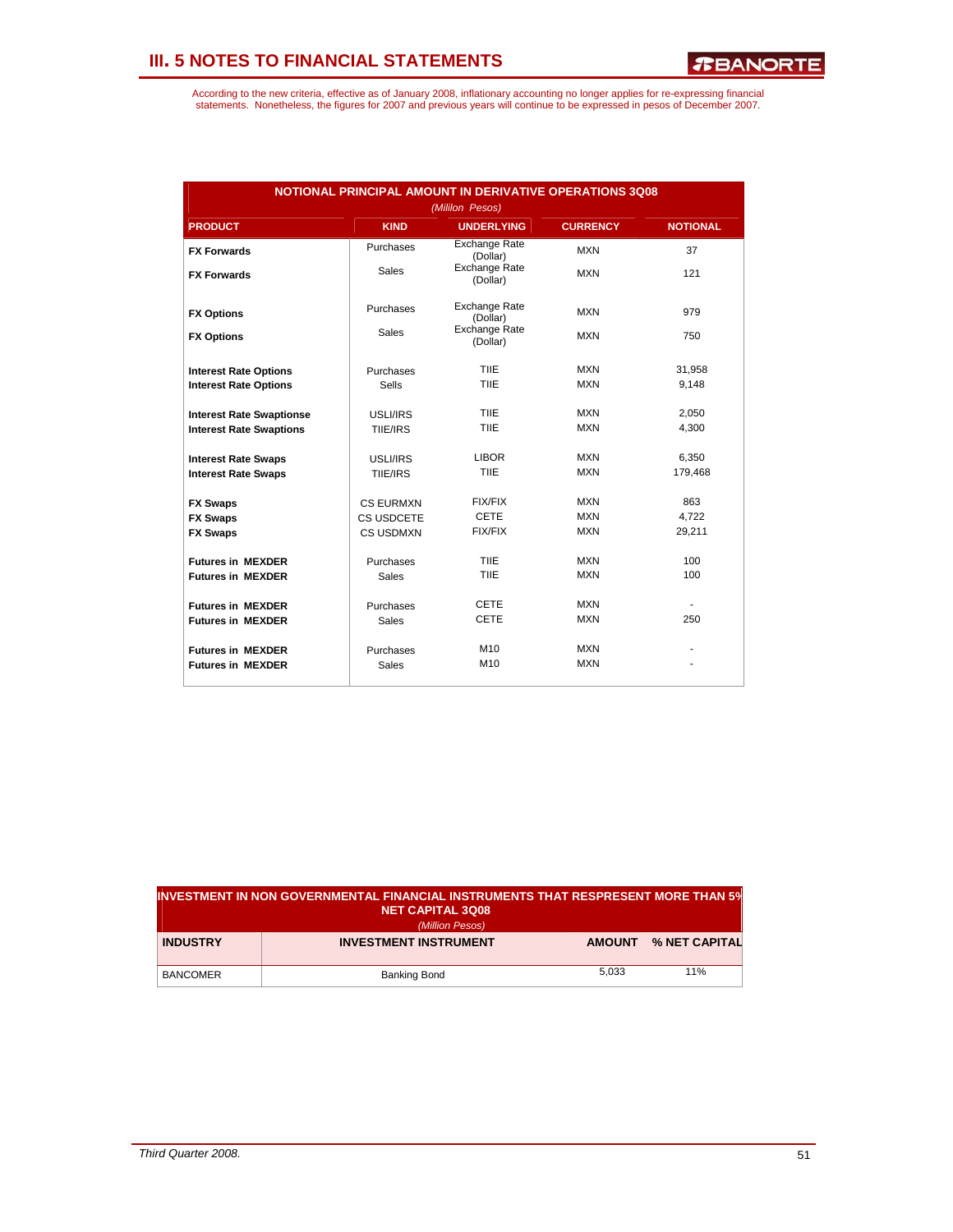| <b>NOTIONAL PRINCIPAL AMOUNT IN DERIVATIVE OPERATIONS 3Q08</b><br>(Mililon Pesos) |                  |                                  |                 |                 |  |  |  |  |
|-----------------------------------------------------------------------------------|------------------|----------------------------------|-----------------|-----------------|--|--|--|--|
| <b>PRODUCT</b>                                                                    | <b>KIND</b>      | <b>UNDERLYING</b>                | <b>CURRENCY</b> | <b>NOTIONAL</b> |  |  |  |  |
| <b>FX Forwards</b>                                                                | Purchases        | <b>Exchange Rate</b><br>(Dollar) | <b>MXN</b>      | 37              |  |  |  |  |
| <b>FX Forwards</b>                                                                | <b>Sales</b>     | <b>Exchange Rate</b><br>(Dollar) | <b>MXN</b>      | 121             |  |  |  |  |
| <b>FX Options</b>                                                                 | Purchases        | <b>Exchange Rate</b><br>(Dollar) | <b>MXN</b>      | 979             |  |  |  |  |
| <b>FX Options</b>                                                                 | <b>Sales</b>     | <b>Exchange Rate</b><br>(Dollar) | <b>MXN</b>      | 750             |  |  |  |  |
| <b>Interest Rate Options</b>                                                      | Purchases        | TIIE                             | <b>MXN</b>      | 31,958          |  |  |  |  |
| <b>Interest Rate Options</b>                                                      | <b>Sells</b>     | TIIE                             | <b>MXN</b>      | 9,148           |  |  |  |  |
| <b>Interest Rate Swaptionse</b>                                                   | USLI/IRS         | TIIE                             | <b>MXN</b>      | 2,050           |  |  |  |  |
| <b>Interest Rate Swaptions</b>                                                    | TIIE/IRS         | <b>TIIF</b>                      | <b>MXN</b>      | 4,300           |  |  |  |  |
| <b>Interest Rate Swaps</b>                                                        | USLI/IRS         | <b>LIBOR</b>                     | <b>MXN</b>      | 6,350           |  |  |  |  |
| <b>Interest Rate Swaps</b>                                                        | TIIE/IRS         | TIIE                             | <b>MXN</b>      | 179,468         |  |  |  |  |
| <b>FX Swaps</b>                                                                   | <b>CS EURMXN</b> | FIX/FIX                          | <b>MXN</b>      | 863             |  |  |  |  |
| <b>FX Swaps</b>                                                                   | CS USDCETE       | <b>CETE</b>                      | <b>MXN</b>      | 4,722           |  |  |  |  |
| <b>FX Swaps</b>                                                                   | CS USDMXN        | FIX/FIX                          | <b>MXN</b>      | 29,211          |  |  |  |  |
| <b>Futures in MEXDER</b>                                                          | Purchases        | TIIE                             | <b>MXN</b>      | 100             |  |  |  |  |
| <b>Futures in MEXDER</b>                                                          | Sales            | TIIE                             | <b>MXN</b>      | 100             |  |  |  |  |
| <b>Futures in MEXDER</b>                                                          | Purchases        | <b>CETE</b>                      | <b>MXN</b>      |                 |  |  |  |  |
| <b>Futures in MEXDER</b>                                                          | Sales            | <b>CETE</b>                      | <b>MXN</b>      | 250             |  |  |  |  |
| <b>Futures in MEXDER</b>                                                          | Purchases        | M <sub>10</sub>                  | <b>MXN</b>      |                 |  |  |  |  |
| <b>Futures in MEXDER</b>                                                          | Sales            | M <sub>10</sub>                  | <b>MXN</b>      |                 |  |  |  |  |

| IINVESTMENT IN NON GOVERNMENTAL FINANCIAL INSTRUMENTS THAT RESPRESENT MORE THAN 5%<br><b>NET CAPITAL 3Q08</b> |                              |               |               |  |  |  |  |  |
|---------------------------------------------------------------------------------------------------------------|------------------------------|---------------|---------------|--|--|--|--|--|
| (Million Pesos)                                                                                               |                              |               |               |  |  |  |  |  |
| <b>INDUSTRY</b>                                                                                               | <b>INVESTMENT INSTRUMENT</b> | <b>AMOUNT</b> | % NET CAPITAL |  |  |  |  |  |
|                                                                                                               |                              |               |               |  |  |  |  |  |
| <b>BANCOMER</b>                                                                                               | Banking Bond                 | 5.033         | 11%           |  |  |  |  |  |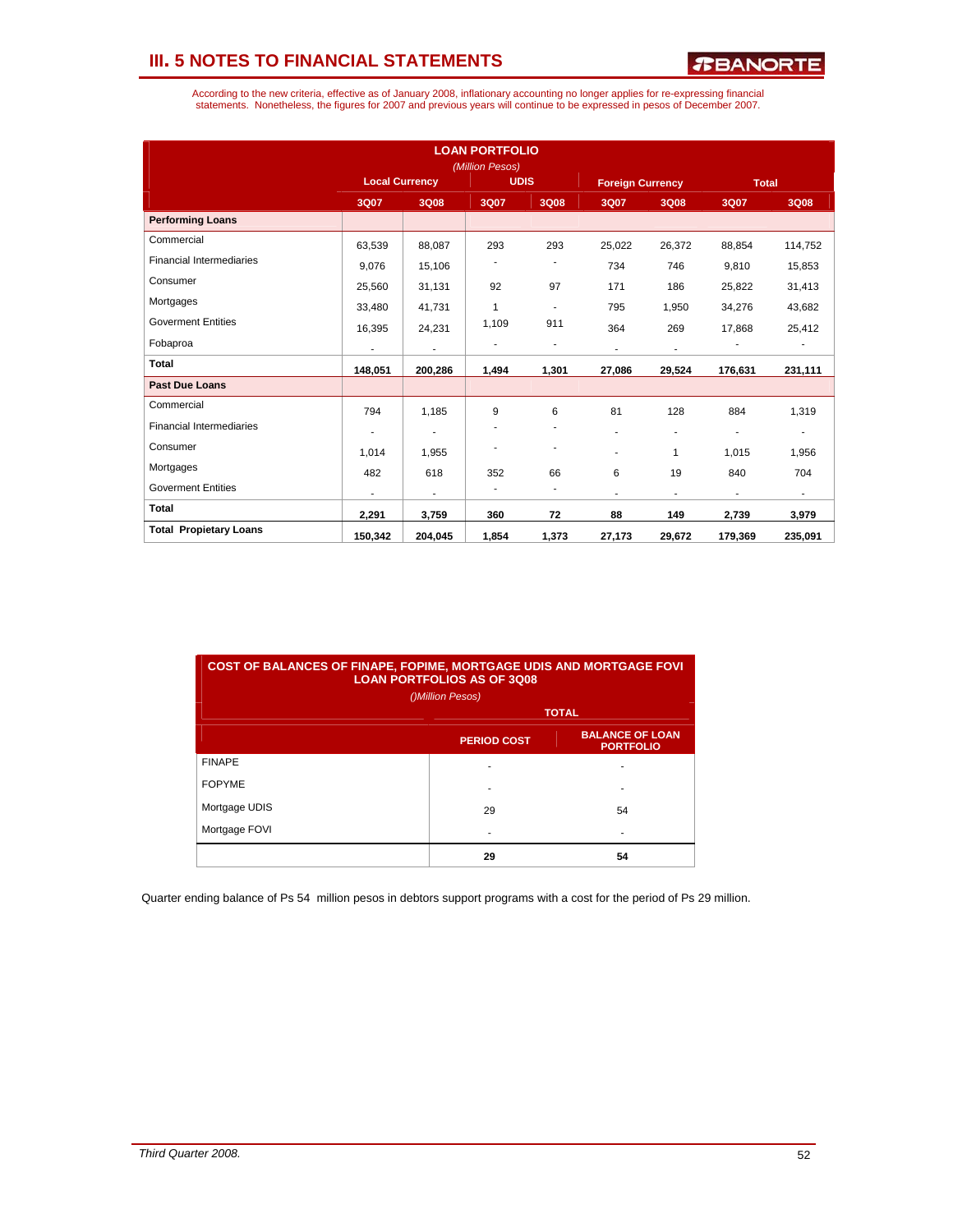According to the new criteria, effective as of January 2008, inflationary accounting no longer applies for re-expressing financial<br>statements. Nonetheless, the figures for 2007 and previous years will continue to be expres

| <b>LOAN PORTFOLIO</b><br>(Million Pesos) |                                      |                          |                |                          |                |                |         |                |
|------------------------------------------|--------------------------------------|--------------------------|----------------|--------------------------|----------------|----------------|---------|----------------|
|                                          | <b>Local Currency</b><br><b>UDIS</b> |                          |                | <b>Foreign Currency</b>  |                | <b>Total</b>   |         |                |
|                                          | 3Q07                                 | 3Q08                     | 3Q07           | 3Q08                     | 3Q07           | 3Q08           | 3Q07    | 3Q08           |
| <b>Performing Loans</b>                  |                                      |                          |                |                          |                |                |         |                |
| Commercial                               | 63,539                               | 88,087                   | 293            | 293                      | 25,022         | 26,372         | 88,854  | 114,752        |
| <b>Financial Intermediaries</b>          | 9.076                                | 15,106                   |                |                          | 734            | 746            | 9,810   | 15,853         |
| Consumer                                 | 25,560                               | 31,131                   | 92             | 97                       | 171            | 186            | 25,822  | 31,413         |
| Mortgages                                | 33,480                               | 41,731                   | $\overline{1}$ | $\overline{\phantom{a}}$ | 795            | 1,950          | 34,276  | 43,682         |
| <b>Goverment Entities</b>                | 16,395                               | 24,231                   | 1,109          | 911                      | 364            | 269            | 17,868  | 25,412         |
| Fobaproa                                 | $\overline{\phantom{a}}$             | $\overline{a}$           |                | ٠                        | $\blacksquare$ | $\overline{a}$ |         | ٠              |
| <b>Total</b>                             | 148,051                              | 200,286                  | 1,494          | 1,301                    | 27,086         | 29,524         | 176,631 | 231,111        |
| <b>Past Due Loans</b>                    |                                      |                          |                |                          |                |                |         |                |
| Commercial                               | 794                                  | 1,185                    | 9              | 6                        | 81             | 128            | 884     | 1,319          |
| <b>Financial Intermediaries</b>          | ٠                                    | $\overline{\phantom{a}}$ |                |                          | ٠              | ٠              | ٠       | $\blacksquare$ |
| Consumer                                 | 1.014                                | 1,955                    | ٠              | ٠                        | ٠              | $\mathbf{1}$   | 1,015   | 1,956          |
| Mortgages                                | 482                                  | 618                      | 352            | 66                       | 6              | 19             | 840     | 704            |
| <b>Goverment Entities</b>                | ٠                                    | $\overline{\phantom{a}}$ | ٠              | $\overline{\phantom{m}}$ | $\blacksquare$ | ٠              | ٠       | $\sim$         |
| <b>Total</b>                             | 2,291                                | 3,759                    | 360            | 72                       | 88             | 149            | 2,739   | 3,979          |
| <b>Total Propietary Loans</b>            | 150,342                              | 204,045                  | 1,854          | 1,373                    | 27,173         | 29,672         | 179,369 | 235,091        |

| <b>COST OF BALANCES OF FINAPE, FOPIME, MORTGAGE UDIS AND MORTGAGE FOVI</b><br><b>LOAN PORTFOLIOS AS OF 3Q08</b> |                                                                  |    |  |  |  |  |  |  |
|-----------------------------------------------------------------------------------------------------------------|------------------------------------------------------------------|----|--|--|--|--|--|--|
| ()Million Pesos)                                                                                                |                                                                  |    |  |  |  |  |  |  |
|                                                                                                                 | <b>TOTAL</b>                                                     |    |  |  |  |  |  |  |
|                                                                                                                 | <b>BALANCE OF LOAN</b><br><b>PERIOD COST</b><br><b>PORTFOLIO</b> |    |  |  |  |  |  |  |
| <b>FINAPE</b>                                                                                                   |                                                                  |    |  |  |  |  |  |  |
| <b>FOPYME</b>                                                                                                   |                                                                  |    |  |  |  |  |  |  |
| Mortgage UDIS                                                                                                   | 29                                                               | 54 |  |  |  |  |  |  |
| Mortgage FOVI                                                                                                   |                                                                  |    |  |  |  |  |  |  |
|                                                                                                                 | 29                                                               | 54 |  |  |  |  |  |  |

Quarter ending balance of Ps 54 million pesos in debtors support programs with a cost for the period of Ps 29 million.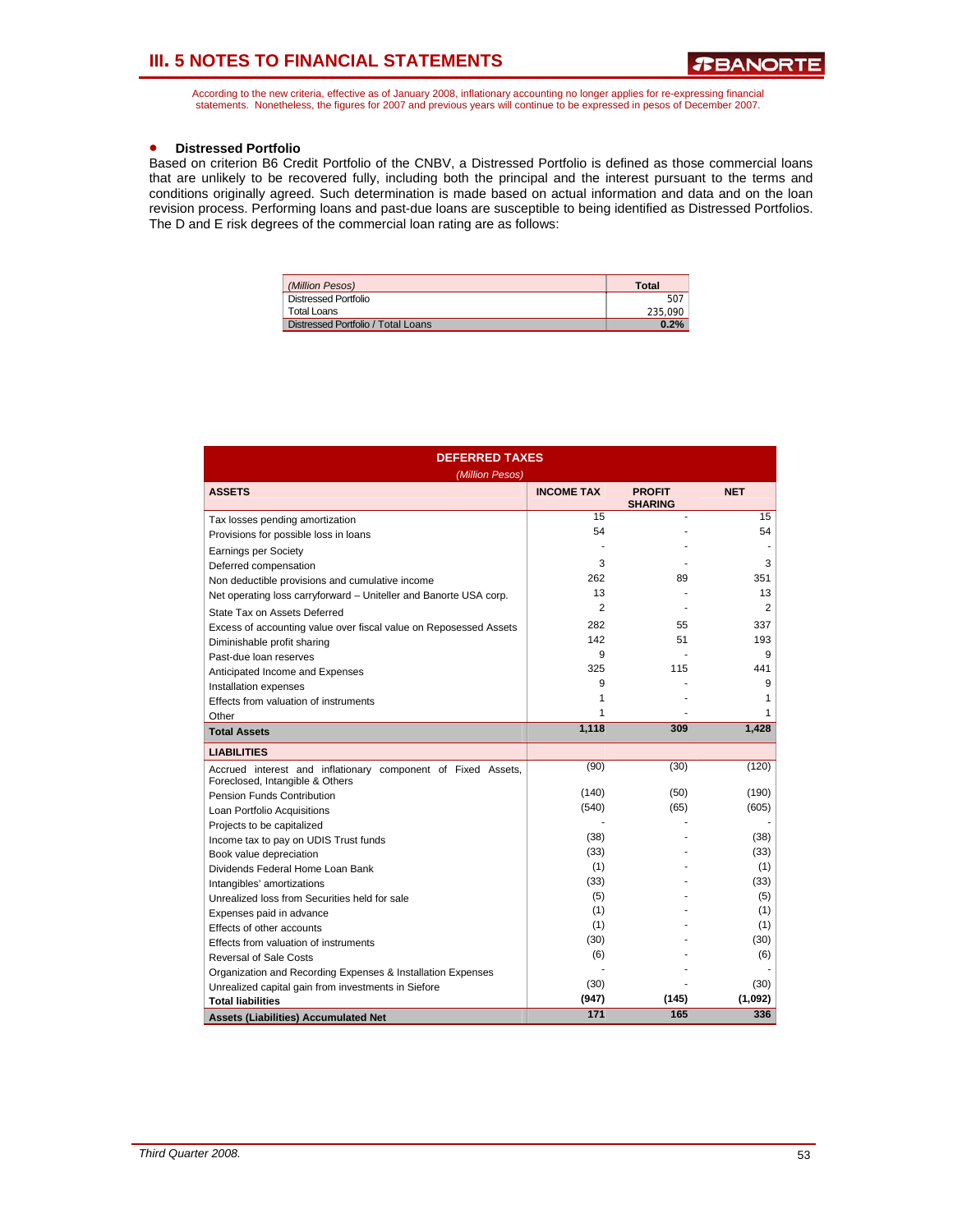According to the new criteria, effective as of January 2008, inflationary accounting no longer applies for re-expressing financial statements. Nonetheless, the figures for 2007 and previous years will continue to be expressed in pesos of December 2007.

### • **Distressed Portfolio**

Based on criterion B6 Credit Portfolio of the CNBV, a Distressed Portfolio is defined as those commercial loans that are unlikely to be recovered fully, including both the principal and the interest pursuant to the terms and conditions originally agreed. Such determination is made based on actual information and data and on the loan revision process. Performing loans and past-due loans are susceptible to being identified as Distressed Portfolios. The D and E risk degrees of the commercial loan rating are as follows:

| (Million Pesos)                    | Total   |
|------------------------------------|---------|
| Distressed Portfolio               | 507     |
| Total Loans                        | 235.090 |
| Distressed Portfolio / Total Loans | 0.2%    |

| <b>DEFERRED TAXES</b>                                                                           |                   |                                 |            |  |  |  |  |  |
|-------------------------------------------------------------------------------------------------|-------------------|---------------------------------|------------|--|--|--|--|--|
| (Million Pesos)<br><b>ASSETS</b>                                                                | <b>INCOME TAX</b> | <b>PROFIT</b><br><b>SHARING</b> | <b>NET</b> |  |  |  |  |  |
| Tax losses pending amortization                                                                 | 15                | ٠                               | 15         |  |  |  |  |  |
| Provisions for possible loss in loans                                                           | 54                |                                 | 54         |  |  |  |  |  |
| <b>Earnings per Society</b>                                                                     |                   |                                 |            |  |  |  |  |  |
| Deferred compensation                                                                           | 3                 |                                 | 3          |  |  |  |  |  |
| Non deductible provisions and cumulative income                                                 | 262               | 89                              | 351        |  |  |  |  |  |
| Net operating loss carryforward - Uniteller and Banorte USA corp.                               | 13                |                                 | 13         |  |  |  |  |  |
| State Tax on Assets Deferred                                                                    | $\overline{2}$    |                                 | 2          |  |  |  |  |  |
| Excess of accounting value over fiscal value on Reposessed Assets                               | 282               | 55                              | 337        |  |  |  |  |  |
| Diminishable profit sharing                                                                     | 142               | 51                              | 193        |  |  |  |  |  |
| Past-due loan reserves                                                                          | 9                 |                                 | 9          |  |  |  |  |  |
| Anticipated Income and Expenses                                                                 | 325               | 115                             | 441        |  |  |  |  |  |
| Installation expenses                                                                           | 9                 |                                 | 9          |  |  |  |  |  |
| Effects from valuation of instruments                                                           | 1                 |                                 | 1          |  |  |  |  |  |
| Other                                                                                           | 1                 |                                 | 1          |  |  |  |  |  |
| <b>Total Assets</b>                                                                             | 1,118             | 309                             | 1,428      |  |  |  |  |  |
| <b>LIABILITIES</b>                                                                              |                   |                                 |            |  |  |  |  |  |
| Accrued interest and inflationary component of Fixed Assets,<br>Foreclosed, Intangible & Others | (90)              | (30)                            | (120)      |  |  |  |  |  |
| Pension Funds Contribution                                                                      | (140)             | (50)                            | (190)      |  |  |  |  |  |
| Loan Portfolio Acquisitions                                                                     | (540)             | (65)                            | (605)      |  |  |  |  |  |
| Projects to be capitalized                                                                      |                   |                                 |            |  |  |  |  |  |
| Income tax to pay on UDIS Trust funds                                                           | (38)              |                                 | (38)       |  |  |  |  |  |
| Book value depreciation                                                                         | (33)              |                                 | (33)       |  |  |  |  |  |
| Dividends Federal Home Loan Bank                                                                | (1)               |                                 | (1)        |  |  |  |  |  |
| Intangibles' amortizations                                                                      | (33)              |                                 | (33)       |  |  |  |  |  |
| Unrealized loss from Securities held for sale                                                   | (5)               |                                 | (5)        |  |  |  |  |  |
| Expenses paid in advance                                                                        | (1)               |                                 | (1)        |  |  |  |  |  |
| Effects of other accounts                                                                       | (1)               |                                 | (1)        |  |  |  |  |  |
| Effects from valuation of instruments                                                           | (30)              |                                 | (30)       |  |  |  |  |  |
| <b>Reversal of Sale Costs</b>                                                                   | (6)               |                                 | (6)        |  |  |  |  |  |
| Organization and Recording Expenses & Installation Expenses                                     |                   |                                 |            |  |  |  |  |  |
| Unrealized capital gain from investments in Siefore                                             | (30)              |                                 | (30)       |  |  |  |  |  |
| <b>Total liabilities</b>                                                                        | (947)             | (145)                           | (1,092)    |  |  |  |  |  |
| <b>Assets (Liabilities) Accumulated Net</b>                                                     | 171               | 165                             | 336        |  |  |  |  |  |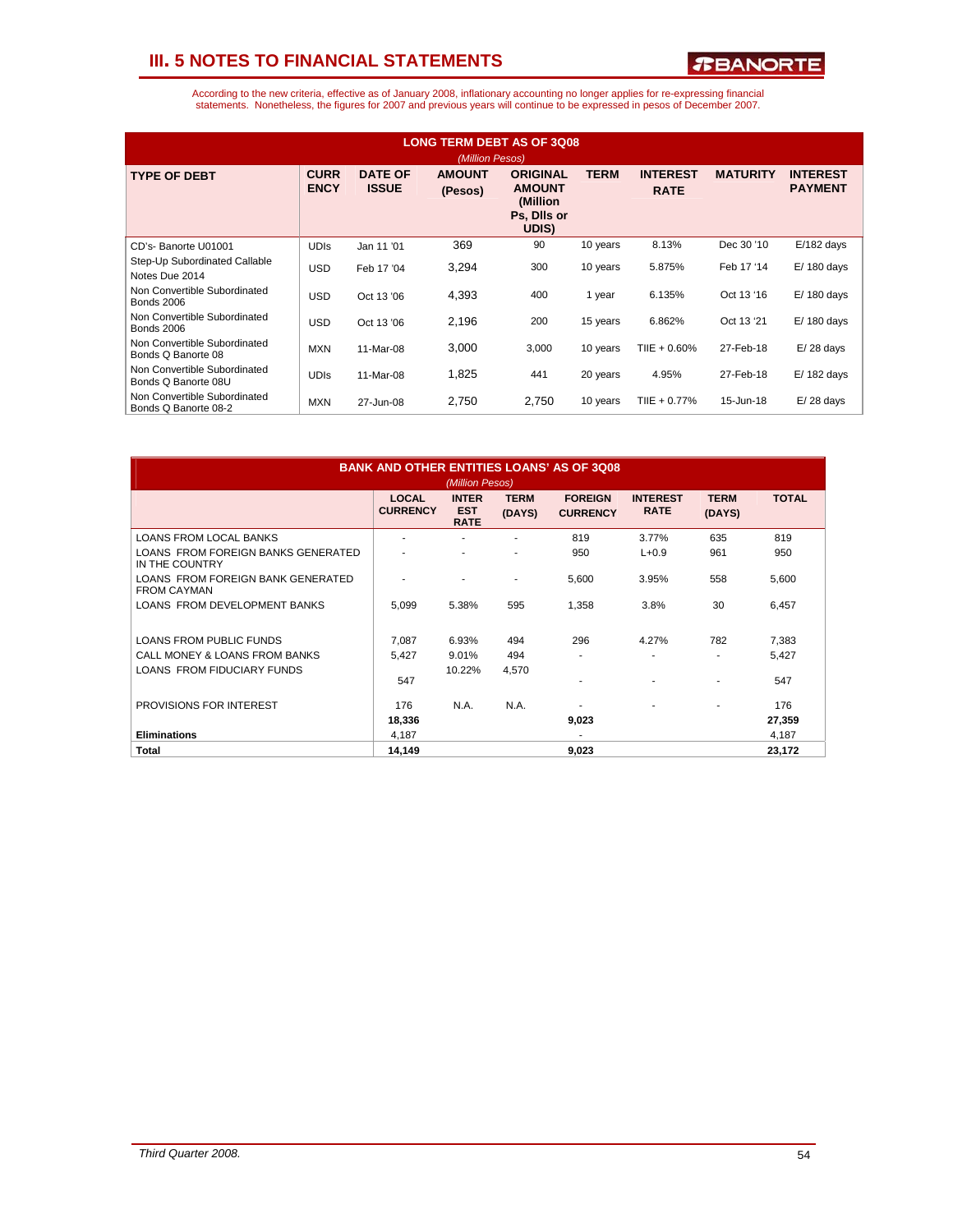*R***BANORTE** 

| <b>LONG TERM DEBT AS OF 3Q08</b><br>(Million Pesos)  |                            |                                |                          |                                                                       |             |                                |                 |                                   |  |
|------------------------------------------------------|----------------------------|--------------------------------|--------------------------|-----------------------------------------------------------------------|-------------|--------------------------------|-----------------|-----------------------------------|--|
| <b>TYPE OF DEBT</b>                                  | <b>CURR</b><br><b>ENCY</b> | <b>DATE OF</b><br><b>ISSUE</b> | <b>AMOUNT</b><br>(Pesos) | <b>ORIGINAL</b><br><b>AMOUNT</b><br>(Million)<br>Ps. Dils or<br>UDIS) | <b>TERM</b> | <b>INTEREST</b><br><b>RATE</b> | <b>MATURITY</b> | <b>INTEREST</b><br><b>PAYMENT</b> |  |
| CD's-Banorte U01001                                  | <b>UDIS</b>                | Jan 11 '01                     | 369                      | 90                                                                    | 10 years    | 8.13%                          | Dec 30 '10      | $E/182$ days                      |  |
| Step-Up Subordinated Callable<br>Notes Due 2014      | <b>USD</b>                 | Feb 17 '04                     | 3,294                    | 300                                                                   | 10 years    | 5.875%                         | Feb 17 '14      | $E/180$ days                      |  |
| Non Convertible Subordinated<br><b>Bonds 2006</b>    | <b>USD</b>                 | Oct 13 '06                     | 4,393                    | 400                                                                   | 1 year      | 6.135%                         | Oct 13 '16      | $E/180$ days                      |  |
| Non Convertible Subordinated<br><b>Bonds 2006</b>    | <b>USD</b>                 | Oct 13 '06                     | 2,196                    | 200                                                                   | 15 years    | 6.862%                         | Oct 13 '21      | $E/180$ days                      |  |
| Non Convertible Subordinated<br>Bonds Q Banorte 08   | <b>MXN</b>                 | 11-Mar-08                      | 3,000                    | 3,000                                                                 | 10 years    | TIIE + 0.60%                   | 27-Feb-18       | $E/28$ days                       |  |
| Non Convertible Subordinated<br>Bonds Q Banorte 08U  | <b>UDIS</b>                | 11-Mar-08                      | 1,825                    | 441                                                                   | 20 years    | 4.95%                          | 27-Feb-18       | $E/182$ days                      |  |
| Non Convertible Subordinated<br>Bonds Q Banorte 08-2 | <b>MXN</b>                 | 27-Jun-08                      | 2,750                    | 2,750                                                                 | 10 years    | TIIE + 0.77%                   | 15-Jun-18       | $E/28$ days                       |  |

| <b>BANK AND OTHER ENTITIES LOANS' AS OF 3Q08</b><br>(Million Pesos) |                                 |                                           |                       |                                   |                                |                       |              |  |  |
|---------------------------------------------------------------------|---------------------------------|-------------------------------------------|-----------------------|-----------------------------------|--------------------------------|-----------------------|--------------|--|--|
|                                                                     | <b>LOCAL</b><br><b>CURRENCY</b> | <b>INTER</b><br><b>EST</b><br><b>RATE</b> | <b>TERM</b><br>(DAYS) | <b>FOREIGN</b><br><b>CURRENCY</b> | <b>INTEREST</b><br><b>RATE</b> | <b>TERM</b><br>(DAYS) | <b>TOTAL</b> |  |  |
| <b>LOANS FROM LOCAL BANKS</b>                                       | $\overline{\phantom{a}}$        |                                           |                       | 819                               | 3.77%                          | 635                   | 819          |  |  |
| LOANS FROM FOREIGN BANKS GENERATED<br>IN THE COUNTRY                |                                 |                                           | ٠                     | 950                               | $L + 0.9$                      | 961                   | 950          |  |  |
| LOANS FROM FOREIGN BANK GENERATED<br><b>FROM CAYMAN</b>             |                                 |                                           |                       | 5,600                             | 3.95%                          | 558                   | 5,600        |  |  |
| LOANS FROM DEVELOPMENT BANKS                                        | 5,099                           | 5.38%                                     | 595                   | 1,358                             | 3.8%                           | 30                    | 6,457        |  |  |
| <b>LOANS FROM PUBLIC FUNDS</b>                                      | 7.087                           | 6.93%                                     | 494                   | 296                               | 4.27%                          | 782                   | 7,383        |  |  |
| CALL MONEY & LOANS FROM BANKS                                       | 5.427                           | 9.01%                                     | 494                   | ۰                                 |                                |                       | 5,427        |  |  |
| <b>LOANS FROM FIDUCIARY FUNDS</b>                                   | 547                             | 10.22%                                    | 4,570                 | ٠                                 |                                |                       | 547          |  |  |
| PROVISIONS FOR INTEREST                                             | 176                             | N.A.                                      | N.A.                  |                                   |                                |                       | 176          |  |  |
|                                                                     | 18,336                          |                                           |                       | 9,023                             |                                |                       | 27,359       |  |  |
| <b>Eliminations</b>                                                 | 4,187                           |                                           |                       | ٠                                 |                                |                       | 4,187        |  |  |
| Total                                                               | 14.149                          |                                           |                       | 9,023                             |                                |                       | 23,172       |  |  |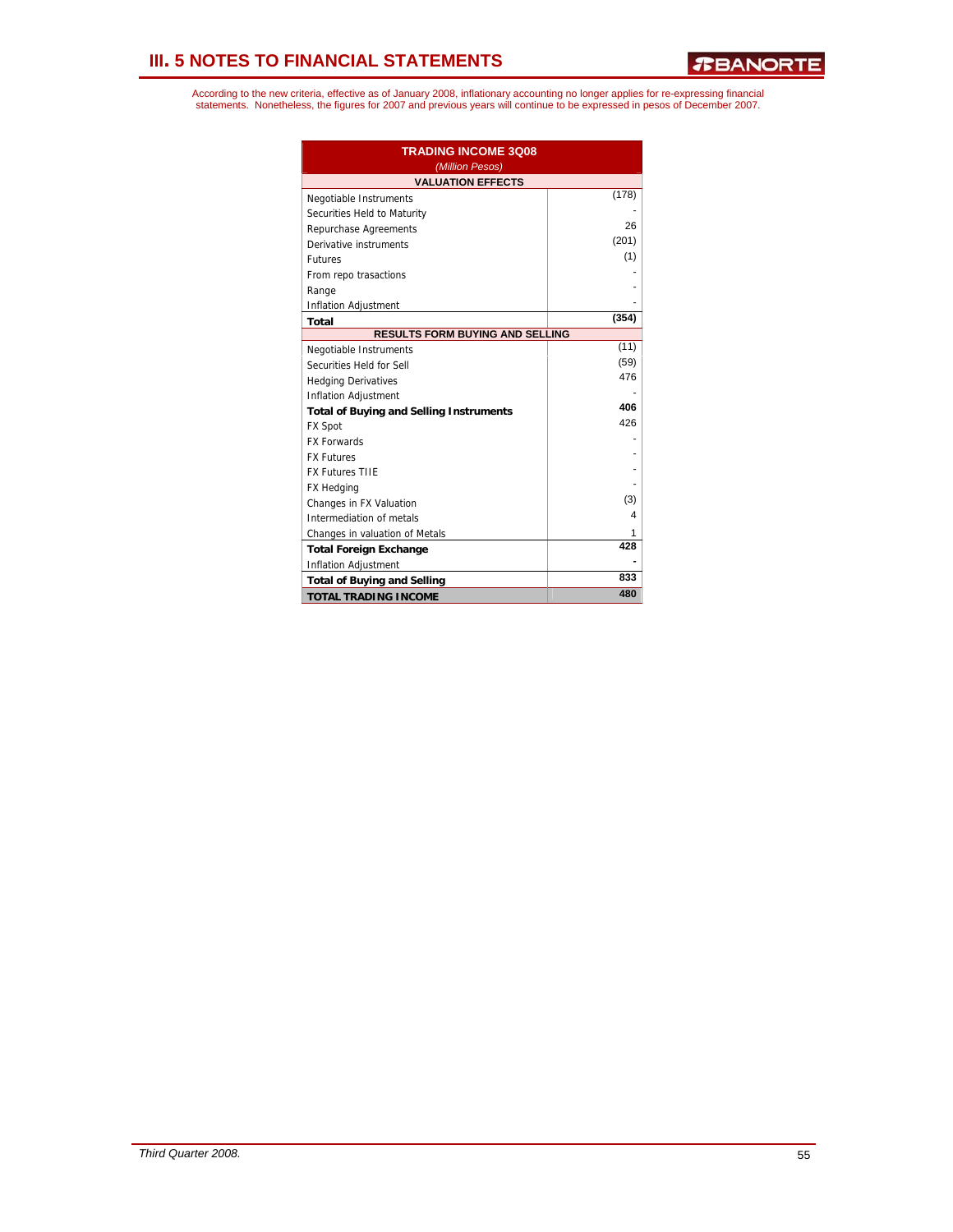| <b>TRADING INCOME 3008</b>                     |       |
|------------------------------------------------|-------|
| (Million Pesos)<br><b>VALUATION EFFECTS</b>    |       |
| Negotiable Instruments                         | (178) |
| Securities Held to Maturity                    |       |
| Repurchase Agreements                          | 26    |
| Derivative instruments                         | (201) |
| <b>Futures</b>                                 | (1)   |
| From repo trasactions                          |       |
| Range                                          |       |
| <b>Inflation Adjustment</b>                    |       |
| Total                                          | (354) |
| <b>RESULTS FORM BUYING AND SELLING</b>         |       |
| Negotiable Instruments                         | (11)  |
| Securities Held for Sell                       | (59)  |
| <b>Hedging Derivatives</b>                     | 476   |
| <b>Inflation Adjustment</b>                    |       |
| <b>Total of Buying and Selling Instruments</b> | 406   |
| <b>FX Spot</b>                                 | 426   |
| <b>FX Forwards</b>                             |       |
| <b>FX Futures</b>                              |       |
| <b>FX Futures TIIE</b>                         |       |
| FX Hedging                                     |       |
| Changes in FX Valuation                        | (3)   |
| 4<br>Intermediation of metals                  |       |
| Changes in valuation of Metals                 | 1     |
| <b>Total Foreign Exchange</b>                  | 428   |
| <b>Inflation Adjustment</b>                    |       |
| <b>Total of Buying and Selling</b>             | 833   |
| <b>TOTAL TRADING INCOME</b>                    | 480   |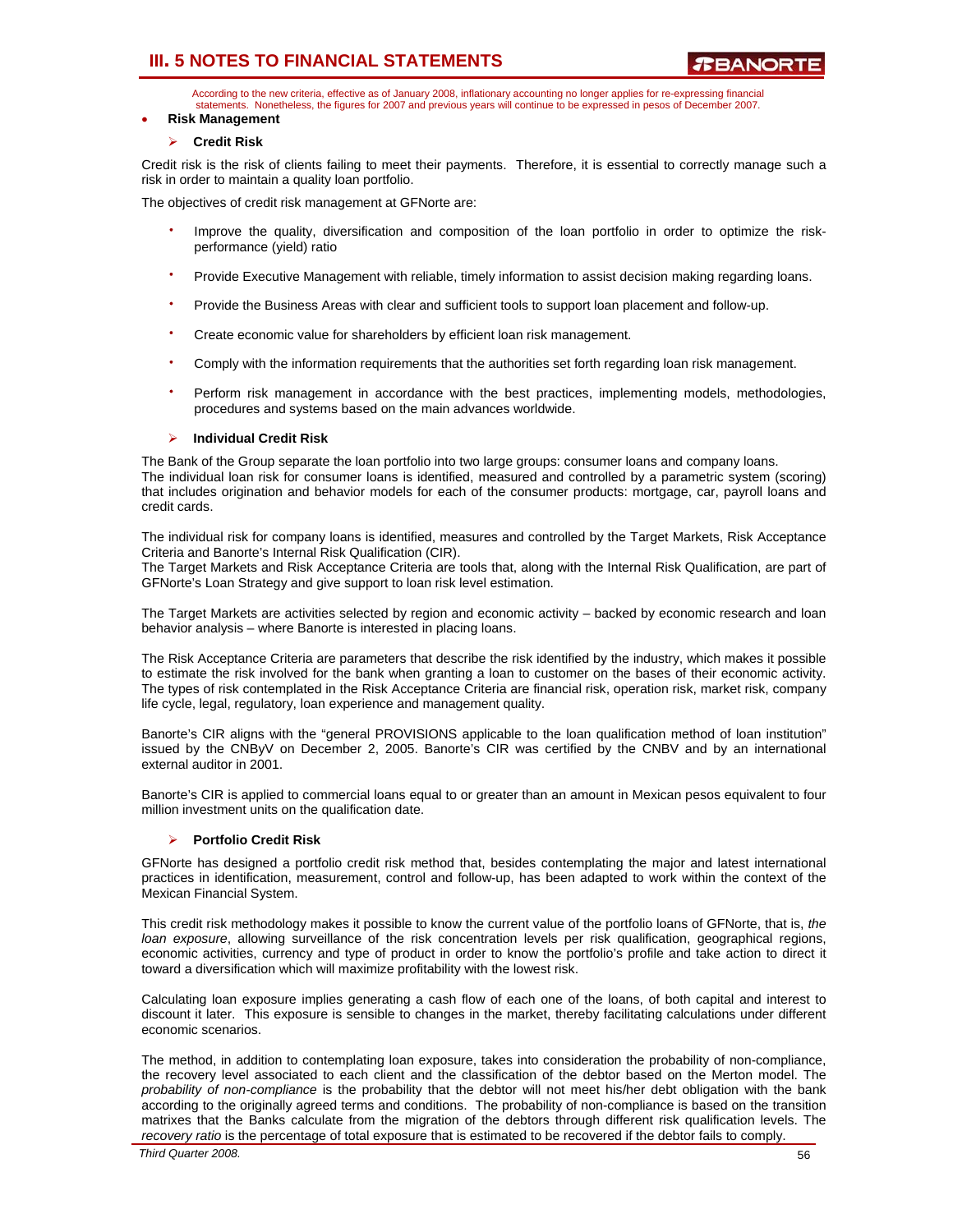According to the new criteria, effective as of January 2008, inflationary accounting no longer applies for re-expressing financial statements. Nonetheless, the figures for 2007 and previous years will continue to be expressed in pesos of December 2007.

## • **Risk Management**

## ¾ **Credit Risk**

Credit risk is the risk of clients failing to meet their payments. Therefore, it is essential to correctly manage such a risk in order to maintain a quality loan portfolio.

The objectives of credit risk management at GFNorte are:

- Improve the quality, diversification and composition of the loan portfolio in order to optimize the riskperformance (yield) ratio
- Provide Executive Management with reliable, timely information to assist decision making regarding loans.
- Provide the Business Areas with clear and sufficient tools to support loan placement and follow-up.
- Create economic value for shareholders by efficient loan risk management.
- Comply with the information requirements that the authorities set forth regarding loan risk management.
- $\bullet$ Perform risk management in accordance with the best practices, implementing models, methodologies, procedures and systems based on the main advances worldwide.

## ¾ **Individual Credit Risk**

The Bank of the Group separate the loan portfolio into two large groups: consumer loans and company loans. The individual loan risk for consumer loans is identified, measured and controlled by a parametric system (scoring) that includes origination and behavior models for each of the consumer products: mortgage, car, payroll loans and credit cards.

The individual risk for company loans is identified, measures and controlled by the Target Markets, Risk Acceptance Criteria and Banorte's Internal Risk Qualification (CIR).

The Target Markets and Risk Acceptance Criteria are tools that, along with the Internal Risk Qualification, are part of GFNorte's Loan Strategy and give support to loan risk level estimation.

The Target Markets are activities selected by region and economic activity – backed by economic research and loan behavior analysis – where Banorte is interested in placing loans.

The Risk Acceptance Criteria are parameters that describe the risk identified by the industry, which makes it possible to estimate the risk involved for the bank when granting a loan to customer on the bases of their economic activity. The types of risk contemplated in the Risk Acceptance Criteria are financial risk, operation risk, market risk, company life cycle, legal, regulatory, loan experience and management quality.

Banorte's CIR aligns with the "general PROVISIONS applicable to the loan qualification method of loan institution" issued by the CNByV on December 2, 2005. Banorte's CIR was certified by the CNBV and by an international external auditor in 2001.

Banorte's CIR is applied to commercial loans equal to or greater than an amount in Mexican pesos equivalent to four million investment units on the qualification date.

### ¾ **Portfolio Credit Risk**

GFNorte has designed a portfolio credit risk method that, besides contemplating the major and latest international practices in identification, measurement, control and follow-up, has been adapted to work within the context of the Mexican Financial System.

This credit risk methodology makes it possible to know the current value of the portfolio loans of GFNorte, that is, *the loan exposure*, allowing surveillance of the risk concentration levels per risk qualification, geographical regions, economic activities, currency and type of product in order to know the portfolio's profile and take action to direct it toward a diversification which will maximize profitability with the lowest risk.

Calculating loan exposure implies generating a cash flow of each one of the loans, of both capital and interest to discount it later. This exposure is sensible to changes in the market, thereby facilitating calculations under different economic scenarios.

The method, in addition to contemplating loan exposure, takes into consideration the probability of non-compliance, the recovery level associated to each client and the classification of the debtor based on the Merton model. The *probability of non-compliance* is the probability that the debtor will not meet his/her debt obligation with the bank according to the originally agreed terms and conditions. The probability of non-compliance is based on the transition matrixes that the Banks calculate from the migration of the debtors through different risk qualification levels. The *recovery ratio* is the percentage of total exposure that is estimated to be recovered if the debtor fails to comply.

*Third Quarter 2008.* 56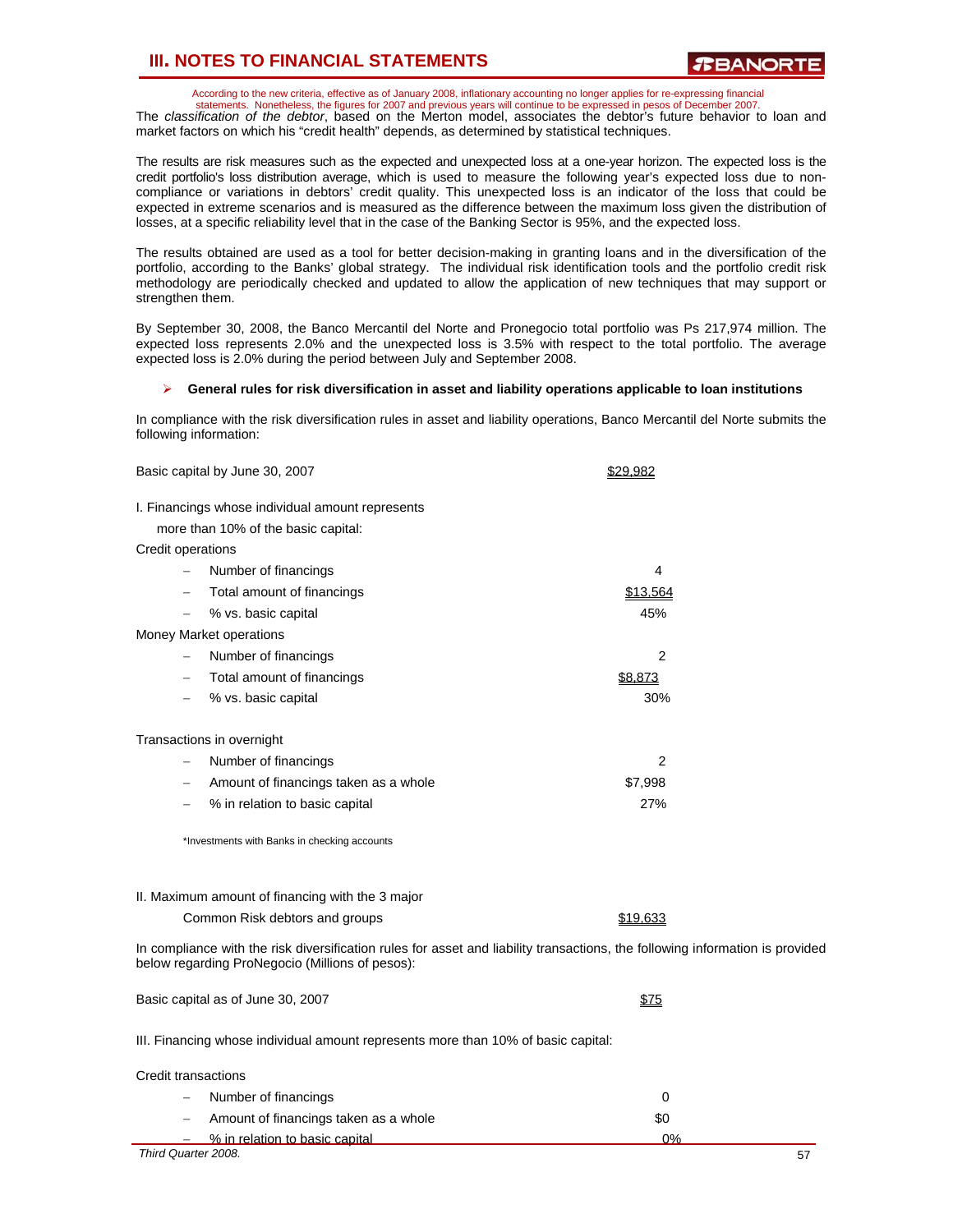According to the new criteria, effective as of January 2008, inflationary accounting no longer applies for re-expressing financial

statements. Nonetheless, the figures for 2007 and previous years will continue to be expressed in pesos of December 2007. The *classification of the debtor*, based on the Merton model, associates the debtor's future behavior to loan and market factors on which his "credit health" depends, as determined by statistical techniques.

The results are risk measures such as the expected and unexpected loss at a one-year horizon. The expected loss is the credit portfolio's loss distribution average, which is used to measure the following year's expected loss due to noncompliance or variations in debtors' credit quality. This unexpected loss is an indicator of the loss that could be expected in extreme scenarios and is measured as the difference between the maximum loss given the distribution of losses, at a specific reliability level that in the case of the Banking Sector is 95%, and the expected loss.

The results obtained are used as a tool for better decision-making in granting loans and in the diversification of the portfolio, according to the Banks' global strategy. The individual risk identification tools and the portfolio credit risk methodology are periodically checked and updated to allow the application of new techniques that may support or strengthen them.

By September 30, 2008, the Banco Mercantil del Norte and Pronegocio total portfolio was Ps 217,974 million. The expected loss represents 2.0% and the unexpected loss is 3.5% with respect to the total portfolio. The average expected loss is 2.0% during the period between July and September 2008.

#### ¾ **General rules for risk diversification in asset and liability operations applicable to loan institutions**

In compliance with the risk diversification rules in asset and liability operations, Banco Mercantil del Norte submits the following information:

|                          | Basic capital by June 30, 2007                                                    | \$29,982                                                                                                                      |
|--------------------------|-----------------------------------------------------------------------------------|-------------------------------------------------------------------------------------------------------------------------------|
|                          | I. Financings whose individual amount represents                                  |                                                                                                                               |
|                          | more than 10% of the basic capital:                                               |                                                                                                                               |
| Credit operations        |                                                                                   |                                                                                                                               |
|                          | Number of financings                                                              | 4                                                                                                                             |
|                          | Total amount of financings                                                        | \$13,564                                                                                                                      |
| $\overline{\phantom{0}}$ | % vs. basic capital                                                               | 45%                                                                                                                           |
|                          | Money Market operations                                                           |                                                                                                                               |
| $\qquad \qquad -$        | Number of financings                                                              | 2                                                                                                                             |
|                          | Total amount of financings                                                        | \$8,873                                                                                                                       |
|                          | % vs. basic capital                                                               | 30%                                                                                                                           |
|                          | Transactions in overnight                                                         |                                                                                                                               |
|                          | Number of financings                                                              | 2                                                                                                                             |
| $\overline{\phantom{0}}$ | Amount of financings taken as a whole                                             | \$7,998                                                                                                                       |
|                          | % in relation to basic capital                                                    | 27%                                                                                                                           |
|                          | *Investments with Banks in checking accounts                                      |                                                                                                                               |
|                          | II. Maximum amount of financing with the 3 major                                  |                                                                                                                               |
|                          | Common Risk debtors and groups                                                    | \$19,633                                                                                                                      |
|                          | below regarding ProNegocio (Millions of pesos):                                   | In compliance with the risk diversification rules for asset and liability transactions, the following information is provided |
|                          | Basic capital as of June 30, 2007                                                 | \$75                                                                                                                          |
|                          | III. Financing whose individual amount represents more than 10% of hasic capital. |                                                                                                                               |

III. Financing whose individual amount represents more than 10% of basic capital:

| Credit transactions                       |     |    |
|-------------------------------------------|-----|----|
| $-$ Number of financings                  |     |    |
| $-$ Amount of financings taken as a whole | \$0 |    |
| $-$ % in relation to basic capital        | ባ%  |    |
| Third Quarter 2008.                       |     | 57 |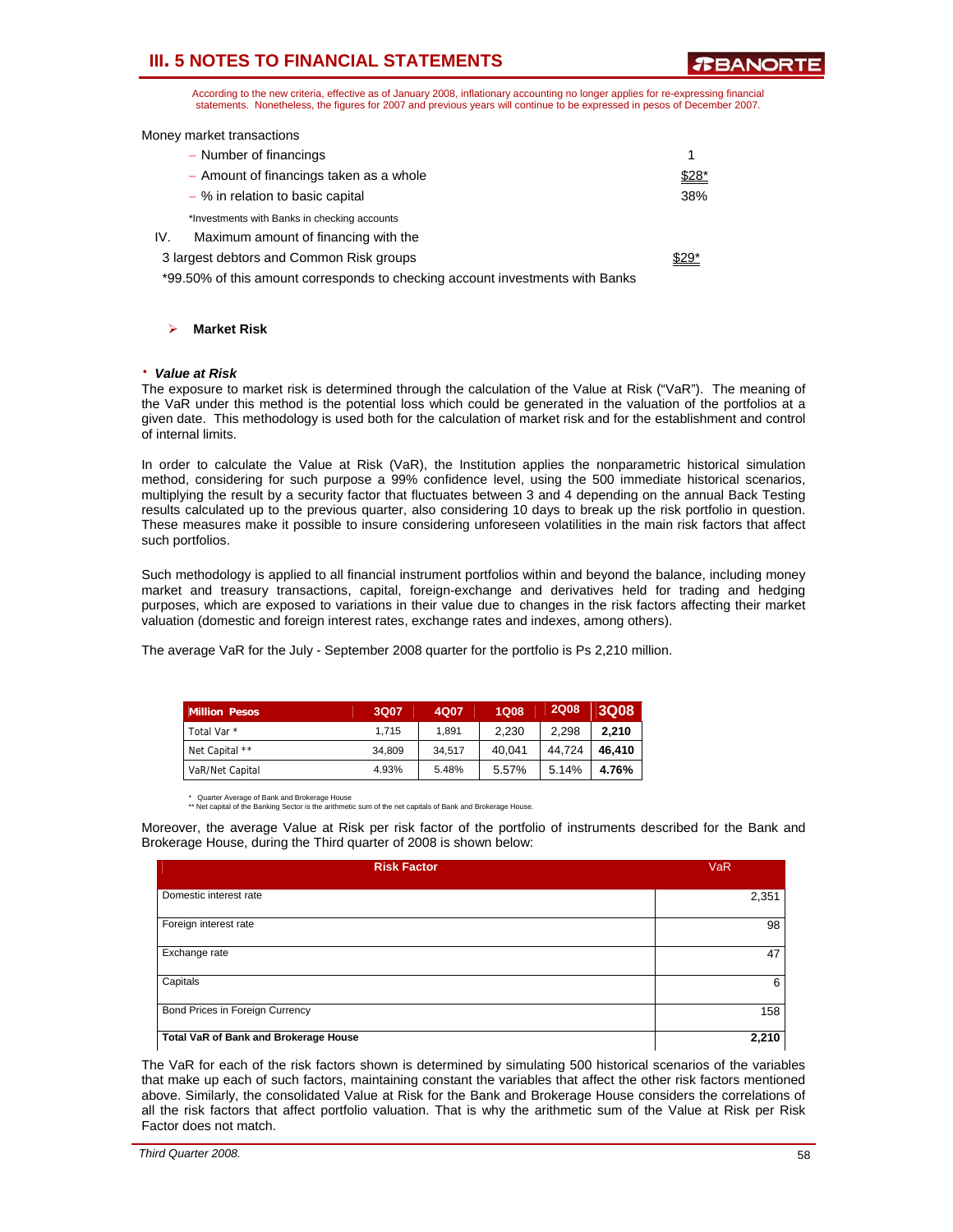**RRANORT** 

According to the new criteria, effective as of January 2008, inflationary accounting no longer applies for re-expressing financial statements. Nonetheless, the figures for 2007 and previous years will continue to be expressed in pesos of December 2007.

Money market transactions

| - Number of financings                                                        |        |
|-------------------------------------------------------------------------------|--------|
| - Amount of financings taken as a whole                                       | $$28*$ |
| - % in relation to basic capital                                              | 38%    |
| *Investments with Banks in checking accounts                                  |        |
| IV.<br>Maximum amount of financing with the                                   |        |
| 3 largest debtors and Common Risk groups                                      | $$29*$ |
| *99.50% of this amount corresponds to checking account investments with Banks |        |

¾ **Market Risk** 

#### ⋅ *Value at Risk*

The exposure to market risk is determined through the calculation of the Value at Risk ("VaR"). The meaning of the VaR under this method is the potential loss which could be generated in the valuation of the portfolios at a given date. This methodology is used both for the calculation of market risk and for the establishment and control of internal limits.

In order to calculate the Value at Risk (VaR), the Institution applies the nonparametric historical simulation method, considering for such purpose a 99% confidence level, using the 500 immediate historical scenarios, multiplying the result by a security factor that fluctuates between 3 and 4 depending on the annual Back Testing results calculated up to the previous quarter, also considering 10 days to break up the risk portfolio in question. These measures make it possible to insure considering unforeseen volatilities in the main risk factors that affect such portfolios.

Such methodology is applied to all financial instrument portfolios within and beyond the balance, including money market and treasury transactions, capital, foreign-exchange and derivatives held for trading and hedging purposes, which are exposed to variations in their value due to changes in the risk factors affecting their market valuation (domestic and foreign interest rates, exchange rates and indexes, among others).

The average VaR for the July - September 2008 quarter for the portfolio is Ps 2,210 million.

| <b>Million Pesos</b>   | 3Q07   | 4Q07   | <b>1Q08</b> | <b>2Q08</b> | 3Q08   |
|------------------------|--------|--------|-------------|-------------|--------|
| Total Var <sup>*</sup> | 1.715  | 1.891  | 2.230       | 2.298       | 2.210  |
| Net Capital **         | 34.809 | 34.517 | 40.041      | 44.724      | 46.410 |
| VaR/Net Capital        | 4.93%  | 5.48%  | 5.57%       | 5.14%       | 4.76%  |

Quarter Average of Bank and Brokerage House

\*\* Net capital of the Banking Sector is the arithmetic sum of the net capitals of Bank and Brokerage House.

Moreover, the average Value at Risk per risk factor of the portfolio of instruments described for the Bank and Brokerage House, during the Third quarter of 2008 is shown below:

| <b>Risk Factor</b>                    | <b>VaR</b> |
|---------------------------------------|------------|
| Domestic interest rate                | 2,351      |
| Foreign interest rate                 | 98         |
| Exchange rate                         | 47         |
| Capitals                              | 6          |
| Bond Prices in Foreign Currency       | 158        |
| Total VaR of Bank and Brokerage House | 2,210      |

The VaR for each of the risk factors shown is determined by simulating 500 historical scenarios of the variables that make up each of such factors, maintaining constant the variables that affect the other risk factors mentioned above. Similarly, the consolidated Value at Risk for the Bank and Brokerage House considers the correlations of all the risk factors that affect portfolio valuation. That is why the arithmetic sum of the Value at Risk per Risk Factor does not match.

| Third Quarter 2008. | 58 |
|---------------------|----|
|---------------------|----|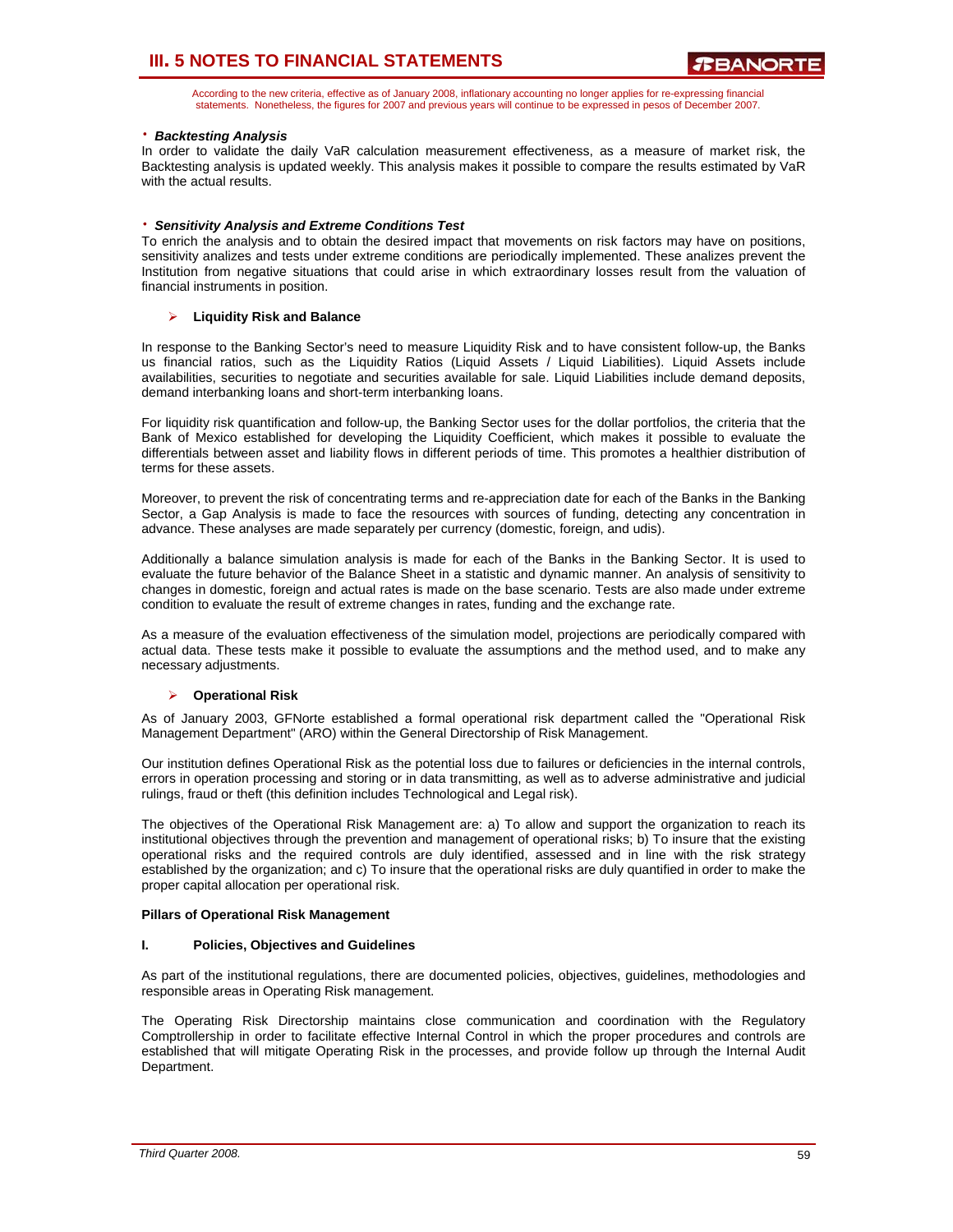According to the new criteria, effective as of January 2008, inflationary accounting no longer applies for re-expressing financial statements. Nonetheless, the figures for 2007 and previous years will continue to be expressed in pesos of December 2007.

## ⋅ *Backtesting Analysis*

In order to validate the daily VaR calculation measurement effectiveness, as a measure of market risk, the Backtesting analysis is updated weekly. This analysis makes it possible to compare the results estimated by VaR with the actual results.

## ⋅ *Sensitivity Analysis and Extreme Conditions Test*

To enrich the analysis and to obtain the desired impact that movements on risk factors may have on positions, sensitivity analizes and tests under extreme conditions are periodically implemented. These analizes prevent the Institution from negative situations that could arise in which extraordinary losses result from the valuation of financial instruments in position.

## ¾ **Liquidity Risk and Balance**

In response to the Banking Sector's need to measure Liquidity Risk and to have consistent follow-up, the Banks us financial ratios, such as the Liquidity Ratios (Liquid Assets / Liquid Liabilities). Liquid Assets include availabilities, securities to negotiate and securities available for sale. Liquid Liabilities include demand deposits, demand interbanking loans and short-term interbanking loans.

For liquidity risk quantification and follow-up, the Banking Sector uses for the dollar portfolios, the criteria that the Bank of Mexico established for developing the Liquidity Coefficient, which makes it possible to evaluate the differentials between asset and liability flows in different periods of time. This promotes a healthier distribution of terms for these assets.

Moreover, to prevent the risk of concentrating terms and re-appreciation date for each of the Banks in the Banking Sector, a Gap Analysis is made to face the resources with sources of funding, detecting any concentration in advance. These analyses are made separately per currency (domestic, foreign, and udis).

Additionally a balance simulation analysis is made for each of the Banks in the Banking Sector. It is used to evaluate the future behavior of the Balance Sheet in a statistic and dynamic manner. An analysis of sensitivity to changes in domestic, foreign and actual rates is made on the base scenario. Tests are also made under extreme condition to evaluate the result of extreme changes in rates, funding and the exchange rate.

As a measure of the evaluation effectiveness of the simulation model, projections are periodically compared with actual data. These tests make it possible to evaluate the assumptions and the method used, and to make any necessary adjustments.

### ¾ **Operational Risk**

As of January 2003, GFNorte established a formal operational risk department called the "Operational Risk Management Department" (ARO) within the General Directorship of Risk Management.

Our institution defines Operational Risk as the potential loss due to failures or deficiencies in the internal controls, errors in operation processing and storing or in data transmitting, as well as to adverse administrative and judicial rulings, fraud or theft (this definition includes Technological and Legal risk).

The objectives of the Operational Risk Management are: a) To allow and support the organization to reach its institutional objectives through the prevention and management of operational risks; b) To insure that the existing operational risks and the required controls are duly identified, assessed and in line with the risk strategy established by the organization; and c) To insure that the operational risks are duly quantified in order to make the proper capital allocation per operational risk.

### **Pillars of Operational Risk Management**

### **I. Policies, Objectives and Guidelines**

As part of the institutional regulations, there are documented policies, objectives, guidelines, methodologies and responsible areas in Operating Risk management.

The Operating Risk Directorship maintains close communication and coordination with the Regulatory Comptrollership in order to facilitate effective Internal Control in which the proper procedures and controls are established that will mitigate Operating Risk in the processes, and provide follow up through the Internal Audit Department.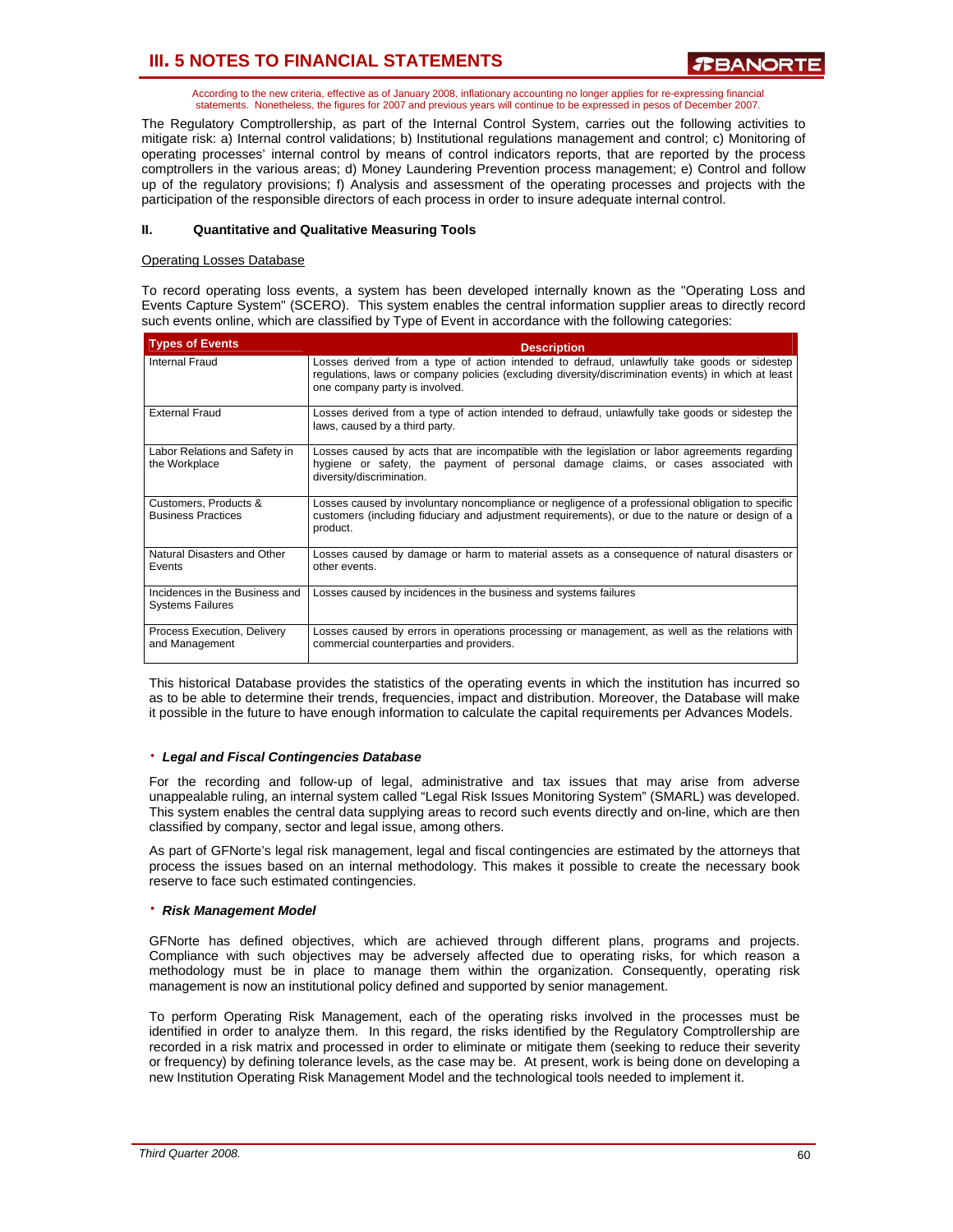According to the new criteria, effective as of January 2008, inflationary accounting no longer applies for re-expressing financial statements. Nonetheless, the figures for 2007 and previous years will continue to be expressed in pesos of December 2007.

The Regulatory Comptrollership, as part of the Internal Control System, carries out the following activities to mitigate risk: a) Internal control validations; b) Institutional regulations management and control; c) Monitoring of operating processes' internal control by means of control indicators reports, that are reported by the process comptrollers in the various areas; d) Money Laundering Prevention process management; e) Control and follow up of the regulatory provisions; f) Analysis and assessment of the operating processes and projects with the participation of the responsible directors of each process in order to insure adequate internal control.

## **II. Quantitative and Qualitative Measuring Tools**

## Operating Losses Database

To record operating loss events, a system has been developed internally known as the "Operating Loss and Events Capture System" (SCERO). This system enables the central information supplier areas to directly record such events online, which are classified by Type of Event in accordance with the following categories:

| <b>Types of Events</b>                                    | <b>Description</b>                                                                                                                                                                                                                   |
|-----------------------------------------------------------|--------------------------------------------------------------------------------------------------------------------------------------------------------------------------------------------------------------------------------------|
| Internal Fraud                                            | Losses derived from a type of action intended to defraud, unlawfully take goods or sidestep<br>regulations, laws or company policies (excluding diversity/discrimination events) in which at least<br>one company party is involved. |
| <b>External Fraud</b>                                     | Losses derived from a type of action intended to defraud, unlawfully take goods or sidestep the<br>laws, caused by a third party.                                                                                                    |
| Labor Relations and Safety in<br>the Workplace            | Losses caused by acts that are incompatible with the legislation or labor agreements regarding<br>hygiene or safety, the payment of personal damage claims, or cases associated with<br>diversity/discrimination.                    |
| Customers, Products &<br><b>Business Practices</b>        | Losses caused by involuntary noncompliance or negligence of a professional obligation to specific<br>customers (including fiduciary and adjustment requirements), or due to the nature or design of a<br>product.                    |
| Natural Disasters and Other<br>Events                     | Losses caused by damage or harm to material assets as a consequence of natural disasters or<br>other events                                                                                                                          |
| Incidences in the Business and<br><b>Systems Failures</b> | Losses caused by incidences in the business and systems failures                                                                                                                                                                     |
| Process Execution, Delivery<br>and Management             | Losses caused by errors in operations processing or management, as well as the relations with<br>commercial counterparties and providers.                                                                                            |

This historical Database provides the statistics of the operating events in which the institution has incurred so as to be able to determine their trends, frequencies, impact and distribution. Moreover, the Database will make it possible in the future to have enough information to calculate the capital requirements per Advances Models.

### ⋅ *Legal and Fiscal Contingencies Database*

For the recording and follow-up of legal, administrative and tax issues that may arise from adverse unappealable ruling, an internal system called "Legal Risk Issues Monitoring System" (SMARL) was developed. This system enables the central data supplying areas to record such events directly and on-line, which are then classified by company, sector and legal issue, among others.

As part of GFNorte's legal risk management, legal and fiscal contingencies are estimated by the attorneys that process the issues based on an internal methodology. This makes it possible to create the necessary book reserve to face such estimated contingencies.

### ⋅ *Risk Management Model*

GFNorte has defined objectives, which are achieved through different plans, programs and projects. Compliance with such objectives may be adversely affected due to operating risks, for which reason a methodology must be in place to manage them within the organization. Consequently, operating risk management is now an institutional policy defined and supported by senior management.

To perform Operating Risk Management, each of the operating risks involved in the processes must be identified in order to analyze them. In this regard, the risks identified by the Regulatory Comptrollership are recorded in a risk matrix and processed in order to eliminate or mitigate them (seeking to reduce their severity or frequency) by defining tolerance levels, as the case may be. At present, work is being done on developing a new Institution Operating Risk Management Model and the technological tools needed to implement it.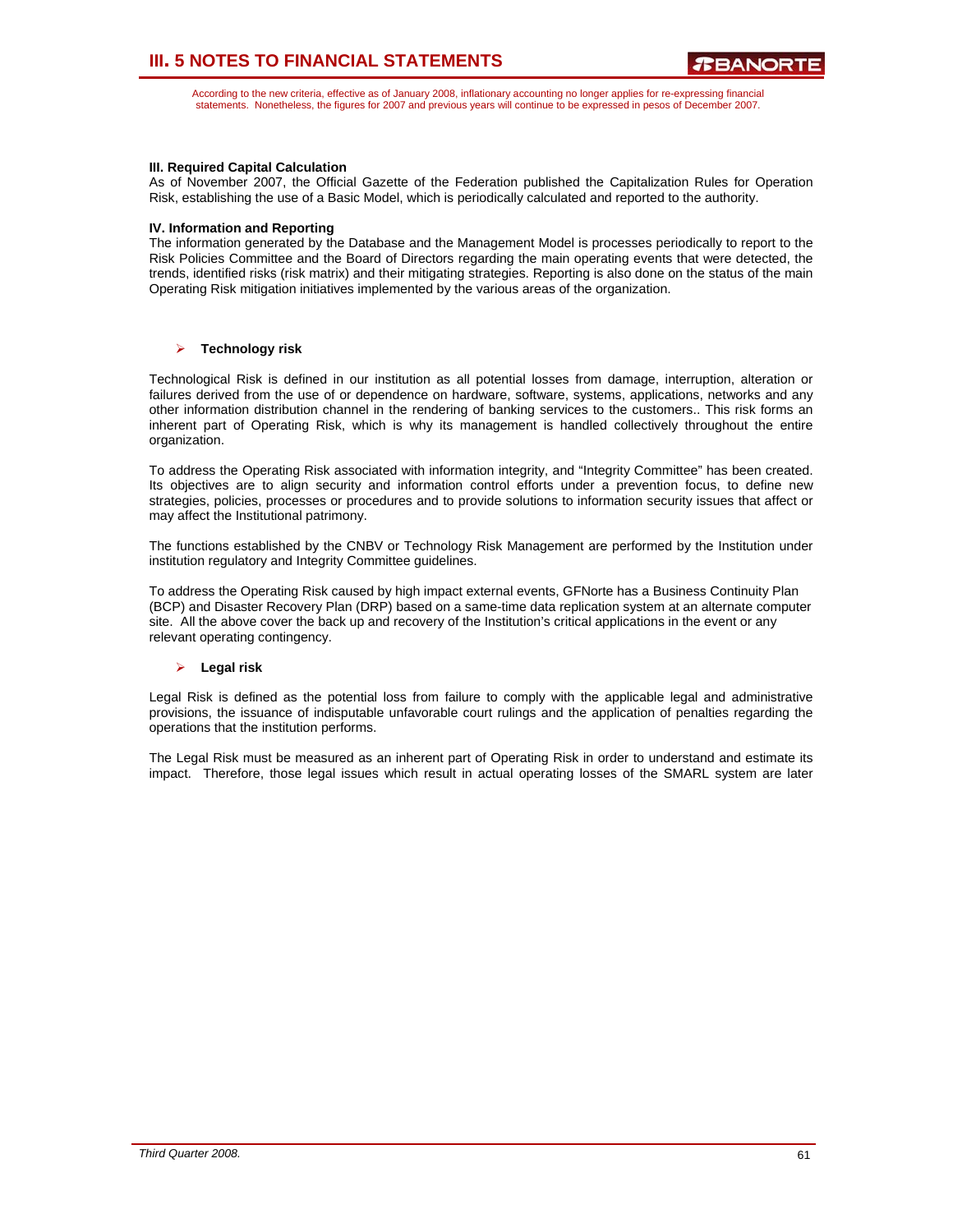According to the new criteria, effective as of January 2008, inflationary accounting no longer applies for re-expressing financial statements. Nonetheless, the figures for 2007 and previous years will continue to be expressed in pesos of December 2007.

## **III. Required Capital Calculation**

As of November 2007, the Official Gazette of the Federation published the Capitalization Rules for Operation Risk, establishing the use of a Basic Model, which is periodically calculated and reported to the authority.

### **IV. Information and Reporting**

The information generated by the Database and the Management Model is processes periodically to report to the Risk Policies Committee and the Board of Directors regarding the main operating events that were detected, the trends, identified risks (risk matrix) and their mitigating strategies. Reporting is also done on the status of the main Operating Risk mitigation initiatives implemented by the various areas of the organization.

## ¾ **Technology risk**

Technological Risk is defined in our institution as all potential losses from damage, interruption, alteration or failures derived from the use of or dependence on hardware, software, systems, applications, networks and any other information distribution channel in the rendering of banking services to the customers.. This risk forms an inherent part of Operating Risk, which is why its management is handled collectively throughout the entire organization.

To address the Operating Risk associated with information integrity, and "Integrity Committee" has been created. Its objectives are to align security and information control efforts under a prevention focus, to define new strategies, policies, processes or procedures and to provide solutions to information security issues that affect or may affect the Institutional patrimony.

The functions established by the CNBV or Technology Risk Management are performed by the Institution under institution regulatory and Integrity Committee guidelines.

To address the Operating Risk caused by high impact external events, GFNorte has a Business Continuity Plan (BCP) and Disaster Recovery Plan (DRP) based on a same-time data replication system at an alternate computer site. All the above cover the back up and recovery of the Institution's critical applications in the event or any relevant operating contingency.

### ¾ **Legal risk**

Legal Risk is defined as the potential loss from failure to comply with the applicable legal and administrative provisions, the issuance of indisputable unfavorable court rulings and the application of penalties regarding the operations that the institution performs.

The Legal Risk must be measured as an inherent part of Operating Risk in order to understand and estimate its impact. Therefore, those legal issues which result in actual operating losses of the SMARL system are later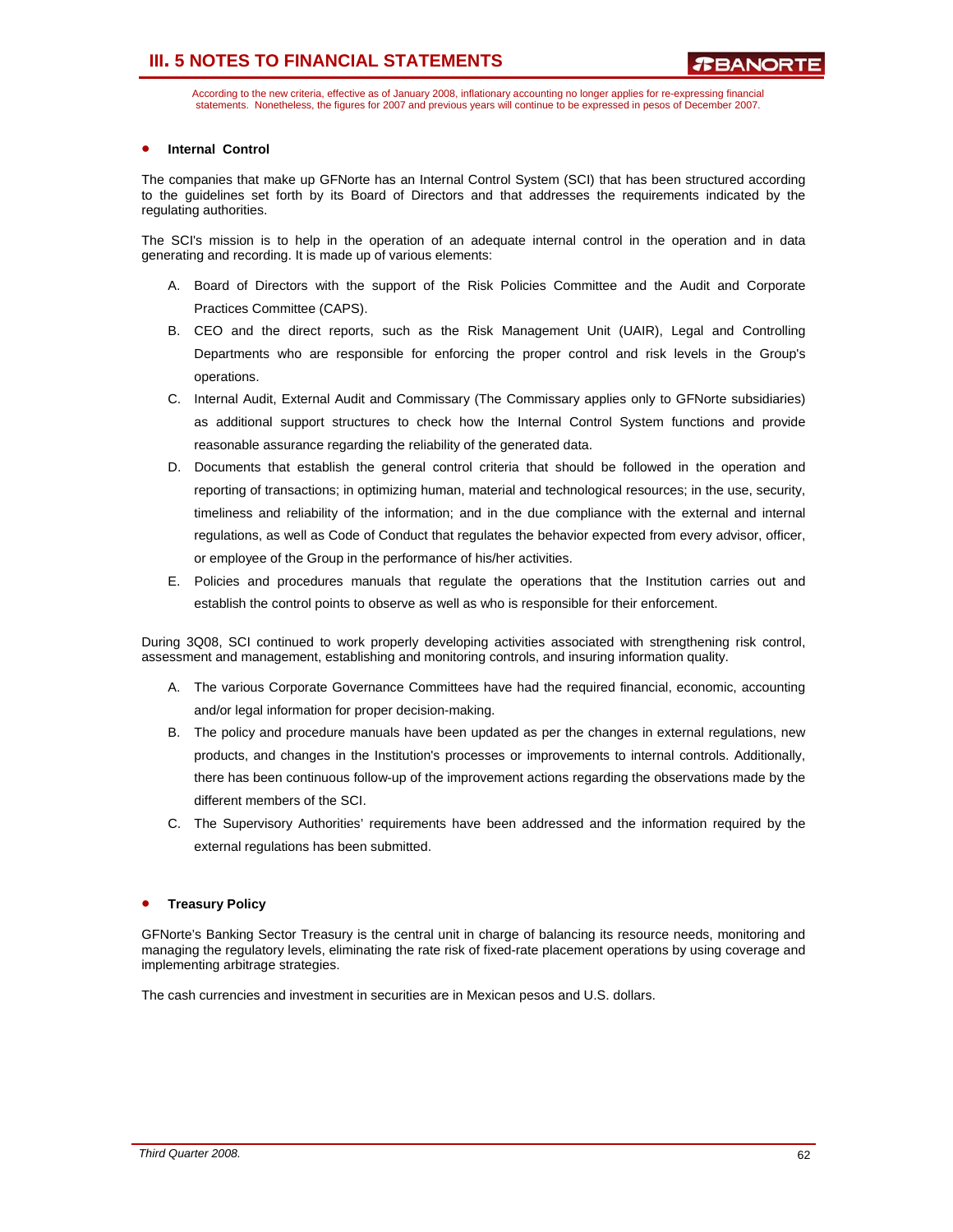According to the new criteria, effective as of January 2008, inflationary accounting no longer applies for re-expressing financial statements. Nonetheless, the figures for 2007 and previous years will continue to be expressed in pesos of December 2007.

## **Internal Control**

The companies that make up GFNorte has an Internal Control System (SCI) that has been structured according to the guidelines set forth by its Board of Directors and that addresses the requirements indicated by the regulating authorities.

The SCI's mission is to help in the operation of an adequate internal control in the operation and in data generating and recording. It is made up of various elements:

- A. Board of Directors with the support of the Risk Policies Committee and the Audit and Corporate Practices Committee (CAPS).
- B. CEO and the direct reports, such as the Risk Management Unit (UAIR), Legal and Controlling Departments who are responsible for enforcing the proper control and risk levels in the Group's operations.
- C. Internal Audit, External Audit and Commissary (The Commissary applies only to GFNorte subsidiaries) as additional support structures to check how the Internal Control System functions and provide reasonable assurance regarding the reliability of the generated data.
- D. Documents that establish the general control criteria that should be followed in the operation and reporting of transactions; in optimizing human, material and technological resources; in the use, security, timeliness and reliability of the information; and in the due compliance with the external and internal regulations, as well as Code of Conduct that regulates the behavior expected from every advisor, officer, or employee of the Group in the performance of his/her activities.
- E. Policies and procedures manuals that regulate the operations that the Institution carries out and establish the control points to observe as well as who is responsible for their enforcement.

During 3Q08, SCI continued to work properly developing activities associated with strengthening risk control, assessment and management, establishing and monitoring controls, and insuring information quality.

- A. The various Corporate Governance Committees have had the required financial, economic, accounting and/or legal information for proper decision-making.
- B. The policy and procedure manuals have been updated as per the changes in external regulations, new products, and changes in the Institution's processes or improvements to internal controls. Additionally, there has been continuous follow-up of the improvement actions regarding the observations made by the different members of the SCI.
- C. The Supervisory Authorities' requirements have been addressed and the information required by the external regulations has been submitted.

### • **Treasury Policy**

GFNorte's Banking Sector Treasury is the central unit in charge of balancing its resource needs, monitoring and managing the regulatory levels, eliminating the rate risk of fixed-rate placement operations by using coverage and implementing arbitrage strategies.

The cash currencies and investment in securities are in Mexican pesos and U.S. dollars.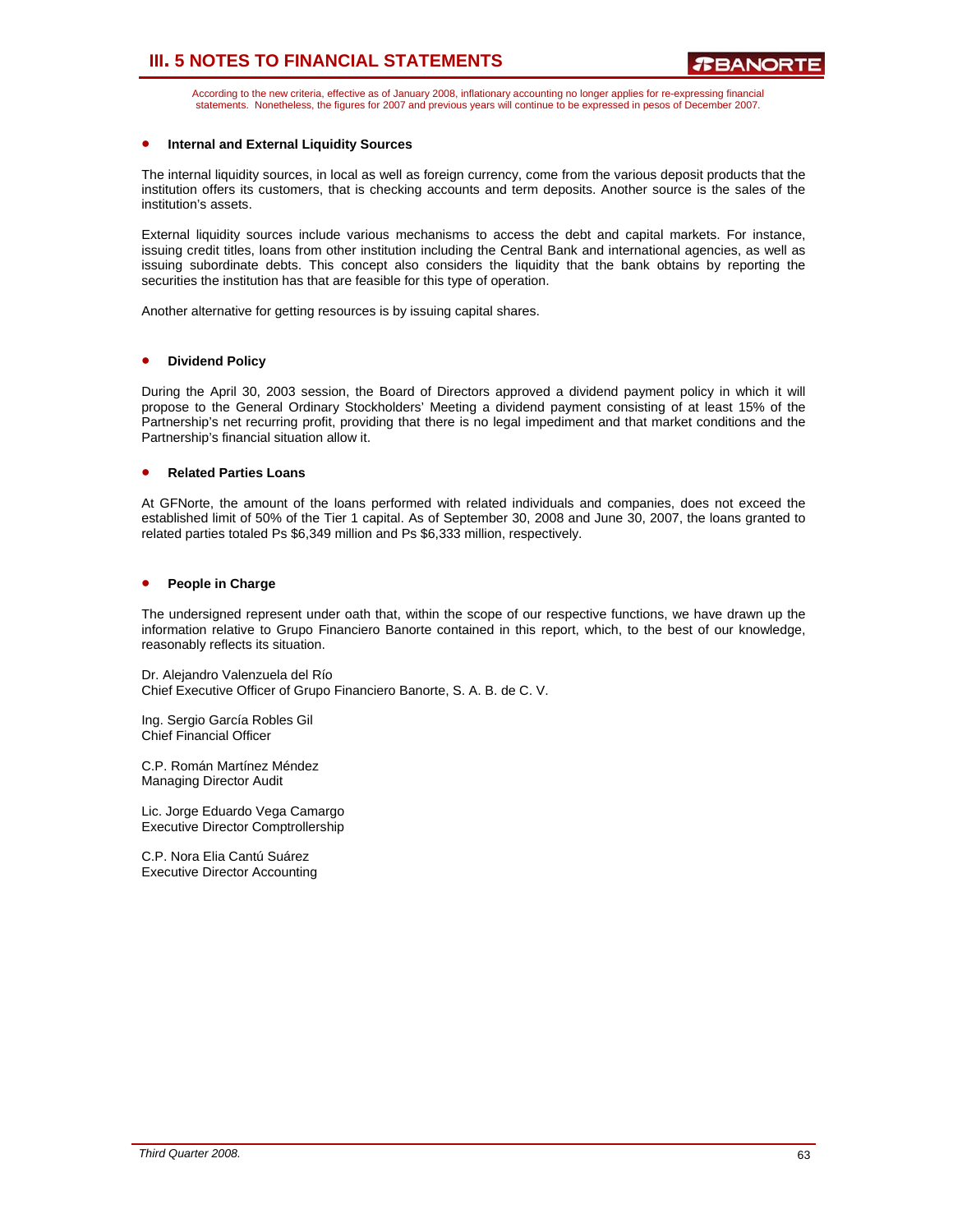According to the new criteria, effective as of January 2008, inflationary accounting no longer applies for re-expressing financial statements. Nonetheless, the figures for 2007 and previous years will continue to be expressed in pesos of December 2007.

## • **Internal and External Liquidity Sources**

The internal liquidity sources, in local as well as foreign currency, come from the various deposit products that the institution offers its customers, that is checking accounts and term deposits. Another source is the sales of the institution's assets.

External liquidity sources include various mechanisms to access the debt and capital markets. For instance, issuing credit titles, loans from other institution including the Central Bank and international agencies, as well as issuing subordinate debts. This concept also considers the liquidity that the bank obtains by reporting the securities the institution has that are feasible for this type of operation.

Another alternative for getting resources is by issuing capital shares.

### • **Dividend Policy**

During the April 30, 2003 session, the Board of Directors approved a dividend payment policy in which it will propose to the General Ordinary Stockholders' Meeting a dividend payment consisting of at least 15% of the Partnership's net recurring profit, providing that there is no legal impediment and that market conditions and the Partnership's financial situation allow it.

### • **Related Parties Loans**

At GFNorte, the amount of the loans performed with related individuals and companies, does not exceed the established limit of 50% of the Tier 1 capital. As of September 30, 2008 and June 30, 2007, the loans granted to related parties totaled Ps \$6,349 million and Ps \$6,333 million, respectively.

## • **People in Charge**

The undersigned represent under oath that, within the scope of our respective functions, we have drawn up the information relative to Grupo Financiero Banorte contained in this report, which, to the best of our knowledge, reasonably reflects its situation.

Dr. Alejandro Valenzuela del Río Chief Executive Officer of Grupo Financiero Banorte, S. A. B. de C. V.

Ing. Sergio García Robles Gil Chief Financial Officer

C.P. Román Martínez Méndez Managing Director Audit

Lic. Jorge Eduardo Vega Camargo Executive Director Comptrollership

C.P. Nora Elia Cantú Suárez Executive Director Accounting